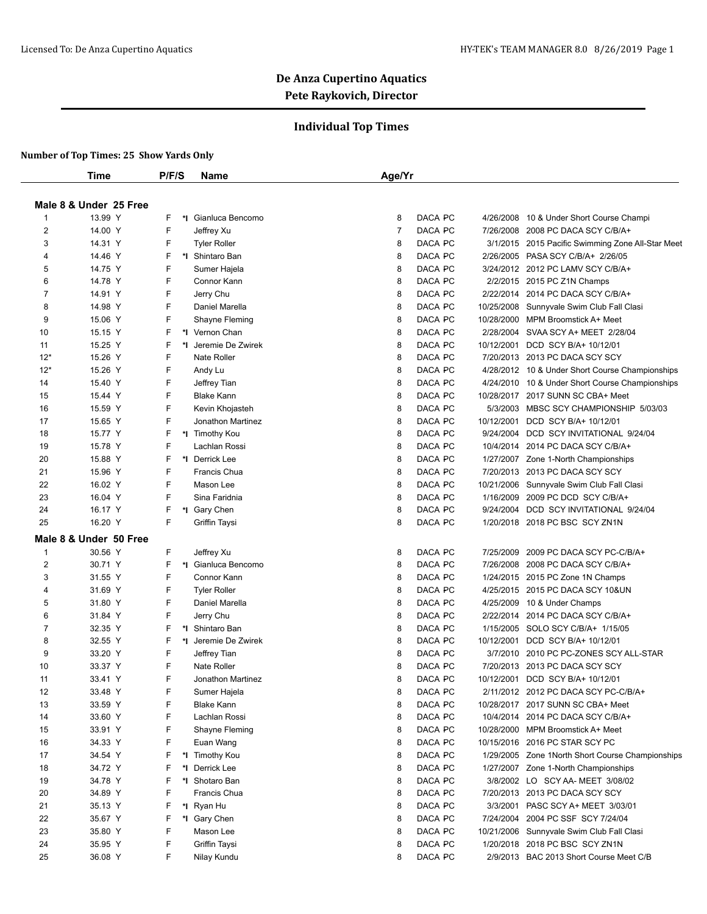## **Individual Top Times**

|                | Time                   | P/F/S | <b>Name</b>          | Age/Yr         |         |            |                                                   |
|----------------|------------------------|-------|----------------------|----------------|---------|------------|---------------------------------------------------|
|                |                        |       |                      |                |         |            |                                                   |
|                | Male 8 & Under 25 Free |       |                      |                |         |            |                                                   |
| -1             | 13.99 Y                | F     | *I Gianluca Bencomo  | 8              | DACA PC | 4/26/2008  | 10 & Under Short Course Champi                    |
| 2              | 14.00 Y                | F     | Jeffrey Xu           | $\overline{7}$ | DACA PC |            | 7/26/2008 2008 PC DACA SCY C/B/A+                 |
| 3              | 14.31 Y                | F     | <b>Tyler Roller</b>  | 8              | DACA PC |            | 3/1/2015 2015 Pacific Swimming Zone All-Star Meet |
| 4              | 14.46 Y                | F     | *I Shintaro Ban      | 8              | DACA PC |            | 2/26/2005 PASA SCY C/B/A+ 2/26/05                 |
| 5              | 14.75 Y                | F     | Sumer Hajela         | 8              | DACA PC |            | 3/24/2012 2012 PC LAMV SCY C/B/A+                 |
| 6              | 14.78 Y                | F     | Connor Kann          | 8              | DACA PC |            | 2/2/2015 2015 PC Z1N Champs                       |
| 7              | 14.91 Y                | F     | Jerry Chu            | 8              | DACA PC |            | 2/22/2014 2014 PC DACA SCY C/B/A+                 |
| 8              | 14.98 Y                | F     | Daniel Marella       | 8              | DACA PC | 10/25/2008 | Sunnyvale Swim Club Fall Clasi                    |
| 9              | 15.06 Y                | F     | Shayne Fleming       | 8              | DACA PC | 10/28/2000 | MPM Broomstick A+ Meet                            |
| 10             | 15.15 Y                | F     | *I Vernon Chan       | 8              | DACA PC |            | 2/28/2004 SVAA SCY A+ MEET 2/28/04                |
| 11             | 15.25 Y                | F     | *1 Jeremie De Zwirek | 8              | DACA PC | 10/12/2001 | DCD SCY B/A+ 10/12/01                             |
| $12*$          | 15.26 Y                | F     | Nate Roller          | 8              | DACA PC |            | 7/20/2013 2013 PC DACA SCY SCY                    |
| $12*$          | 15.26 Y                | F     | Andy Lu              | 8              | DACA PC |            | 4/28/2012 10 & Under Short Course Championships   |
| 14             | 15.40 Y                | F     | Jeffrey Tian         | 8              | DACA PC |            | 4/24/2010 10 & Under Short Course Championships   |
| 15             | 15.44 Y                | F     | <b>Blake Kann</b>    | 8              | DACA PC |            | 10/28/2017 2017 SUNN SC CBA+ Meet                 |
| 16             | 15.59 Y                | F     | Kevin Khojasteh      | 8              | DACA PC | 5/3/2003   | MBSC SCY CHAMPIONSHIP 5/03/03                     |
| 17             | 15.65 Y                | F     | Jonathon Martinez    | 8              | DACA PC | 10/12/2001 | DCD SCY B/A+ 10/12/01                             |
| 18             | 15.77 Y                | F     | *1 Timothy Kou       | 8              | DACA PC | 9/24/2004  | DCD SCY INVITATIONAL 9/24/04                      |
| 19             | 15.78 Y                | F     | Lachlan Rossi        | 8              | DACA PC | 10/4/2014  | 2014 PC DACA SCY C/B/A+                           |
| 20             | 15.88 Y                | F     | *1 Derrick Lee       | 8              | DACA PC |            | 1/27/2007 Zone 1-North Championships              |
| 21             | 15.96 Y                | F     | Francis Chua         | 8              | DACA PC |            | 7/20/2013 2013 PC DACA SCY SCY                    |
| 22             | 16.02 Y                | F     | Mason Lee            | 8              | DACA PC | 10/21/2006 | Sunnyvale Swim Club Fall Clasi                    |
| 23             | 16.04 Y                | F     | Sina Faridnia        | 8              | DACA PC | 1/16/2009  | 2009 PC DCD SCY C/B/A+                            |
| 24             | 16.17 Y                | F     | *I Gary Chen         | 8              | DACA PC | 9/24/2004  | DCD SCY INVITATIONAL 9/24/04                      |
| 25             | 16.20 Y                | F     | Griffin Taysi        | 8              | DACA PC |            | 1/20/2018 2018 PC BSC SCY ZN1N                    |
|                | Male 8 & Under 50 Free |       |                      |                |         |            |                                                   |
| $\mathbf{1}$   | 30.56 Y                | F     | Jeffrey Xu           | 8              | DACA PC | 7/25/2009  | 2009 PC DACA SCY PC-C/B/A+                        |
| 2              | 30.71 Y                | F     | *I Gianluca Bencomo  | 8              | DACA PC | 7/26/2008  | 2008 PC DACA SCY C/B/A+                           |
| 3              | 31.55 Y                | F     | Connor Kann          | 8              | DACA PC |            | 1/24/2015 2015 PC Zone 1N Champs                  |
| 4              | 31.69 Y                | F     | <b>Tyler Roller</b>  | 8              | DACA PC |            | 4/25/2015 2015 PC DACA SCY 10&UN                  |
| 5              | 31.80 Y                | F     | Daniel Marella       | 8              | DACA PC | 4/25/2009  | 10 & Under Champs                                 |
| 6              | 31.84 Y                | F     | Jerry Chu            | 8              | DACA PC | 2/22/2014  | 2014 PC DACA SCY C/B/A+                           |
| $\overline{7}$ | 32.35 Y                | F     | *I Shintaro Ban      | 8              | DACA PC |            | 1/15/2005 SOLO SCY C/B/A+ 1/15/05                 |
| 8              | 32.55 Y                | F     | *I Jeremie De Zwirek | 8              | DACA PC | 10/12/2001 | DCD SCY B/A+ 10/12/01                             |
| 9              | 33.20 Y                | F     | Jeffrey Tian         | 8              | DACA PC |            | 3/7/2010 2010 PC PC-ZONES SCY ALL-STAR            |
| 10             | 33.37 Y                | F     | Nate Roller          | 8              | DACA PC |            | 7/20/2013 2013 PC DACA SCY SCY                    |
| 11             | 33.41 Y                | F     | Jonathon Martinez    | 8              | DACA PC |            | 10/12/2001 DCD SCY B/A+ 10/12/01                  |
| 12             | 33.48 Y                | F     | Sumer Hajela         | 8              | DACA PC |            | 2/11/2012 2012 PC DACA SCY PC-C/B/A+              |
| 13             | 33.59 Y                | F     | <b>Blake Kann</b>    | 8              | DACA PC |            | 10/28/2017 2017 SUNN SC CBA+ Meet                 |
| 14             | 33.60 Y                | F     | Lachlan Rossi        | 8              | DACA PC |            | 10/4/2014 2014 PC DACA SCY C/B/A+                 |
| 15             | 33.91 Y                | F     | Shayne Fleming       | 8              | DACA PC |            | 10/28/2000 MPM Broomstick A+ Meet                 |
| 16             | 34.33 Y                | F     | Euan Wang            | 8              | DACA PC |            | 10/15/2016 2016 PC STAR SCY PC                    |
| 17             | 34.54 Y                | F     | *1 Timothy Kou       | 8              | DACA PC |            | 1/29/2005 Zone 1 North Short Course Championships |
| 18             | 34.72 Y                | F     | *I Derrick Lee       | 8              | DACA PC |            | 1/27/2007 Zone 1-North Championships              |
| 19             | 34.78 Y                | F     | *I Shotaro Ban       | 8              | DACA PC |            | 3/8/2002 LO SCY AA- MEET 3/08/02                  |
| 20             | 34.89 Y                | F     | Francis Chua         | 8              | DACA PC |            | 7/20/2013 2013 PC DACA SCY SCY                    |
| 21             | 35.13 Y                | F     | *I Ryan Hu           | 8              | DACA PC | 3/3/2001   | PASC SCY A+ MEET 3/03/01                          |
| 22             | 35.67 Y                | F     | *I Gary Chen         | 8              | DACA PC |            | 7/24/2004 2004 PC SSF SCY 7/24/04                 |
| 23             | 35.80 Y                | F     | Mason Lee            | 8              | DACA PC |            | 10/21/2006 Sunnyvale Swim Club Fall Clasi         |
| 24             | 35.95 Y                | F     | Griffin Taysi        | 8              | DACA PC |            | 1/20/2018 2018 PC BSC SCY ZN1N                    |
| 25             | 36.08 Y                | F     | Nilay Kundu          | 8              | DACA PC |            | 2/9/2013 BAC 2013 Short Course Meet C/B           |
|                |                        |       |                      |                |         |            |                                                   |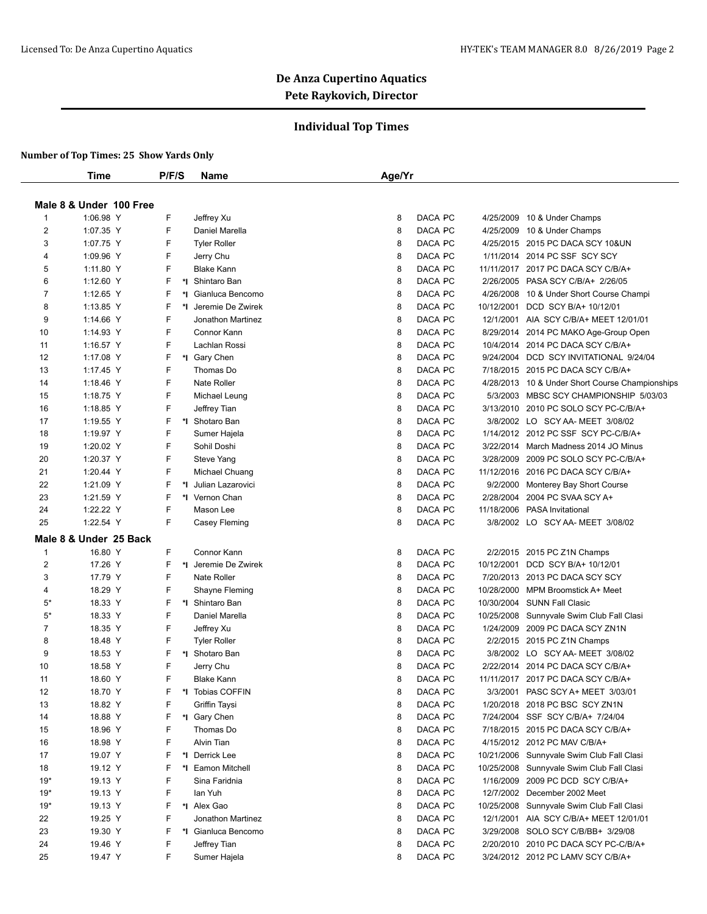## **Individual Top Times**

|                | Time                    |  | P/F/S |  | Name                           | Age/Yr |         |            |                                                            |
|----------------|-------------------------|--|-------|--|--------------------------------|--------|---------|------------|------------------------------------------------------------|
|                | Male 8 & Under 100 Free |  |       |  |                                |        |         |            |                                                            |
| $\mathbf{1}$   | 1:06.98 Y               |  | F     |  |                                | 8      | DACA PC |            |                                                            |
| $\overline{2}$ | 1:07.35 Y               |  | F     |  | Jeffrey Xu<br>Daniel Marella   | 8      | DACA PC |            | 4/25/2009 10 & Under Champs<br>4/25/2009 10 & Under Champs |
| 3              | 1:07.75 Y               |  | F     |  | <b>Tyler Roller</b>            | 8      | DACA PC |            | 4/25/2015 2015 PC DACA SCY 10&UN                           |
| 4              | 1:09.96 Y               |  | F     |  |                                | 8      | DACA PC |            | 1/11/2014 2014 PC SSF SCY SCY                              |
| 5              | 1:11.80 Y               |  | F     |  | Jerry Chu<br><b>Blake Kann</b> | 8      | DACA PC |            | 11/11/2017 2017 PC DACA SCY C/B/A+                         |
| 6              | 1:12.60 Y               |  | F     |  | *1 Shintaro Ban                | 8      | DACA PC |            | 2/26/2005 PASA SCY C/B/A+ 2/26/05                          |
| 7              | 1:12.65 Y               |  | F     |  | *I Gianluca Bencomo            | 8      | DACA PC | 4/26/2008  |                                                            |
| 8              | 1:13.85 Y               |  | F     |  | *1 Jeremie De Zwirek           | 8      | DACA PC | 10/12/2001 | 10 & Under Short Course Champi<br>DCD SCY B/A+ 10/12/01    |
| 9              | 1:14.66 Y               |  | F     |  | Jonathon Martinez              | 8      | DACA PC |            | 12/1/2001 AIA SCY C/B/A+ MEET 12/01/01                     |
|                |                         |  | F     |  |                                |        |         |            |                                                            |
| 10             | 1:14.93 Y               |  | F     |  | Connor Kann                    | 8      | DACA PC |            | 8/29/2014 2014 PC MAKO Age-Group Open                      |
| 11             | 1:16.57 Y               |  |       |  | Lachlan Rossi                  | 8      | DACA PC |            | 10/4/2014 2014 PC DACA SCY C/B/A+                          |
| 12             | 1:17.08 Y               |  | F     |  | *I Gary Chen                   | 8      | DACA PC |            | 9/24/2004 DCD SCY INVITATIONAL 9/24/04                     |
| 13             | 1:17.45 Y               |  | F     |  | Thomas Do                      | 8      | DACA PC |            | 7/18/2015 2015 PC DACA SCY C/B/A+                          |
| 14             | 1:18.46 Y               |  | F     |  | <b>Nate Roller</b>             | 8      | DACA PC |            | 4/28/2013 10 & Under Short Course Championships            |
| 15             | 1:18.75 Y               |  | F     |  | Michael Leung                  | 8      | DACA PC |            | 5/3/2003 MBSC SCY CHAMPIONSHIP 5/03/03                     |
| 16             | 1:18.85 Y               |  | F     |  | Jeffrey Tian                   | 8      | DACA PC |            | 3/13/2010 2010 PC SOLO SCY PC-C/B/A+                       |
| 17             | 1:19.55 Y               |  | F     |  | *I Shotaro Ban                 | 8      | DACA PC |            | 3/8/2002 LO SCY AA- MEET 3/08/02                           |
| 18             | 1:19.97 Y               |  | F     |  | Sumer Hajela                   | 8      | DACA PC |            | 1/14/2012 2012 PC SSF SCY PC-C/B/A+                        |
| 19             | 1:20.02 Y               |  | F     |  | Sohil Doshi                    | 8      | DACA PC |            | 3/22/2014 March Madness 2014 JO Minus                      |
| 20             | 1:20.37 Y               |  | F     |  | <b>Steve Yang</b>              | 8      | DACA PC |            | 3/28/2009 2009 PC SOLO SCY PC-C/B/A+                       |
| 21             | 1:20.44 Y               |  | F     |  | Michael Chuang                 | 8      | DACA PC |            | 11/12/2016 2016 PC DACA SCY C/B/A+                         |
| 22             | 1:21.09 Y               |  | F     |  | *I Julian Lazarovici           | 8      | DACA PC | 9/2/2000   | Monterey Bay Short Course                                  |
| 23             | 1:21.59 Y               |  | F     |  | *1 Vernon Chan                 | 8      | DACA PC | 2/28/2004  | 2004 PC SVAA SCY A+                                        |
| 24             | 1:22.22 Y               |  | F     |  | Mason Lee                      | 8      | DACA PC |            | 11/18/2006 PASA Invitational                               |
| 25             | 1:22.54 Y               |  | F.    |  | Casey Fleming                  | 8      | DACA PC |            | 3/8/2002 LO SCY AA- MEET 3/08/02                           |
|                | Male 8 & Under 25 Back  |  |       |  |                                |        |         |            |                                                            |
| $\mathbf{1}$   | 16.80 Y                 |  | F     |  | Connor Kann                    | 8      | DACA PC |            | 2/2/2015 2015 PC Z1N Champs                                |
| 2              | 17.26 Y                 |  | F     |  | *1 Jeremie De Zwirek           | 8      | DACA PC |            | 10/12/2001 DCD SCY B/A+ 10/12/01                           |
| 3              | 17.79 Y                 |  | F     |  | Nate Roller                    | 8      | DACA PC |            | 7/20/2013 2013 PC DACA SCY SCY                             |
| 4              | 18.29 Y                 |  | F     |  | Shayne Fleming                 | 8      | DACA PC | 10/28/2000 | MPM Broomstick A+ Meet                                     |
| $5*$           | 18.33 Y                 |  | F     |  | *1 Shintaro Ban                | 8      | DACA PC |            | 10/30/2004 SUNN Fall Clasic                                |
| $5^\star$      | 18.33 Y                 |  | F     |  | Daniel Marella                 | 8      | DACA PC |            | 10/25/2008 Sunnyvale Swim Club Fall Clasi                  |
| $\overline{7}$ | 18.35 Y                 |  | F     |  | Jeffrey Xu                     | 8      | DACA PC |            | 1/24/2009 2009 PC DACA SCY ZN1N                            |
| 8              | 18.48 Y                 |  | F     |  | <b>Tyler Roller</b>            | 8      | DACA PC |            | 2/2/2015 2015 PC Z1N Champs                                |
| 9              | 18.53 Y                 |  | F     |  | *I Shotaro Ban                 | 8      | DACA PC |            | 3/8/2002 LO SCY AA- MEET 3/08/02                           |
| 10             | 18.58 Y                 |  | F     |  | Jerry Chu                      | 8      | DACA PC |            | 2/22/2014 2014 PC DACA SCY C/B/A+                          |
| 11             | 18.60 Y                 |  | F     |  | <b>Blake Kann</b>              | 8      | DACA PC |            | 11/11/2017 2017 PC DACA SCY C/B/A+                         |
| 12             | 18.70 Y                 |  |       |  | *I Tobias COFFIN               | 8      | DACA PC |            | 3/3/2001 PASC SCY A+ MEET 3/03/01                          |
| 13             | 18.82 Y                 |  | F     |  | Griffin Taysi                  | 8      | DACA PC |            | 1/20/2018 2018 PC BSC SCY ZN1N                             |
| 14             | 18.88 Y                 |  | F     |  | *I Gary Chen                   | 8      | DACA PC |            | 7/24/2004 SSF SCY C/B/A+ 7/24/04                           |
| 15             | 18.96 Y                 |  | F     |  | Thomas Do                      | 8      | DACA PC |            | 7/18/2015 2015 PC DACA SCY C/B/A+                          |
| 16             | 18.98 Y                 |  | F     |  | Alvin Tian                     | 8      | DACA PC |            | 4/15/2012 2012 PC MAV C/B/A+                               |
| 17             | 19.07 Y                 |  | F     |  | *I Derrick Lee                 | 8      | DACA PC |            | 10/21/2006 Sunnyvale Swim Club Fall Clasi                  |
| 18             | 19.12 Y                 |  | F     |  | *I Eamon Mitchell              | 8      | DACA PC |            | 10/25/2008 Sunnyvale Swim Club Fall Clasi                  |
| $19*$          | 19.13 Y                 |  | F     |  | Sina Faridnia                  | 8      | DACA PC |            | 1/16/2009 2009 PC DCD SCY C/B/A+                           |
| $19*$          | 19.13 Y                 |  | F     |  | lan Yuh                        | 8      | DACA PC |            | 12/7/2002 December 2002 Meet                               |
| $19*$          | 19.13 Y                 |  | F     |  | *1 Alex Gao                    | 8      | DACA PC |            | 10/25/2008 Sunnyvale Swim Club Fall Clasi                  |
| 22             | 19.25 Y                 |  | F     |  | Jonathon Martinez              | 8      | DACA PC |            | 12/1/2001 AIA SCY C/B/A+ MEET 12/01/01                     |
| 23             | 19.30 Y                 |  |       |  | *I Gianluca Bencomo            | 8      | DACA PC |            | 3/29/2008 SOLO SCY C/B/BB+ 3/29/08                         |
| 24             | 19.46 Y                 |  | F     |  | Jeffrey Tian                   | 8      | DACA PC |            | 2/20/2010 2010 PC DACA SCY PC-C/B/A+                       |
| 25             | 19.47 Y                 |  | F     |  | Sumer Hajela                   | 8      | DACA PC |            | 3/24/2012 2012 PC LAMV SCY C/B/A+                          |
|                |                         |  |       |  |                                |        |         |            |                                                            |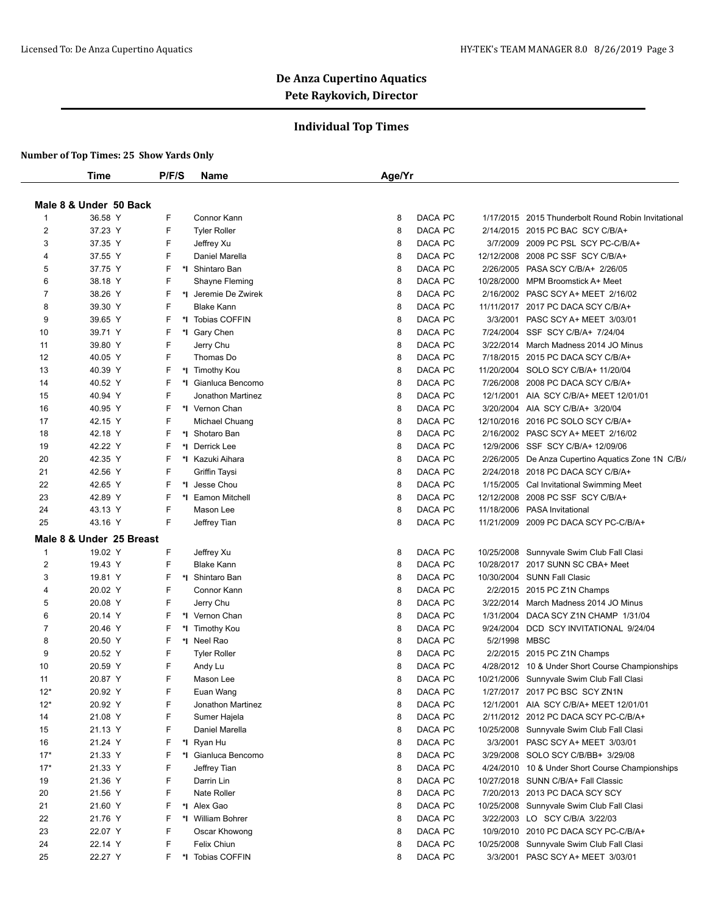## **Individual Top Times**

|              | Time                     | P/F/S | <b>Name</b>          | Age/Yr                                                              |  |
|--------------|--------------------------|-------|----------------------|---------------------------------------------------------------------|--|
|              |                          |       |                      |                                                                     |  |
|              | Male 8 & Under 50 Back   |       |                      |                                                                     |  |
| -1           | 36.58 Y                  | F     | Connor Kann          | DACA PC<br>1/17/2015 2015 Thunderbolt Round Robin Invitational<br>8 |  |
| 2            | 37.23 Y                  | F     | <b>Tyler Roller</b>  | 8<br>DACA PC<br>2/14/2015 2015 PC BAC SCY C/B/A+                    |  |
| 3            | 37.35 Y                  | F     | Jeffrey Xu           | 8<br>DACA PC<br>3/7/2009 2009 PC PSL SCY PC-C/B/A+                  |  |
| 4            | 37.55 Y                  | F     | Daniel Marella       | DACA PC<br>8<br>12/12/2008 2008 PC SSF SCY C/B/A+                   |  |
| 5            | 37.75 Y                  | F     | *I Shintaro Ban      | 8<br>DACA PC<br>2/26/2005 PASA SCY C/B/A+ 2/26/05                   |  |
| 6            | 38.18 Y                  | F     | Shayne Fleming       | DACA PC<br>8<br>10/28/2000 MPM Broomstick A+ Meet                   |  |
| 7            | 38.26 Y                  | F     | *I Jeremie De Zwirek | DACA PC<br>8<br>2/16/2002 PASC SCY A+ MEET 2/16/02                  |  |
| 8            | 39.30 Y                  | F     | <b>Blake Kann</b>    | DACA PC<br>8<br>11/11/2017 2017 PC DACA SCY C/B/A+                  |  |
| 9            | 39.65 Y                  | F     | *I Tobias COFFIN     | 8<br>DACA PC<br>3/3/2001 PASC SCY A+ MEET 3/03/01                   |  |
| 10           | 39.71 Y                  | F     | *I Gary Chen         | DACA PC<br>7/24/2004 SSF SCY C/B/A+ 7/24/04<br>8                    |  |
| 11           | 39.80 Y                  | F     | Jerry Chu            | 8<br>DACA PC<br>3/22/2014 March Madness 2014 JO Minus               |  |
| 12           | 40.05 Y                  | F     | Thomas Do            | 8<br>DACA PC<br>7/18/2015 2015 PC DACA SCY C/B/A+                   |  |
| 13           | 40.39 Y                  | F     | *I Timothy Kou       | DACA PC<br>8<br>11/20/2004 SOLO SCY C/B/A+ 11/20/04                 |  |
| 14           | 40.52 Y                  | F     | *I Gianluca Bencomo  | 8<br>DACA PC<br>7/26/2008 2008 PC DACA SCY C/B/A+                   |  |
| 15           | 40.94 Y                  | F     | Jonathon Martinez    | 8<br>DACA PC<br>12/1/2001 AIA SCY C/B/A+ MEET 12/01/01              |  |
| 16           | 40.95 Y                  | F     | *I Vernon Chan       | DACA PC<br>8<br>3/20/2004 AIA SCY C/B/A+ 3/20/04                    |  |
| 17           | 42.15 Y                  | F     | Michael Chuang       | 8<br>DACA PC<br>12/10/2016 2016 PC SOLO SCY C/B/A+                  |  |
| 18           | 42.18 Y                  | F     | *1 Shotaro Ban       | DACA PC<br>2/16/2002 PASC SCY A+ MEET 2/16/02<br>8                  |  |
| 19           | 42.22 Y                  | F     | *I Derrick Lee       | DACA PC<br>8<br>12/9/2006 SSF SCY C/B/A+ 12/09/06                   |  |
| 20           | 42.35 Y                  | F     | *I Kazuki Aihara     | 8<br>DACA PC<br>2/26/2005 De Anza Cupertino Aquatics Zone 1N C/B/   |  |
| 21           | 42.56 Y                  | F     | Griffin Taysi        | 8<br>DACA PC<br>2/24/2018 2018 PC DACA SCY C/B/A+                   |  |
| 22           | 42.65 Y                  | F     | *I Jesse Chou        | DACA PC<br>8<br>1/15/2005 Cal Invitational Swimming Meet            |  |
| 23           | 42.89 Y                  | F     | *I Eamon Mitchell    | 8<br>DACA PC<br>12/12/2008 2008 PC SSF SCY C/B/A+                   |  |
| 24           | 43.13 Y                  | F     | Mason Lee            | 8<br>DACA PC<br>11/18/2006 PASA Invitational                        |  |
| 25           | 43.16 Y                  | F     | Jeffrey Tian         | DACA PC<br>8<br>11/21/2009 2009 PC DACA SCY PC-C/B/A+               |  |
|              | Male 8 & Under 25 Breast |       |                      |                                                                     |  |
| $\mathbf{1}$ | 19.02 Y                  | F     | Jeffrey Xu           | DACA PC<br>8<br>10/25/2008 Sunnyvale Swim Club Fall Clasi           |  |
| 2            | 19.43 Y                  | F     | <b>Blake Kann</b>    | 8<br>DACA PC<br>10/28/2017 2017 SUNN SC CBA+ Meet                   |  |
| 3            | 19.81 Y                  | F     | *1 Shintaro Ban      | DACA PC<br>10/30/2004 SUNN Fall Clasic<br>8                         |  |
| 4            | 20.02 Y                  | F     | Connor Kann          | 8<br>DACA PC<br>2/2/2015 2015 PC Z1N Champs                         |  |
| 5            | 20.08 Y                  | F     | Jerry Chu            | 8<br>DACA PC<br>3/22/2014 March Madness 2014 JO Minus               |  |
| 6            | 20.14 Y                  | F     | *1 Vernon Chan       | DACA PC<br>8<br>1/31/2004 DACA SCY Z1N CHAMP 1/31/04                |  |
| 7            | 20.46 Y                  | F     | *I Timothy Kou       | DACA PC<br>8<br>9/24/2004<br>DCD SCY INVITATIONAL 9/24/04           |  |
| 8            | 20.50 Y                  | F     | *I Neel Rao          | DACA PC<br>5/2/1998 MBSC<br>8                                       |  |
| 9            | 20.52 Y                  | F     | <b>Tyler Roller</b>  | DACA PC<br>8<br>2/2/2015 2015 PC Z1N Champs                         |  |
| 10           | 20.59 Y                  | F     | Andy Lu              | DACA PC<br>8<br>4/28/2012 10 & Under Short Course Championships     |  |
| 11           | 20.87 Y                  | F     | Mason Lee            | 8<br>DACA PC<br>10/21/2006 Sunnyvale Swim Club Fall Clasi           |  |
| 12*          | 20.92 Y                  | F     | Euan Wang            | DACA PC<br>1/27/2017 2017 PC BSC SCY ZN1N<br>8                      |  |
| $12*$        | 20.92 Y                  | F     | Jonathon Martinez    | DACA PC<br>8<br>12/1/2001 AIA SCY C/B/A+ MEET 12/01/01              |  |
| 14           | 21.08 Y                  | F     | Sumer Hajela         | DACA PC<br>8<br>2/11/2012 2012 PC DACA SCY PC-C/B/A+                |  |
| 15           | 21.13 Y                  | F     | Daniel Marella       | DACA PC<br>8<br>10/25/2008 Sunnyvale Swim Club Fall Clasi           |  |
| 16           | 21.24 Y                  | F     | *I Ryan Hu           | DACA PC<br>8<br>3/3/2001 PASC SCY A+ MEET 3/03/01                   |  |
| $17*$        | 21.33 Y                  | F     | *I Gianluca Bencomo  | DACA PC<br>8<br>3/29/2008 SOLO SCY C/B/BB+ 3/29/08                  |  |
| $17*$        | 21.33 Y                  | F     | Jeffrey Tian         | DACA PC<br>8<br>4/24/2010 10 & Under Short Course Championships     |  |
| 19           | 21.36 Y                  | F     | Darrin Lin           | DACA PC<br>8<br>10/27/2018 SUNN C/B/A+ Fall Classic                 |  |
| 20           | 21.56 Y                  | F     | Nate Roller          | DACA PC<br>7/20/2013 2013 PC DACA SCY SCY<br>8                      |  |
| 21           | 21.60 Y                  | F     | *1 Alex Gao          | DACA PC<br>8<br>10/25/2008 Sunnyvale Swim Club Fall Clasi           |  |
| 22           | 21.76 Y                  | F     | *I William Bohrer    | DACA PC<br>8<br>3/22/2003 LO SCY C/B/A 3/22/03                      |  |
| 23           | 22.07 Y                  | F     | Oscar Khowong        | DACA PC<br>8<br>10/9/2010 2010 PC DACA SCY PC-C/B/A+                |  |
| 24           | 22.14 Y                  | F     | Felix Chiun          | DACA PC<br>8<br>10/25/2008 Sunnyvale Swim Club Fall Clasi           |  |
| 25           | 22.27 Y                  | F     | *I Tobias COFFIN     | DACA PC<br>8<br>3/3/2001 PASC SCY A+ MEET 3/03/01                   |  |
|              |                          |       |                      |                                                                     |  |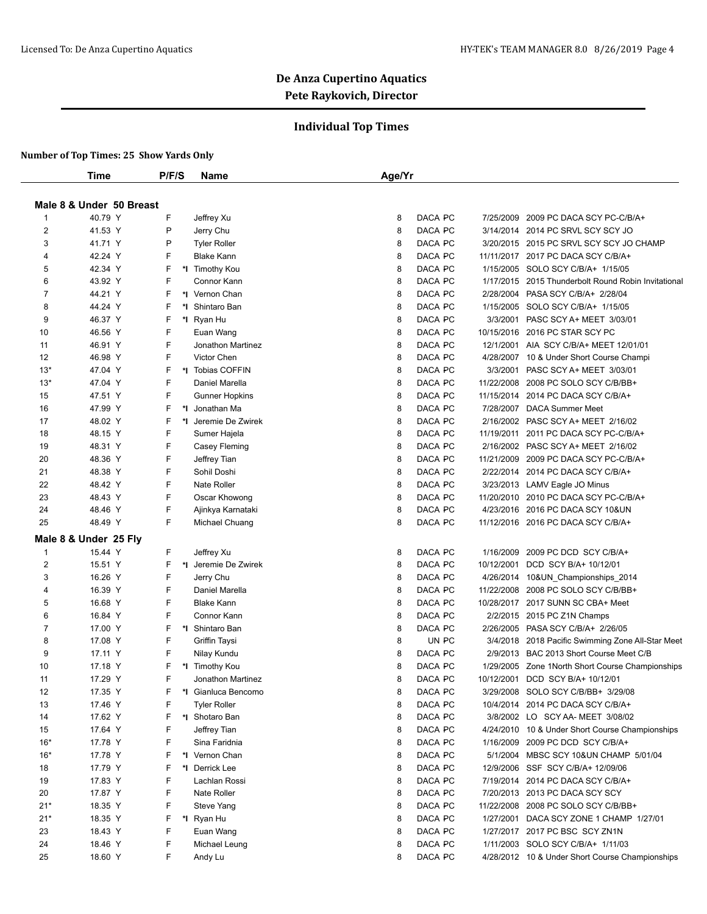## **Individual Top Times**

|                | Time                                                                                                                    | P/F/S | <b>Name</b>           | Age/Yr |         |            |                                                     |  |
|----------------|-------------------------------------------------------------------------------------------------------------------------|-------|-----------------------|--------|---------|------------|-----------------------------------------------------|--|
|                | Male 8 & Under 50 Breast<br>F<br>DACA PC<br>40.79 Y<br>2009 PC DACA SCY PC-C/B/A+<br>Jeffrey Xu<br>8<br>7/25/2009<br>-1 |       |                       |        |         |            |                                                     |  |
|                |                                                                                                                         |       |                       |        |         |            |                                                     |  |
|                |                                                                                                                         |       |                       |        |         |            |                                                     |  |
| $\overline{2}$ | 41.53 Y                                                                                                                 | P     | Jerry Chu             | 8      | DACA PC |            | 3/14/2014 2014 PC SRVL SCY SCY JO                   |  |
| 3              | 41.71 Y                                                                                                                 | P     | <b>Tyler Roller</b>   | 8      | DACA PC |            | 3/20/2015 2015 PC SRVL SCY SCY JO CHAMP             |  |
| 4              | 42.24 Y                                                                                                                 | F     | <b>Blake Kann</b>     | 8      | DACA PC |            | 11/11/2017 2017 PC DACA SCY C/B/A+                  |  |
| 5              | 42.34 Y                                                                                                                 | F     | *I Timothy Kou        | 8      | DACA PC | 1/15/2005  | SOLO SCY C/B/A+ 1/15/05                             |  |
| 6              | 43.92 Y                                                                                                                 | F     | Connor Kann           | 8      | DACA PC |            | 1/17/2015 2015 Thunderbolt Round Robin Invitational |  |
| 7              | 44.21 Y                                                                                                                 | F     | *I Vernon Chan        | 8      | DACA PC |            | 2/28/2004 PASA SCY C/B/A+ 2/28/04                   |  |
| 8              | 44.24 Y                                                                                                                 | F     | *1 Shintaro Ban       | 8      | DACA PC | 1/15/2005  | SOLO SCY C/B/A+ 1/15/05                             |  |
| 9              | 46.37 Y                                                                                                                 | F     | *I Ryan Hu            | 8      | DACA PC | 3/3/2001   | PASC SCY A+ MEET 3/03/01                            |  |
| 10             | 46.56 Y                                                                                                                 | F     | Euan Wang             | 8      | DACA PC | 10/15/2016 | 2016 PC STAR SCY PC                                 |  |
| 11             | 46.91 Y                                                                                                                 | F     | Jonathon Martinez     | 8      | DACA PC | 12/1/2001  | AIA SCY C/B/A+ MEET 12/01/01                        |  |
| 12             | 46.98 Y                                                                                                                 | F     | Victor Chen           | 8      | DACA PC |            | 4/28/2007 10 & Under Short Course Champi            |  |
| $13*$          | 47.04 Y                                                                                                                 | F     | *I Tobias COFFIN      | 8      | DACA PC | 3/3/2001   | PASC SCY A+ MEET 3/03/01                            |  |
| $13*$          | 47.04 Y                                                                                                                 | F     | Daniel Marella        | 8      | DACA PC |            | 11/22/2008 2008 PC SOLO SCY C/B/BB+                 |  |
| 15             | 47.51 Y                                                                                                                 | F     | <b>Gunner Hopkins</b> | 8      | DACA PC |            | 11/15/2014 2014 PC DACA SCY C/B/A+                  |  |
| 16             | 47.99 Y                                                                                                                 | F     | *I Jonathan Ma        | 8      | DACA PC |            | 7/28/2007 DACA Summer Meet                          |  |
| 17             | 48.02 Y                                                                                                                 | F     | *1 Jeremie De Zwirek  | 8      | DACA PC |            | 2/16/2002 PASC SCY A+ MEET 2/16/02                  |  |
| 18             | 48.15 Y                                                                                                                 | F     | Sumer Hajela          | 8      | DACA PC | 11/19/2011 | 2011 PC DACA SCY PC-C/B/A+                          |  |
| 19             | 48.31 Y                                                                                                                 | F     | Casey Fleming         | 8      | DACA PC |            | 2/16/2002 PASC SCY A+ MEET 2/16/02                  |  |
| 20             | 48.36 Y                                                                                                                 | F     | Jeffrey Tian          | 8      | DACA PC |            | 11/21/2009 2009 PC DACA SCY PC-C/B/A+               |  |
| 21             | 48.38 Y                                                                                                                 | F     | Sohil Doshi           | 8      | DACA PC |            | 2/22/2014 2014 PC DACA SCY C/B/A+                   |  |
| 22             | 48.42 Y                                                                                                                 | F     | Nate Roller           | 8      | DACA PC |            | 3/23/2013 LAMV Eagle JO Minus                       |  |
| 23             | 48.43 Y                                                                                                                 | F     | Oscar Khowong         | 8      | DACA PC |            | 11/20/2010 2010 PC DACA SCY PC-C/B/A+               |  |
| 24             | 48.46 Y                                                                                                                 | F     | Ajinkya Karnataki     | 8      | DACA PC |            | 4/23/2016 2016 PC DACA SCY 10&UN                    |  |
| 25             | 48.49 Y                                                                                                                 | F     | Michael Chuang        | 8      | DACA PC |            | 11/12/2016 2016 PC DACA SCY C/B/A+                  |  |
|                | Male 8 & Under 25 Fly                                                                                                   |       |                       |        |         |            |                                                     |  |
| $\mathbf{1}$   | 15.44 Y                                                                                                                 | F     | Jeffrey Xu            | 8      | DACA PC | 1/16/2009  | 2009 PC DCD SCY C/B/A+                              |  |
| 2              | 15.51 Y                                                                                                                 | F     | *I Jeremie De Zwirek  | 8      | DACA PC | 10/12/2001 | DCD SCY B/A+ 10/12/01                               |  |
| 3              | 16.26 Y                                                                                                                 | F     | Jerry Chu             | 8      | DACA PC |            | 4/26/2014 10&UN_Championships_2014                  |  |
| 4              | 16.39 Y                                                                                                                 | F     | Daniel Marella        | 8      | DACA PC | 11/22/2008 | 2008 PC SOLO SCY C/B/BB+                            |  |
| 5              | 16.68 Y                                                                                                                 | F     | <b>Blake Kann</b>     | 8      | DACA PC |            | 10/28/2017 2017 SUNN SC CBA+ Meet                   |  |
| 6              | 16.84 Y                                                                                                                 | F     | Connor Kann           | 8      | DACA PC |            | 2/2/2015 2015 PC Z1N Champs                         |  |
| $\overline{7}$ | 17.00 Y                                                                                                                 | F     | *I Shintaro Ban       | 8      | DACA PC |            | 2/26/2005 PASA SCY C/B/A+ 2/26/05                   |  |
| 8              | 17.08 Y                                                                                                                 | F     | Griffin Taysi         | 8      | UN PC   |            | 3/4/2018 2018 Pacific Swimming Zone All-Star Meet   |  |
| 9              | 17.11 Y                                                                                                                 | F     | Nilay Kundu           | 8      | DACA PC |            | 2/9/2013 BAC 2013 Short Course Meet C/B             |  |
| 10             | 17.18 Y                                                                                                                 | F     | *I Timothy Kou        | 8      | DACA PC |            | 1/29/2005 Zone 1North Short Course Championships    |  |
| 11             | 17.29 Y                                                                                                                 | F     | Jonathon Martinez     | 8      | DACA PC |            | 10/12/2001 DCD SCY B/A+ 10/12/01                    |  |
| 12             | 17.35 Y                                                                                                                 | F     | *I Gianluca Bencomo   | 8      | DACA PC |            | 3/29/2008 SOLO SCY C/B/BB+ 3/29/08                  |  |
| 13             | 17.46 Y                                                                                                                 | F     | <b>Tyler Roller</b>   | 8      | DACA PC |            | 10/4/2014 2014 PC DACA SCY C/B/A+                   |  |
| 14             | 17.62 Y                                                                                                                 | F     | *I Shotaro Ban        | 8      | DACA PC |            | 3/8/2002 LO SCY AA- MEET 3/08/02                    |  |
| 15             | 17.64 Y                                                                                                                 | F     | Jeffrey Tian          | 8      | DACA PC |            | 4/24/2010 10 & Under Short Course Championships     |  |
| $16*$          | 17.78 Y                                                                                                                 | F     | Sina Faridnia         | 8      | DACA PC |            | 1/16/2009 2009 PC DCD SCY C/B/A+                    |  |
| $16*$          | 17.78 Y                                                                                                                 | F     | *1 Vernon Chan        | 8      | DACA PC |            | 5/1/2004 MBSC SCY 10&UN CHAMP 5/01/04               |  |
| 18             | 17.79 Y                                                                                                                 | F     | *I Derrick Lee        | 8      | DACA PC |            | 12/9/2006 SSF SCY C/B/A+ 12/09/06                   |  |
| 19             | 17.83 Y                                                                                                                 | F     | Lachlan Rossi         | 8      | DACA PC |            | 7/19/2014 2014 PC DACA SCY C/B/A+                   |  |
| 20             | 17.87 Y                                                                                                                 | F     | Nate Roller           | 8      | DACA PC |            | 7/20/2013 2013 PC DACA SCY SCY                      |  |
| $21*$          | 18.35 Y                                                                                                                 | F     | Steve Yang            | 8      | DACA PC |            | 11/22/2008 2008 PC SOLO SCY C/B/BB+                 |  |
| $21*$          | 18.35 Y                                                                                                                 | F     | *I Ryan Hu            | 8      | DACA PC | 1/27/2001  | DACA SCY ZONE 1 CHAMP 1/27/01                       |  |
| 23             | 18.43 Y                                                                                                                 | F     | Euan Wang             | 8      | DACA PC |            | 1/27/2017 2017 PC BSC SCY ZN1N                      |  |
| 24             | 18.46 Y                                                                                                                 | F     | Michael Leung         | 8      | DACA PC |            | 1/11/2003 SOLO SCY C/B/A+ 1/11/03                   |  |
| 25             | 18.60 Y                                                                                                                 | F     | Andy Lu               | 8      | DACA PC |            | 4/28/2012 10 & Under Short Course Championships     |  |
|                |                                                                                                                         |       |                       |        |         |            |                                                     |  |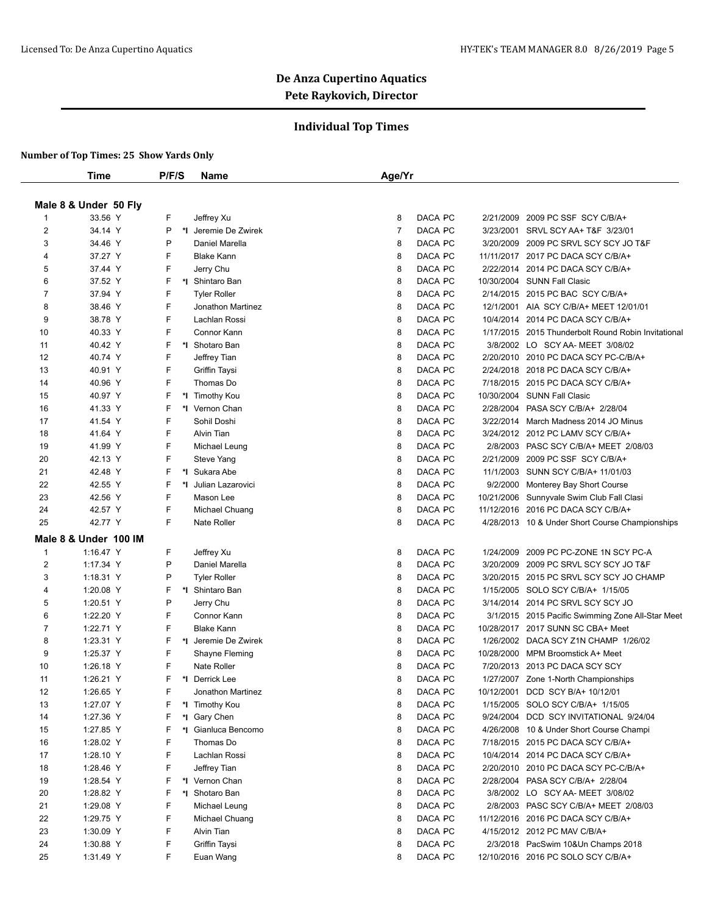## **Individual Top Times**

|                | Time                  | P/F/S | Name                                                                   |                                                                                                                                                                                                                                                                                                                                                                                                                                                                                                                                                                                                                                                                                                                                                                                                                                                                                                                                                                                                                                                                                                                                                                                                                                                                                                                                                                                                                                                                                                                                                                                                                                                                                                                                                                                                                                                                                                                                                                                                                                                                                                                                                                                                                                                                                                                                                         |         |  |                                       |
|----------------|-----------------------|-------|------------------------------------------------------------------------|---------------------------------------------------------------------------------------------------------------------------------------------------------------------------------------------------------------------------------------------------------------------------------------------------------------------------------------------------------------------------------------------------------------------------------------------------------------------------------------------------------------------------------------------------------------------------------------------------------------------------------------------------------------------------------------------------------------------------------------------------------------------------------------------------------------------------------------------------------------------------------------------------------------------------------------------------------------------------------------------------------------------------------------------------------------------------------------------------------------------------------------------------------------------------------------------------------------------------------------------------------------------------------------------------------------------------------------------------------------------------------------------------------------------------------------------------------------------------------------------------------------------------------------------------------------------------------------------------------------------------------------------------------------------------------------------------------------------------------------------------------------------------------------------------------------------------------------------------------------------------------------------------------------------------------------------------------------------------------------------------------------------------------------------------------------------------------------------------------------------------------------------------------------------------------------------------------------------------------------------------------------------------------------------------------------------------------------------------------|---------|--|---------------------------------------|
|                |                       |       | F<br>DACA PC<br>8<br>2/21/2009<br>2009 PC SSF SCY C/B/A+<br>Jeffrey Xu |                                                                                                                                                                                                                                                                                                                                                                                                                                                                                                                                                                                                                                                                                                                                                                                                                                                                                                                                                                                                                                                                                                                                                                                                                                                                                                                                                                                                                                                                                                                                                                                                                                                                                                                                                                                                                                                                                                                                                                                                                                                                                                                                                                                                                                                                                                                                                         |         |  |                                       |
|                | Male 8 & Under 50 Fly |       |                                                                        | Age/Yr<br>$\overline{7}$<br>DACA PC<br>3/23/2001 SRVL SCY AA+ T&F 3/23/01<br>DACA PC<br>8<br>3/20/2009 2009 PC SRVL SCY SCY JO T&F<br>DACA PC<br>8<br>11/11/2017 2017 PC DACA SCY C/B/A+<br>DACA PC<br>2/22/2014 2014 PC DACA SCY C/B/A+<br>8<br>8<br>DACA PC<br>10/30/2004 SUNN Fall Clasic<br>8<br>DACA PC<br>2/14/2015 2015 PC BAC SCY C/B/A+<br>8<br>DACA PC<br>12/1/2001 AIA SCY C/B/A+ MEET 12/01/01<br>8<br>DACA PC<br>10/4/2014<br>2014 PC DACA SCY C/B/A+<br>DACA PC<br>8<br>1/17/2015 2015 Thunderbolt Round Robin Invitational<br>DACA PC<br>8<br>3/8/2002 LO SCY AA- MEET 3/08/02<br>8<br>DACA PC<br>2/20/2010 2010 PC DACA SCY PC-C/B/A+<br>8<br>DACA PC<br>2/24/2018 2018 PC DACA SCY C/B/A+<br>8<br>DACA PC<br>7/18/2015 2015 PC DACA SCY C/B/A+<br>8<br>DACA PC<br>10/30/2004 SUNN Fall Clasic<br>DACA PC<br>8<br>2/28/2004<br>PASA SCY C/B/A+ 2/28/04<br>DACA PC<br>8<br>3/22/2014 March Madness 2014 JO Minus<br>8<br>DACA PC<br>3/24/2012 2012 PC LAMV SCY C/B/A+<br>8<br>DACA PC<br>2/8/2003 PASC SCY C/B/A+ MEET 2/08/03<br>DACA PC<br>8<br>2/21/2009<br>2009 PC SSF SCY C/B/A+<br>8<br>DACA PC<br>11/1/2003 SUNN SCY C/B/A+ 11/01/03<br>DACA PC<br>8<br>9/2/2000<br>Monterey Bay Short Course<br>DACA PC<br>8<br>10/21/2006 Sunnyvale Swim Club Fall Clasi<br>8<br>DACA PC<br>11/12/2016 2016 PC DACA SCY C/B/A+<br>DACA PC<br>8<br>4/28/2013 10 & Under Short Course Championships<br>DACA PC<br>8<br>1/24/2009<br>2009 PC PC-ZONE 1N SCY PC-A<br>DACA PC<br>8<br>3/20/2009<br>2009 PC SRVL SCY SCY JO T&F<br>8<br>DACA PC<br>2015 PC SRVL SCY SCY JO CHAMP<br>3/20/2015<br>DACA PC<br>8<br>1/15/2005 SOLO SCY C/B/A+ 1/15/05<br>8<br>DACA PC<br>3/14/2014 2014 PC SRVL SCY SCY JO<br>DACA PC<br>8<br>3/1/2015 2015 Pacific Swimming Zone All-Star Meet<br>8<br>DACA PC<br>10/28/2017 2017 SUNN SC CBA+ Meet<br>8<br>DACA PC<br>1/26/2002 DACA SCY Z1N CHAMP 1/26/02<br>8<br>DACA PC<br>10/28/2000 MPM Broomstick A+ Meet<br>8<br>DACA PC<br>2013 PC DACA SCY SCY<br>7/20/2013<br>8<br>DACA PC<br>1/27/2007 Zone 1-North Championships<br>8<br>DACA PC<br>10/12/2001<br>DCD SCY B/A+ 10/12/01<br>8<br>DACA PC<br>1/15/2005 SOLO SCY C/B/A+ 1/15/05<br>8<br>DACA PC<br>9/24/2004<br>DCD SCY INVITATIONAL 9/24/04<br>8<br>DACA PC<br>4/26/2008 10 & Under Short Course Champi<br>8<br>DACA PC<br>7/18/2015 2015 PC DACA SCY C/B/A+ |         |  |                                       |
| 1              | 33.56 Y               |       |                                                                        |                                                                                                                                                                                                                                                                                                                                                                                                                                                                                                                                                                                                                                                                                                                                                                                                                                                                                                                                                                                                                                                                                                                                                                                                                                                                                                                                                                                                                                                                                                                                                                                                                                                                                                                                                                                                                                                                                                                                                                                                                                                                                                                                                                                                                                                                                                                                                         |         |  |                                       |
| $\overline{2}$ | 34.14 Y               | P     | *I Jeremie De Zwirek                                                   |                                                                                                                                                                                                                                                                                                                                                                                                                                                                                                                                                                                                                                                                                                                                                                                                                                                                                                                                                                                                                                                                                                                                                                                                                                                                                                                                                                                                                                                                                                                                                                                                                                                                                                                                                                                                                                                                                                                                                                                                                                                                                                                                                                                                                                                                                                                                                         |         |  |                                       |
| 3              | 34.46 Y               | P     | Daniel Marella                                                         |                                                                                                                                                                                                                                                                                                                                                                                                                                                                                                                                                                                                                                                                                                                                                                                                                                                                                                                                                                                                                                                                                                                                                                                                                                                                                                                                                                                                                                                                                                                                                                                                                                                                                                                                                                                                                                                                                                                                                                                                                                                                                                                                                                                                                                                                                                                                                         |         |  |                                       |
| 4              | 37.27 Y               | F     | <b>Blake Kann</b>                                                      |                                                                                                                                                                                                                                                                                                                                                                                                                                                                                                                                                                                                                                                                                                                                                                                                                                                                                                                                                                                                                                                                                                                                                                                                                                                                                                                                                                                                                                                                                                                                                                                                                                                                                                                                                                                                                                                                                                                                                                                                                                                                                                                                                                                                                                                                                                                                                         |         |  |                                       |
| 5              | 37.44 Y               | F     | Jerry Chu                                                              |                                                                                                                                                                                                                                                                                                                                                                                                                                                                                                                                                                                                                                                                                                                                                                                                                                                                                                                                                                                                                                                                                                                                                                                                                                                                                                                                                                                                                                                                                                                                                                                                                                                                                                                                                                                                                                                                                                                                                                                                                                                                                                                                                                                                                                                                                                                                                         |         |  |                                       |
| 6              | 37.52 Y               | F     | *I Shintaro Ban                                                        |                                                                                                                                                                                                                                                                                                                                                                                                                                                                                                                                                                                                                                                                                                                                                                                                                                                                                                                                                                                                                                                                                                                                                                                                                                                                                                                                                                                                                                                                                                                                                                                                                                                                                                                                                                                                                                                                                                                                                                                                                                                                                                                                                                                                                                                                                                                                                         |         |  |                                       |
| $\overline{7}$ | 37.94 Y               | F     | <b>Tyler Roller</b>                                                    |                                                                                                                                                                                                                                                                                                                                                                                                                                                                                                                                                                                                                                                                                                                                                                                                                                                                                                                                                                                                                                                                                                                                                                                                                                                                                                                                                                                                                                                                                                                                                                                                                                                                                                                                                                                                                                                                                                                                                                                                                                                                                                                                                                                                                                                                                                                                                         |         |  |                                       |
| 8              | 38.46 Y               | F     | Jonathon Martinez                                                      |                                                                                                                                                                                                                                                                                                                                                                                                                                                                                                                                                                                                                                                                                                                                                                                                                                                                                                                                                                                                                                                                                                                                                                                                                                                                                                                                                                                                                                                                                                                                                                                                                                                                                                                                                                                                                                                                                                                                                                                                                                                                                                                                                                                                                                                                                                                                                         |         |  |                                       |
| 9              | 38.78 Y               | F     | Lachlan Rossi                                                          |                                                                                                                                                                                                                                                                                                                                                                                                                                                                                                                                                                                                                                                                                                                                                                                                                                                                                                                                                                                                                                                                                                                                                                                                                                                                                                                                                                                                                                                                                                                                                                                                                                                                                                                                                                                                                                                                                                                                                                                                                                                                                                                                                                                                                                                                                                                                                         |         |  |                                       |
| 10             | 40.33 Y               | F     | Connor Kann                                                            |                                                                                                                                                                                                                                                                                                                                                                                                                                                                                                                                                                                                                                                                                                                                                                                                                                                                                                                                                                                                                                                                                                                                                                                                                                                                                                                                                                                                                                                                                                                                                                                                                                                                                                                                                                                                                                                                                                                                                                                                                                                                                                                                                                                                                                                                                                                                                         |         |  |                                       |
| 11             | 40.42 Y               | F     | *I Shotaro Ban                                                         |                                                                                                                                                                                                                                                                                                                                                                                                                                                                                                                                                                                                                                                                                                                                                                                                                                                                                                                                                                                                                                                                                                                                                                                                                                                                                                                                                                                                                                                                                                                                                                                                                                                                                                                                                                                                                                                                                                                                                                                                                                                                                                                                                                                                                                                                                                                                                         |         |  |                                       |
| 12             | 40.74 Y               | F     | Jeffrey Tian                                                           |                                                                                                                                                                                                                                                                                                                                                                                                                                                                                                                                                                                                                                                                                                                                                                                                                                                                                                                                                                                                                                                                                                                                                                                                                                                                                                                                                                                                                                                                                                                                                                                                                                                                                                                                                                                                                                                                                                                                                                                                                                                                                                                                                                                                                                                                                                                                                         |         |  |                                       |
| 13             | 40.91 Y               | F     | Griffin Taysi                                                          |                                                                                                                                                                                                                                                                                                                                                                                                                                                                                                                                                                                                                                                                                                                                                                                                                                                                                                                                                                                                                                                                                                                                                                                                                                                                                                                                                                                                                                                                                                                                                                                                                                                                                                                                                                                                                                                                                                                                                                                                                                                                                                                                                                                                                                                                                                                                                         |         |  |                                       |
| 14             | 40.96 Y               | F     | Thomas Do                                                              |                                                                                                                                                                                                                                                                                                                                                                                                                                                                                                                                                                                                                                                                                                                                                                                                                                                                                                                                                                                                                                                                                                                                                                                                                                                                                                                                                                                                                                                                                                                                                                                                                                                                                                                                                                                                                                                                                                                                                                                                                                                                                                                                                                                                                                                                                                                                                         |         |  |                                       |
| 15             | 40.97 Y               | F     | *I Timothy Kou                                                         |                                                                                                                                                                                                                                                                                                                                                                                                                                                                                                                                                                                                                                                                                                                                                                                                                                                                                                                                                                                                                                                                                                                                                                                                                                                                                                                                                                                                                                                                                                                                                                                                                                                                                                                                                                                                                                                                                                                                                                                                                                                                                                                                                                                                                                                                                                                                                         |         |  |                                       |
| 16             | 41.33 Y               | F     | *I Vernon Chan                                                         |                                                                                                                                                                                                                                                                                                                                                                                                                                                                                                                                                                                                                                                                                                                                                                                                                                                                                                                                                                                                                                                                                                                                                                                                                                                                                                                                                                                                                                                                                                                                                                                                                                                                                                                                                                                                                                                                                                                                                                                                                                                                                                                                                                                                                                                                                                                                                         |         |  |                                       |
| 17             | 41.54 Y               | F     | Sohil Doshi                                                            |                                                                                                                                                                                                                                                                                                                                                                                                                                                                                                                                                                                                                                                                                                                                                                                                                                                                                                                                                                                                                                                                                                                                                                                                                                                                                                                                                                                                                                                                                                                                                                                                                                                                                                                                                                                                                                                                                                                                                                                                                                                                                                                                                                                                                                                                                                                                                         |         |  |                                       |
| 18             | 41.64 Y               | F     | Alvin Tian                                                             |                                                                                                                                                                                                                                                                                                                                                                                                                                                                                                                                                                                                                                                                                                                                                                                                                                                                                                                                                                                                                                                                                                                                                                                                                                                                                                                                                                                                                                                                                                                                                                                                                                                                                                                                                                                                                                                                                                                                                                                                                                                                                                                                                                                                                                                                                                                                                         |         |  |                                       |
| 19             | 41.99 Y               | F     | Michael Leung                                                          |                                                                                                                                                                                                                                                                                                                                                                                                                                                                                                                                                                                                                                                                                                                                                                                                                                                                                                                                                                                                                                                                                                                                                                                                                                                                                                                                                                                                                                                                                                                                                                                                                                                                                                                                                                                                                                                                                                                                                                                                                                                                                                                                                                                                                                                                                                                                                         |         |  |                                       |
| 20             | 42.13 Y               | F     | Steve Yang                                                             |                                                                                                                                                                                                                                                                                                                                                                                                                                                                                                                                                                                                                                                                                                                                                                                                                                                                                                                                                                                                                                                                                                                                                                                                                                                                                                                                                                                                                                                                                                                                                                                                                                                                                                                                                                                                                                                                                                                                                                                                                                                                                                                                                                                                                                                                                                                                                         |         |  |                                       |
| 21             | 42.48 Y               | F     | *I Sukara Abe                                                          |                                                                                                                                                                                                                                                                                                                                                                                                                                                                                                                                                                                                                                                                                                                                                                                                                                                                                                                                                                                                                                                                                                                                                                                                                                                                                                                                                                                                                                                                                                                                                                                                                                                                                                                                                                                                                                                                                                                                                                                                                                                                                                                                                                                                                                                                                                                                                         |         |  |                                       |
| 22             | 42.55 Y               | F     | *I Julian Lazarovici                                                   |                                                                                                                                                                                                                                                                                                                                                                                                                                                                                                                                                                                                                                                                                                                                                                                                                                                                                                                                                                                                                                                                                                                                                                                                                                                                                                                                                                                                                                                                                                                                                                                                                                                                                                                                                                                                                                                                                                                                                                                                                                                                                                                                                                                                                                                                                                                                                         |         |  |                                       |
| 23             | 42.56 Y               | F     | Mason Lee                                                              |                                                                                                                                                                                                                                                                                                                                                                                                                                                                                                                                                                                                                                                                                                                                                                                                                                                                                                                                                                                                                                                                                                                                                                                                                                                                                                                                                                                                                                                                                                                                                                                                                                                                                                                                                                                                                                                                                                                                                                                                                                                                                                                                                                                                                                                                                                                                                         |         |  |                                       |
| 24             | 42.57 Y               | F     | Michael Chuang                                                         |                                                                                                                                                                                                                                                                                                                                                                                                                                                                                                                                                                                                                                                                                                                                                                                                                                                                                                                                                                                                                                                                                                                                                                                                                                                                                                                                                                                                                                                                                                                                                                                                                                                                                                                                                                                                                                                                                                                                                                                                                                                                                                                                                                                                                                                                                                                                                         |         |  |                                       |
| 25             | 42.77 Y               | F     | <b>Nate Roller</b>                                                     |                                                                                                                                                                                                                                                                                                                                                                                                                                                                                                                                                                                                                                                                                                                                                                                                                                                                                                                                                                                                                                                                                                                                                                                                                                                                                                                                                                                                                                                                                                                                                                                                                                                                                                                                                                                                                                                                                                                                                                                                                                                                                                                                                                                                                                                                                                                                                         |         |  |                                       |
|                | Male 8 & Under 100 IM |       |                                                                        |                                                                                                                                                                                                                                                                                                                                                                                                                                                                                                                                                                                                                                                                                                                                                                                                                                                                                                                                                                                                                                                                                                                                                                                                                                                                                                                                                                                                                                                                                                                                                                                                                                                                                                                                                                                                                                                                                                                                                                                                                                                                                                                                                                                                                                                                                                                                                         |         |  |                                       |
| 1              | 1:16.47 Y             | F     | Jeffrey Xu                                                             |                                                                                                                                                                                                                                                                                                                                                                                                                                                                                                                                                                                                                                                                                                                                                                                                                                                                                                                                                                                                                                                                                                                                                                                                                                                                                                                                                                                                                                                                                                                                                                                                                                                                                                                                                                                                                                                                                                                                                                                                                                                                                                                                                                                                                                                                                                                                                         |         |  |                                       |
| $\overline{c}$ | 1:17.34 Y             | P     | Daniel Marella                                                         |                                                                                                                                                                                                                                                                                                                                                                                                                                                                                                                                                                                                                                                                                                                                                                                                                                                                                                                                                                                                                                                                                                                                                                                                                                                                                                                                                                                                                                                                                                                                                                                                                                                                                                                                                                                                                                                                                                                                                                                                                                                                                                                                                                                                                                                                                                                                                         |         |  |                                       |
| 3              | 1:18.31 Y             | P     | <b>Tyler Roller</b>                                                    |                                                                                                                                                                                                                                                                                                                                                                                                                                                                                                                                                                                                                                                                                                                                                                                                                                                                                                                                                                                                                                                                                                                                                                                                                                                                                                                                                                                                                                                                                                                                                                                                                                                                                                                                                                                                                                                                                                                                                                                                                                                                                                                                                                                                                                                                                                                                                         |         |  |                                       |
| 4              | 1:20.08 Y             | F     | *I Shintaro Ban                                                        |                                                                                                                                                                                                                                                                                                                                                                                                                                                                                                                                                                                                                                                                                                                                                                                                                                                                                                                                                                                                                                                                                                                                                                                                                                                                                                                                                                                                                                                                                                                                                                                                                                                                                                                                                                                                                                                                                                                                                                                                                                                                                                                                                                                                                                                                                                                                                         |         |  |                                       |
| 5              | 1:20.51 Y             | P     | Jerry Chu                                                              |                                                                                                                                                                                                                                                                                                                                                                                                                                                                                                                                                                                                                                                                                                                                                                                                                                                                                                                                                                                                                                                                                                                                                                                                                                                                                                                                                                                                                                                                                                                                                                                                                                                                                                                                                                                                                                                                                                                                                                                                                                                                                                                                                                                                                                                                                                                                                         |         |  |                                       |
| 6              | 1:22.20 Y             | F     | Connor Kann                                                            |                                                                                                                                                                                                                                                                                                                                                                                                                                                                                                                                                                                                                                                                                                                                                                                                                                                                                                                                                                                                                                                                                                                                                                                                                                                                                                                                                                                                                                                                                                                                                                                                                                                                                                                                                                                                                                                                                                                                                                                                                                                                                                                                                                                                                                                                                                                                                         |         |  |                                       |
| 7              | 1:22.71 Y             | F     | <b>Blake Kann</b>                                                      |                                                                                                                                                                                                                                                                                                                                                                                                                                                                                                                                                                                                                                                                                                                                                                                                                                                                                                                                                                                                                                                                                                                                                                                                                                                                                                                                                                                                                                                                                                                                                                                                                                                                                                                                                                                                                                                                                                                                                                                                                                                                                                                                                                                                                                                                                                                                                         |         |  |                                       |
| 8              | 1:23.31 Y             | F     | *1 Jeremie De Zwirek                                                   |                                                                                                                                                                                                                                                                                                                                                                                                                                                                                                                                                                                                                                                                                                                                                                                                                                                                                                                                                                                                                                                                                                                                                                                                                                                                                                                                                                                                                                                                                                                                                                                                                                                                                                                                                                                                                                                                                                                                                                                                                                                                                                                                                                                                                                                                                                                                                         |         |  |                                       |
| 9              | 1:25.37 Y             | F     | Shayne Fleming                                                         |                                                                                                                                                                                                                                                                                                                                                                                                                                                                                                                                                                                                                                                                                                                                                                                                                                                                                                                                                                                                                                                                                                                                                                                                                                                                                                                                                                                                                                                                                                                                                                                                                                                                                                                                                                                                                                                                                                                                                                                                                                                                                                                                                                                                                                                                                                                                                         |         |  |                                       |
| 10             | 1:26.18 Y             | F     | Nate Roller                                                            |                                                                                                                                                                                                                                                                                                                                                                                                                                                                                                                                                                                                                                                                                                                                                                                                                                                                                                                                                                                                                                                                                                                                                                                                                                                                                                                                                                                                                                                                                                                                                                                                                                                                                                                                                                                                                                                                                                                                                                                                                                                                                                                                                                                                                                                                                                                                                         |         |  |                                       |
| 11             | 1:26.21 Y             | F     | *I Derrick Lee                                                         |                                                                                                                                                                                                                                                                                                                                                                                                                                                                                                                                                                                                                                                                                                                                                                                                                                                                                                                                                                                                                                                                                                                                                                                                                                                                                                                                                                                                                                                                                                                                                                                                                                                                                                                                                                                                                                                                                                                                                                                                                                                                                                                                                                                                                                                                                                                                                         |         |  |                                       |
| 12             | 1:26.65 Y             | F     | Jonathon Martinez                                                      |                                                                                                                                                                                                                                                                                                                                                                                                                                                                                                                                                                                                                                                                                                                                                                                                                                                                                                                                                                                                                                                                                                                                                                                                                                                                                                                                                                                                                                                                                                                                                                                                                                                                                                                                                                                                                                                                                                                                                                                                                                                                                                                                                                                                                                                                                                                                                         |         |  |                                       |
| 13             | 1:27.07 Y             | F     | *I Timothy Kou                                                         |                                                                                                                                                                                                                                                                                                                                                                                                                                                                                                                                                                                                                                                                                                                                                                                                                                                                                                                                                                                                                                                                                                                                                                                                                                                                                                                                                                                                                                                                                                                                                                                                                                                                                                                                                                                                                                                                                                                                                                                                                                                                                                                                                                                                                                                                                                                                                         |         |  |                                       |
| 14             | 1:27.36 Y             | F     | *I Gary Chen                                                           |                                                                                                                                                                                                                                                                                                                                                                                                                                                                                                                                                                                                                                                                                                                                                                                                                                                                                                                                                                                                                                                                                                                                                                                                                                                                                                                                                                                                                                                                                                                                                                                                                                                                                                                                                                                                                                                                                                                                                                                                                                                                                                                                                                                                                                                                                                                                                         |         |  |                                       |
| 15             | 1:27.85 Y             | F     | *I Gianluca Bencomo                                                    |                                                                                                                                                                                                                                                                                                                                                                                                                                                                                                                                                                                                                                                                                                                                                                                                                                                                                                                                                                                                                                                                                                                                                                                                                                                                                                                                                                                                                                                                                                                                                                                                                                                                                                                                                                                                                                                                                                                                                                                                                                                                                                                                                                                                                                                                                                                                                         |         |  |                                       |
| 16             | 1:28.02 Y             | F     | Thomas Do                                                              |                                                                                                                                                                                                                                                                                                                                                                                                                                                                                                                                                                                                                                                                                                                                                                                                                                                                                                                                                                                                                                                                                                                                                                                                                                                                                                                                                                                                                                                                                                                                                                                                                                                                                                                                                                                                                                                                                                                                                                                                                                                                                                                                                                                                                                                                                                                                                         |         |  |                                       |
| 17             | 1:28.10 Y             | F     | Lachlan Rossi                                                          | 8                                                                                                                                                                                                                                                                                                                                                                                                                                                                                                                                                                                                                                                                                                                                                                                                                                                                                                                                                                                                                                                                                                                                                                                                                                                                                                                                                                                                                                                                                                                                                                                                                                                                                                                                                                                                                                                                                                                                                                                                                                                                                                                                                                                                                                                                                                                                                       | DACA PC |  | 10/4/2014 2014 PC DACA SCY C/B/A+     |
| 18             | 1:28.46 Y             | F     | Jeffrey Tian                                                           | 8                                                                                                                                                                                                                                                                                                                                                                                                                                                                                                                                                                                                                                                                                                                                                                                                                                                                                                                                                                                                                                                                                                                                                                                                                                                                                                                                                                                                                                                                                                                                                                                                                                                                                                                                                                                                                                                                                                                                                                                                                                                                                                                                                                                                                                                                                                                                                       | DACA PC |  | 2/20/2010 2010 PC DACA SCY PC-C/B/A+  |
| 19             | 1:28.54 Y             | F     | *I Vernon Chan                                                         | 8                                                                                                                                                                                                                                                                                                                                                                                                                                                                                                                                                                                                                                                                                                                                                                                                                                                                                                                                                                                                                                                                                                                                                                                                                                                                                                                                                                                                                                                                                                                                                                                                                                                                                                                                                                                                                                                                                                                                                                                                                                                                                                                                                                                                                                                                                                                                                       | DACA PC |  | 2/28/2004 PASA SCY C/B/A+ 2/28/04     |
| 20             | 1:28.82 Y             | F     | *I Shotaro Ban                                                         | 8                                                                                                                                                                                                                                                                                                                                                                                                                                                                                                                                                                                                                                                                                                                                                                                                                                                                                                                                                                                                                                                                                                                                                                                                                                                                                                                                                                                                                                                                                                                                                                                                                                                                                                                                                                                                                                                                                                                                                                                                                                                                                                                                                                                                                                                                                                                                                       | DACA PC |  | 3/8/2002 LO SCY AA- MEET 3/08/02      |
| 21             | 1:29.08 Y             | F     | Michael Leung                                                          | 8                                                                                                                                                                                                                                                                                                                                                                                                                                                                                                                                                                                                                                                                                                                                                                                                                                                                                                                                                                                                                                                                                                                                                                                                                                                                                                                                                                                                                                                                                                                                                                                                                                                                                                                                                                                                                                                                                                                                                                                                                                                                                                                                                                                                                                                                                                                                                       | DACA PC |  | 2/8/2003 PASC SCY C/B/A+ MEET 2/08/03 |
| 22             | 1:29.75 Y             | F     | Michael Chuang                                                         | 8                                                                                                                                                                                                                                                                                                                                                                                                                                                                                                                                                                                                                                                                                                                                                                                                                                                                                                                                                                                                                                                                                                                                                                                                                                                                                                                                                                                                                                                                                                                                                                                                                                                                                                                                                                                                                                                                                                                                                                                                                                                                                                                                                                                                                                                                                                                                                       | DACA PC |  | 11/12/2016 2016 PC DACA SCY C/B/A+    |
| 23             | 1:30.09 Y             | F     | Alvin Tian                                                             | 8                                                                                                                                                                                                                                                                                                                                                                                                                                                                                                                                                                                                                                                                                                                                                                                                                                                                                                                                                                                                                                                                                                                                                                                                                                                                                                                                                                                                                                                                                                                                                                                                                                                                                                                                                                                                                                                                                                                                                                                                                                                                                                                                                                                                                                                                                                                                                       | DACA PC |  | 4/15/2012 2012 PC MAV C/B/A+          |
| 24             | 1:30.88 Y             | F     | Griffin Taysi                                                          | 8                                                                                                                                                                                                                                                                                                                                                                                                                                                                                                                                                                                                                                                                                                                                                                                                                                                                                                                                                                                                                                                                                                                                                                                                                                                                                                                                                                                                                                                                                                                                                                                                                                                                                                                                                                                                                                                                                                                                                                                                                                                                                                                                                                                                                                                                                                                                                       | DACA PC |  | 2/3/2018 PacSwim 10&Un Champs 2018    |
| 25             | 1:31.49 Y             | F.    | Euan Wang                                                              | 8                                                                                                                                                                                                                                                                                                                                                                                                                                                                                                                                                                                                                                                                                                                                                                                                                                                                                                                                                                                                                                                                                                                                                                                                                                                                                                                                                                                                                                                                                                                                                                                                                                                                                                                                                                                                                                                                                                                                                                                                                                                                                                                                                                                                                                                                                                                                                       | DACA PC |  | 12/10/2016 2016 PC SOLO SCY C/B/A+    |
|                |                       |       |                                                                        |                                                                                                                                                                                                                                                                                                                                                                                                                                                                                                                                                                                                                                                                                                                                                                                                                                                                                                                                                                                                                                                                                                                                                                                                                                                                                                                                                                                                                                                                                                                                                                                                                                                                                                                                                                                                                                                                                                                                                                                                                                                                                                                                                                                                                                                                                                                                                         |         |  |                                       |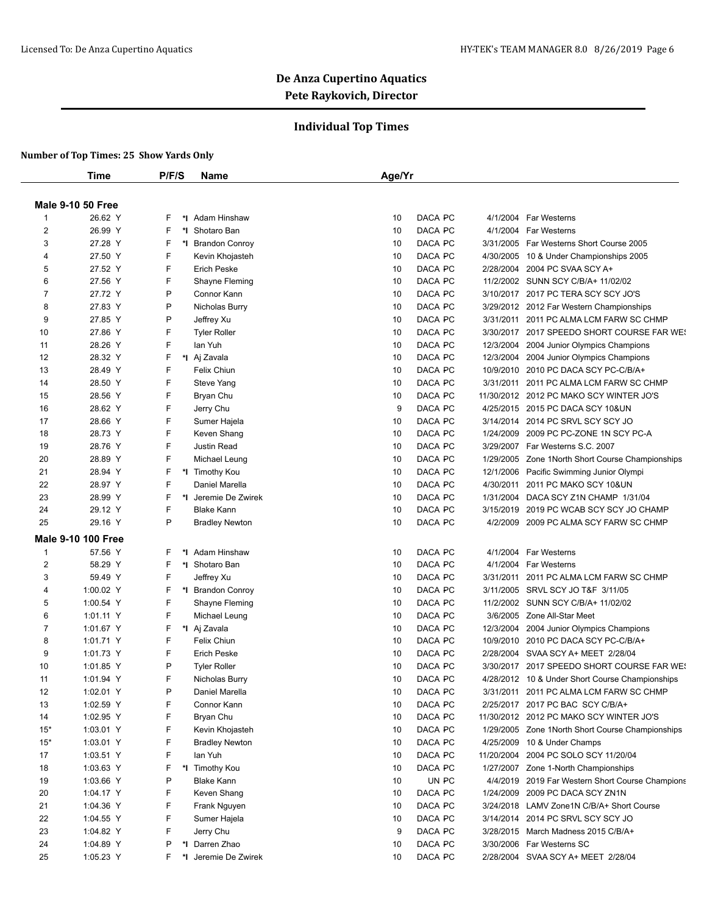## **Individual Top Times**

|                |                           | P/F/S | <b>Name</b>                 | Age/Yr |                    |           |                                                           |
|----------------|---------------------------|-------|-----------------------------|--------|--------------------|-----------|-----------------------------------------------------------|
|                | <b>Male 9-10 50 Free</b>  |       |                             |        |                    |           |                                                           |
| -1             | 26.62 Y                   | F     | *I Adam Hinshaw             | 10     | DACA PC            | 4/1/2004  | Far Westerns                                              |
| $\overline{2}$ | 26.99 Y                   | F     | *1 Shotaro Ban              | 10     | DACA PC            | 4/1/2004  | Far Westerns                                              |
| 3              | 27.28 Y                   | F     | *I Brandon Conroy           | 10     | DACA PC            |           | 3/31/2005 Far Westerns Short Course 2005                  |
| 4              | 27.50 Y                   | F     | Kevin Khojasteh             | 10     | DACA PC            |           | 4/30/2005 10 & Under Championships 2005                   |
|                | 27.52 Y                   | F     | <b>Erich Peske</b>          | 10     | DACA PC            | 2/28/2004 |                                                           |
| 5              | 27.56 Y                   | F     |                             | 10     | DACA PC            |           | 2004 PC SVAA SCY A+<br>11/2/2002 SUNN SCY C/B/A+ 11/02/02 |
| 6              |                           |       | Shayne Fleming              |        |                    |           |                                                           |
| $\overline{7}$ | 27.72 Y                   | P     | Connor Kann                 | 10     | DACA PC            |           | 3/10/2017 2017 PC TERA SCY SCY JO'S                       |
| 8              | 27.83 Y                   | P     | Nicholas Burry              | 10     | DACA PC            |           | 3/29/2012 2012 Far Western Championships                  |
| 9              | 27.85 Y                   | P     | Jeffrey Xu                  | 10     | DACA PC            |           | 3/31/2011 2011 PC ALMA LCM FARW SC CHMP                   |
| 10             | 27.86 Y                   | F     | <b>Tyler Roller</b>         | 10     | DACA PC            |           | 3/30/2017 2017 SPEEDO SHORT COURSE FAR WES                |
| 11             | 28.26 Y                   | F     | lan Yuh                     | 10     | DACA PC            | 12/3/2004 | 2004 Junior Olympics Champions                            |
| 12             | 28.32 Y                   | F     | *I Aj Zavala                | 10     | DACA PC            | 12/3/2004 | 2004 Junior Olympics Champions                            |
| 13             | 28.49 Y                   | F     | Felix Chiun                 | 10     | DACA PC            |           | 10/9/2010 2010 PC DACA SCY PC-C/B/A+                      |
| 14             | 28.50 Y                   | F     | Steve Yang                  | 10     | DACA PC            | 3/31/2011 | 2011 PC ALMA LCM FARW SC CHMP                             |
| 15             | 28.56 Y                   | F     | Bryan Chu                   | 10     | DACA PC            |           | 11/30/2012 2012 PC MAKO SCY WINTER JO'S                   |
| 16             | 28.62 Y                   | F     | Jerry Chu                   | 9      | DACA PC            |           | 4/25/2015 2015 PC DACA SCY 10&UN                          |
| 17             | 28.66 Y                   | F     | Sumer Hajela                | 10     | DACA PC            | 3/14/2014 | 2014 PC SRVL SCY SCY JO                                   |
| 18             | 28.73 Y                   | F     | Keven Shang                 | 10     | DACA PC            |           | 1/24/2009 2009 PC PC-ZONE 1N SCY PC-A                     |
| 19             | 28.76 Y                   | F     | Justin Read                 | 10     | DACA PC            |           | 3/29/2007 Far Westerns S.C. 2007                          |
| 20             | 28.89 Y                   | F     | Michael Leung               | 10     | DACA PC            | 1/29/2005 | Zone 1 North Short Course Championships                   |
| 21             | 28.94 Y                   | F     | *I Timothy Kou              | 10     | DACA PC            |           | 12/1/2006 Pacific Swimming Junior Olympi                  |
| 22             | 28.97 Y                   | F     | Daniel Marella              | 10     | DACA PC            |           | 4/30/2011 2011 PC MAKO SCY 10&UN                          |
| 23             | 28.99 Y                   | F     | *1 Jeremie De Zwirek        | 10     | DACA PC            | 1/31/2004 | DACA SCY Z1N CHAMP 1/31/04                                |
| 24             | 29.12 Y                   | F     | <b>Blake Kann</b>           | 10     | DACA PC            |           | 3/15/2019 2019 PC WCAB SCY SCY JO CHAMP                   |
| 25             | 29.16 Y                   | P     | <b>Bradley Newton</b>       | 10     | DACA PC            |           | 4/2/2009 2009 PC ALMA SCY FARW SC CHMP                    |
|                | <b>Male 9-10 100 Free</b> |       |                             |        |                    |           |                                                           |
|                |                           |       |                             |        |                    |           |                                                           |
| $\mathbf 1$    | 57.56 Y                   | F     | *I Adam Hinshaw             | 10     | DACA PC            |           | 4/1/2004 Far Westerns                                     |
| $\overline{2}$ | 58.29 Y                   | F     | *I Shotaro Ban              | 10     | DACA PC            |           | 4/1/2004 Far Westerns                                     |
| 3              | 59.49 Y                   | F     | Jeffrey Xu                  | 10     | DACA PC            | 3/31/2011 | 2011 PC ALMA LCM FARW SC CHMP                             |
| 4              | 1:00.02 Y                 | F     | *I Brandon Conroy           | 10     | DACA PC            |           | 3/11/2005 SRVL SCY JO T&F 3/11/05                         |
| 5              | 1:00.54 Y                 | F     | Shayne Fleming              | 10     | DACA PC            |           | 11/2/2002 SUNN SCY C/B/A+ 11/02/02                        |
| 6              | 1:01.11 Y                 | F     | Michael Leung               | 10     | DACA PC            |           | 3/6/2005 Zone All-Star Meet                               |
| 7              | 1:01.67 Y                 | F     | *I Aj Zavala                | 10     | DACA PC            | 12/3/2004 | 2004 Junior Olympics Champions                            |
| 8              | 1:01.71 Y                 | F     | Felix Chiun                 | 10     | DACA PC            |           | 10/9/2010 2010 PC DACA SCY PC-C/B/A+                      |
| 9              | 1:01.73 Y                 | F     | <b>Erich Peske</b>          | 10     | DACA PC            |           | 2/28/2004 SVAA SCY A+ MEET 2/28/04                        |
| 10             | 1:01.85 Y                 | P     | <b>Tyler Roller</b>         | 10     | DACA PC            |           | 3/30/2017 2017 SPEEDO SHORT COURSE FAR WES                |
| 11             | 1:01.94 Y                 | F     | Nicholas Burry              | 10     | DACA PC            |           | 4/28/2012 10 & Under Short Course Championships           |
| 12             | 1:02.01 Y                 | P     | Daniel Marella              | 10     | DACA PC            |           | 3/31/2011 2011 PC ALMA LCM FARW SC CHMP                   |
| 13             | 1:02.59 Y                 | F     | Connor Kann                 | 10     | DACA PC            |           | 2/25/2017 2017 PC BAC SCY C/B/A+                          |
| 14             | 1:02.95 Y                 | F     | Bryan Chu                   | 10     | DACA PC            |           | 11/30/2012 2012 PC MAKO SCY WINTER JO'S                   |
| $15*$          | 1:03.01 Y                 | F     | Kevin Khojasteh             | 10     | DACA PC            |           | 1/29/2005 Zone 1 North Short Course Championships         |
| $15*$          | 1:03.01 Y                 | F     | <b>Bradley Newton</b>       | 10     | DACA PC            |           | 4/25/2009 10 & Under Champs                               |
| 17             | 1:03.51 Y                 | F     | lan Yuh                     | 10     | DACA PC            |           | 11/20/2004 2004 PC SOLO SCY 11/20/04                      |
| 18             | 1:03.63 Y                 | F     | *I Timothy Kou              | 10     | DACA PC            |           | 1/27/2007 Zone 1-North Championships                      |
| 19             | 1:03.66 Y                 | P     | <b>Blake Kann</b>           | 10     | UN PC              |           | 4/4/2019 2019 Far Western Short Course Champions          |
| 20             | 1:04.17 Y                 | F     | Keven Shang                 | 10     | DACA PC            |           | 1/24/2009 2009 PC DACA SCY ZN1N                           |
| 21             | 1:04.36 Y                 | F     | Frank Nguyen                | 10     | DACA PC            |           | 3/24/2018 LAMV Zone1N C/B/A+ Short Course                 |
|                | 1:04.55 Y                 | F     | Sumer Hajela                | 10     | DACA PC            |           | 3/14/2014 2014 PC SRVL SCY SCY JO                         |
|                |                           |       |                             |        |                    |           |                                                           |
| 22             |                           | F     |                             | 9      |                    |           | 3/28/2015 March Madness 2015 C/B/A+                       |
| 23<br>24       | 1:04.82 Y<br>1:04.89 Y    | P     | Jerry Chu<br>*1 Darren Zhao | 10     | DACA PC<br>DACA PC |           | 3/30/2006 Far Westerns SC                                 |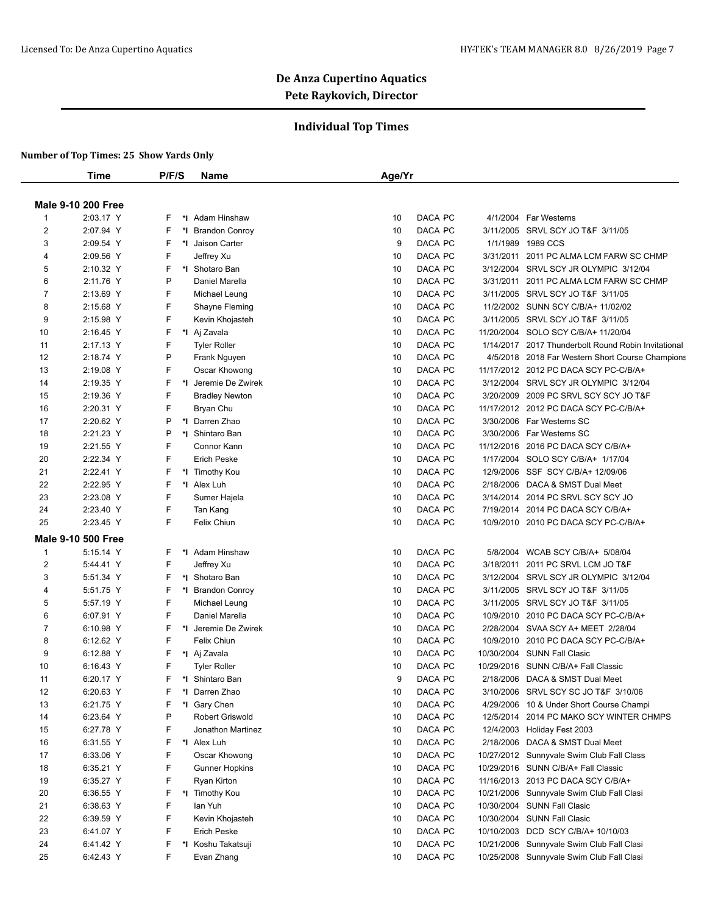## **Individual Top Times**

|                | Time                      | P/F/S   | Name                  | Age/Yr                                                               |
|----------------|---------------------------|---------|-----------------------|----------------------------------------------------------------------|
|                | <b>Male 9-10 200 Free</b> |         |                       |                                                                      |
| $\mathbf{1}$   | 2:03.17 Y                 | F<br>*∣ | Adam Hinshaw          | DACA PC<br>4/1/2004 Far Westerns<br>10                               |
| $\overline{2}$ | 2:07.94 Y                 | F<br>*I | <b>Brandon Conroy</b> | DACA PC<br>3/11/2005 SRVL SCY JO T&F 3/11/05<br>10                   |
| 3              | 2:09.54 Y                 | F       | *1 Jaison Carter      | DACA PC<br>9<br>1/1/1989<br>1989 CCS                                 |
| 4              | 2:09.56 Y                 | F       | Jeffrey Xu            | DACA PC<br>3/31/2011 2011 PC ALMA LCM FARW SC CHMP<br>10             |
| 5              | 2:10.32 Y                 | F       | *I Shotaro Ban        | DACA PC<br>10<br>3/12/2004 SRVL SCY JR OLYMPIC 3/12/04               |
| 6              | 2:11.76 Y                 | P       | Daniel Marella        | DACA PC<br>10<br>3/31/2011<br>2011 PC ALMA LCM FARW SC CHMP          |
| 7              | 2:13.69 Y                 | F       | Michael Leung         | DACA PC<br>10<br>3/11/2005 SRVL SCY JO T&F 3/11/05                   |
| 8              | 2:15.68 Y                 | F       | Shayne Fleming        | DACA PC<br>10<br>11/2/2002 SUNN SCY C/B/A+ 11/02/02                  |
| 9              | 2:15.98 Y                 | F       | Kevin Khojasteh       | DACA PC<br>10<br>3/11/2005<br>SRVL SCY JO T&F 3/11/05                |
| 10             | 2:16.45 Y                 | F       | *I Aj Zavala          | DACA PC<br>11/20/2004 SOLO SCY C/B/A+ 11/20/04<br>10                 |
| 11             | 2:17.13 Y                 | F       | <b>Tyler Roller</b>   | DACA PC<br>10<br>1/14/2017 2017 Thunderbolt Round Robin Invitational |
| 12             | 2:18.74 Y                 | P       | Frank Nguyen          | DACA PC<br>10<br>4/5/2018 2018 Far Western Short Course Champions    |
| 13             | 2:19.08 Y                 | F       | Oscar Khowong         | DACA PC<br>10<br>11/17/2012 2012 PC DACA SCY PC-C/B/A+               |
| 14             |                           | F       | *I Jeremie De Zwirek  | DACA PC<br>3/12/2004 SRVL SCY JR OLYMPIC 3/12/04<br>10               |
|                | 2:19.35 Y                 | F       |                       | DACA PC                                                              |
| 15             | 2:19.36 Y                 | F       | <b>Bradley Newton</b> | 3/20/2009 2009 PC SRVL SCY SCY JO T&F<br>10                          |
| 16             | 2:20.31 Y                 |         | Bryan Chu             | DACA PC<br>11/17/2012 2012 PC DACA SCY PC-C/B/A+<br>10               |
| 17             | 2:20.62 Y                 | P       | *1 Darren Zhao        | DACA PC<br>10<br>3/30/2006 Far Westerns SC                           |
| 18             | 2:21.23 Y                 | P       | *1 Shintaro Ban       | DACA PC<br>10<br>3/30/2006 Far Westerns SC                           |
| 19             | 2:21.55 Y                 | F       | Connor Kann           | DACA PC<br>10<br>11/12/2016 2016 PC DACA SCY C/B/A+                  |
| 20             | 2:22.34 Y                 | F       | <b>Erich Peske</b>    | DACA PC<br>10<br>1/17/2004 SOLO SCY C/B/A+ 1/17/04                   |
| 21             | 2:22.41 Y                 | F       | *I Timothy Kou        | DACA PC<br>12/9/2006 SSF SCY C/B/A+ 12/09/06<br>10                   |
| 22             | 2:22.95 Y                 | F       | *I Alex Luh           | DACA PC<br>2/18/2006 DACA & SMST Dual Meet<br>10                     |
| 23             | 2:23.08 Y                 | F       | Sumer Hajela          | DACA PC<br>3/14/2014 2014 PC SRVL SCY SCY JO<br>10                   |
| 24             | 2:23.40 Y                 | F       | Tan Kang              | DACA PC<br>7/19/2014 2014 PC DACA SCY C/B/A+<br>10                   |
| 25             | 2:23.45 Y                 | F       | Felix Chiun           | DACA PC<br>10/9/2010 2010 PC DACA SCY PC-C/B/A+<br>10                |
|                | <b>Male 9-10 500 Free</b> |         |                       |                                                                      |
| 1              | 5:15.14 Y                 | F       | *I Adam Hinshaw       | DACA PC<br>WCAB SCY C/B/A+ 5/08/04<br>10<br>5/8/2004                 |
| 2              | 5:44.41 Y                 | F       | Jeffrey Xu            | DACA PC<br>10<br>3/18/2011 2011 PC SRVL LCM JO T&F                   |
| 3              | 5:51.34 Y                 | F       | *I Shotaro Ban        | DACA PC<br>10<br>3/12/2004 SRVL SCY JR OLYMPIC 3/12/04               |
| 4              | 5:51.75 Y                 | F       | *I Brandon Conroy     | DACA PC<br>3/11/2005 SRVL SCY JO T&F 3/11/05<br>10                   |
| 5              | 5:57.19 Y                 | F       | Michael Leung         | DACA PC<br>10<br>3/11/2005 SRVL SCY JO T&F 3/11/05                   |
| 6              | 6:07.91 Y                 | F       | Daniel Marella        | DACA PC<br>10<br>10/9/2010 2010 PC DACA SCY PC-C/B/A+                |
| 7              | 6:10.98 Y                 | F       | *I Jeremie De Zwirek  | DACA PC<br>10<br>2/28/2004<br>SVAA SCY A+ MEET 2/28/04               |
| 8              | 6:12.62 Y                 | F       | Felix Chiun           | DACA PC<br>10/9/2010 2010 PC DACA SCY PC-C/B/A+<br>10                |
| 9              | 6:12.88 Y                 | F       | *I Aj Zavala          | DACA PC<br>10<br>10/30/2004 SUNN Fall Clasic                         |
| 10             | 6:16.43 Y                 | F       | <b>Tyler Roller</b>   | DACA PC<br>10<br>10/29/2016<br>SUNN C/B/A+ Fall Classic              |
| 11             | 6:20.17 Y                 | F       | *I Shintaro Ban       | 9<br>DACA PC<br>2/18/2006 DACA & SMST Dual Meet                      |
| 12             | 6:20.63 Y                 | F       | *I Darren Zhao        | 10<br>DACA PC<br>3/10/2006 SRVL SCY SC JO T&F 3/10/06                |
| 13             | 6:21.75 Y                 | F       | *I Gary Chen          | DACA PC<br>10<br>4/29/2006 10 & Under Short Course Champi            |
| 14             | 6:23.64 Y                 | Ρ       | Robert Griswold       | DACA PC<br>12/5/2014 2014 PC MAKO SCY WINTER CHMPS<br>10             |
| 15             | 6:27.78 Y                 | F       | Jonathon Martinez     | DACA PC<br>10<br>12/4/2003 Holiday Fest 2003                         |
| 16             | 6:31.55 Y                 | F       | *I Alex Luh           | DACA PC<br>2/18/2006 DACA & SMST Dual Meet<br>10                     |
|                |                           | F       | Oscar Khowong         | DACA PC<br>10                                                        |
| 17             | 6:33.06 Y                 | F       |                       | 10/27/2012 Sunnyvale Swim Club Fall Class<br>DACA PC<br>10           |
| 18             | 6:35.21 Y                 |         | <b>Gunner Hopkins</b> | 10/29/2016 SUNN C/B/A+ Fall Classic                                  |
| 19             | 6:35.27 Y                 | F       | Ryan Kirton           | DACA PC<br>11/16/2013 2013 PC DACA SCY C/B/A+<br>10                  |
| 20             | 6:36.55 Y                 | F       | *I Timothy Kou        | DACA PC<br>10<br>10/21/2006 Sunnyvale Swim Club Fall Clasi           |
| 21             | 6:38.63 Y                 | F       | lan Yuh               | DACA PC<br>10/30/2004 SUNN Fall Clasic<br>10                         |
| 22             | 6:39.59 Y                 | F       | Kevin Khojasteh       | DACA PC<br>10/30/2004 SUNN Fall Clasic<br>10                         |
| 23             | 6:41.07 Y                 | F       | <b>Erich Peske</b>    | DACA PC<br>10/10/2003 DCD SCY C/B/A+ 10/10/03<br>10                  |
| 24             | 6:41.42 Y                 | F       | *I Koshu Takatsuji    | DACA PC<br>10/21/2006 Sunnyvale Swim Club Fall Clasi<br>10           |
| 25             | 6:42.43 Y                 | F       | Evan Zhang            | DACA PC<br>10/25/2008 Sunnyvale Swim Club Fall Clasi<br>10           |
|                |                           |         |                       |                                                                      |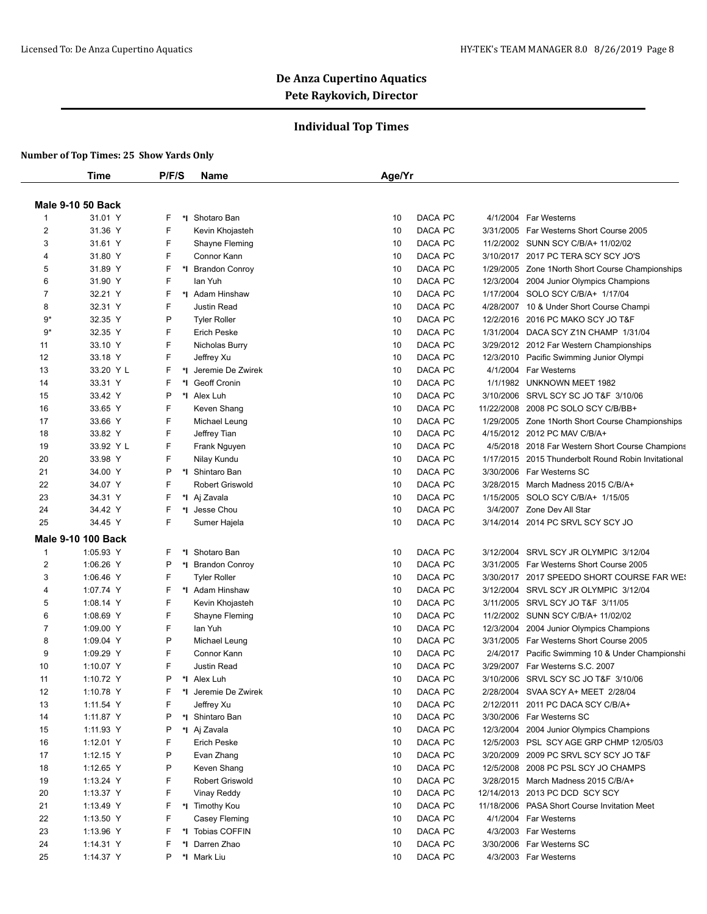## **Individual Top Times**

|                | <b>Time</b>               | P/F/S | <b>Name</b>            | Age/Yr        |                                                     |
|----------------|---------------------------|-------|------------------------|---------------|-----------------------------------------------------|
|                | <b>Male 9-10 50 Back</b>  |       |                        |               |                                                     |
| -1             | 31.01 Y                   | F     | *I Shotaro Ban         | DACA PC<br>10 | 4/1/2004 Far Westerns                               |
| $\overline{2}$ | 31.36 Y                   | F     | Kevin Khojasteh        | DACA PC<br>10 | 3/31/2005 Far Westerns Short Course 2005            |
| 3              | 31.61 Y                   | F     | Shayne Fleming         | DACA PC<br>10 | 11/2/2002 SUNN SCY C/B/A+ 11/02/02                  |
| $\overline{4}$ | 31.80 Y                   | F     | Connor Kann            | DACA PC<br>10 | 3/10/2017 2017 PC TERA SCY SCY JO'S                 |
| 5              | 31.89 Y                   | F     | *I Brandon Conroy      | DACA PC<br>10 | 1/29/2005 Zone 1 North Short Course Championships   |
| 6              | 31.90 Y                   | F     | lan Yuh                | DACA PC<br>10 | 12/3/2004<br>2004 Junior Olympics Champions         |
| $\overline{7}$ | 32.21 Y                   | F     | *I Adam Hinshaw        | DACA PC<br>10 | 1/17/2004<br>SOLO SCY C/B/A+ 1/17/04                |
| 8              | 32.31 Y                   | F     | <b>Justin Read</b>     | DACA PC<br>10 | 4/28/2007<br>10 & Under Short Course Champi         |
| 9*             | 32.35 Y                   | P     | <b>Tyler Roller</b>    | DACA PC<br>10 | 12/2/2016 2016 PC MAKO SCY JO T&F                   |
| 9*             | 32.35 Y                   | F     | <b>Erich Peske</b>     | DACA PC<br>10 | 1/31/2004 DACA SCY Z1N CHAMP 1/31/04                |
| 11             | 33.10 Y                   | F     | Nicholas Burry         | 10<br>DACA PC | 3/29/2012 2012 Far Western Championships            |
| 12             | 33.18 Y                   | F     | Jeffrey Xu             | DACA PC<br>10 | 12/3/2010 Pacific Swimming Junior Olympi            |
| 13             | 33.20 Y L                 | F     | *I Jeremie De Zwirek   | DACA PC<br>10 | 4/1/2004 Far Westerns                               |
| 14             | 33.31 Y                   | F     | *1 Geoff Cronin        | DACA PC<br>10 | 1/1/1982 UNKNOWN MEET 1982                          |
| 15             | 33.42 Y                   | P     | *I Alex Luh            | DACA PC<br>10 | 3/10/2006 SRVL SCY SC JO T&F 3/10/06                |
| 16             | 33.65 Y                   | F     | Keven Shang            | DACA PC<br>10 | 11/22/2008 2008 PC SOLO SCY C/B/BB+                 |
| 17             | 33.66 Y                   | F     | Michael Leung          | 10<br>DACA PC | 1/29/2005 Zone 1 North Short Course Championships   |
| 18             | 33.82 Y                   | F     | Jeffrey Tian           | DACA PC<br>10 | 4/15/2012 2012 PC MAV C/B/A+                        |
| 19             | 33.92 Y L                 | F     | Frank Nguyen           | DACA PC<br>10 | 4/5/2018 2018 Far Western Short Course Champions    |
| 20             | 33.98 Y                   | F     | Nilay Kundu            | DACA PC<br>10 | 1/17/2015 2015 Thunderbolt Round Robin Invitational |
| 21             | 34.00 Y                   | P     | *1 Shintaro Ban        | DACA PC<br>10 | 3/30/2006 Far Westerns SC                           |
| 22             | 34.07 Y                   | F     | <b>Robert Griswold</b> | DACA PC<br>10 | 3/28/2015 March Madness 2015 C/B/A+                 |
| 23             | 34.31 Y                   | F     | *I Aj Zavala           | DACA PC<br>10 | 1/15/2005 SOLO SCY C/B/A+ 1/15/05                   |
| 24             | 34.42 Y                   | F     | *I Jesse Chou          | DACA PC<br>10 | 3/4/2007 Zone Dev All Star                          |
| 25             | 34.45 Y                   | F     | Sumer Hajela           | DACA PC<br>10 | 3/14/2014 2014 PC SRVL SCY SCY JO                   |
|                |                           |       |                        |               |                                                     |
|                | <b>Male 9-10 100 Back</b> |       |                        |               |                                                     |
| $\mathbf 1$    | 1:05.93 Y                 | F     | *I Shotaro Ban         | DACA PC<br>10 | SRVL SCY JR OLYMPIC 3/12/04<br>3/12/2004            |
| $\overline{c}$ | 1:06.26 Y                 | P     | *I Brandon Conroy      | DACA PC<br>10 | 3/31/2005 Far Westerns Short Course 2005            |
| 3              | 1:06.46 Y                 | F     | <b>Tyler Roller</b>    | 10<br>DACA PC | 3/30/2017 2017 SPEEDO SHORT COURSE FAR WES          |
| 4              | 1:07.74 Y                 | F     | *I Adam Hinshaw        | DACA PC<br>10 | 3/12/2004<br>SRVL SCY JR OLYMPIC 3/12/04            |
| 5              | 1:08.14 Y                 | F     | Kevin Khojasteh        | DACA PC<br>10 | 3/11/2005 SRVL SCY JO T&F 3/11/05                   |
| 6              | 1:08.69 Y                 | F     | Shayne Fleming         | 10<br>DACA PC | 11/2/2002 SUNN SCY C/B/A+ 11/02/02                  |
| 7              | 1:09.00 Y                 | F     | lan Yuh                | DACA PC<br>10 | 12/3/2004<br>2004 Junior Olympics Champions         |
| 8              | 1:09.04 Y                 | P     | Michael Leung          | DACA PC<br>10 | 3/31/2005 Far Westerns Short Course 2005            |
| 9              | 1:09.29 Y                 | F     | Connor Kann            | 10<br>DACA PC | 2/4/2017 Pacific Swimming 10 & Under Championshi    |
| 10             | 1:10.07 Y                 | F     | Justin Read            | DACA PC<br>10 | 3/29/2007 Far Westerns S.C. 2007                    |
| 11             | 1:10.72 Y                 | P     | *I Alex Luh            | 10<br>DACA PC | 3/10/2006 SRVL SCY SC JO T&F 3/10/06                |
| 12             | 1:10.78 Y                 | F     | *1 Jeremie De Zwirek   | 10<br>DACA PC | 2/28/2004 SVAA SCY A+ MEET 2/28/04                  |
| 13             | 1:11.54 Y                 | F     | Jeffrey Xu             | DACA PC<br>10 | 2/12/2011 2011 PC DACA SCY C/B/A+                   |
| 14             | 1:11.87 Y                 | P     | *I Shintaro Ban        | DACA PC<br>10 | 3/30/2006 Far Westerns SC                           |
| 15             | 1:11.93 Y                 | P     | *I Aj Zavala           | DACA PC<br>10 | 12/3/2004 2004 Junior Olympics Champions            |
| 16             | 1:12.01 Y                 | F     | <b>Erich Peske</b>     | DACA PC<br>10 | 12/5/2003 PSL SCY AGE GRP CHMP 12/05/03             |
| 17             | $1:12.15$ Y               | P     | Evan Zhang             | DACA PC<br>10 | 3/20/2009 2009 PC SRVL SCY SCY JO T&F               |
| 18             | 1:12.65 Y                 | P     | Keven Shang            | DACA PC<br>10 | 12/5/2008 2008 PC PSL SCY JO CHAMPS                 |
| 19             | 1:13.24 Y                 | F     | <b>Robert Griswold</b> | DACA PC<br>10 | 3/28/2015 March Madness 2015 C/B/A+                 |
| 20             | 1:13.37 Y                 | F     | Vinay Reddy            | 10<br>DACA PC | 12/14/2013 2013 PC DCD SCY SCY                      |
| 21             | 1:13.49 Y                 | F     | *I Timothy Kou         | DACA PC<br>10 | 11/18/2006 PASA Short Course Invitation Meet        |
| 22             | 1:13.50 Y                 | F     | Casey Fleming          | DACA PC<br>10 | 4/1/2004 Far Westerns                               |
| 23             | 1:13.96 Y                 | F     | *I Tobias COFFIN       | DACA PC<br>10 | 4/3/2003 Far Westerns                               |
| 24             | 1:14.31 Y                 | F     | *1 Darren Zhao         | 10<br>DACA PC | 3/30/2006 Far Westerns SC                           |
| 25             | 1:14.37 Y                 | P     | *I Mark Liu            | DACA PC<br>10 | 4/3/2003 Far Westerns                               |
|                |                           |       |                        |               |                                                     |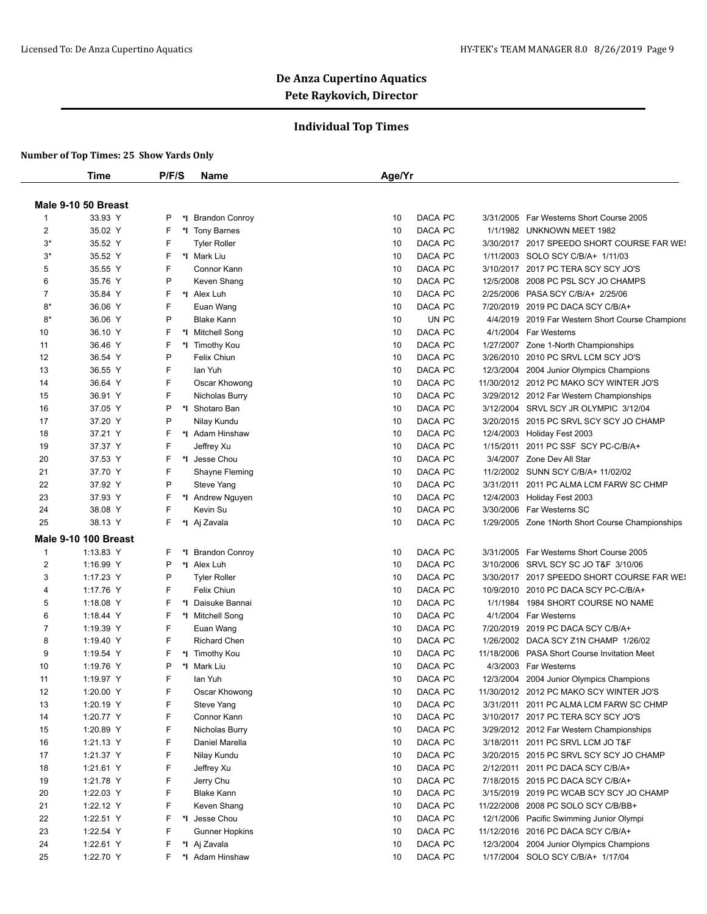## **Individual Top Times**

|                | Time                        | P/F/S  | Name                          | Age/Yr        |           |                                                   |
|----------------|-----------------------------|--------|-------------------------------|---------------|-----------|---------------------------------------------------|
|                | Male 9-10 50 Breast         |        |                               |               |           |                                                   |
| $\mathbf{1}$   | 33.93 Y                     | P      | *I Brandon Conroy             | DACA PC<br>10 |           | 3/31/2005 Far Westerns Short Course 2005          |
| 2              | 35.02 Y                     | F      | *1 Tony Barnes                | DACA PC<br>10 |           | 1/1/1982 UNKNOWN MEET 1982                        |
| $3^*$          | 35.52 Y                     | F      | <b>Tyler Roller</b>           | DACA PC<br>10 |           | 3/30/2017 2017 SPEEDO SHORT COURSE FAR WES        |
| $3^*$          | 35.52 Y                     | F      | *I Mark Liu                   | DACA PC<br>10 |           | 1/11/2003 SOLO SCY C/B/A+ 1/11/03                 |
| 5              | 35.55 Y                     | F      | Connor Kann                   | DACA PC<br>10 |           | 3/10/2017 2017 PC TERA SCY SCY JO'S               |
| 6              | 35.76 Y                     | P      | Keven Shang                   | DACA PC<br>10 |           | 12/5/2008 2008 PC PSL SCY JO CHAMPS               |
| $\overline{7}$ | 35.84 Y                     | F      | *I Alex Luh                   | DACA PC<br>10 |           | 2/25/2006 PASA SCY C/B/A+ 2/25/06                 |
| $8*$           | 36.06 Y                     | F      | Euan Wang                     | DACA PC<br>10 |           | 7/20/2019 2019 PC DACA SCY C/B/A+                 |
| $8*$           | 36.06 Y                     | P      | <b>Blake Kann</b>             | UN PC<br>10   |           | 4/4/2019 2019 Far Western Short Course Champions  |
| 10             | 36.10 Y                     | F      | *I Mitchell Song              | DACA PC<br>10 |           | 4/1/2004 Far Westerns                             |
| 11             | 36.46 Y                     | F      |                               | DACA PC<br>10 |           | 1/27/2007 Zone 1-North Championships              |
| 12             | 36.54 Y                     | P      | *1 Timothy Kou<br>Felix Chiun | DACA PC<br>10 | 3/26/2010 | 2010 PC SRVL LCM SCY JO'S                         |
|                |                             |        |                               |               |           |                                                   |
| 13             | 36.55 Y                     | F<br>F | lan Yuh                       | DACA PC<br>10 |           | 12/3/2004 2004 Junior Olympics Champions          |
| 14             | 36.64 Y                     | F      | Oscar Khowong                 | DACA PC<br>10 |           | 11/30/2012 2012 PC MAKO SCY WINTER JO'S           |
| 15             | 36.91 Y                     |        | Nicholas Burry                | DACA PC<br>10 |           | 3/29/2012 2012 Far Western Championships          |
| 16             | 37.05 Y                     | P      | *I Shotaro Ban                | 10<br>DACA PC |           | 3/12/2004 SRVL SCY JR OLYMPIC 3/12/04             |
| 17             | 37.20 Y                     | P      | Nilay Kundu                   | DACA PC<br>10 |           | 3/20/2015 2015 PC SRVL SCY SCY JO CHAMP           |
| 18             | 37.21 Y                     | F      | *I Adam Hinshaw               | DACA PC<br>10 |           | 12/4/2003 Holiday Fest 2003                       |
| 19             | 37.37 Y                     | F      | Jeffrey Xu                    | DACA PC<br>10 | 1/15/2011 | 2011 PC SSF SCY PC-C/B/A+                         |
| 20             | 37.53 Y                     | F      | *1 Jesse Chou                 | DACA PC<br>10 |           | 3/4/2007 Zone Dev All Star                        |
| 21             | 37.70 Y                     | F      | Shayne Fleming                | DACA PC<br>10 |           | 11/2/2002 SUNN SCY C/B/A+ 11/02/02                |
| 22             | 37.92 Y                     | P      | Steve Yang                    | DACA PC<br>10 |           | 3/31/2011 2011 PC ALMA LCM FARW SC CHMP           |
| 23             | 37.93 Y                     | F      | *I Andrew Nguyen              | DACA PC<br>10 |           | 12/4/2003 Holiday Fest 2003                       |
| 24             | 38.08 Y                     | F      | Kevin Su                      | DACA PC<br>10 |           | 3/30/2006 Far Westerns SC                         |
| 25             | 38.13 Y                     | F      | *I Aj Zavala                  | DACA PC<br>10 |           | 1/29/2005 Zone 1 North Short Course Championships |
|                | <b>Male 9-10 100 Breast</b> |        |                               |               |           |                                                   |
| $\overline{1}$ | 1:13.83 Y                   | F      | *I Brandon Conroy             | DACA PC<br>10 |           | 3/31/2005 Far Westerns Short Course 2005          |
| $\overline{2}$ | 1:16.99 Y                   | P      | *I Alex Luh                   | DACA PC<br>10 |           | 3/10/2006 SRVL SCY SC JO T&F 3/10/06              |
| 3              | 1:17.23 Y                   | P      | <b>Tyler Roller</b>           | DACA PC<br>10 |           | 3/30/2017 2017 SPEEDO SHORT COURSE FAR WE!        |
| 4              | 1:17.76 Y                   | F      | Felix Chiun                   | DACA PC<br>10 |           | 10/9/2010 2010 PC DACA SCY PC-C/B/A+              |
| 5              | 1:18.08 Y                   | F      | *I Daisuke Bannai             | DACA PC<br>10 | 1/1/1984  | 1984 SHORT COURSE NO NAME                         |
| 6              | 1:18.44 Y                   | F      | *I Mitchell Song              | 10<br>DACA PC |           | 4/1/2004 Far Westerns                             |
| $\overline{7}$ | 1:19.39 Y                   | F      | Euan Wang                     | DACA PC<br>10 |           | 7/20/2019 2019 PC DACA SCY C/B/A+                 |
| 8              | 1:19.40 Y                   | F      | <b>Richard Chen</b>           | 10<br>DACA PC |           | 1/26/2002 DACA SCY Z1N CHAMP 1/26/02              |
| 9              | 1:19.54 Y                   | F      | *1 Timothy Kou                | DACA PC<br>10 |           | 11/18/2006 PASA Short Course Invitation Meet      |
| 10             | 1:19.76 Y                   | P      | *I Mark Liu                   | DACA PC<br>10 |           | 4/3/2003 Far Westerns                             |
| 11             | 1:19.97 Y                   | F      | lan Yuh                       | 10<br>DACA PC |           | 12/3/2004 2004 Junior Olympics Champions          |
| 12             | 1:20.00 Y                   | F      | Oscar Khowong                 | 10<br>DACA PC |           | 11/30/2012 2012 PC MAKO SCY WINTER JO'S           |
| 13             | 1:20.19 Y                   | F      | Steve Yang                    | DACA PC<br>10 |           | 3/31/2011 2011 PC ALMA LCM FARW SC CHMP           |
| 14             | 1:20.77 Y                   | F      | Connor Kann                   | DACA PC<br>10 |           | 3/10/2017 2017 PC TERA SCY SCY JO'S               |
| 15             | 1:20.89 Y                   | F      | Nicholas Burry                | DACA PC<br>10 |           | 3/29/2012 2012 Far Western Championships          |
| 16             | 1:21.13 Y                   | F      | Daniel Marella                | DACA PC<br>10 |           | 3/18/2011 2011 PC SRVL LCM JO T&F                 |
| 17             | 1:21.37 Y                   | F      | Nilay Kundu                   | 10<br>DACA PC |           | 3/20/2015 2015 PC SRVL SCY SCY JO CHAMP           |
| 18             | 1:21.61 Y                   | F      | Jeffrey Xu                    | DACA PC<br>10 |           | 2/12/2011 2011 PC DACA SCY C/B/A+                 |
| 19             | 1:21.78 Y                   | F      | Jerry Chu                     | 10<br>DACA PC |           | 7/18/2015 2015 PC DACA SCY C/B/A+                 |
| 20             | 1:22.03 Y                   | F      | <b>Blake Kann</b>             | 10<br>DACA PC |           | 3/15/2019 2019 PC WCAB SCY SCY JO CHAMP           |
| 21             | 1:22.12 Y                   | F      | Keven Shang                   | DACA PC<br>10 |           | 11/22/2008 2008 PC SOLO SCY C/B/BB+               |
| 22             | 1:22.51 Y                   | F      | *I Jesse Chou                 | DACA PC<br>10 |           | 12/1/2006 Pacific Swimming Junior Olympi          |
| 23             | 1:22.54 Y                   | F      | <b>Gunner Hopkins</b>         | 10<br>DACA PC |           | 11/12/2016 2016 PC DACA SCY C/B/A+                |
| 24             | 1:22.61 Y                   | F      | *I Aj Zavala                  | DACA PC<br>10 | 12/3/2004 | 2004 Junior Olympics Champions                    |
| 25             | 1:22.70 Y                   | F      | *I Adam Hinshaw               | DACA PC<br>10 |           | 1/17/2004 SOLO SCY C/B/A+ 1/17/04                 |
|                |                             |        |                               |               |           |                                                   |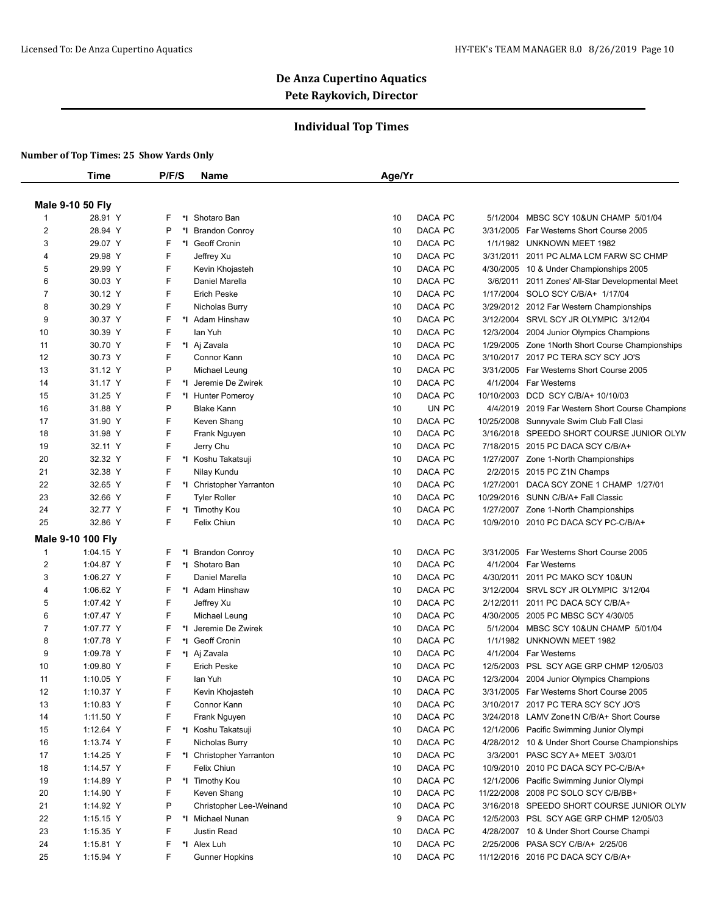## **Individual Top Times**

|                | <b>Time</b>       | P/F/S   | <b>Name</b>              | Age/Yr |         |                                                  |
|----------------|-------------------|---------|--------------------------|--------|---------|--------------------------------------------------|
|                | Male 9-10 50 Fly  |         |                          |        |         |                                                  |
| -1             | 28.91 Y           | F       | *I Shotaro Ban           | 10     | DACA PC | 5/1/2004 MBSC SCY 10&UN CHAMP 5/01/04            |
| $\overline{2}$ | 28.94 Y           | P<br>*∣ | <b>Brandon Conroy</b>    | 10     | DACA PC | 3/31/2005 Far Westerns Short Course 2005         |
| 3              | 29.07 Y           | F<br>*∣ | <b>Geoff Cronin</b>      | 10     | DACA PC | 1/1/1982 UNKNOWN MEET 1982                       |
| $\overline{4}$ | 29.98 Y           | F       |                          | 10     | DACA PC | 3/31/2011 2011 PC ALMA LCM FARW SC CHMP          |
|                | 29.99 Y           | F       | Jeffrey Xu               |        | DACA PC |                                                  |
| 5              |                   | F       | Kevin Khojasteh          | 10     |         | 4/30/2005 10 & Under Championships 2005          |
| 6              | 30.03 Y           |         | Daniel Marella           | 10     | DACA PC | 3/6/2011 2011 Zones' All-Star Developmental Meet |
| 7              | 30.12 Y           | F       | <b>Erich Peske</b>       | 10     | DACA PC | 1/17/2004 SOLO SCY C/B/A+ 1/17/04                |
| 8              | 30.29 Y           | F       | Nicholas Burry           | 10     | DACA PC | 3/29/2012 2012 Far Western Championships         |
| 9              | 30.37 Y           | F       | *I Adam Hinshaw          | 10     | DACA PC | 3/12/2004 SRVL SCY JR OLYMPIC 3/12/04            |
| 10             | 30.39 Y           | F       | lan Yuh                  | 10     | DACA PC | 12/3/2004 2004 Junior Olympics Champions         |
| 11             | 30.70 Y           | F       | *I Aj Zavala             | 10     | DACA PC | 1/29/2005 Zone 1North Short Course Championships |
| 12             | 30.73 Y           | F       | Connor Kann              | 10     | DACA PC | 3/10/2017 2017 PC TERA SCY SCY JO'S              |
| 13             | 31.12 Y           | P       | Michael Leung            | 10     | DACA PC | 3/31/2005 Far Westerns Short Course 2005         |
| 14             | 31.17 Y           | F<br>*∣ | Jeremie De Zwirek        | 10     | DACA PC | 4/1/2004 Far Westerns                            |
| 15             | 31.25 Y           | F       | *I Hunter Pomeroy        | 10     | DACA PC | 10/10/2003 DCD SCY C/B/A+ 10/10/03               |
| 16             | 31.88 Y           | P       | <b>Blake Kann</b>        | 10     | UN PC   | 4/4/2019 2019 Far Western Short Course Champions |
| 17             | 31.90 Y           | F       | Keven Shang              | 10     | DACA PC | 10/25/2008 Sunnyvale Swim Club Fall Clasi        |
| 18             | 31.98 Y           | F       | Frank Nguyen             | 10     | DACA PC | 3/16/2018 SPEEDO SHORT COURSE JUNIOR OLYN        |
| 19             | 32.11 Y           | F       | Jerry Chu                | 10     | DACA PC | 7/18/2015 2015 PC DACA SCY C/B/A+                |
| 20             | 32.32 Y           | F       | *I Koshu Takatsuji       | 10     | DACA PC | 1/27/2007 Zone 1-North Championships             |
| 21             | 32.38 Y           | F       | Nilay Kundu              | 10     | DACA PC | 2/2/2015 2015 PC Z1N Champs                      |
| 22             | 32.65 Y           | F       | *I Christopher Yarranton | 10     | DACA PC | 1/27/2001 DACA SCY ZONE 1 CHAMP 1/27/01          |
| 23             | 32.66 Y           | F       | <b>Tyler Roller</b>      | 10     | DACA PC | 10/29/2016 SUNN C/B/A+ Fall Classic              |
| 24             | 32.77 Y           | F       | *1 Timothy Kou           | 10     | DACA PC | 1/27/2007 Zone 1-North Championships             |
| 25             | 32.86 Y           | F       | Felix Chiun              | 10     | DACA PC | 10/9/2010 2010 PC DACA SCY PC-C/B/A+             |
|                |                   |         |                          |        |         |                                                  |
|                | Male 9-10 100 Fly |         |                          |        |         |                                                  |
| $\mathbf{1}$   | 1:04.15 Y         | F       | *I Brandon Conroy        | 10     | DACA PC | 3/31/2005 Far Westerns Short Course 2005         |
| 2              | 1:04.87 Y         | F       | *I Shotaro Ban           | 10     | DACA PC | 4/1/2004 Far Westerns                            |
| 3              | 1:06.27 Y         | F       | Daniel Marella           | 10     | DACA PC | 4/30/2011 2011 PC MAKO SCY 10&UN                 |
| 4              | 1:06.62 Y         | F       | *I Adam Hinshaw          | 10     | DACA PC | 3/12/2004 SRVL SCY JR OLYMPIC 3/12/04            |
| 5              | 1:07.42 Y         | F       | Jeffrey Xu               | 10     | DACA PC | 2/12/2011 2011 PC DACA SCY C/B/A+                |
| 6              | 1:07.47 Y         | F       | Michael Leung            | 10     | DACA PC | 4/30/2005 2005 PC MBSC SCY 4/30/05               |
| 7              | 1:07.77 Y         | F       | *I Jeremie De Zwirek     | 10     | DACA PC | 5/1/2004 MBSC SCY 10&UN CHAMP 5/01/04            |
| 8              | 1:07.78 Y         | F       | *1 Geoff Cronin          | 10     | DACA PC | 1/1/1982 UNKNOWN MEET 1982                       |
| 9              | 1:09.78 Y         | F       | *I Aj Zavala             | 10     | DACA PC | 4/1/2004 Far Westerns                            |
| 10             | 1:09.80 Y         | F       | <b>Erich Peske</b>       | 10     | DACA PC | 12/5/2003 PSL SCY AGE GRP CHMP 12/05/03          |
| 11             | 1:10.05 Y         | F       | lan Yuh                  | 10     | DACA PC | 12/3/2004 2004 Junior Olympics Champions         |
| 12             | 1:10.37 Y         | F       | Kevin Khojasteh          | 10     | DACA PC | 3/31/2005 Far Westerns Short Course 2005         |
| 13             | 1:10.83 Y         | F       | Connor Kann              | 10     | DACA PC | 3/10/2017 2017 PC TERA SCY SCY JO'S              |
| 14             | 1:11.50 Y         | F       | Frank Nguyen             | 10     | DACA PC | 3/24/2018 LAMV Zone1N C/B/A+ Short Course        |
| 15             | 1:12.64 Y         | F       | *I Koshu Takatsuji       | 10     | DACA PC | 12/1/2006 Pacific Swimming Junior Olympi         |
| 16             | 1:13.74 Y         | F       | Nicholas Burry           | 10     | DACA PC | 4/28/2012 10 & Under Short Course Championships  |
| 17             | 1:14.25 Y         | F       | *I Christopher Yarranton | 10     | DACA PC | 3/3/2001 PASC SCY A+ MEET 3/03/01                |
| 18             | 1:14.57 Y         | F       | Felix Chiun              | 10     | DACA PC | 10/9/2010 2010 PC DACA SCY PC-C/B/A+             |
| 19             | 1:14.89 Y         | P       | *I Timothy Kou           | 10     | DACA PC | 12/1/2006 Pacific Swimming Junior Olympi         |
| 20             | 1:14.90 Y         | F       | Keven Shang              | 10     | DACA PC | 11/22/2008 2008 PC SOLO SCY C/B/BB+              |
| 21             | 1:14.92 Y         | P       | Christopher Lee-Weinand  | 10     | DACA PC | 3/16/2018 SPEEDO SHORT COURSE JUNIOR OLYN        |
| 22             | 1:15.15 Y         | P       | *I Michael Nunan         | 9      | DACA PC | 12/5/2003 PSL SCY AGE GRP CHMP 12/05/03          |
| 23             | 1:15.35 Y         | F       | Justin Read              | 10     | DACA PC | 4/28/2007 10 & Under Short Course Champi         |
| 24             | 1:15.81 Y         | F       | *I Alex Luh              | 10     | DACA PC | 2/25/2006 PASA SCY C/B/A+ 2/25/06                |
| 25             | 1:15.94 Y         | F       | <b>Gunner Hopkins</b>    | 10     | DACA PC | 11/12/2016 2016 PC DACA SCY C/B/A+               |
|                |                   |         |                          |        |         |                                                  |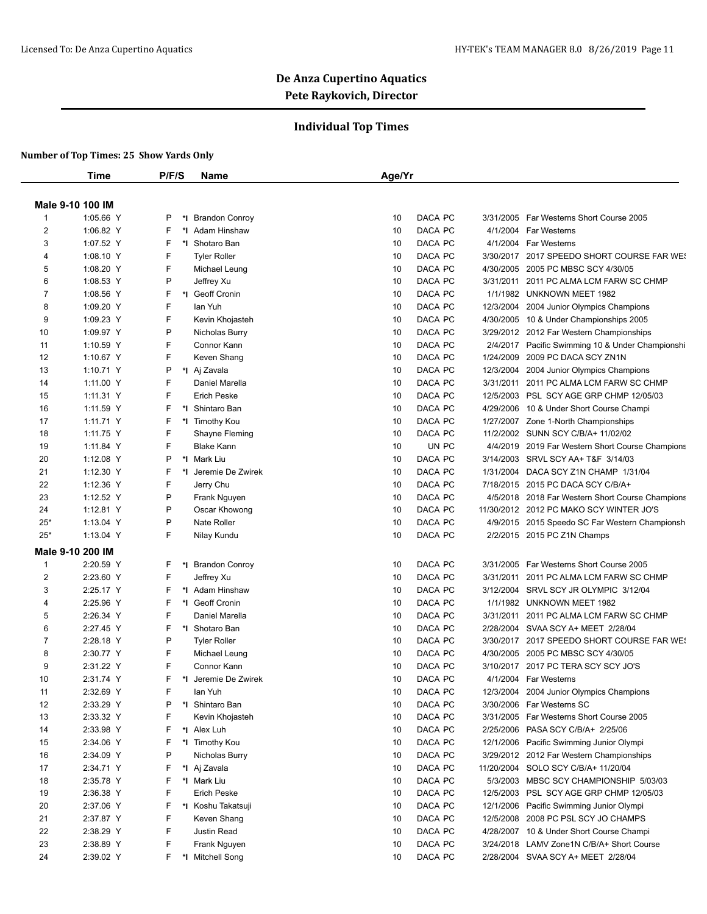## **Individual Top Times**

|                | <b>Time</b>      | P/F/S  | <b>Name</b>          | Age/Yr                   |                                                                                        |
|----------------|------------------|--------|----------------------|--------------------------|----------------------------------------------------------------------------------------|
|                | Male 9-10 100 IM |        |                      |                          |                                                                                        |
| $\overline{1}$ | 1:05.66 Y        | P      | *I Brandon Conroy    | DACA PC<br>10            | Far Westerns Short Course 2005<br>3/31/2005                                            |
| $\overline{2}$ | 1:06.82 Y        | F      | *I Adam Hinshaw      | DACA PC<br>10            | 4/1/2004 Far Westerns                                                                  |
| 3              | 1:07.52 Y        | F      | *1 Shotaro Ban       | DACA PC<br>10            | 4/1/2004 Far Westerns                                                                  |
| $\overline{4}$ | 1:08.10 Y        | F      | <b>Tyler Roller</b>  | DACA PC<br>10            | 3/30/2017 2017 SPEEDO SHORT COURSE FAR WES                                             |
| 5              | 1:08.20 Y        | F      | Michael Leung        | DACA PC<br>10            | 4/30/2005<br>2005 PC MBSC SCY 4/30/05                                                  |
| 6              | 1:08.53 Y        | P      | Jeffrey Xu           | DACA PC<br>10            | 3/31/2011<br>2011 PC ALMA LCM FARW SC CHMP                                             |
| $\overline{7}$ | 1:08.56 Y        | F      | *I Geoff Cronin      | DACA PC<br>10            | 1/1/1982 UNKNOWN MEET 1982                                                             |
| 8              | 1:09.20 Y        | F      | lan Yuh              | DACA PC<br>10            | 12/3/2004<br>2004 Junior Olympics Champions                                            |
| 9              | 1:09.23 Y        | F      | Kevin Khojasteh      | DACA PC<br>10            | 4/30/2005 10 & Under Championships 2005                                                |
| 10             | 1:09.97 Y        | P      | Nicholas Burry       | DACA PC<br>10            | 3/29/2012 2012 Far Western Championships                                               |
| 11             | 1:10.59 Y        | F      | Connor Kann          | DACA PC<br>10            |                                                                                        |
| 12             | 1:10.67 Y        | F      | Keven Shang          | DACA PC<br>10            | 2/4/2017 Pacific Swimming 10 & Under Championshi<br>1/24/2009<br>2009 PC DACA SCY ZN1N |
|                |                  |        |                      |                          |                                                                                        |
| 13             | 1:10.71 Y        | P<br>F | *I Aj Zavala         | 10<br>DACA PC            | 12/3/2004<br>2004 Junior Olympics Champions                                            |
| 14             | 1:11.00 Y        |        | Daniel Marella       | DACA PC<br>10<br>DACA PC | 3/31/2011<br>2011 PC ALMA LCM FARW SC CHMP                                             |
| 15             | 1:11.31 Y        | F      | <b>Erich Peske</b>   | 10                       | 12/5/2003 PSL SCY AGE GRP CHMP 12/05/03                                                |
| 16             | 1:11.59 Y        | F      | *I Shintaro Ban      | DACA PC<br>10            | 4/29/2006 10 & Under Short Course Champi                                               |
| 17             | 1:11.71 Y        | F      | *1 Timothy Kou       | DACA PC<br>10            | 1/27/2007 Zone 1-North Championships                                                   |
| 18             | 1:11.75 Y        | F      | Shayne Fleming       | DACA PC<br>10            | 11/2/2002 SUNN SCY C/B/A+ 11/02/02                                                     |
| 19             | 1:11.84 Y        | F      | <b>Blake Kann</b>    | UN PC<br>10              | 4/4/2019 2019 Far Western Short Course Champions                                       |
| 20             | 1:12.08 Y        | P      | *I Mark Liu          | DACA PC<br>10            | 3/14/2003 SRVL SCY AA+ T&F 3/14/03                                                     |
| 21             | 1:12.30 Y        | F      | *I Jeremie De Zwirek | DACA PC<br>10            | DACA SCY Z1N CHAMP 1/31/04<br>1/31/2004                                                |
| 22             | 1:12.36 Y        | F      | Jerry Chu            | DACA PC<br>10            | 7/18/2015 2015 PC DACA SCY C/B/A+                                                      |
| 23             | 1:12.52 Y        | P      | Frank Nguyen         | DACA PC<br>10            | 4/5/2018 2018 Far Western Short Course Champions                                       |
| 24             | 1:12.81 Y        | P      | Oscar Khowong        | DACA PC<br>10            | 11/30/2012 2012 PC MAKO SCY WINTER JO'S                                                |
| $25*$          | 1:13.04 Y        | P      | Nate Roller          | 10<br>DACA PC            | 4/9/2015 2015 Speedo SC Far Western Championsh                                         |
| $25*$          | 1:13.04 Y        | F      | Nilay Kundu          | DACA PC<br>10            | 2/2/2015 2015 PC Z1N Champs                                                            |
|                | Male 9-10 200 IM |        |                      |                          |                                                                                        |
| $\mathbf{1}$   | 2:20.59 Y        | F      | *I Brandon Conroy    | DACA PC<br>10            | 3/31/2005 Far Westerns Short Course 2005                                               |
| $\overline{2}$ | 2:23.60 Y        | F      | Jeffrey Xu           | DACA PC<br>10            | 2011 PC ALMA LCM FARW SC CHMP<br>3/31/2011                                             |
| 3              | 2:25.17 Y        | F      | *I Adam Hinshaw      | DACA PC<br>10            | 3/12/2004<br>SRVL SCY JR OLYMPIC 3/12/04                                               |
| 4              | 2:25.96 Y        | F      | *1 Geoff Cronin      | DACA PC<br>10            | 1/1/1982 UNKNOWN MEET 1982                                                             |
| 5              | 2:26.34 Y        | F      | Daniel Marella       | 10<br>DACA PC            | 3/31/2011 2011 PC ALMA LCM FARW SC CHMP                                                |
| 6              | 2:27.45 Y        | F      | *I Shotaro Ban       | DACA PC<br>10            | 2/28/2004<br>SVAA SCY A+ MEET 2/28/04                                                  |
| $\overline{7}$ | 2:28.18 Y        | P      | <b>Tyler Roller</b>  | DACA PC<br>10            | 3/30/2017 2017 SPEEDO SHORT COURSE FAR WES                                             |
| 8              | 2:30.77 Y        | F      | Michael Leung        | 10<br>DACA PC            | 4/30/2005 2005 PC MBSC SCY 4/30/05                                                     |
| 9              | 2:31.22 Y        | F      | Connor Kann          | DACA PC<br>10            | 3/10/2017 2017 PC TERA SCY SCY JO'S                                                    |
| 10             | 2:31.74 Y        | F      | *1 Jeremie De Zwirek | 10<br>DACA PC            | 4/1/2004 Far Westerns                                                                  |
| 11             | 2:32.69 Y        | F      | lan Yuh              | 10<br>DACA PC            | 12/3/2004 2004 Junior Olympics Champions                                               |
| 12             | 2:33.29 Y        | P      | *I Shintaro Ban      | DACA PC<br>10            | 3/30/2006 Far Westerns SC                                                              |
| 13             | 2:33.32 Y        | F      | Kevin Khojasteh      | DACA PC<br>10            | 3/31/2005 Far Westerns Short Course 2005                                               |
| 14             | 2:33.98 Y        | F      | *I Alex Luh          | DACA PC<br>10            | 2/25/2006 PASA SCY C/B/A+ 2/25/06                                                      |
| 15             | 2:34.06 Y        | F      | *I Timothy Kou       | DACA PC<br>10            | 12/1/2006 Pacific Swimming Junior Olympi                                               |
| 16             | 2:34.09 Y        | P      | Nicholas Burry       | DACA PC<br>10            | 3/29/2012 2012 Far Western Championships                                               |
| 17             | 2:34.71 Y        | F      | *I Aj Zavala         | DACA PC<br>10            | 11/20/2004 SOLO SCY C/B/A+ 11/20/04                                                    |
| 18             | 2:35.78 Y        | F      | *I Mark Liu          | DACA PC<br>10            | 5/3/2003 MBSC SCY CHAMPIONSHIP 5/03/03                                                 |
| 19             | 2:36.38 Y        | F      | <b>Erich Peske</b>   | 10<br>DACA PC            | 12/5/2003 PSL SCY AGE GRP CHMP 12/05/03                                                |
| 20             | 2:37.06 Y        | F      | *I Koshu Takatsuji   | DACA PC<br>10            | 12/1/2006 Pacific Swimming Junior Olympi                                               |
| 21             | 2:37.87 Y        | F      | Keven Shang          | DACA PC<br>10            | 12/5/2008 2008 PC PSL SCY JO CHAMPS                                                    |
| 22             | 2:38.29 Y        | F      | Justin Read          | DACA PC<br>10            | 4/28/2007 10 & Under Short Course Champi                                               |
| 23             | 2:38.89 Y        | F      | Frank Nguyen         | 10<br>DACA PC            | 3/24/2018 LAMV Zone1N C/B/A+ Short Course                                              |
| 24             | 2:39.02 Y        | F      | *I Mitchell Song     | DACA PC<br>10            | 2/28/2004 SVAA SCY A+ MEET 2/28/04                                                     |
|                |                  |        |                      |                          |                                                                                        |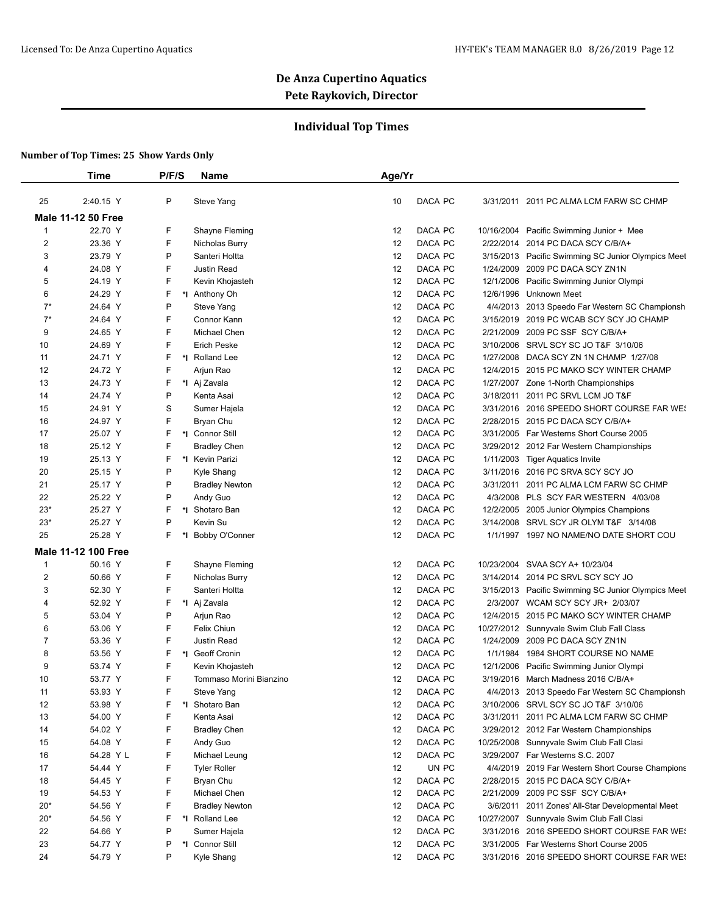## **Individual Top Times**

|                | Time                       | P/F/S    | Name                    | Age/Yr |         |           |                                                    |
|----------------|----------------------------|----------|-------------------------|--------|---------|-----------|----------------------------------------------------|
| 25             | 2:40.15 Y                  | P        | Steve Yang              | 10     | DACA PC |           | 3/31/2011 2011 PC ALMA LCM FARW SC CHMP            |
|                | <b>Male 11-12 50 Free</b>  |          |                         |        |         |           |                                                    |
| 1              | 22.70 Y                    | F        | Shayne Fleming          | 12     | DACA PC |           | 10/16/2004 Pacific Swimming Junior + Mee           |
| $\overline{c}$ | 23.36 Y                    | F        | Nicholas Burry          | 12     | DACA PC |           | 2/22/2014 2014 PC DACA SCY C/B/A+                  |
| 3              | 23.79 Y                    | P        | Santeri Holtta          | 12     | DACA PC |           | 3/15/2013 Pacific Swimming SC Junior Olympics Meet |
| 4              | 24.08 Y                    | F        | Justin Read             | 12     | DACA PC | 1/24/2009 | 2009 PC DACA SCY ZN1N                              |
| 5              | 24.19 Y                    | F        | Kevin Khojasteh         | 12     | DACA PC | 12/1/2006 | Pacific Swimming Junior Olympi                     |
| 6              | 24.29 Y                    | F        | *I Anthony Oh           | 12     | DACA PC | 12/6/1996 | Unknown Meet                                       |
| $7^*$          | 24.64 Y                    | P        | Steve Yang              | 12     | DACA PC |           | 4/4/2013 2013 Speedo Far Western SC Championsh     |
| $7^*$          | 24.64 Y                    | F        | Connor Kann             | 12     | DACA PC |           | 3/15/2019 2019 PC WCAB SCY SCY JO CHAMP            |
| 9              | 24.65 Y                    | F        | Michael Chen            | 12     | DACA PC | 2/21/2009 | 2009 PC SSF SCY C/B/A+                             |
| 10             | 24.69 Y                    | F.       | <b>Erich Peske</b>      | 12     | DACA PC | 3/10/2006 | SRVL SCY SC JO T&F 3/10/06                         |
| 11             | 24.71 Y                    | F<br>*l  | Rolland Lee             | 12     | DACA PC | 1/27/2008 | DACA SCY ZN 1N CHAMP 1/27/08                       |
| 12             | 24.72 Y                    | F        | Arjun Rao               | 12     | DACA PC |           | 12/4/2015 2015 PC MAKO SCY WINTER CHAMP            |
| 13             | 24.73 Y                    | F        | *I Aj Zavala            | 12     | DACA PC |           | 1/27/2007 Zone 1-North Championships               |
| 14             | 24.74 Y                    | P        | Kenta Asai              | 12     | DACA PC |           | 3/18/2011 2011 PC SRVL LCM JO T&F                  |
| 15             | 24.91 Y                    | S        | Sumer Hajela            | 12     | DACA PC |           | 3/31/2016 2016 SPEEDO SHORT COURSE FAR WE!         |
| 16             | 24.97 Y                    | F        | Bryan Chu               | 12     | DACA PC |           | 2/28/2015 2015 PC DACA SCY C/B/A+                  |
| 17             | 25.07 Y                    | F<br>*∣  | <b>Connor Still</b>     | 12     | DACA PC |           | 3/31/2005 Far Westerns Short Course 2005           |
| 18             | 25.12 Y                    | F        | <b>Bradley Chen</b>     | 12     | DACA PC |           | 3/29/2012 2012 Far Western Championships           |
| 19             | 25.13 Y                    | F.       | *1 Kevin Parizi         | 12     | DACA PC | 1/11/2003 | <b>Tiger Aquatics Invite</b>                       |
| 20             | 25.15 Y                    | P        | Kyle Shang              | 12     | DACA PC |           | 3/11/2016 2016 PC SRVA SCY SCY JO                  |
| 21             | 25.17 Y                    | P        | <b>Bradley Newton</b>   | 12     | DACA PC |           | 3/31/2011 2011 PC ALMA LCM FARW SC CHMP            |
| 22             | 25.22 Y                    | P        | Andy Guo                | 12     | DACA PC | 4/3/2008  | PLS SCY FAR WESTERN 4/03/08                        |
| $23*$          | 25.27 Y                    | F.<br>*l | Shotaro Ban             | 12     | DACA PC |           | 12/2/2005 2005 Junior Olympics Champions           |
| $23*$          | 25.27 Y                    | P        | Kevin Su                | 12     | DACA PC | 3/14/2008 | SRVL SCY JR OLYM T&F 3/14/08                       |
| 25             | 25.28 Y                    | F.<br>*l | Bobby O'Conner          | 12     | DACA PC |           | 1/1/1997 1997 NO NAME/NO DATE SHORT COU            |
|                |                            |          |                         |        |         |           |                                                    |
|                | <b>Male 11-12 100 Free</b> |          |                         |        |         |           |                                                    |
| 1              | 50.16 Y                    | F        | Shayne Fleming          | 12     | DACA PC |           | 10/23/2004 SVAA SCY A+ 10/23/04                    |
| 2              | 50.66 Y                    | F        | Nicholas Burry          | 12     | DACA PC |           | 3/14/2014 2014 PC SRVL SCY SCY JO                  |
| 3              | 52.30 Y                    | F        | Santeri Holtta          | 12     | DACA PC |           | 3/15/2013 Pacific Swimming SC Junior Olympics Meet |
| 4              | 52.92 Y                    | F        | *I Aj Zavala            | 12     | DACA PC |           | 2/3/2007 WCAM SCY SCY JR+ 2/03/07                  |
| 5              | 53.04 Y                    | P        | Arjun Rao               | 12     | DACA PC |           | 12/4/2015 2015 PC MAKO SCY WINTER CHAMP            |
| 6              | 53.06 Y                    | F        | Felix Chiun             | 12     | DACA PC |           | 10/27/2012 Sunnyvale Swim Club Fall Class          |
| 7              | 53.36 Y                    | F        | Justin Read             | 12     | DACA PC | 1/24/2009 | 2009 PC DACA SCY ZN1N                              |
| 8              | 53.56 Y                    | F        | *I Geoff Cronin         | 12     | DACA PC | 1/1/1984  | 1984 SHORT COURSE NO NAME                          |
| 9              | 53.74 Y                    | F        | Kevin Khojasteh         | 12     | DACA PC | 12/1/2006 | Pacific Swimming Junior Olympi                     |
| 10             | 53.77 Y                    | F        | Tommaso Morini Bianzino | 12     | DACA PC |           | 3/19/2016 March Madness 2016 C/B/A+                |
| 11             | 53.93 Y                    | F        | Steve Yang              | 12     | DACA PC |           | 4/4/2013 2013 Speedo Far Western SC Championsh     |
| 12             | 53.98 Y                    | F        | *I Shotaro Ban          | 12     | DACA PC |           | 3/10/2006 SRVL SCY SC JO T&F 3/10/06               |
| 13             | 54.00 Y                    | F        | Kenta Asai              | 12     | DACA PC |           | 3/31/2011 2011 PC ALMA LCM FARW SC CHMP            |
| 14             | 54.02 Y                    | F        | <b>Bradley Chen</b>     | 12     | DACA PC |           | 3/29/2012 2012 Far Western Championships           |
| 15             | 54.08 Y                    | F        | Andy Guo                | 12     | DACA PC |           | 10/25/2008 Sunnyvale Swim Club Fall Clasi          |
| 16             | 54.28 Y L                  | F        | Michael Leung           | 12     | DACA PC |           | 3/29/2007 Far Westerns S.C. 2007                   |
| 17             | 54.44 Y                    | F        | <b>Tyler Roller</b>     | 12     | UN PC   |           | 4/4/2019 2019 Far Western Short Course Champions   |
| 18             | 54.45 Y                    | F        | Bryan Chu               | 12     | DACA PC |           | 2/28/2015 2015 PC DACA SCY C/B/A+                  |
| 19             | 54.53 Y                    | F        | Michael Chen            | 12     | DACA PC |           | 2/21/2009 2009 PC SSF SCY C/B/A+                   |
| $20*$          | 54.56 Y                    | F        | <b>Bradley Newton</b>   | 12     | DACA PC |           | 3/6/2011 2011 Zones' All-Star Developmental Meet   |
| $20*$          | 54.56 Y                    | F.       | *I Rolland Lee          | 12     | DACA PC |           | 10/27/2007 Sunnyvale Swim Club Fall Clasi          |
| 22             | 54.66 Y                    | P        | Sumer Hajela            | 12     | DACA PC |           | 3/31/2016 2016 SPEEDO SHORT COURSE FAR WE!         |
| 23             | 54.77 Y                    | P        | *I Connor Still         | 12     | DACA PC |           | 3/31/2005 Far Westerns Short Course 2005           |
| 24             | 54.79 Y                    | P        | Kyle Shang              | 12     | DACA PC |           | 3/31/2016 2016 SPEEDO SHORT COURSE FAR WE!         |
|                |                            |          |                         |        |         |           |                                                    |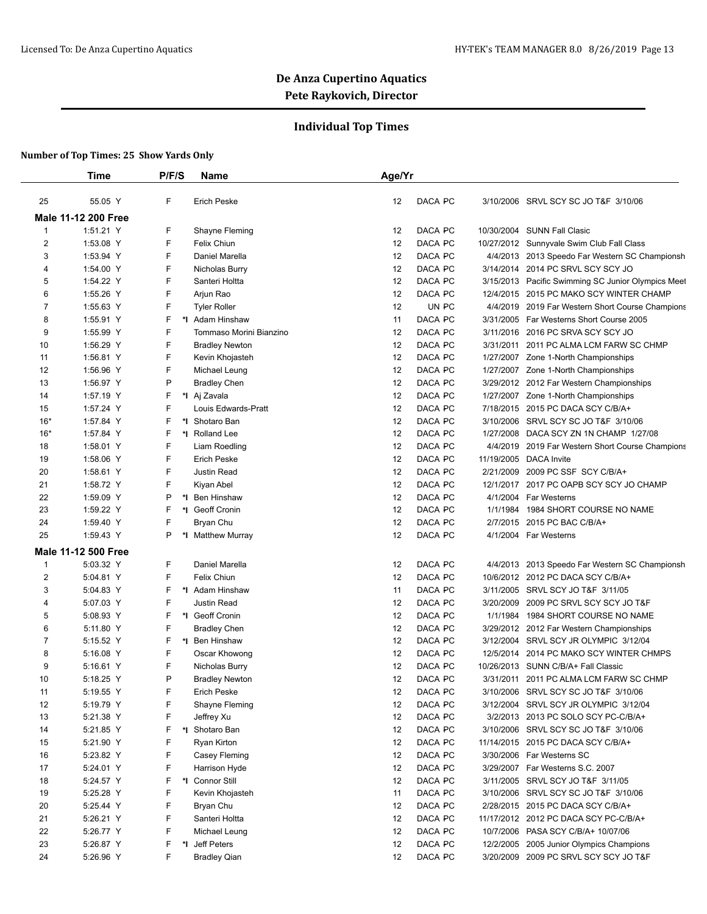## **Individual Top Times**

|                | Time                       | P/F/S   | <b>Name</b>             | Age/Yr |         |            |                                                    |
|----------------|----------------------------|---------|-------------------------|--------|---------|------------|----------------------------------------------------|
| 25             | 55.05 Y                    | F       | <b>Erich Peske</b>      | 12     | DACA PC |            | 3/10/2006 SRVL SCY SC JO T&F 3/10/06               |
|                | <b>Male 11-12 200 Free</b> |         |                         |        |         |            |                                                    |
| $\overline{1}$ | 1:51.21 Y                  | F       | Shayne Fleming          | 12     | DACA PC |            | 10/30/2004 SUNN Fall Clasic                        |
| $\overline{2}$ | 1:53.08 Y                  | F       | Felix Chiun             | 12     | DACA PC |            | 10/27/2012 Sunnyvale Swim Club Fall Class          |
| 3              | 1:53.94 Y                  | F       | Daniel Marella          | 12     | DACA PC |            | 4/4/2013 2013 Speedo Far Western SC Championsh     |
| 4              | 1:54.00 Y                  | F       | Nicholas Burry          | 12     | DACA PC |            | 3/14/2014 2014 PC SRVL SCY SCY JO                  |
| 5              | 1:54.22 Y                  | F       | Santeri Holtta          | 12     | DACA PC |            | 3/15/2013 Pacific Swimming SC Junior Olympics Meet |
| 6              | 1:55.26 Y                  | F       | Arjun Rao               | 12     | DACA PC | 12/4/2015  | 2015 PC MAKO SCY WINTER CHAMP                      |
| 7              | 1:55.63 Y                  | F       | <b>Tyler Roller</b>     | 12     | UN PC   |            | 4/4/2019 2019 Far Western Short Course Champions   |
| 8              | 1:55.91 Y                  | F       | *I Adam Hinshaw         | 11     | DACA PC |            | 3/31/2005 Far Westerns Short Course 2005           |
| 9              | 1:55.99 Y                  | F       | Tommaso Morini Bianzino | 12     | DACA PC |            | 3/11/2016 2016 PC SRVA SCY SCY JO                  |
| 10             | 1:56.29 Y                  | F       | <b>Bradley Newton</b>   | 12     | DACA PC | 3/31/2011  | 2011 PC ALMA LCM FARW SC CHMP                      |
| 11             | 1:56.81 Y                  | F       | Kevin Khojasteh         | 12     | DACA PC |            | 1/27/2007 Zone 1-North Championships               |
| 12             | 1:56.96 Y                  | F       | Michael Leung           | 12     | DACA PC |            | 1/27/2007 Zone 1-North Championships               |
| 13             | 1:56.97 Y                  | P       | <b>Bradley Chen</b>     | 12     | DACA PC |            | 3/29/2012 2012 Far Western Championships           |
| 14             | 1:57.19 Y                  | F       | *I Aj Zavala            | 12     | DACA PC |            | 1/27/2007 Zone 1-North Championships               |
| 15             | 1:57.24 Y                  | F       | Louis Edwards-Pratt     | 12     | DACA PC |            | 7/18/2015 2015 PC DACA SCY C/B/A+                  |
| $16*$          | 1:57.84 Y                  | F<br>*1 | Shotaro Ban             | 12     | DACA PC | 3/10/2006  | SRVL SCY SC JO T&F 3/10/06                         |
| $16*$          | 1:57.84 Y                  | F<br>*I | <b>Rolland Lee</b>      | 12     | DACA PC | 1/27/2008  | DACA SCY ZN 1N CHAMP 1/27/08                       |
| 18             | 1:58.01 Y                  | F       | Liam Roedling           | 12     | DACA PC | 4/4/2019   | 2019 Far Western Short Course Champions            |
| 19             | 1:58.06 Y                  | F       | <b>Erich Peske</b>      | 12     | DACA PC |            | 11/19/2005 DACA Invite                             |
| 20             | 1:58.61 Y                  | F       | Justin Read             | 12     | DACA PC | 2/21/2009  | 2009 PC SSF SCY C/B/A+                             |
| 21             | 1:58.72 Y                  | F       | Kiyan Abel              | 12     | DACA PC |            | 12/1/2017 2017 PC OAPB SCY SCY JO CHAMP            |
| 22             | 1:59.09 Y                  | P<br>*l | Ben Hinshaw             | 12     | DACA PC | 4/1/2004   | Far Westerns                                       |
| 23             | 1:59.22 Y                  | F<br>*l | Geoff Cronin            | 12     | DACA PC | 1/1/1984   | 1984 SHORT COURSE NO NAME                          |
| 24             | 1:59.40 Y                  | F       | Bryan Chu               | 12     | DACA PC | 2/7/2015   | 2015 PC BAC C/B/A+                                 |
| 25             | 1:59.43 Y                  | P<br>*1 | <b>Matthew Murray</b>   | 12     | DACA PC |            | 4/1/2004 Far Westerns                              |
|                | Male 11-12 500 Free        |         |                         |        |         |            |                                                    |
| $\mathbf{1}$   | 5:03.32 Y                  | F       | Daniel Marella          | 12     | DACA PC |            | 4/4/2013 2013 Speedo Far Western SC Championsh     |
| $\overline{2}$ | 5:04.81 Y                  | F       | Felix Chiun             | 12     | DACA PC |            | 10/6/2012 2012 PC DACA SCY C/B/A+                  |
| 3              | 5:04.83 Y                  | F       | *I Adam Hinshaw         | 11     | DACA PC | 3/11/2005  | SRVL SCY JO T&F 3/11/05                            |
| 4              | 5:07.03 Y                  | F       | <b>Justin Read</b>      | 12     | DACA PC | 3/20/2009  | 2009 PC SRVL SCY SCY JO T&F                        |
| 5              | 5:08.93 Y                  | F       | *I Geoff Cronin         | 12     | DACA PC | 1/1/1984   | 1984 SHORT COURSE NO NAME                          |
| 6              | 5:11.80 Y                  | F       | <b>Bradley Chen</b>     | 12     | DACA PC |            | 3/29/2012 2012 Far Western Championships           |
| $\overline{7}$ | 5:15.52 Y                  | F<br>*l | <b>Ben Hinshaw</b>      | 12     | DACA PC |            | 3/12/2004 SRVL SCY JR OLYMPIC 3/12/04              |
| 8              | 5:16.08 Y                  | F       | Oscar Khowong           | 12     | DACA PC | 12/5/2014  | 2014 PC MAKO SCY WINTER CHMPS                      |
| 9              | 5:16.61 Y                  | F       | Nicholas Burry          | 12     | DACA PC | 10/26/2013 | SUNN C/B/A+ Fall Classic                           |
| 10             | 5:18.25 Y                  | P       | <b>Bradley Newton</b>   | 12     | DACA PC |            | 3/31/2011 2011 PC ALMA LCM FARW SC CHMP            |
| 11             | 5:19.55 Y                  | F       | Erich Peske             | 12     | DACA PC |            | 3/10/2006 SRVL SCY SC JO T&F 3/10/06               |
| 12             | 5:19.79 Y                  | F       | Shayne Fleming          | 12     | DACA PC |            | 3/12/2004 SRVL SCY JR OLYMPIC 3/12/04              |
| 13             | 5:21.38 Y                  | F       | Jeffrey Xu              | 12     | DACA PC |            | 3/2/2013 2013 PC SOLO SCY PC-C/B/A+                |
| 14             | 5:21.85 Y                  | F       | *I Shotaro Ban          | 12     | DACA PC |            | 3/10/2006 SRVL SCY SC JO T&F 3/10/06               |
| 15             | 5:21.90 Y                  | F       | Ryan Kirton             | 12     | DACA PC |            | 11/14/2015 2015 PC DACA SCY C/B/A+                 |
| 16             | 5:23.82 Y                  | F       | Casey Fleming           | 12     | DACA PC |            | 3/30/2006 Far Westerns SC                          |
| 17             | 5:24.01 Y                  | F       | Harrison Hyde           | 12     | DACA PC |            | 3/29/2007 Far Westerns S.C. 2007                   |
| 18             | 5:24.57 Y                  | F       | *I Connor Still         | 12     | DACA PC |            | 3/11/2005 SRVL SCY JO T&F 3/11/05                  |
| 19             | 5:25.28 Y                  | F       | Kevin Khojasteh         | 11     | DACA PC |            | 3/10/2006 SRVL SCY SC JO T&F 3/10/06               |
| 20             | 5:25.44 Y                  | F       | Bryan Chu               | 12     | DACA PC |            | 2/28/2015 2015 PC DACA SCY C/B/A+                  |
|                |                            |         |                         |        |         |            |                                                    |
| 21             | 5:26.21 Y                  | F       | Santeri Holtta          | 12     | DACA PC |            | 11/17/2012 2012 PC DACA SCY PC-C/B/A+              |
| 22             | 5:26.77 Y                  | F       | Michael Leung           | 12     | DACA PC |            | 10/7/2006 PASA SCY C/B/A+ 10/07/06                 |
| 23             | 5:26.87 Y                  | F       | *I Jeff Peters          | 12     | DACA PC |            | 12/2/2005 2005 Junior Olympics Champions           |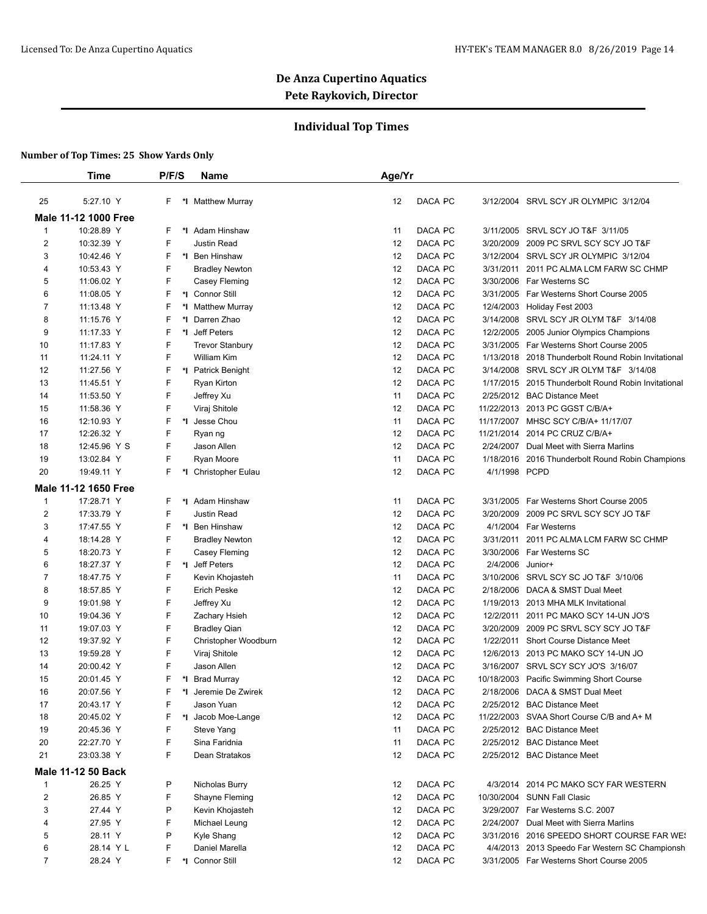## **Individual Top Times**

|                | <b>Time</b>          |        | P/F/S | <b>Name</b>                         | Age/Yr |         |               |                                                                       |
|----------------|----------------------|--------|-------|-------------------------------------|--------|---------|---------------|-----------------------------------------------------------------------|
| 25             | 5:27.10 Y            | F.     |       | *I Matthew Murray                   | 12     | DACA PC |               | 3/12/2004 SRVL SCY JR OLYMPIC 3/12/04                                 |
|                | Male 11-12 1000 Free |        |       |                                     |        |         |               |                                                                       |
| $\mathbf{1}$   | 10:28.89 Y           | F      |       | *I Adam Hinshaw                     | 11     | DACA PC |               | 3/11/2005 SRVL SCY JO T&F 3/11/05                                     |
| $\overline{2}$ | 10:32.39 Y           | F      |       | Justin Read                         | 12     | DACA PC |               | 3/20/2009 2009 PC SRVL SCY SCY JO T&F                                 |
| 3              | 10:42.46 Y           | F      |       | *I Ben Hinshaw                      | 12     | DACA PC |               | 3/12/2004 SRVL SCY JR OLYMPIC 3/12/04                                 |
| 4              | 10:53.43 Y           | F      |       | <b>Bradley Newton</b>               | 12     | DACA PC | 3/31/2011     | 2011 PC ALMA LCM FARW SC CHMP                                         |
| 5              | 11:06.02 Y           | F      |       | Casey Fleming                       | 12     | DACA PC |               | 3/30/2006 Far Westerns SC                                             |
| 6              | 11:08.05 Y           | F      |       | *I Connor Still                     | 12     | DACA PC |               | 3/31/2005 Far Westerns Short Course 2005                              |
| $\overline{7}$ | 11:13.48 Y           | F      |       |                                     | 12     | DACA PC |               |                                                                       |
| 8              | 11:15.76 Y           | F      |       | *I Matthew Murray<br>*1 Darren Zhao | 12     | DACA PC |               | 12/4/2003 Holiday Fest 2003<br>3/14/2008 SRVL SCY JR OLYM T&F 3/14/08 |
|                |                      | F      |       | *I Jeff Peters                      |        | DACA PC |               | 12/2/2005 2005 Junior Olympics Champions                              |
| 9              | 11:17.33 Y           |        |       |                                     | 12     | DACA PC |               |                                                                       |
| 10             | 11:17.83 Y           | F<br>F |       | <b>Trevor Stanbury</b>              | 12     | DACA PC |               | 3/31/2005 Far Westerns Short Course 2005                              |
| 11             | 11:24.11 Y           |        |       | William Kim                         | 12     |         |               | 1/13/2018 2018 Thunderbolt Round Robin Invitational                   |
| 12             | 11:27.56 Y           | F      |       | *I Patrick Benight                  | 12     | DACA PC |               | 3/14/2008 SRVL SCY JR OLYM T&F 3/14/08                                |
| 13             | 11:45.51 Y           | F      |       | <b>Ryan Kirton</b>                  | 12     | DACA PC |               | 1/17/2015 2015 Thunderbolt Round Robin Invitational                   |
| 14             | 11:53.50 Y           | F      |       | Jeffrey Xu                          | 11     | DACA PC |               | 2/25/2012 BAC Distance Meet                                           |
| 15             | 11:58.36 Y           | F      |       | Viraj Shitole                       | 12     | DACA PC |               | 11/22/2013 2013 PC GGST C/B/A+                                        |
| 16             | 12:10.93 Y           | F      |       | *1 Jesse Chou                       | 11     | DACA PC |               | 11/17/2007 MHSC SCY C/B/A+ 11/17/07                                   |
| 17             | 12:26.32 Y           | F      |       | Ryan ng                             | 12     | DACA PC |               | 11/21/2014 2014 PC CRUZ C/B/A+                                        |
| 18             | 12:45.96 Y S         | F      |       | Jason Allen                         | 12     | DACA PC |               | 2/24/2007 Dual Meet with Sierra Marlins                               |
| 19             | 13:02.84 Y           | F      |       | Ryan Moore                          | 11     | DACA PC |               | 1/18/2016 2016 Thunderbolt Round Robin Champions                      |
| 20             | 19:49.11 Y           | F.     |       | *I Christopher Eulau                | 12     | DACA PC | 4/1/1998 PCPD |                                                                       |
|                | Male 11-12 1650 Free |        |       |                                     |        |         |               |                                                                       |
| $\mathbf{1}$   | 17:28.71 Y           | F.     |       | *I Adam Hinshaw                     | 11     | DACA PC |               | 3/31/2005 Far Westerns Short Course 2005                              |
| $\overline{2}$ | 17:33.79 Y           | F      |       | Justin Read                         | 12     | DACA PC | 3/20/2009     | 2009 PC SRVL SCY SCY JO T&F                                           |
| 3              | 17:47.55 Y           | F      |       | *I Ben Hinshaw                      | 12     | DACA PC |               | 4/1/2004 Far Westerns                                                 |
| 4              | 18:14.28 Y           | F      |       | <b>Bradley Newton</b>               | 12     | DACA PC |               | 3/31/2011 2011 PC ALMA LCM FARW SC CHMP                               |
| 5              | 18:20.73 Y           | F      |       | Casey Fleming                       | 12     | DACA PC |               | 3/30/2006 Far Westerns SC                                             |
| 6              | 18:27.37 Y           | F      |       | *I Jeff Peters                      | 12     | DACA PC | 2/4/2006      | Junior+                                                               |
| $\overline{7}$ | 18:47.75 Y           | F      |       | Kevin Khojasteh                     | 11     | DACA PC |               | 3/10/2006 SRVL SCY SC JO T&F 3/10/06                                  |
| 8              | 18:57.85 Y           | F      |       | <b>Erich Peske</b>                  | 12     | DACA PC | 2/18/2006     | DACA & SMST Dual Meet                                                 |
| 9              | 19:01.98 Y           | F      |       | Jeffrey Xu                          | 12     | DACA PC |               | 1/19/2013 2013 MHA MLK Invitational                                   |
| 10             | 19:04.36 Y           | F      |       | Zachary Hsieh                       | 12     | DACA PC | 12/2/2011     | 2011 PC MAKO SCY 14-UN JO'S                                           |
| 11             | 19:07.03 Y           | F      |       | <b>Bradley Qian</b>                 | 12     | DACA PC | 3/20/2009     | 2009 PC SRVL SCY SCY JO T&F                                           |
| 12             | 19:37.92 Y           | F      |       | Christopher Woodburn                | 12     | DACA PC |               | 1/22/2011 Short Course Distance Meet                                  |
| 13             | 19:59.28 Y           | F      |       | Viraj Shitole                       | 12     | DACA PC |               | 12/6/2013 2013 PC MAKO SCY 14-UN JO                                   |
| 14             | 20:00.42 Y           | F      |       | Jason Allen                         | 12     | DACA PC |               | 3/16/2007 SRVL SCY SCY JO'S 3/16/07                                   |
| 15             | 20:01.45 Y           | F      |       | *I Brad Murray                      | 12     | DACA PC |               | 10/18/2003 Pacific Swimming Short Course                              |
| 16             | 20:07.56 Y           | F      |       | *I Jeremie De Zwirek                | 12     | DACA PC |               | 2/18/2006 DACA & SMST Dual Meet                                       |
| 17             | 20:43.17 Y           | F      |       | Jason Yuan                          | 12     | DACA PC |               | 2/25/2012 BAC Distance Meet                                           |
| 18             | 20:45.02 Y           | F      |       | *I Jacob Moe-Lange                  | 12     | DACA PC |               | 11/22/2003 SVAA Short Course C/B and A+ M                             |
| 19             | 20:45.36 Y           | F      |       | Steve Yang                          | 11     | DACA PC |               | 2/25/2012 BAC Distance Meet                                           |
| 20             | 22:27.70 Y           | F      |       | Sina Faridnia                       | 11     | DACA PC |               | 2/25/2012 BAC Distance Meet                                           |
|                |                      | F      |       |                                     |        |         |               |                                                                       |
| 21             | 23:03.38 Y           |        |       | Dean Stratakos                      | 12     | DACA PC |               | 2/25/2012 BAC Distance Meet                                           |
|                | Male 11-12 50 Back   |        |       |                                     |        |         |               |                                                                       |
| $\mathbf{1}$   | 26.25 Y              | Ρ      |       | Nicholas Burry                      | 12     | DACA PC |               | 4/3/2014 2014 PC MAKO SCY FAR WESTERN                                 |
| $\overline{c}$ | 26.85 Y              | F      |       | Shayne Fleming                      | 12     | DACA PC |               | 10/30/2004 SUNN Fall Clasic                                           |
| 3              | 27.44 Y              | Ρ      |       | Kevin Khojasteh                     | 12     | DACA PC |               | 3/29/2007 Far Westerns S.C. 2007                                      |
| 4              | 27.95 Y              | F      |       | Michael Leung                       | 12     | DACA PC |               | 2/24/2007 Dual Meet with Sierra Marlins                               |
| 5              | 28.11 Y              | Ρ      |       | Kyle Shang                          | 12     | DACA PC |               | 3/31/2016 2016 SPEEDO SHORT COURSE FAR WE!                            |
| 6              | 28.14 Y L            | F      |       | Daniel Marella                      | 12     | DACA PC |               | 4/4/2013 2013 Speedo Far Western SC Championsh                        |
| $\overline{7}$ | 28.24 Y              | F.     |       | *1 Connor Still                     | 12     | DACA PC |               | 3/31/2005 Far Westerns Short Course 2005                              |
|                |                      |        |       |                                     |        |         |               |                                                                       |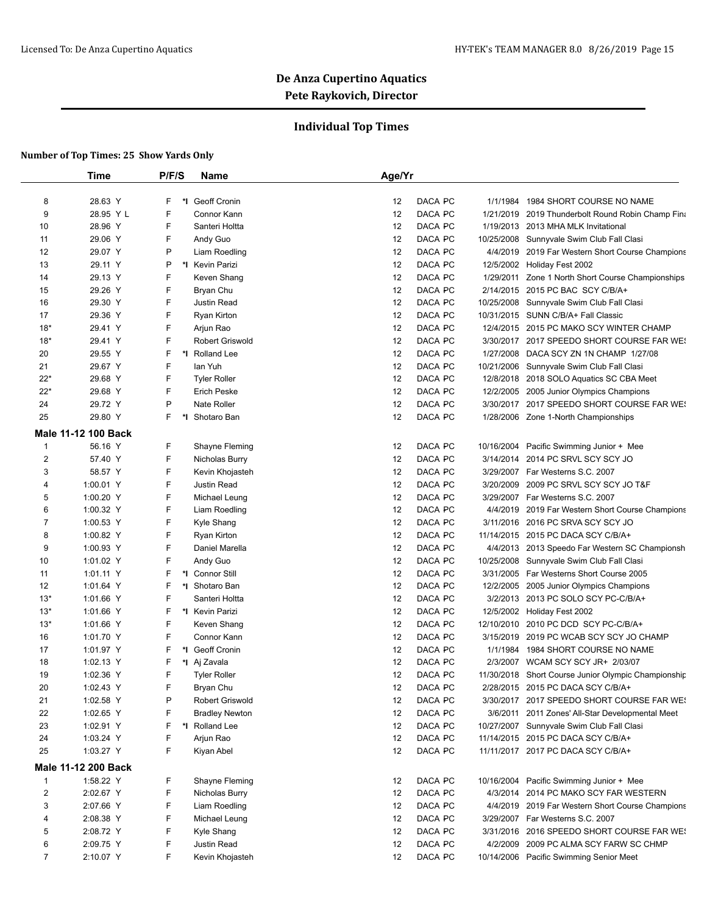## **Individual Top Times**

|                | <b>Time</b>         | P/F/S   | Name                       | Age/Yr |         |                                                                                 |
|----------------|---------------------|---------|----------------------------|--------|---------|---------------------------------------------------------------------------------|
|                |                     |         |                            |        |         |                                                                                 |
| 8              | 28.63 Y             | F       | *1 Geoff Cronin            | 12     | DACA PC | 1/1/1984 1984 SHORT COURSE NO NAME                                              |
| 9              | 28.95 Y L           | F       | Connor Kann                | 12     | DACA PC | 1/21/2019 2019 Thunderbolt Round Robin Champ Fina                               |
| 10             | 28.96 Y             | F       | Santeri Holtta             | 12     | DACA PC | 1/19/2013 2013 MHA MLK Invitational                                             |
| 11             | 29.06 Y             | F       | Andy Guo                   | 12     | DACA PC | 10/25/2008 Sunnyvale Swim Club Fall Clasi                                       |
| 12             | 29.07 Y             | P       | Liam Roedling              | 12     | DACA PC | 4/4/2019 2019 Far Western Short Course Champions                                |
| 13             | 29.11 Y             | Ρ       | *I Kevin Parizi            | 12     | DACA PC | 12/5/2002 Holiday Fest 2002                                                     |
| 14             | 29.13 Y             | F       | Keven Shang                | 12     | DACA PC | 1/29/2011 Zone 1 North Short Course Championships                               |
| 15             | 29.26 Y             | F       | Bryan Chu                  | 12     | DACA PC | 2/14/2015 2015 PC BAC SCY C/B/A+                                                |
| 16             | 29.30 Y             | F       | Justin Read                | 12     | DACA PC | 10/25/2008 Sunnyvale Swim Club Fall Clasi                                       |
| 17             | 29.36 Y             | F       | Ryan Kirton                | 12     | DACA PC | 10/31/2015 SUNN C/B/A+ Fall Classic                                             |
| $18*$          | 29.41 Y             | F       | Arjun Rao                  | 12     | DACA PC | 12/4/2015 2015 PC MAKO SCY WINTER CHAMP                                         |
| $18*$          | 29.41 Y             | F       | <b>Robert Griswold</b>     | 12     | DACA PC | 3/30/2017 2017 SPEEDO SHORT COURSE FAR WE!                                      |
| 20             | 29.55 Y             | F       | *I Rolland Lee             | 12     | DACA PC | 1/27/2008 DACA SCY ZN 1N CHAMP 1/27/08                                          |
| 21             | 29.67 Y             | F       | lan Yuh                    | 12     | DACA PC | 10/21/2006 Sunnyvale Swim Club Fall Clasi                                       |
| 22*            | 29.68 Y             | F       | <b>Tyler Roller</b>        | 12     | DACA PC | 12/8/2018 2018 SOLO Aquatics SC CBA Meet                                        |
| $22*$          | 29.68 Y             | F       | <b>Erich Peske</b>         | 12     | DACA PC | 12/2/2005 2005 Junior Olympics Champions                                        |
| 24             | 29.72 Y             | P       | Nate Roller                | 12     | DACA PC | 3/30/2017 2017 SPEEDO SHORT COURSE FAR WE!                                      |
| 25             | 29.80 Y             | F<br>*l | Shotaro Ban                | 12     | DACA PC | 1/28/2006 Zone 1-North Championships                                            |
|                | Male 11-12 100 Back |         |                            |        |         |                                                                                 |
| $\mathbf{1}$   | 56.16 Y             | F       | Shayne Fleming             | 12     | DACA PC | 10/16/2004 Pacific Swimming Junior + Mee                                        |
| $\overline{c}$ | 57.40 Y             | F       | Nicholas Burry             | 12     | DACA PC | 3/14/2014 2014 PC SRVL SCY SCY JO                                               |
| 3              | 58.57 Y             | F       | Kevin Khojasteh            | 12     | DACA PC | 3/29/2007 Far Westerns S.C. 2007                                                |
| 4              | 1:00.01 Y           | F       | Justin Read                | 12     | DACA PC | 3/20/2009 2009 PC SRVL SCY SCY JO T&F                                           |
| 5              | 1:00.20 Y           | F       | Michael Leung              | 12     | DACA PC | 3/29/2007 Far Westerns S.C. 2007                                                |
| 6              | 1:00.32 Y           | F       | Liam Roedling              | 12     | DACA PC | 4/4/2019 2019 Far Western Short Course Champions                                |
| $\overline{7}$ | 1:00.53 Y           | F       | Kyle Shang                 | 12     | DACA PC | 3/11/2016 2016 PC SRVA SCY SCY JO                                               |
| 8              | 1:00.82 Y           | F       | Ryan Kirton                | 12     | DACA PC | 11/14/2015 2015 PC DACA SCY C/B/A+                                              |
| 9              | 1:00.93 Y           | F       | Daniel Marella             | 12     | DACA PC | 4/4/2013 2013 Speedo Far Western SC Championsh                                  |
| 10             | 1:01.02 Y           | F       | Andy Guo                   | 12     | DACA PC | 10/25/2008 Sunnyvale Swim Club Fall Clasi                                       |
| 11             | 1:01.11 Y           | F       | *1 Connor Still            | 12     | DACA PC | 3/31/2005 Far Westerns Short Course 2005                                        |
| 12             | 1:01.64 Y           | F       | *1 Shotaro Ban             | 12     | DACA PC | 12/2/2005 2005 Junior Olympics Champions                                        |
| $13*$          | 1:01.66 Y           | F       | Santeri Holtta             | 12     | DACA PC | 3/2/2013 2013 PC SOLO SCY PC-C/B/A+                                             |
| $13*$          | 1:01.66 Y           | F       | *1 Kevin Parizi            | 12     | DACA PC | 12/5/2002 Holiday Fest 2002                                                     |
|                | 1:01.66 Y           | F       |                            |        | DACA PC |                                                                                 |
| $13*$          | 1:01.70 Y           | F       | Keven Shang<br>Connor Kann | 12     | DACA PC | 12/10/2010 2010 PC DCD SCY PC-C/B/A+<br>3/15/2019 2019 PC WCAB SCY SCY JO CHAMP |
| 16             |                     |         |                            | 12     |         |                                                                                 |
| 17             | 1:01.97 Y           | F       | *I Geoff Cronin            | 12     | DACA PC | 1/1/1984 1984 SHORT COURSE NO NAME                                              |
| 18             | 1:02.13 Y           | F       | *I Aj Zavala               | 12     | DACA PC | 2/3/2007 WCAM SCY SCY JR+ 2/03/07                                               |
| 19             | 1:02.36 Y           | F<br>F. | <b>Tyler Roller</b>        | 12     | DACA PC | 11/30/2018 Short Course Junior Olympic Championship                             |
| 20             | 1:02.43 Y           |         | Bryan Chu                  | 12     | DACA PC | 2/28/2015 2015 PC DACA SCY C/B/A+                                               |
| 21             | 1:02.58 Y           | Ρ       | Robert Griswold            | 12     | DACA PC | 3/30/2017 2017 SPEEDO SHORT COURSE FAR WE!                                      |
| 22             | 1:02.65 Y           | F       | <b>Bradley Newton</b>      | 12     | DACA PC | 3/6/2011 2011 Zones' All-Star Developmental Meet                                |
| 23             | 1:02.91 Y           | F       | *I Rolland Lee             | 12     | DACA PC | 10/27/2007 Sunnyvale Swim Club Fall Clasi                                       |
| 24             | 1:03.24 Y           | F       | Arjun Rao                  | 12     | DACA PC | 11/14/2015 2015 PC DACA SCY C/B/A+                                              |
| 25             | 1:03.27 Y           | F       | Kiyan Abel                 | 12     | DACA PC | 11/11/2017 2017 PC DACA SCY C/B/A+                                              |
|                | Male 11-12 200 Back |         |                            |        |         |                                                                                 |
| $\mathbf{1}$   | 1:58.22 Y           | F       | Shayne Fleming             | 12     | DACA PC | 10/16/2004 Pacific Swimming Junior + Mee                                        |
| 2              | 2:02.67 Y           | F       | Nicholas Burry             | 12     | DACA PC | 4/3/2014 2014 PC MAKO SCY FAR WESTERN                                           |
| 3              | 2:07.66 Y           | F       | Liam Roedling              | 12     | DACA PC | 4/4/2019 2019 Far Western Short Course Champions                                |
| 4              | 2:08.38 Y           | F       | Michael Leung              | 12     | DACA PC | 3/29/2007 Far Westerns S.C. 2007                                                |
| 5              | 2:08.72 Y           | F       | Kyle Shang                 | 12     | DACA PC | 3/31/2016 2016 SPEEDO SHORT COURSE FAR WES                                      |
| 6              | 2:09.75 Y           | F       | Justin Read                | 12     | DACA PC | 4/2/2009 2009 PC ALMA SCY FARW SC CHMP                                          |
| $\overline{7}$ | 2:10.07 Y           | F.      | Kevin Khojasteh            | 12     | DACA PC | 10/14/2006 Pacific Swimming Senior Meet                                         |
|                |                     |         |                            |        |         |                                                                                 |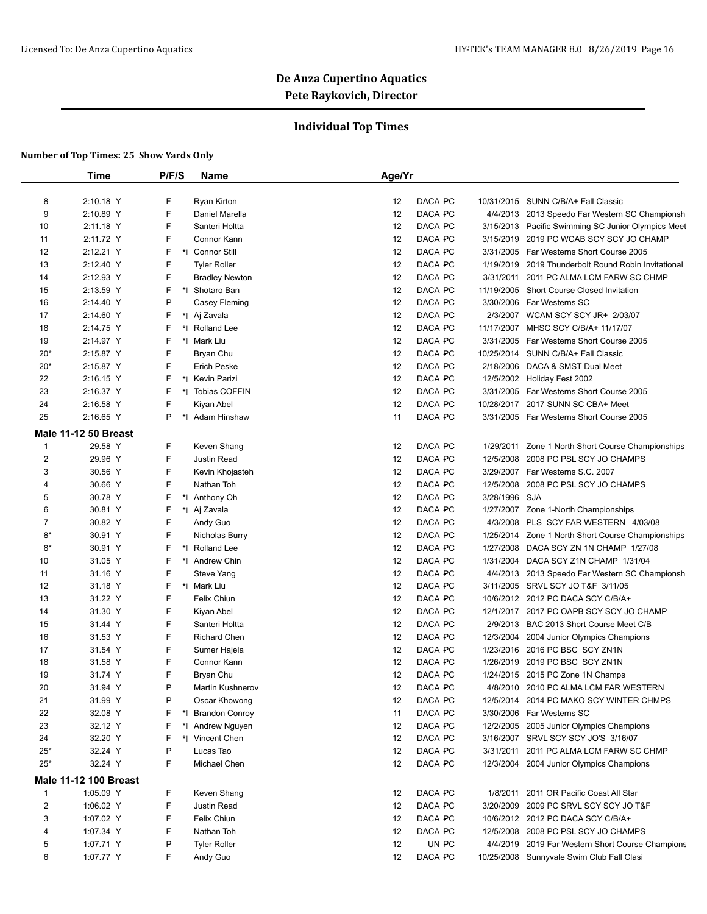## **Individual Top Times**

|                | Time                         | P/F/S  | <b>Name</b>               | Age/Yr   |                |               |                                                                              |
|----------------|------------------------------|--------|---------------------------|----------|----------------|---------------|------------------------------------------------------------------------------|
|                |                              |        |                           |          |                |               |                                                                              |
| 8              | 2:10.18 Y                    | F      | Ryan Kirton               | 12       | DACA PC        |               | 10/31/2015 SUNN C/B/A+ Fall Classic                                          |
| 9              | 2:10.89 Y                    | F      | Daniel Marella            | 12       | DACA PC        |               | 4/4/2013 2013 Speedo Far Western SC Championsh                               |
| 10             | 2:11.18 Y                    | F      | Santeri Holtta            | 12       | DACA PC        |               | 3/15/2013 Pacific Swimming SC Junior Olympics Meet                           |
| 11             | 2:11.72 Y                    | F      | Connor Kann               | 12       | DACA PC        |               | 3/15/2019 2019 PC WCAB SCY SCY JO CHAMP                                      |
| 12             | 2:12.21 Y                    | F      | *1 Connor Still           | 12       | DACA PC        |               | 3/31/2005 Far Westerns Short Course 2005                                     |
| 13             | 2:12.40 Y                    | F      | <b>Tyler Roller</b>       | 12       | DACA PC        | 1/19/2019     | 2019 Thunderbolt Round Robin Invitational                                    |
| 14             | 2:12.93 Y                    | F      | <b>Bradley Newton</b>     | 12       | DACA PC        |               | 3/31/2011 2011 PC ALMA LCM FARW SC CHMP                                      |
| 15             | 2:13.59 Y                    | F      | *I Shotaro Ban            | 12       | DACA PC        |               | 11/19/2005 Short Course Closed Invitation                                    |
| 16             | 2:14.40 Y                    | P      | Casey Fleming             | 12       | DACA PC        |               | 3/30/2006 Far Westerns SC                                                    |
| 17             | 2:14.60 Y                    | F      | *I Aj Zavala              | 12       | DACA PC        |               | 2/3/2007 WCAM SCY SCY JR+ 2/03/07                                            |
| 18             | 2:14.75 Y                    | F      | *1 Rolland Lee            | 12       | DACA PC        |               | 11/17/2007 MHSC SCY C/B/A+ 11/17/07                                          |
| 19             | 2:14.97 Y                    | F      | *I Mark Liu               | 12       | DACA PC        |               | 3/31/2005 Far Westerns Short Course 2005                                     |
| $20*$          | 2:15.87 Y                    | F      | Bryan Chu                 | 12       | DACA PC        |               | 10/25/2014 SUNN C/B/A+ Fall Classic                                          |
| $20*$          | 2:15.87 Y                    | F      | <b>Erich Peske</b>        | 12       | DACA PC        | 2/18/2006     | DACA & SMST Dual Meet                                                        |
| 22             | 2:16.15 Y                    | F      | *I Kevin Parizi           | 12       | DACA PC        |               | 12/5/2002 Holiday Fest 2002                                                  |
| 23             | 2:16.37 Y                    | F      | *I Tobias COFFIN          | 12       | DACA PC        |               | 3/31/2005 Far Westerns Short Course 2005                                     |
| 24             | 2:16.58 Y                    | F      | Kiyan Abel                | 12       | DACA PC        |               | 10/28/2017 2017 SUNN SC CBA+ Meet                                            |
| 25             | 2:16.65 Y                    | P      | *I Adam Hinshaw           | 11       | DACA PC        |               | 3/31/2005 Far Westerns Short Course 2005                                     |
|                | <b>Male 11-12 50 Breast</b>  |        |                           |          |                |               |                                                                              |
| $\mathbf{1}$   | 29.58 Y                      | F      | Keven Shang               | 12       | DACA PC        |               | 1/29/2011 Zone 1 North Short Course Championships                            |
| $\overline{2}$ | 29.96 Y                      | F      | <b>Justin Read</b>        | 12       | DACA PC        | 12/5/2008     | 2008 PC PSL SCY JO CHAMPS                                                    |
| 3              | 30.56 Y                      | F      | Kevin Khojasteh           | 12       | DACA PC        |               | 3/29/2007 Far Westerns S.C. 2007                                             |
| $\overline{4}$ | 30.66 Y                      | F      | Nathan Toh                | 12       | DACA PC        | 12/5/2008     | 2008 PC PSL SCY JO CHAMPS                                                    |
| 5              | 30.78 Y                      | F      | *I Anthony Oh             | 12       | DACA PC        | 3/28/1996 SJA |                                                                              |
| 6              | 30.81 Y                      | F      | *I Aj Zavala              | 12       | DACA PC        |               | 1/27/2007 Zone 1-North Championships                                         |
| 7              | 30.82 Y                      | F      | Andy Guo                  | 12       | DACA PC        | 4/3/2008      | PLS SCY FAR WESTERN 4/03/08                                                  |
| $8*$           | 30.91 Y                      | F      | Nicholas Burry            | 12       | DACA PC        |               | 1/25/2014 Zone 1 North Short Course Championships                            |
| $8*$           | 30.91 Y                      | F      | *I Rolland Lee            | 12       | DACA PC        | 1/27/2008     | DACA SCY ZN 1N CHAMP 1/27/08                                                 |
|                | 31.05 Y                      | F      | *I Andrew Chin            | 12       | DACA PC        |               |                                                                              |
| 10<br>11       | 31.16 Y                      | F      | Steve Yang                | 12       | DACA PC        | 4/4/2013      | 1/31/2004 DACA SCY Z1N CHAMP 1/31/04                                         |
| 12             | 31.18 Y                      | F      | *I Mark Liu               | 12       | DACA PC        |               | 2013 Speedo Far Western SC Championsh<br>3/11/2005 SRVL SCY JO T&F 3/11/05   |
|                |                              | F      |                           |          | DACA PC        |               |                                                                              |
| 13<br>14       | 31.22 Y<br>31.30 Y           | F      | Felix Chiun<br>Kiyan Abel | 12<br>12 | DACA PC        |               | 10/6/2012 2012 PC DACA SCY C/B/A+<br>12/1/2017 2017 PC OAPB SCY SCY JO CHAMP |
| 15             |                              | F      | Santeri Holtta            | 12       | <b>DACA PC</b> |               | 2/9/2013 BAC 2013 Short Course Meet C/B                                      |
|                | 31.44 Y                      | F      |                           |          | DACA PC        |               | 12/3/2004 2004 Junior Olympics Champions                                     |
| 16             | 31.53 Y                      | F      | <b>Richard Chen</b>       | 12       |                |               |                                                                              |
| 17             | 31.54 Y                      | F      | Sumer Hajela              | 12       | DACA PC        |               | 1/23/2016 2016 PC BSC SCY ZN1N                                               |
| 18             | 31.58 Y                      |        | Connor Kann               | 12       | DACA PC        |               | 1/26/2019 2019 PC BSC SCY ZN1N                                               |
| 19             | 31.74 Y                      | F<br>P | Bryan Chu                 | 12       | DACA PC        |               | 1/24/2015 2015 PC Zone 1N Champs                                             |
| 20             | 31.94 Y                      |        | Martin Kushnerov          | 12       | DACA PC        |               | 4/8/2010 2010 PC ALMA LCM FAR WESTERN                                        |
| 21             | 31.99 Y                      | P      | Oscar Khowong             | 12       | DACA PC        |               | 12/5/2014 2014 PC MAKO SCY WINTER CHMPS                                      |
| 22             | 32.08 Y                      | F      | *I Brandon Conroy         | 11       | DACA PC        |               | 3/30/2006 Far Westerns SC                                                    |
| 23             | 32.12 Y                      | F      | *I Andrew Nguyen          | 12       | DACA PC        |               | 12/2/2005 2005 Junior Olympics Champions                                     |
| 24             | 32.20 Y                      | F      | *I Vincent Chen           | 12       | DACA PC        |               | 3/16/2007 SRVL SCY SCY JO'S 3/16/07                                          |
| $25*$          | 32.24 Y                      | P      | Lucas Tao                 | 12       | DACA PC        |               | 3/31/2011 2011 PC ALMA LCM FARW SC CHMP                                      |
| $25*$          | 32.24 Y                      | F      | Michael Chen              | 12       | DACA PC        |               | 12/3/2004 2004 Junior Olympics Champions                                     |
|                | <b>Male 11-12 100 Breast</b> |        |                           |          |                |               |                                                                              |
| $\mathbf{1}$   | 1:05.09 Y                    | F      | Keven Shang               | 12       | DACA PC        |               | 1/8/2011 2011 OR Pacific Coast All Star                                      |
| $\overline{2}$ | 1:06.02 Y                    | F      | Justin Read               | 12       | DACA PC        |               | 3/20/2009 2009 PC SRVL SCY SCY JO T&F                                        |
| 3              | 1:07.02 Y                    | F      | Felix Chiun               | 12       | DACA PC        |               | 10/6/2012 2012 PC DACA SCY C/B/A+                                            |
| 4              | 1:07.34 Y                    | F      | Nathan Toh                | 12       | DACA PC        |               | 12/5/2008 2008 PC PSL SCY JO CHAMPS                                          |
| 5              | 1:07.71 Y                    | P      | <b>Tyler Roller</b>       | 12       | UN PC          |               | 4/4/2019 2019 Far Western Short Course Champions                             |
| 6              | 1:07.77 Y                    | F      | Andy Guo                  | 12       | DACA PC        |               | 10/25/2008 Sunnyvale Swim Club Fall Clasi                                    |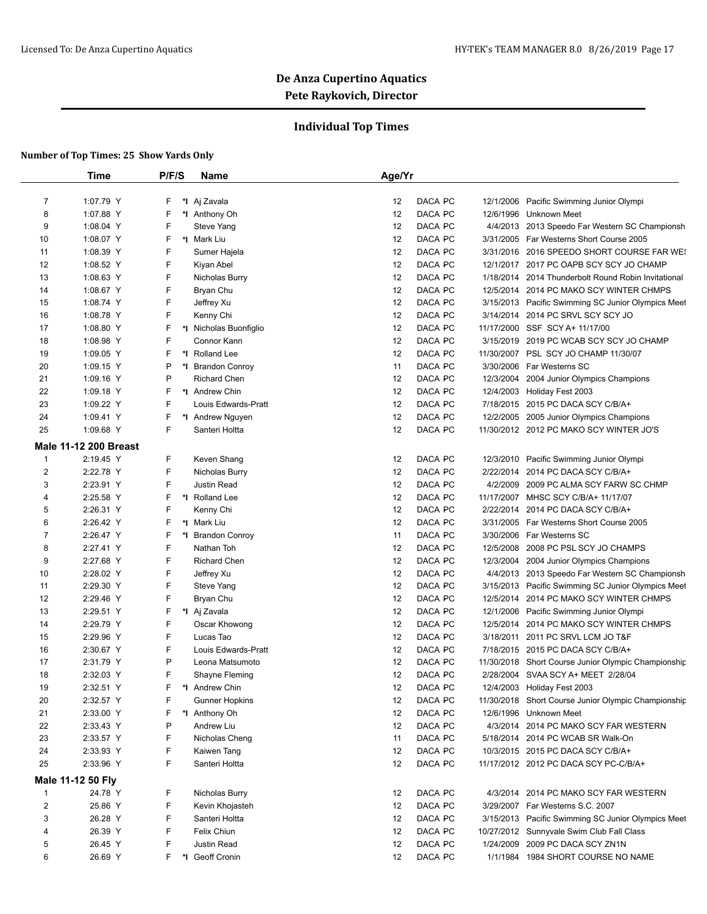## **Individual Top Times**

|                | <b>Time</b>                  | P/F/S   | Name                   | Age/Yr        |                                                     |
|----------------|------------------------------|---------|------------------------|---------------|-----------------------------------------------------|
| $\overline{7}$ | 1:07.79 Y                    | F.      | *I Aj Zavala           | DACA PC<br>12 | 12/1/2006 Pacific Swimming Junior Olympi            |
| 8              | 1:07.88 Y                    | F       | *I Anthony Oh          | 12<br>DACA PC | 12/6/1996 Unknown Meet                              |
| 9              | 1:08.04 Y                    | F       | Steve Yang             | DACA PC<br>12 | 4/4/2013 2013 Speedo Far Western SC Championsh      |
| 10             | 1:08.07 Y                    | F.      | *I Mark Liu            | 12<br>DACA PC | 3/31/2005 Far Westerns Short Course 2005            |
| 11             | 1:08.39 Y                    | F       | Sumer Hajela           | 12<br>DACA PC | 3/31/2016 2016 SPEEDO SHORT COURSE FAR WE!          |
|                |                              | F       |                        | 12<br>DACA PC |                                                     |
| 12             | 1:08.52 Y                    |         | Kiyan Abel             |               | 12/1/2017 2017 PC OAPB SCY SCY JO CHAMP             |
| 13             | 1:08.63 Y                    | F       | Nicholas Burry         | 12<br>DACA PC | 1/18/2014 2014 Thunderbolt Round Robin Invitational |
| 14             | 1:08.67 Y                    | F       | Bryan Chu              | DACA PC<br>12 | 12/5/2014 2014 PC MAKO SCY WINTER CHMPS             |
| 15             | 1:08.74 Y                    | F       | Jeffrey Xu             | 12<br>DACA PC | 3/15/2013 Pacific Swimming SC Junior Olympics Meet  |
| 16             | 1:08.78 Y                    | F       | Kenny Chi              | DACA PC<br>12 | 3/14/2014 2014 PC SRVL SCY SCY JO                   |
| 17             | 1:08.80 Y                    | F.      | *I Nicholas Buonfiglio | 12<br>DACA PC | 11/17/2000 SSF SCY A+ 11/17/00                      |
| 18             | 1:08.98 Y                    | F       | Connor Kann            | 12<br>DACA PC | 3/15/2019 2019 PC WCAB SCY SCY JO CHAMP             |
| 19             | 1:09.05 Y                    | F.      | *I Rolland Lee         | 12<br>DACA PC | 11/30/2007 PSL SCY JO CHAMP 11/30/07                |
| 20             | 1:09.15 Y                    | P       | *I Brandon Conroy      | DACA PC<br>11 | 3/30/2006 Far Westerns SC                           |
| 21             | 1:09.16 Y                    | P       | <b>Richard Chen</b>    | DACA PC<br>12 | 12/3/2004 2004 Junior Olympics Champions            |
| 22             | 1:09.18 Y                    | F.      | *1 Andrew Chin         | 12<br>DACA PC | 12/4/2003 Holiday Fest 2003                         |
| 23             | 1:09.22 Y                    | F       | Louis Edwards-Pratt    | 12<br>DACA PC | 7/18/2015 2015 PC DACA SCY C/B/A+                   |
| 24             | 1:09.41 Y                    | F       | *I Andrew Nguyen       | 12<br>DACA PC | 12/2/2005 2005 Junior Olympics Champions            |
| 25             | 1:09.68 Y                    | F       | Santeri Holtta         | 12<br>DACA PC | 11/30/2012 2012 PC MAKO SCY WINTER JO'S             |
|                | <b>Male 11-12 200 Breast</b> |         |                        |               |                                                     |
| $\mathbf{1}$   | 2:19.45 Y                    | F       | Keven Shang            | DACA PC<br>12 | 12/3/2010 Pacific Swimming Junior Olympi            |
| $\overline{2}$ | 2:22.78 Y                    | F       | Nicholas Burry         | 12<br>DACA PC | 2/22/2014 2014 PC DACA SCY C/B/A+                   |
| 3              | 2:23.91 Y                    | F       | Justin Read            | DACA PC<br>12 | 4/2/2009 2009 PC ALMA SCY FARW SC CHMP              |
| 4              | 2:25.58 Y                    | F       | *I Rolland Lee         | 12<br>DACA PC | 11/17/2007 MHSC SCY C/B/A+ 11/17/07                 |
| 5              | 2:26.31 Y                    | F       | Kenny Chi              | 12<br>DACA PC | 2/22/2014 2014 PC DACA SCY C/B/A+                   |
| 6              | 2:26.42 Y                    | F.      | *I Mark Liu            | 12<br>DACA PC | 3/31/2005 Far Westerns Short Course 2005            |
| 7              | 2:26.47 Y                    | F<br>*I | <b>Brandon Conroy</b>  | 11<br>DACA PC | 3/30/2006 Far Westerns SC                           |
| 8              | 2:27.41 Y                    | F       | Nathan Toh             | 12<br>DACA PC | 12/5/2008 2008 PC PSL SCY JO CHAMPS                 |
| 9              | 2:27.68 Y                    | F       | <b>Richard Chen</b>    | 12<br>DACA PC | 12/3/2004 2004 Junior Olympics Champions            |
| 10             | 2:28.02 Y                    | F       | Jeffrey Xu             | 12<br>DACA PC | 4/4/2013 2013 Speedo Far Western SC Championsh      |
| 11             | 2:29.30 Y                    | F       | Steve Yang             | 12<br>DACA PC | 3/15/2013 Pacific Swimming SC Junior Olympics Meet  |
| 12             | 2:29.46 Y                    | F       | Bryan Chu              | 12<br>DACA PC | 12/5/2014 2014 PC MAKO SCY WINTER CHMPS             |
| 13             | 2:29.51 Y                    | F.      | *I Aj Zavala           | 12<br>DACA PC | 12/1/2006 Pacific Swimming Junior Olympi            |
| 14             | 2:29.79 Y                    | F       | Oscar Khowong          | 12<br>DACA PC | 12/5/2014 2014 PC MAKO SCY WINTER CHMPS             |
| 15             | 2:29.96 Y                    | F       | Lucas Tao              | 12<br>DACA PC | 3/18/2011 2011 PC SRVL LCM JO T&F                   |
| 16             | 2:30.67 Y                    | F       | Louis Edwards-Pratt    | 12<br>DACA PC | 7/18/2015 2015 PC DACA SCY C/B/A+                   |
|                |                              | P       |                        | 12            |                                                     |
| 17             | 2:31.79 Y                    |         | Leona Matsumoto        | DACA PC       | 11/30/2018 Short Course Junior Olympic Championship |
| 18             | 2:32.03 Y                    | F       | Shayne Fleming         | DACA PC<br>12 | 2/28/2004 SVAA SCY A+ MEET 2/28/04                  |
| 19             | 2:32.51 Y                    |         | F *I Andrew Chin       | 12<br>DACA PC | 12/4/2003 Holiday Fest 2003                         |
| 20             | 2:32.57 Y                    | F       | <b>Gunner Hopkins</b>  | DACA PC<br>12 | 11/30/2018 Short Course Junior Olympic Championship |
| 21             | 2:33.00 Y                    | F.      | *I Anthony Oh          | DACA PC<br>12 | 12/6/1996 Unknown Meet                              |
| 22             | 2:33.43 Y                    | P       | Andrew Liu             | DACA PC<br>12 | 4/3/2014 2014 PC MAKO SCY FAR WESTERN               |
| 23             | 2:33.57 Y                    | F       | Nicholas Cheng         | DACA PC<br>11 | 5/18/2014 2014 PC WCAB SR Walk-On                   |
| 24             | 2:33.93 Y                    | F       | Kaiwen Tang            | 12<br>DACA PC | 10/3/2015 2015 PC DACA SCY C/B/A+                   |
| 25             | 2:33.96 Y                    | F       | Santeri Holtta         | 12<br>DACA PC | 11/17/2012 2012 PC DACA SCY PC-C/B/A+               |
|                | Male 11-12 50 Fly            |         |                        |               |                                                     |
| $\mathbf{1}$   | 24.78 Y                      | F.      | Nicholas Burry         | DACA PC<br>12 | 4/3/2014 2014 PC MAKO SCY FAR WESTERN               |
| 2              | 25.86 Y                      | F       | Kevin Khojasteh        | DACA PC<br>12 | 3/29/2007 Far Westerns S.C. 2007                    |
| 3              | 26.28 Y                      | F       | Santeri Holtta         | DACA PC<br>12 | 3/15/2013 Pacific Swimming SC Junior Olympics Meet  |
| 4              | 26.39 Y                      | F       | Felix Chiun            | 12<br>DACA PC | 10/27/2012 Sunnyvale Swim Club Fall Class           |
| 5              | 26.45 Y                      | F       | Justin Read            | DACA PC<br>12 | 1/24/2009 2009 PC DACA SCY ZN1N                     |
| 6              | 26.69 Y                      | F.      | *I Geoff Cronin        | DACA PC<br>12 | 1/1/1984 1984 SHORT COURSE NO NAME                  |
|                |                              |         |                        |               |                                                     |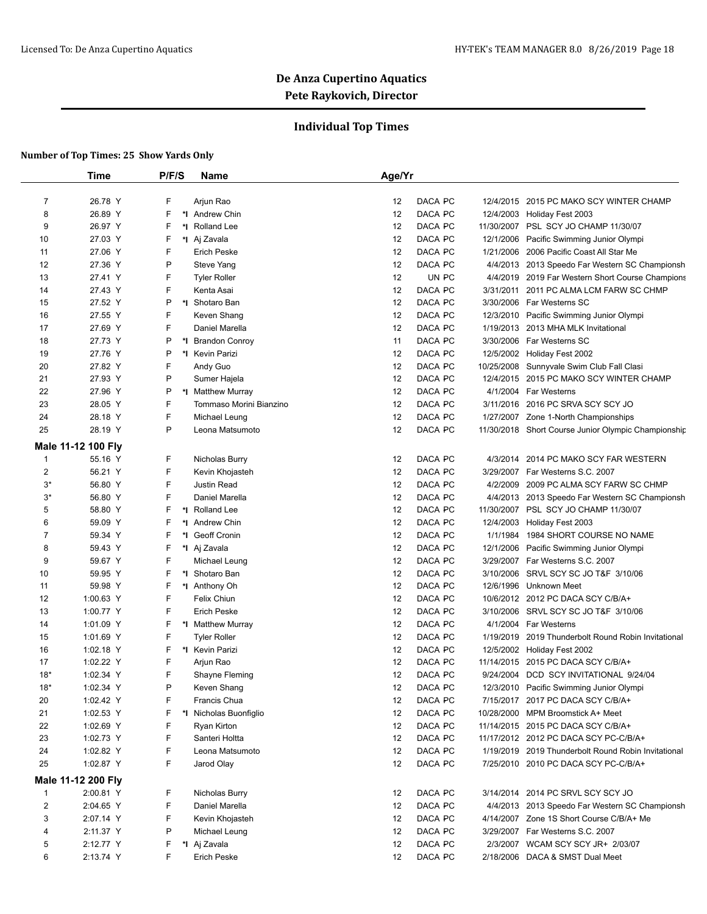## **Individual Top Times**

|                         | Time               | P/F/S | <b>Name</b>             | Age/Yr |                    |           |                                                     |
|-------------------------|--------------------|-------|-------------------------|--------|--------------------|-----------|-----------------------------------------------------|
| $\overline{7}$          |                    | F     | Arjun Rao               |        |                    |           |                                                     |
| 8                       | 26.78 Y            | F     |                         | 12     | DACA PC<br>DACA PC |           | 12/4/2015 2015 PC MAKO SCY WINTER CHAMP             |
|                         | 26.89 Y            |       | *1 Andrew Chin          | 12     |                    |           | 12/4/2003 Holiday Fest 2003                         |
| 9                       | 26.97 Y            | F     | *I Rolland Lee          | 12     | DACA PC            |           | 11/30/2007 PSL SCY JO CHAMP 11/30/07                |
| 10                      | 27.03 Y            | F     | *I Aj Zavala            | 12     | DACA PC            | 12/1/2006 | Pacific Swimming Junior Olympi                      |
| 11                      | 27.06 Y            | F     | <b>Erich Peske</b>      | 12     | DACA PC            | 1/21/2006 | 2006 Pacific Coast All Star Me                      |
| 12                      | 27.36 Y            | P     | Steve Yang              | 12     | DACA PC            |           | 4/4/2013 2013 Speedo Far Western SC Championsh      |
| 13                      | 27.41 Y            | F     | <b>Tyler Roller</b>     | 12     | UN PC              |           | 4/4/2019 2019 Far Western Short Course Champions    |
| 14                      | 27.43 Y            | F     | Kenta Asai              | 12     | DACA PC            |           | 3/31/2011 2011 PC ALMA LCM FARW SC CHMP             |
| 15                      | 27.52 Y            | P     | *I Shotaro Ban          | 12     | DACA PC            |           | 3/30/2006 Far Westerns SC                           |
| 16                      | 27.55 Y            | F     | Keven Shang             | 12     | DACA PC            |           | 12/3/2010 Pacific Swimming Junior Olympi            |
| 17                      | 27.69 Y            | F     | Daniel Marella          | 12     | DACA PC            |           | 1/19/2013 2013 MHA MLK Invitational                 |
| 18                      | 27.73 Y            | P     | *I Brandon Conroy       | 11     | DACA PC            |           | 3/30/2006 Far Westerns SC                           |
| 19                      | 27.76 Y            | P     | *1 Kevin Parizi         | 12     | DACA PC            |           | 12/5/2002 Holiday Fest 2002                         |
| 20                      | 27.82 Y            | F     | Andy Guo                | 12     | DACA PC            |           | 10/25/2008 Sunnyvale Swim Club Fall Clasi           |
| 21                      | 27.93 Y            | P     | Sumer Hajela            | 12     | DACA PC            |           | 12/4/2015 2015 PC MAKO SCY WINTER CHAMP             |
| 22                      | 27.96 Y            | P     | *I Matthew Murray       | 12     | DACA PC            |           | 4/1/2004 Far Westerns                               |
| 23                      | 28.05 Y            | F     | Tommaso Morini Bianzino | 12     | DACA PC            |           | 3/11/2016 2016 PC SRVA SCY SCY JO                   |
| 24                      | 28.18 Y            | F     | Michael Leung           | 12     | DACA PC            |           | 1/27/2007 Zone 1-North Championships                |
| 25                      | 28.19 Y            | P     | Leona Matsumoto         | 12     | DACA PC            |           | 11/30/2018 Short Course Junior Olympic Championship |
|                         | Male 11-12 100 Fly |       |                         |        |                    |           |                                                     |
| 1                       | 55.16 Y            | F     | Nicholas Burry          | 12     | DACA PC            |           | 4/3/2014 2014 PC MAKO SCY FAR WESTERN               |
| $\overline{2}$          | 56.21 Y            | F     | Kevin Khojasteh         | 12     | DACA PC            |           | 3/29/2007 Far Westerns S.C. 2007                    |
| $3^*$                   | 56.80 Y            | F     | Justin Read             | 12     | DACA PC            | 4/2/2009  | 2009 PC ALMA SCY FARW SC CHMP                       |
| $3^*$                   | 56.80 Y            | F     | Daniel Marella          | 12     | DACA PC            | 4/4/2013  | 2013 Speedo Far Western SC Championsh               |
| 5                       | 58.80 Y            | F     | *1 Rolland Lee          | 12     | DACA PC            |           | 11/30/2007 PSL SCY JO CHAMP 11/30/07                |
| 6                       | 59.09 Y            | F     | *I Andrew Chin          | 12     | DACA PC            |           | 12/4/2003 Holiday Fest 2003                         |
| 7                       | 59.34 Y            | F     | *I Geoff Cronin         | 12     | DACA PC            |           | 1/1/1984 1984 SHORT COURSE NO NAME                  |
| 8                       | 59.43 Y            | F     | *I Aj Zavala            | 12     | DACA PC            | 12/1/2006 | Pacific Swimming Junior Olympi                      |
| 9                       | 59.67 Y            | F     | Michael Leung           | 12     | DACA PC            |           | 3/29/2007 Far Westerns S.C. 2007                    |
| 10                      | 59.95 Y            | F     | *I Shotaro Ban          | 12     | DACA PC            | 3/10/2006 | SRVL SCY SC JO T&F 3/10/06                          |
|                         |                    | F     |                         | 12     | DACA PC            | 12/6/1996 | Unknown Meet                                        |
| 11                      | 59.98 Y            |       | *I Anthony Oh           |        |                    |           |                                                     |
| 12                      | 1:00.63 Y          | F     | Felix Chiun             | 12     | DACA PC            |           | 10/6/2012 2012 PC DACA SCY C/B/A+                   |
| 13                      | 1:00.77 Y          | F     | <b>Erich Peske</b>      | 12     | DACA PC            |           | 3/10/2006 SRVL SCY SC JO T&F 3/10/06                |
| 14                      | 1:01.09 Y          | F     | *I Matthew Murray       | 12     | DACA PC            |           | 4/1/2004 Far Westerns                               |
| 15                      | 1:01.69 Y          | F     | <b>Tyler Roller</b>     | 12     | DACA PC            |           | 1/19/2019 2019 Thunderbolt Round Robin Invitational |
| 16                      | 1:02.18 Y          | F     | *1 Kevin Parizi         | 12     | DACA PC            |           | 12/5/2002 Holiday Fest 2002                         |
| 17                      | 1:02.22 Y          | F     | Arjun Rao               | 12     | DACA PC            |           | 11/14/2015 2015 PC DACA SCY C/B/A+                  |
| $18*$                   | 1:02.34 Y          | F     | Shayne Fleming          | 12     | DACA PC            |           | 9/24/2004 DCD SCY INVITATIONAL 9/24/04              |
| $18*$                   | 1:02.34 Y          | P     | Keven Shang             | 12     | DACA PC            |           | 12/3/2010 Pacific Swimming Junior Olympi            |
| 20                      | 1:02.42 Y          | F     | Francis Chua            | 12     | DACA PC            |           | 7/15/2017 2017 PC DACA SCY C/B/A+                   |
| 21                      | 1:02.53 Y          | F     | *I Nicholas Buonfiglio  | 12     | DACA PC            |           | 10/28/2000 MPM Broomstick A+ Meet                   |
| 22                      | 1:02.69 Y          | F     | Ryan Kirton             | 12     | DACA PC            |           | 11/14/2015 2015 PC DACA SCY C/B/A+                  |
| 23                      | 1:02.73 Y          | F     | Santeri Holtta          | 12     | DACA PC            |           | 11/17/2012 2012 PC DACA SCY PC-C/B/A+               |
| 24                      | 1:02.82 Y          | F     | Leona Matsumoto         | 12     | DACA PC            |           | 1/19/2019 2019 Thunderbolt Round Robin Invitational |
| 25                      | 1:02.87 Y          | F     | Jarod Olay              | 12     | DACA PC            |           | 7/25/2010 2010 PC DACA SCY PC-C/B/A+                |
|                         | Male 11-12 200 Fly |       |                         |        |                    |           |                                                     |
| $\mathbf{1}$            | 2:00.81 Y          | F     | Nicholas Burry          | 12     | DACA PC            |           | 3/14/2014 2014 PC SRVL SCY SCY JO                   |
| $\overline{\mathbf{c}}$ | 2:04.65 Y          | F     | Daniel Marella          | 12     | DACA PC            |           | 4/4/2013 2013 Speedo Far Western SC Championsh      |
| 3                       | 2:07.14 Y          | F     | Kevin Khojasteh         | 12     | DACA PC            |           | 4/14/2007 Zone 1S Short Course C/B/A+ Me            |
| 4                       | 2:11.37 Y          | P     | Michael Leung           | 12     | DACA PC            |           | 3/29/2007 Far Westerns S.C. 2007                    |
| 5                       | 2:12.77 Y          | F     | *I Aj Zavala            | 12     | DACA PC            |           | 2/3/2007 WCAM SCY SCY JR+ 2/03/07                   |
| 6                       | 2:13.74 Y          | F     | <b>Erich Peske</b>      | 12     | DACA PC            |           | 2/18/2006 DACA & SMST Dual Meet                     |
|                         |                    |       |                         |        |                    |           |                                                     |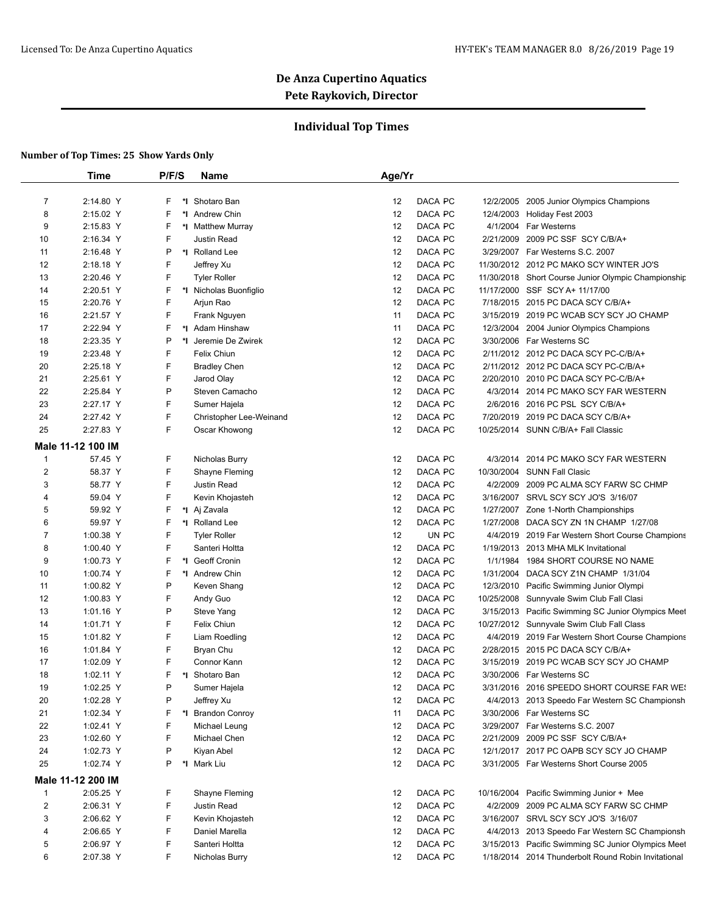## **Individual Top Times**

|                | <b>Time</b>       | P/F/S | <b>Name</b>                    | Age/Yr        |       |                                                                         |
|----------------|-------------------|-------|--------------------------------|---------------|-------|-------------------------------------------------------------------------|
| 7              | 2:14.80 Y         | F.    | *1 Shotaro Ban                 | 12<br>DACA PC |       | 12/2/2005 2005 Junior Olympics Champions                                |
| 8              | 2:15.02 Y         | F     | *1 Andrew Chin                 | DACA PC<br>12 |       | 12/4/2003 Holiday Fest 2003                                             |
| 9              | 2:15.83 Y         | F     | *I Matthew Murray              | 12<br>DACA PC |       | 4/1/2004 Far Westerns                                                   |
| 10             | 2:16.34 Y         | F     | <b>Justin Read</b>             | 12<br>DACA PC |       | 2/21/2009 2009 PC SSF SCY C/B/A+                                        |
|                |                   | Ρ     |                                | 12<br>DACA PC |       |                                                                         |
| 11             | 2:16.48 Y         |       | *I Rolland Lee                 |               |       | 3/29/2007 Far Westerns S.C. 2007                                        |
| 12             | 2:18.18 Y         | F     | Jeffrey Xu                     | 12<br>DACA PC |       | 11/30/2012 2012 PC MAKO SCY WINTER JO'S                                 |
| 13             | 2:20.46 Y         | F     | <b>Tyler Roller</b>            | 12<br>DACA PC |       | 11/30/2018 Short Course Junior Olympic Championship                     |
| 14             | 2:20.51 Y         | F     | *I Nicholas Buonfiglio         | 12<br>DACA PC |       | 11/17/2000 SSF SCY A+ 11/17/00                                          |
| 15             | 2:20.76 Y         | F     | Arjun Rao                      | 12<br>DACA PC |       | 7/18/2015 2015 PC DACA SCY C/B/A+                                       |
| 16             | 2:21.57 Y         | F     | Frank Nguyen                   | DACA PC<br>11 |       | 3/15/2019 2019 PC WCAB SCY SCY JO CHAMP                                 |
| 17             | 2:22.94 Y         | F     | *I Adam Hinshaw                | DACA PC<br>11 |       | 12/3/2004 2004 Junior Olympics Champions                                |
| 18             | 2:23.35 Y         | P     | *I Jeremie De Zwirek           | DACA PC<br>12 |       | 3/30/2006 Far Westerns SC                                               |
| 19             | 2:23.48 Y         | F     | Felix Chiun                    | 12<br>DACA PC |       | 2/11/2012 2012 PC DACA SCY PC-C/B/A+                                    |
| 20             | 2:25.18 Y         | F     | <b>Bradley Chen</b>            | 12<br>DACA PC |       | 2/11/2012 2012 PC DACA SCY PC-C/B/A+                                    |
| 21             | 2:25.61 Y         | F     | Jarod Olay                     | 12<br>DACA PC |       | 2/20/2010 2010 PC DACA SCY PC-C/B/A+                                    |
| 22             | 2:25.84 Y         | Ρ     | Steven Camacho                 | 12<br>DACA PC |       | 4/3/2014 2014 PC MAKO SCY FAR WESTERN                                   |
| 23             | 2:27.17 Y         | F     | Sumer Hajela                   | 12<br>DACA PC |       | 2/6/2016 2016 PC PSL SCY C/B/A+                                         |
| 24             | 2:27.42 Y         | F     | Christopher Lee-Weinand        | 12<br>DACA PC |       | 7/20/2019 2019 PC DACA SCY C/B/A+                                       |
| 25             | 2:27.83 Y         | F     | Oscar Khowong                  | 12<br>DACA PC |       | 10/25/2014 SUNN C/B/A+ Fall Classic                                     |
|                | Male 11-12 100 IM |       |                                |               |       |                                                                         |
| $\mathbf{1}$   | 57.45 Y           | F     | Nicholas Burry                 | DACA PC<br>12 |       | 4/3/2014 2014 PC MAKO SCY FAR WESTERN                                   |
| $\overline{c}$ | 58.37 Y           | F     | Shayne Fleming                 | DACA PC<br>12 |       | 10/30/2004 SUNN Fall Clasic                                             |
| 3              | 58.77 Y           | F     | Justin Read                    | 12<br>DACA PC |       | 4/2/2009 2009 PC ALMA SCY FARW SC CHMP                                  |
| 4              | 59.04 Y           | F     | Kevin Khojasteh                | 12<br>DACA PC |       | 3/16/2007 SRVL SCY SCY JO'S 3/16/07                                     |
| 5              | 59.92 Y           | F     | *I Aj Zavala                   | 12<br>DACA PC |       | 1/27/2007 Zone 1-North Championships                                    |
| 6              | 59.97 Y           | F     | *I Rolland Lee                 | DACA PC<br>12 |       | 1/27/2008 DACA SCY ZN 1N CHAMP 1/27/08                                  |
| $\overline{7}$ | 1:00.38 Y         | F     | <b>Tyler Roller</b>            | 12            | UN PC | 4/4/2019 2019 Far Western Short Course Champions                        |
| 8              | 1:00.40 Y         | F     | Santeri Holtta                 | DACA PC<br>12 |       | 1/19/2013 2013 MHA MLK Invitational                                     |
| 9              | 1:00.73 Y         | F     | *I Geoff Cronin                | DACA PC<br>12 |       | 1/1/1984 1984 SHORT COURSE NO NAME                                      |
| 10             | 1:00.74 Y         | F     | *I Andrew Chin                 | 12<br>DACA PC |       | 1/31/2004 DACA SCY Z1N CHAMP 1/31/04                                    |
| 11             | 1:00.82 Y         | P     | Keven Shang                    | 12<br>DACA PC |       | 12/3/2010 Pacific Swimming Junior Olympi                                |
| 12             | 1:00.83 Y         | F     | Andy Guo                       | 12<br>DACA PC |       | 10/25/2008 Sunnyvale Swim Club Fall Clasi                               |
| 13             | 1:01.16 Y         | P     | Steve Yang                     | 12<br>DACA PC |       | 3/15/2013 Pacific Swimming SC Junior Olympics Meet                      |
| 14             | 1:01.71 Y         | F     | Felix Chiun                    | 12<br>DACA PC |       | 10/27/2012 Sunnyvale Swim Club Fall Class                               |
| 15             | 1:01.82 Y         | F     | Liam Roedling                  | 12<br>DACA PC |       | 4/4/2019 2019 Far Western Short Course Champions                        |
| 16             | 1:01.84 Y         | F     | Bryan Chu                      | 12<br>DACA PC |       | 2/28/2015 2015 PC DACA SCY C/B/A+                                       |
| 17             | 1:02.09 Y         | F     | Connor Kann                    | 12<br>DACA PC |       | 3/15/2019 2019 PC WCAB SCY SCY JO CHAMP                                 |
|                | 1:02.11 Y         | F     |                                | 12<br>DACA PC |       |                                                                         |
| 18<br>19       | 1:02.25 Y         | D     | *I Shotaro Ban<br>Sumer Hajela | 12<br>DACA PC |       | 3/30/2006 Far Westerns SC<br>3/31/2016 2016 SPEEDO SHORT COURSE FAR WE! |
|                |                   |       |                                |               |       | 4/4/2013 2013 Speedo Far Western SC Championsh                          |
| 20             | 1:02.28 Y         | Ρ     | Jeffrey Xu                     | DACA PC<br>12 |       |                                                                         |
| 21             | 1:02.34 Y         | F     | *I Brandon Conroy              | DACA PC<br>11 |       | 3/30/2006 Far Westerns SC                                               |
| 22             | 1:02.41 Y         | F     | Michael Leung                  | DACA PC<br>12 |       | 3/29/2007 Far Westerns S.C. 2007                                        |
| 23             | 1:02.60 Y         | F     | Michael Chen                   | 12<br>DACA PC |       | 2/21/2009 2009 PC SSF SCY C/B/A+                                        |
| 24             | 1:02.73 Y         | Ρ     | Kiyan Abel                     | 12<br>DACA PC |       | 12/1/2017 2017 PC OAPB SCY SCY JO CHAMP                                 |
| 25             | 1:02.74 Y         | P     | *I Mark Liu                    | DACA PC<br>12 |       | 3/31/2005 Far Westerns Short Course 2005                                |
|                | Male 11-12 200 IM |       |                                |               |       |                                                                         |
| $\mathbf{1}$   | 2:05.25 Y         | F     | Shayne Fleming                 | 12<br>DACA PC |       | 10/16/2004 Pacific Swimming Junior + Mee                                |
| 2              | 2:06.31 Y         | F     | Justin Read                    | DACA PC<br>12 |       | 4/2/2009 2009 PC ALMA SCY FARW SC CHMP                                  |
| 3              | 2:06.62 Y         | F     | Kevin Khojasteh                | 12<br>DACA PC |       | 3/16/2007 SRVL SCY SCY JO'S 3/16/07                                     |
| 4              | 2:06.65 Y         | F     | Daniel Marella                 | 12<br>DACA PC |       | 4/4/2013 2013 Speedo Far Western SC Championsh                          |
| 5              | 2:06.97 Y         | F     | Santeri Holtta                 | DACA PC<br>12 |       | 3/15/2013 Pacific Swimming SC Junior Olympics Meet                      |
| 6              | 2:07.38 Y         | F     | Nicholas Burry                 | 12<br>DACA PC |       | 1/18/2014 2014 Thunderbolt Round Robin Invitational                     |
|                |                   |       |                                |               |       |                                                                         |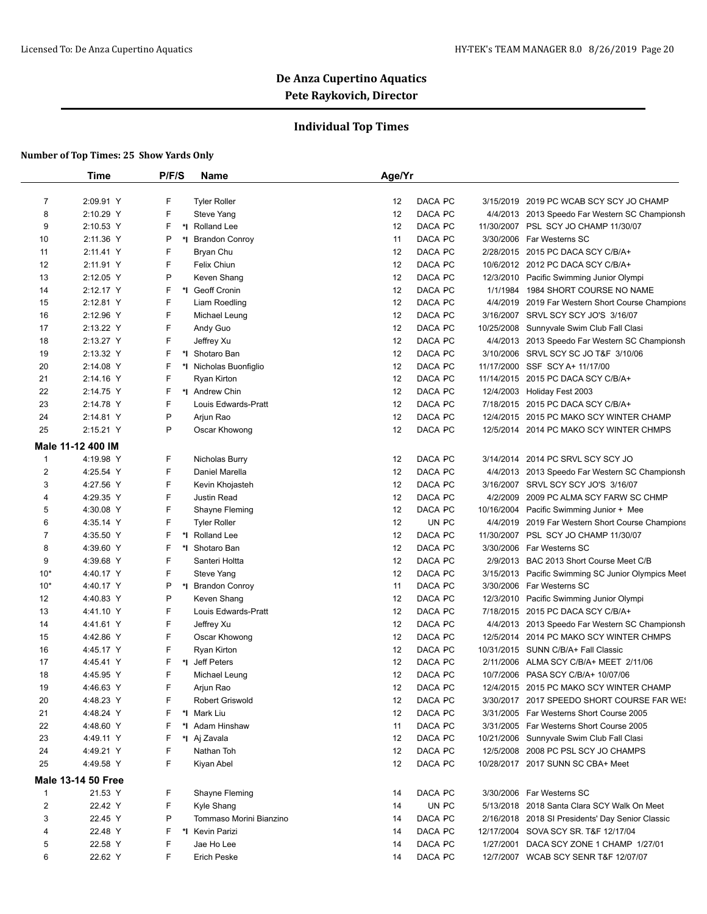## **Individual Top Times**

|                | <b>Time</b>               | P/F/S | <b>Name</b>             | Age/Yr |         |          |                                                    |
|----------------|---------------------------|-------|-------------------------|--------|---------|----------|----------------------------------------------------|
|                |                           |       |                         |        |         |          |                                                    |
| 7              | 2:09.91 Y                 | F     | <b>Tyler Roller</b>     | 12     | DACA PC |          | 3/15/2019 2019 PC WCAB SCY SCY JO CHAMP            |
| 8              | 2:10.29 Y                 | F     | Steve Yang              | 12     | DACA PC |          | 4/4/2013 2013 Speedo Far Western SC Championsh     |
| 9              | 2:10.53 Y                 | F     | *I Rolland Lee          | 12     | DACA PC |          | 11/30/2007 PSL SCY JO CHAMP 11/30/07               |
| 10             | 2:11.36 Y                 | P     | *I Brandon Conroy       | 11     | DACA PC |          | 3/30/2006 Far Westerns SC                          |
| 11             | 2:11.41 Y                 | F     | Bryan Chu               | 12     | DACA PC |          | 2/28/2015 2015 PC DACA SCY C/B/A+                  |
| 12             | 2:11.91 Y                 | F     | <b>Felix Chiun</b>      | 12     | DACA PC |          | 10/6/2012 2012 PC DACA SCY C/B/A+                  |
| 13             | 2:12.05 Y                 | P     | Keven Shang             | 12     | DACA PC |          | 12/3/2010 Pacific Swimming Junior Olympi           |
| 14             | 2:12.17 Y                 | F.    | *I Geoff Cronin         | 12     | DACA PC |          | 1/1/1984 1984 SHORT COURSE NO NAME                 |
| 15             | 2:12.81 Y                 | F     | Liam Roedling           | 12     | DACA PC |          | 4/4/2019 2019 Far Western Short Course Champions   |
| 16             | 2:12.96 Y                 | F     | Michael Leung           | 12     | DACA PC |          | 3/16/2007 SRVL SCY SCY JO'S 3/16/07                |
| 17             | 2:13.22 Y                 | F     | Andy Guo                | 12     | DACA PC |          | 10/25/2008 Sunnyvale Swim Club Fall Clasi          |
| 18             | 2:13.27 Y                 | F     | Jeffrey Xu              | 12     | DACA PC |          | 4/4/2013 2013 Speedo Far Western SC Championsh     |
| 19             | 2:13.32 Y                 | F     | *1 Shotaro Ban          | 12     | DACA PC |          | 3/10/2006 SRVL SCY SC JO T&F 3/10/06               |
| 20             | 2:14.08 Y                 | F.    | *I Nicholas Buonfiglio  | 12     | DACA PC |          | 11/17/2000 SSF SCY A+ 11/17/00                     |
| 21             | 2:14.16 Y                 | F     | Ryan Kirton             | 12     | DACA PC |          | 11/14/2015 2015 PC DACA SCY C/B/A+                 |
| 22             | 2:14.75 Y                 | F.    | *1 Andrew Chin          | 12     | DACA PC |          | 12/4/2003 Holiday Fest 2003                        |
| 23             | 2:14.78 Y                 | F     | Louis Edwards-Pratt     | 12     | DACA PC |          | 7/18/2015 2015 PC DACA SCY C/B/A+                  |
| 24             | 2:14.81 Y                 | P     | Arjun Rao               | 12     | DACA PC |          | 12/4/2015 2015 PC MAKO SCY WINTER CHAMP            |
| 25             | 2:15.21 Y                 | P     | Oscar Khowong           | 12     | DACA PC |          | 12/5/2014 2014 PC MAKO SCY WINTER CHMPS            |
|                | Male 11-12 400 IM         |       |                         |        |         |          |                                                    |
| $\mathbf{1}$   | 4:19.98 Y                 | F     | Nicholas Burry          | 12     | DACA PC |          | 3/14/2014 2014 PC SRVL SCY SCY JO                  |
| $\overline{2}$ | 4:25.54 Y                 | F     | Daniel Marella          | 12     | DACA PC |          | 4/4/2013 2013 Speedo Far Western SC Championsh     |
| 3              | 4:27.56 Y                 | F     | Kevin Khojasteh         | 12     | DACA PC |          | 3/16/2007 SRVL SCY SCY JO'S 3/16/07                |
| 4              | 4:29.35 Y                 | F     | Justin Read             | 12     | DACA PC | 4/2/2009 | 2009 PC ALMA SCY FARW SC CHMP                      |
| 5              | 4:30.08 Y                 | F     | Shayne Fleming          | 12     | DACA PC |          | 10/16/2004 Pacific Swimming Junior + Mee           |
| 6              | 4:35.14 Y                 | F     | <b>Tyler Roller</b>     | 12     | UN PC   |          | 4/4/2019 2019 Far Western Short Course Champions   |
| $\overline{7}$ | 4:35.50 Y                 | F     | *I Rolland Lee          | 12     | DACA PC |          | 11/30/2007 PSL SCY JO CHAMP 11/30/07               |
| 8              | 4:39.60 Y                 | F     | *1 Shotaro Ban          | 12     | DACA PC |          | 3/30/2006 Far Westerns SC                          |
| 9              | 4:39.68 Y                 | F     | Santeri Holtta          | 12     | DACA PC |          | 2/9/2013 BAC 2013 Short Course Meet C/B            |
| $10*$          | 4:40.17 Y                 | F     | Steve Yang              | 12     | DACA PC |          | 3/15/2013 Pacific Swimming SC Junior Olympics Meet |
| $10*$          | 4:40.17 Y                 | P     | *I Brandon Conroy       | 11     | DACA PC |          | 3/30/2006 Far Westerns SC                          |
| 12             | 4:40.83 Y                 | P     | Keven Shang             | 12     | DACA PC |          | 12/3/2010 Pacific Swimming Junior Olympi           |
| 13             | 4:41.10 Y                 | F     | Louis Edwards-Pratt     | 12     | DACA PC |          | 7/18/2015 2015 PC DACA SCY C/B/A+                  |
| 14             | 4:41.61 Y                 | F     | Jeffrey Xu              | 12     | DACA PC |          | 4/4/2013 2013 Speedo Far Western SC Championsh     |
| 15             | 4:42.86 Y                 | F     | Oscar Khowong           | 12     | DACA PC |          | 12/5/2014 2014 PC MAKO SCY WINTER CHMPS            |
| 16             | 4:45.17 Y                 | F     | Ryan Kirton             | 12     | DACA PC |          | 10/31/2015 SUNN C/B/A+ Fall Classic                |
| 17             | 4:45.41 Y                 | F.    | *I Jeff Peters          | 12     | DACA PC |          | 2/11/2006 ALMA SCY C/B/A+ MEET 2/11/06             |
| 18             | 4:45.95 Y                 | F     | Michael Leung           | 12     | DACA PC |          | 10/7/2006 PASA SCY C/B/A+ 10/07/06                 |
| 19             | 4:46.63 Y                 | F.    | Arjun Rao               | 12     | DACA PC |          | 12/4/2015 2015 PC MAKO SCY WINTER CHAMP            |
| 20             | 4:48.23 Y                 | F.    | Robert Griswold         | 12     | DACA PC |          | 3/30/2017 2017 SPEEDO SHORT COURSE FAR WE!         |
| 21             | 4:48.24 Y                 | F.    | *I Mark Liu             | 12     | DACA PC |          | 3/31/2005 Far Westerns Short Course 2005           |
| 22             | 4:48.60 Y                 | F     | *I Adam Hinshaw         | 11     | DACA PC |          | 3/31/2005 Far Westerns Short Course 2005           |
| 23             | 4:49.11 Y                 | F.    | *I Aj Zavala            | 12     | DACA PC |          | 10/21/2006 Sunnyvale Swim Club Fall Clasi          |
| 24             | 4:49.21 Y                 | F     | Nathan Toh              | 12     | DACA PC |          | 12/5/2008 2008 PC PSL SCY JO CHAMPS                |
| 25             | 4:49.58 Y                 | F.    | Kiyan Abel              | 12     | DACA PC |          | 10/28/2017 2017 SUNN SC CBA+ Meet                  |
|                |                           |       |                         |        |         |          |                                                    |
|                | <b>Male 13-14 50 Free</b> |       |                         |        |         |          |                                                    |
| $\mathbf{1}$   | 21.53 Y                   | F.    | Shayne Fleming          | 14     | DACA PC |          | 3/30/2006 Far Westerns SC                          |
| 2              | 22.42 Y                   | F     | Kyle Shang              | 14     | UN PC   |          | 5/13/2018 2018 Santa Clara SCY Walk On Meet        |
| 3              | 22.45 Y                   | P     | Tommaso Morini Bianzino | 14     | DACA PC |          | 2/16/2018 2018 SI Presidents' Day Senior Classic   |
| 4              | 22.48 Y                   | F.    | *I Kevin Parizi         | 14     | DACA PC |          | 12/17/2004 SOVA SCY SR. T&F 12/17/04               |
| 5              | 22.58 Y                   | F     | Jae Ho Lee              | 14     | DACA PC |          | 1/27/2001 DACA SCY ZONE 1 CHAMP 1/27/01            |
| 6              | 22.62 Y                   | F.    | Erich Peske             | 14     | DACA PC |          | 12/7/2007 WCAB SCY SENR T&F 12/07/07               |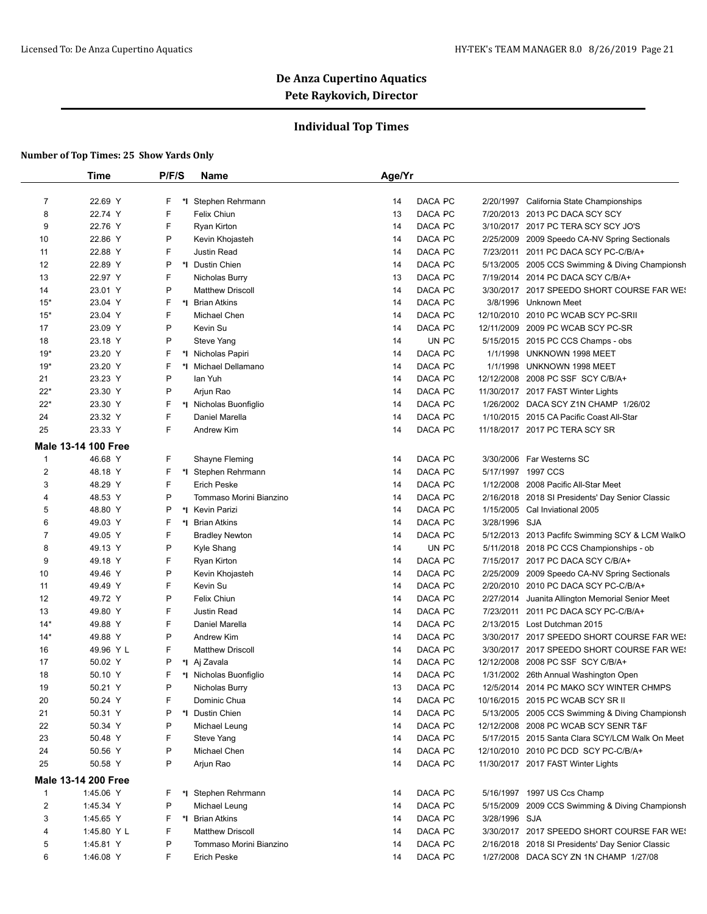## **Individual Top Times**

|                | <b>Time</b>                | P/F/S   | <b>Name</b>             | Age/Yr        |                                                  |
|----------------|----------------------------|---------|-------------------------|---------------|--------------------------------------------------|
| $\overline{7}$ | 22.69 Y                    | F       | Stephen Rehrmann        | DACA PC<br>14 | 2/20/1997 California State Championships         |
| 8              | 22.74 Y                    | F       | Felix Chiun             | DACA PC<br>13 | 7/20/2013 2013 PC DACA SCY SCY                   |
| 9              | 22.76 Y                    | F       | Ryan Kirton             | DACA PC<br>14 | 3/10/2017 2017 PC TERA SCY SCY JO'S              |
| 10             | 22.86 Y                    | P       | Kevin Khojasteh         | 14<br>DACA PC | 2/25/2009 2009 Speedo CA-NV Spring Sectionals    |
| 11             | 22.88 Y                    | F       | Justin Read             | DACA PC<br>14 | 2011 PC DACA SCY PC-C/B/A+<br>7/23/2011          |
| 12             | 22.89 Y                    | P<br>*l | Dustin Chien            | DACA PC<br>14 | 5/13/2005 2005 CCS Swimming & Diving Championsh  |
| 13             | 22.97 Y                    | F       | Nicholas Burry          | DACA PC<br>13 | 7/19/2014 2014 PC DACA SCY C/B/A+                |
| 14             | 23.01 Y                    | P       | <b>Matthew Driscoll</b> | DACA PC<br>14 | 3/30/2017 2017 SPEEDO SHORT COURSE FAR WE!       |
| $15*$          | 23.04 Y                    | F       | *I Brian Atkins         | DACA PC<br>14 | 3/8/1996 Unknown Meet                            |
| $15*$          | 23.04 Y                    | F       | <b>Michael Chen</b>     | 14<br>DACA PC | 12/10/2010 2010 PC WCAB SCY PC-SRII              |
| 17             | 23.09 Y                    | P       | Kevin Su                | DACA PC<br>14 | 12/11/2009 2009 PC WCAB SCY PC-SR                |
| 18             | 23.18 Y                    | P       | Steve Yang              | UN PC<br>14   | 5/15/2015 2015 PC CCS Champs - obs               |
| $19*$          | 23.20 Y                    | F       | *I Nicholas Papiri      | DACA PC<br>14 | 1/1/1998 UNKNOWN 1998 MEET                       |
| $19*$          | 23.20 Y                    | F       | *I Michael Dellamano    | DACA PC<br>14 | 1/1/1998 UNKNOWN 1998 MEET                       |
| 21             | 23.23 Y                    | P       | lan Yuh                 | DACA PC<br>14 | 12/12/2008 2008 PC SSF SCY C/B/A+                |
| $22*$          | 23.30 Y                    | P       | Arjun Rao               | DACA PC<br>14 | 11/30/2017 2017 FAST Winter Lights               |
| $22*$          | 23.30 Y                    | F.      | *I Nicholas Buonfiglio  | DACA PC<br>14 | 1/26/2002 DACA SCY Z1N CHAMP 1/26/02             |
| 24             | 23.32 Y                    | F       | Daniel Marella          | DACA PC<br>14 | 1/10/2015 2015 CA Pacific Coast All-Star         |
| 25             | 23.33 Y                    | F       | Andrew Kim              | 14<br>DACA PC |                                                  |
|                |                            |         |                         |               | 11/18/2017 2017 PC TERA SCY SR                   |
|                | Male 13-14 100 Free        |         |                         |               |                                                  |
| 1              | 46.68 Y                    | F       | Shayne Fleming          | DACA PC<br>14 | 3/30/2006 Far Westerns SC                        |
| $\overline{c}$ | 48.18 Y                    | F       | *I Stephen Rehrmann     | DACA PC<br>14 | 5/17/1997 1997 CCS                               |
| 3              | 48.29 Y                    | F       | <b>Erich Peske</b>      | DACA PC<br>14 | 1/12/2008 2008 Pacific All-Star Meet             |
| 4              | 48.53 Y                    | P       | Tommaso Morini Bianzino | DACA PC<br>14 | 2/16/2018 2018 SI Presidents' Day Senior Classic |
| 5              | 48.80 Y                    | P       | *1 Kevin Parizi         | DACA PC<br>14 | 1/15/2005 Cal Inviational 2005                   |
| 6              | 49.03 Y                    | F       | *I Brian Atkins         | DACA PC<br>14 | 3/28/1996 SJA                                    |
| $\overline{7}$ | 49.05 Y                    | F       | <b>Bradley Newton</b>   | DACA PC<br>14 | 5/12/2013 2013 Pacfifc Swimming SCY & LCM WalkO  |
| 8              | 49.13 Y                    | P       | Kyle Shang              | 14<br>UN PC   | 5/11/2018 2018 PC CCS Championships - ob         |
| 9              | 49.18 Y                    | F       | <b>Ryan Kirton</b>      | DACA PC<br>14 | 7/15/2017 2017 PC DACA SCY C/B/A+                |
| 10             | 49.46 Y                    | P       | Kevin Khojasteh         | DACA PC<br>14 | 2/25/2009 2009 Speedo CA-NV Spring Sectionals    |
| 11             | 49.49 Y                    | F       | Kevin Su                | DACA PC<br>14 | 2/20/2010 2010 PC DACA SCY PC-C/B/A+             |
| 12             | 49.72 Y                    | P       | Felix Chiun             | DACA PC<br>14 | 2/27/2014 Juanita Allington Memorial Senior Meet |
| 13             | 49.80 Y                    | F       | Justin Read             | DACA PC<br>14 | 7/23/2011<br>2011 PC DACA SCY PC-C/B/A+          |
| $14*$          | 49.88 Y                    | F       | Daniel Marella          | DACA PC<br>14 | 2/13/2015 Lost Dutchman 2015                     |
| $14*$          | 49.88 Y                    | P       | Andrew Kim              | DACA PC<br>14 | 3/30/2017 2017 SPEEDO SHORT COURSE FAR WE!       |
| 16             | 49.96 Y L                  | F       | <b>Matthew Driscoll</b> | DACA PC<br>14 | 3/30/2017 2017 SPEEDO SHORT COURSE FAR WE!       |
| 17             | 50.02 Y                    | P       | *I Aj Zavala            | DACA PC<br>14 | 12/12/2008 2008 PC SSF SCY C/B/A+                |
| 18             | 50.10 Y                    | F.      | *I Nicholas Buonfiglio  | 14<br>DACA PC | 1/31/2002 26th Annual Washington Open            |
| 19             | 50.21 Y                    | P       | Nicholas Burry          | DACA PC<br>13 | 12/5/2014 2014 PC MAKO SCY WINTER CHMPS          |
| 20             | 50.24 Y                    | F       | Dominic Chua            | DACA PC<br>14 | 10/16/2015 2015 PC WCAB SCY SR II                |
| 21             | 50.31 Y                    | P       | *I Dustin Chien         | DACA PC<br>14 | 5/13/2005 2005 CCS Swimming & Diving Championsh  |
| 22             | 50.34 Y                    | P       | Michael Leung           | DACA PC<br>14 | 12/12/2008 2008 PC WCAB SCY SENR T&F             |
| 23             | 50.48 Y                    | F       | Steve Yang              | DACA PC<br>14 | 5/17/2015 2015 Santa Clara SCY/LCM Walk On Meet  |
| 24             | 50.56 Y                    | P       | Michael Chen            | DACA PC<br>14 | 12/10/2010 2010 PC DCD SCY PC-C/B/A+             |
| 25             | 50.58 Y                    | P       | Arjun Rao               | DACA PC<br>14 | 11/30/2017 2017 FAST Winter Lights               |
|                | <b>Male 13-14 200 Free</b> |         |                         |               |                                                  |
| 1              | 1:45.06 Y                  | F.      | *I Stephen Rehrmann     | 14<br>DACA PC | 5/16/1997 1997 US Ccs Champ                      |
| $\overline{c}$ | 1:45.34 Y                  | P       | Michael Leung           | DACA PC<br>14 | 5/15/2009 2009 CCS Swimming & Diving Championsh  |
| 3              | 1:45.65 Y                  | F       | *I Brian Atkins         | DACA PC<br>14 | 3/28/1996 SJA                                    |
| 4              | 1:45.80 Y L                | F       | <b>Matthew Driscoll</b> | DACA PC<br>14 | 3/30/2017 2017 SPEEDO SHORT COURSE FAR WE!       |
| 5              | 1:45.81 Y                  | P       | Tommaso Morini Bianzino | DACA PC<br>14 | 2/16/2018 2018 SI Presidents' Day Senior Classic |
| 6              | 1:46.08 Y                  | F       | Erich Peske             | DACA PC<br>14 | 1/27/2008 DACA SCY ZN 1N CHAMP 1/27/08           |
|                |                            |         |                         |               |                                                  |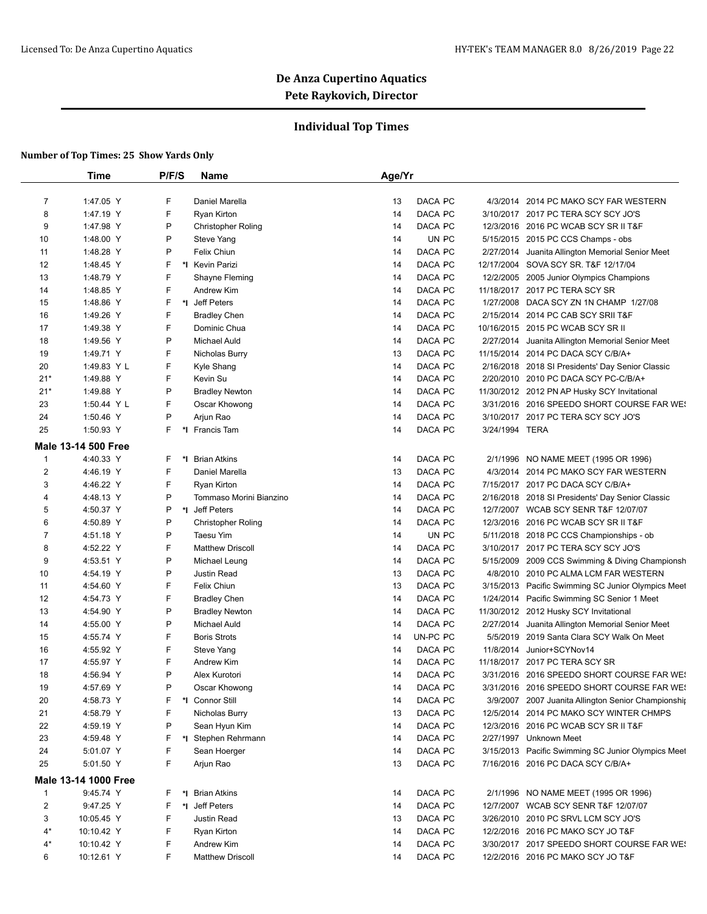## **Individual Top Times**

|                         | <b>Time</b>                | P/F/S    | Name                      | Age/Yr         |                                                                            |
|-------------------------|----------------------------|----------|---------------------------|----------------|----------------------------------------------------------------------------|
| 7                       | 1:47.05 Y                  | F        | Daniel Marella            | 13<br>DACA PC  | 4/3/2014 2014 PC MAKO SCY FAR WESTERN                                      |
| 8                       | 1:47.19 Y                  | F        | Ryan Kirton               | DACA PC<br>14  | 3/10/2017 2017 PC TERA SCY SCY JO'S                                        |
| 9                       | 1:47.98 Y                  | Ρ        | <b>Christopher Roling</b> | DACA PC<br>14  | 12/3/2016 2016 PC WCAB SCY SR II T&F                                       |
| 10                      | 1:48.00 Y                  | Ρ        | Steve Yang                | UN PC<br>14    | 5/15/2015 2015 PC CCS Champs - obs                                         |
| 11                      | 1:48.28 Y                  | P        | Felix Chiun               | DACA PC<br>14  | 2/27/2014 Juanita Allington Memorial Senior Meet                           |
| 12                      | 1:48.45 Y                  | F        | *I Kevin Parizi           | 14<br>DACA PC  | 12/17/2004 SOVA SCY SR. T&F 12/17/04                                       |
| 13                      | 1:48.79 Y                  | F        | Shayne Fleming            | DACA PC<br>14  |                                                                            |
|                         | 1:48.85 Y                  | F        | Andrew Kim                | DACA PC<br>14  | 12/2/2005 2005 Junior Olympics Champions<br>11/18/2017 2017 PC TERA SCY SR |
| 14                      |                            |          |                           | DACA PC        |                                                                            |
| 15                      | 1:48.86 Y                  | F        | *I Jeff Peters            | 14             | 1/27/2008 DACA SCY ZN 1N CHAMP 1/27/08                                     |
| 16                      | 1:49.26 Y                  | F        | <b>Bradley Chen</b>       | DACA PC<br>14  | 2/15/2014 2014 PC CAB SCY SRII T&F                                         |
| 17                      | 1:49.38 Y                  | F        | Dominic Chua              | DACA PC<br>14  | 10/16/2015 2015 PC WCAB SCY SR II                                          |
| 18                      | 1:49.56 Y                  | P        | <b>Michael Auld</b>       | DACA PC<br>14  | 2/27/2014 Juanita Allington Memorial Senior Meet                           |
| 19                      | 1:49.71 Y                  | F        | Nicholas Burry            | 13<br>DACA PC  | 11/15/2014 2014 PC DACA SCY C/B/A+                                         |
| 20                      | 1:49.83 Y L                | F        | Kyle Shang                | DACA PC<br>14  | 2/16/2018 2018 SI Presidents' Day Senior Classic                           |
| $21*$                   | 1:49.88 Y                  | F        | Kevin Su                  | 14<br>DACA PC  | 2/20/2010 2010 PC DACA SCY PC-C/B/A+                                       |
| $21*$                   | 1:49.88 Y                  | Ρ        | <b>Bradley Newton</b>     | DACA PC<br>14  | 11/30/2012 2012 PN AP Husky SCY Invitational                               |
| 23                      | 1:50.44 Y L                | F        | Oscar Khowong             | DACA PC<br>14  | 3/31/2016 2016 SPEEDO SHORT COURSE FAR WE!                                 |
| 24                      | 1:50.46 Y                  | P        | Arjun Rao                 | 14<br>DACA PC  | 3/10/2017 2017 PC TERA SCY SCY JO'S                                        |
| 25                      | 1:50.93 Y                  | F.       | *I Francis Tam            | DACA PC<br>14  | 3/24/1994 TERA                                                             |
|                         | <b>Male 13-14 500 Free</b> |          |                           |                |                                                                            |
| $\mathbf{1}$            | 4:40.33 Y                  | F.<br>*I | <b>Brian Atkins</b>       | DACA PC<br>14  | 2/1/1996 NO NAME MEET (1995 OR 1996)                                       |
| $\overline{c}$          | 4:46.19 Y                  | F        | Daniel Marella            | DACA PC<br>13  | 4/3/2014 2014 PC MAKO SCY FAR WESTERN                                      |
| 3                       | 4:46.22 Y                  | F        | Ryan Kirton               | 14<br>DACA PC  | 7/15/2017 2017 PC DACA SCY C/B/A+                                          |
| 4                       | 4:48.13 Y                  | P        | Tommaso Morini Bianzino   | DACA PC<br>14  | 2/16/2018 2018 SI Presidents' Day Senior Classic                           |
| 5                       | 4:50.37 Y                  | Ρ        | *I Jeff Peters            | DACA PC<br>14  | 12/7/2007 WCAB SCY SENR T&F 12/07/07                                       |
| 6                       | 4:50.89 Y                  | Ρ        | <b>Christopher Roling</b> | DACA PC<br>14  | 12/3/2016 2016 PC WCAB SCY SR II T&F                                       |
| $\overline{7}$          | 4:51.18 Y                  | P        | Taesu Yim                 | UN PC<br>14    | 5/11/2018 2018 PC CCS Championships - ob                                   |
| 8                       | 4:52.22 Y                  | F        | <b>Matthew Driscoll</b>   | DACA PC<br>14  | 3/10/2017 2017 PC TERA SCY SCY JO'S                                        |
| 9                       | 4:53.51 Y                  | P        | Michael Leung             | DACA PC<br>14  | 5/15/2009 2009 CCS Swimming & Diving Championsh                            |
| 10                      | 4:54.19 Y                  | P        | Justin Read               | DACA PC<br>13  | 4/8/2010 2010 PC ALMA LCM FAR WESTERN                                      |
|                         |                            | F        | Felix Chiun               | 13<br>DACA PC  |                                                                            |
| 11                      | 4:54.60 Y                  |          |                           |                | 3/15/2013 Pacific Swimming SC Junior Olympics Meet                         |
| 12                      | 4:54.73 Y                  | F        | <b>Bradley Chen</b>       | 14<br>DACA PC  | 1/24/2014 Pacific Swimming SC Senior 1 Meet                                |
| 13                      | 4:54.90 Y                  | P        | <b>Bradley Newton</b>     | DACA PC<br>14  | 11/30/2012 2012 Husky SCY Invitational                                     |
| 14                      | 4:55.00 Y                  | P        | <b>Michael Auld</b>       | DACA PC<br>14  | 2/27/2014 Juanita Allington Memorial Senior Meet                           |
| 15                      | 4:55.74 Y                  | F        | <b>Boris Strots</b>       | 14<br>UN-PC PC | 5/5/2019 2019 Santa Clara SCY Walk On Meet                                 |
| 16                      | 4:55.92 Y                  | F        | Steve Yang                | DACA PC<br>14  | 11/8/2014 Junior+SCYNov14                                                  |
| 17                      | 4:55.97 Y                  | F        | Andrew Kim                | DACA PC<br>14  | 11/18/2017 2017 PC TERA SCY SR                                             |
| 18                      | 4:56.94 Y                  | Ρ        | Alex Kurotori             | DACA PC<br>14  | 3/31/2016 2016 SPEEDO SHORT COURSE FAR WES                                 |
| 19                      | 4:57.69 Y                  | P        | Oscar Khowong             | DACA PC<br>14  | 3/31/2016 2016 SPEEDO SHORT COURSE FAR WE!                                 |
| 20                      | 4:58.73 Y                  | F        | *1 Connor Still           | 14<br>DACA PC  | 3/9/2007 2007 Juanita Allington Senior Championship                        |
| 21                      | 4:58.79 Y                  | F        | Nicholas Burry            | DACA PC<br>13  | 12/5/2014 2014 PC MAKO SCY WINTER CHMPS                                    |
| 22                      | 4:59.19 Y                  | Ρ        | Sean Hyun Kim             | DACA PC<br>14  | 12/3/2016 2016 PC WCAB SCY SR II T&F                                       |
| 23                      | 4:59.48 Y                  | F        | *I Stephen Rehrmann       | DACA PC<br>14  | 2/27/1997 Unknown Meet                                                     |
| 24                      | 5:01.07 Y                  | F        | Sean Hoerger              | DACA PC<br>14  | 3/15/2013 Pacific Swimming SC Junior Olympics Meet                         |
| 25                      | 5:01.50 Y                  | F        | Arjun Rao                 | DACA PC<br>13  | 7/16/2016 2016 PC DACA SCY C/B/A+                                          |
|                         | Male 13-14 1000 Free       |          |                           |                |                                                                            |
| $\mathbf{1}$            | 9:45.74 Y                  | F.       | *1 Brian Atkins           | 14<br>DACA PC  | 2/1/1996 NO NAME MEET (1995 OR 1996)                                       |
| $\overline{\mathbf{c}}$ | 9:47.25 Y                  | F        | *I Jeff Peters            | DACA PC<br>14  | 12/7/2007 WCAB SCY SENR T&F 12/07/07                                       |
| 3                       | 10:05.45 Y                 | F        | Justin Read               | DACA PC<br>13  | 3/26/2010 2010 PC SRVL LCM SCY JO'S                                        |
| $4^*$                   | 10:10.42 Y                 | F        | <b>Ryan Kirton</b>        | DACA PC<br>14  | 12/2/2016 2016 PC MAKO SCY JO T&F                                          |
| 4*                      | 10:10.42 Y                 | F        | Andrew Kim                | DACA PC<br>14  | 3/30/2017 2017 SPEEDO SHORT COURSE FAR WES                                 |
| 6                       | 10:12.61 Y                 | F        | <b>Matthew Driscoll</b>   | DACA PC<br>14  | 12/2/2016 2016 PC MAKO SCY JO T&F                                          |
|                         |                            |          |                           |                |                                                                            |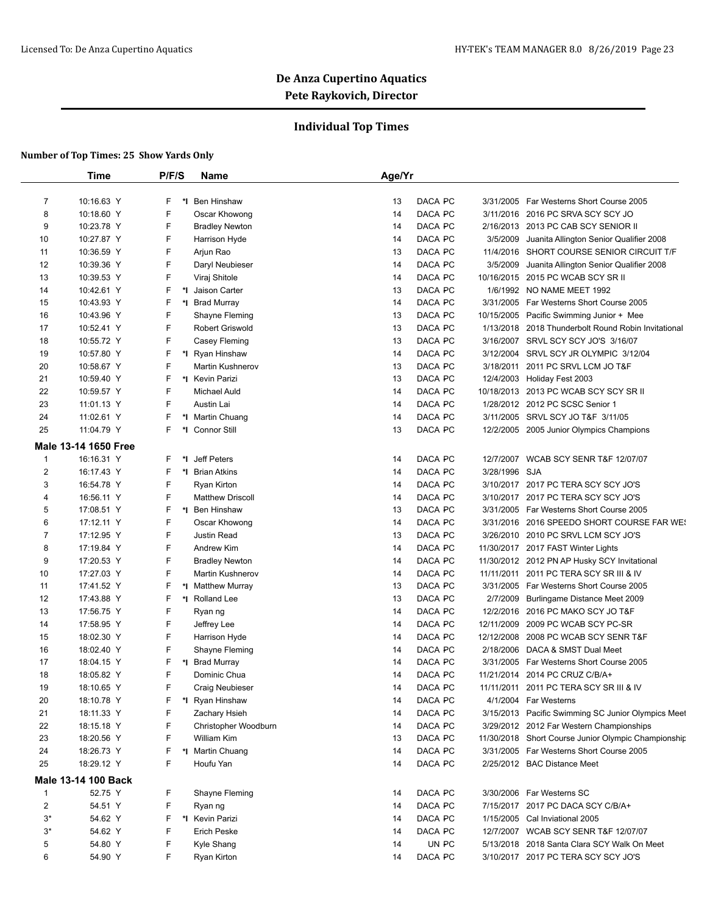## **Individual Top Times**

|                  | <b>Time</b>          | P/F/S   | <b>Name</b>             | Age/Yr        |                                                                      |
|------------------|----------------------|---------|-------------------------|---------------|----------------------------------------------------------------------|
| $\overline{7}$   | 10:16.63 Y           | F.      | *1 Ben Hinshaw          | DACA PC<br>13 | 3/31/2005 Far Westerns Short Course 2005                             |
| 8                | 10:18.60 Y           | F       | Oscar Khowong           | DACA PC<br>14 | 3/11/2016 2016 PC SRVA SCY SCY JO                                    |
| 9                | 10:23.78 Y           | F       | <b>Bradley Newton</b>   | DACA PC<br>14 | 2/16/2013 2013 PC CAB SCY SENIOR II                                  |
| 10               | 10:27.87 Y           | F       | Harrison Hyde           | DACA PC<br>14 | 3/5/2009<br>Juanita Allington Senior Qualifier 2008                  |
| 11               | 10:36.59 Y           | F       | Arjun Rao               | DACA PC<br>13 | 11/4/2016 SHORT COURSE SENIOR CIRCUIT T/F                            |
| 12               | 10:39.36 Y           | F       | Daryl Neubieser         | DACA PC<br>14 | 3/5/2009<br>Juanita Allington Senior Qualifier 2008                  |
| 13               | 10:39.53 Y           | F       | Viraj Shitole           | 14<br>DACA PC | 10/16/2015 2015 PC WCAB SCY SR II                                    |
| 14               | 10:42.61 Y           | F       | *1 Jaison Carter        | DACA PC<br>13 | 1/6/1992 NO NAME MEET 1992                                           |
| 15               | 10:43.93 Y           | F       | *I Brad Murray          | DACA PC<br>14 | 3/31/2005 Far Westerns Short Course 2005                             |
| 16               | 10:43.96 Y           | F       | Shayne Fleming          | DACA PC<br>13 | 10/15/2005 Pacific Swimming Junior + Mee                             |
| 17               | 10:52.41 Y           | F       | Robert Griswold         | DACA PC<br>13 | 1/13/2018 2018 Thunderbolt Round Robin Invitational                  |
| 18               | 10:55.72 Y           | F       | Casey Fleming           | 13<br>DACA PC | 3/16/2007 SRVL SCY SCY JO'S 3/16/07                                  |
| 19               | 10:57.80 Y           | F.      | *I Ryan Hinshaw         | 14<br>DACA PC | 3/12/2004 SRVL SCY JR OLYMPIC 3/12/04                                |
| 20               | 10:58.67 Y           | F       | <b>Martin Kushnerov</b> | DACA PC<br>13 | 3/18/2011 2011 PC SRVL LCM JO T&F                                    |
|                  |                      |         |                         |               |                                                                      |
| 21               | 10:59.40 Y           | F.      | *I Kevin Parizi         | DACA PC<br>13 | 12/4/2003 Holiday Fest 2003                                          |
| 22<br>23         | 10:59.57 Y           | F<br>F. | <b>Michael Auld</b>     | 14<br>DACA PC | 10/18/2013 2013 PC WCAB SCY SCY SR II                                |
|                  | 11:01.13 Y           |         | Austin Lai              | DACA PC<br>14 | 1/28/2012 2012 PC SCSC Senior 1<br>3/11/2005 SRVL SCY JO T&F 3/11/05 |
| 24               | 11:02.61 Y           | F       | *I Martin Chuang        | 14<br>DACA PC |                                                                      |
| 25               | 11:04.79 Y           | F.      | *1 Connor Still         | 13<br>DACA PC | 12/2/2005 2005 Junior Olympics Champions                             |
|                  | Male 13-14 1650 Free |         |                         |               |                                                                      |
| $\mathbf{1}$     | 16:16.31 Y           | F.      | *I Jeff Peters          | DACA PC<br>14 | 12/7/2007 WCAB SCY SENR T&F 12/07/07                                 |
| $\boldsymbol{2}$ | 16:17.43 Y           | F.      | *I Brian Atkins         | DACA PC<br>14 | 3/28/1996 SJA                                                        |
| 3                | 16:54.78 Y           | F       | Ryan Kirton             | DACA PC<br>14 | 3/10/2017 2017 PC TERA SCY SCY JO'S                                  |
| 4                | 16:56.11 Y           | F       | <b>Matthew Driscoll</b> | DACA PC<br>14 | 3/10/2017 2017 PC TERA SCY SCY JO'S                                  |
| 5                | 17:08.51 Y           | F.      | *I Ben Hinshaw          | 13<br>DACA PC | 3/31/2005 Far Westerns Short Course 2005                             |
| 6                | 17:12.11 Y           | F       | Oscar Khowong           | DACA PC<br>14 | 3/31/2016 2016 SPEEDO SHORT COURSE FAR WE!                           |
| 7                | 17:12.95 Y           | F       | Justin Read             | 13<br>DACA PC | 3/26/2010 2010 PC SRVL LCM SCY JO'S                                  |
| 8                | 17:19.84 Y           | F       | Andrew Kim              | 14<br>DACA PC | 11/30/2017 2017 FAST Winter Lights                                   |
| 9                | 17:20.53 Y           | F       | <b>Bradley Newton</b>   | DACA PC<br>14 | 11/30/2012 2012 PN AP Husky SCY Invitational                         |
| 10               | 17:27.03 Y           | F.      | <b>Martin Kushnerov</b> | DACA PC<br>14 | 11/11/2011 2011 PC TERA SCY SR III & IV                              |
| 11               | 17:41.52 Y           | F.      | *I Matthew Murray       | 13<br>DACA PC | 3/31/2005 Far Westerns Short Course 2005                             |
| 12               | 17:43.88 Y           | F       | *I Rolland Lee          | DACA PC<br>13 | 2/7/2009 Burlingame Distance Meet 2009                               |
| 13               | 17:56.75 Y           | F       | Ryan ng                 | 14<br>DACA PC | 12/2/2016 2016 PC MAKO SCY JO T&F                                    |
| 14               | 17:58.95 Y           | F       | Jeffrey Lee             | DACA PC<br>14 | 12/11/2009 2009 PC WCAB SCY PC-SR                                    |
| 15               | 18:02.30 Y           | F.      | Harrison Hyde           | DACA PC<br>14 | 12/12/2008 2008 PC WCAB SCY SENR T&F                                 |
| 16               | 18:02.40 Y           | F       | Shayne Fleming          | DACA PC<br>14 | 2/18/2006 DACA & SMST Dual Meet                                      |
| 17               | 18:04.15 Y           | F.      | *I Brad Murray          | DACA PC<br>14 | 3/31/2005 Far Westerns Short Course 2005                             |
| 18               | 18:05.82 Y           | F       | Dominic Chua            | DACA PC<br>14 | 11/21/2014 2014 PC CRUZ C/B/A+                                       |
| 19               | 18:10.65 Y           | F.      | Craig Neubieser         | DACA PC<br>14 | 11/11/2011 2011 PC TERA SCY SR III & IV                              |
| 20               | 18:10.78 Y           | F.      | *I Ryan Hinshaw         | DACA PC<br>14 | 4/1/2004 Far Westerns                                                |
| 21               | 18:11.33 Y           | F       | Zachary Hsieh           | DACA PC<br>14 | 3/15/2013 Pacific Swimming SC Junior Olympics Meet                   |
| 22               | 18:15.18 Y           | F       | Christopher Woodburn    | DACA PC<br>14 | 3/29/2012 2012 Far Western Championships                             |
| 23               | 18:20.56 Y           | F.      | William Kim             | DACA PC<br>13 | 11/30/2018 Short Course Junior Olympic Championship                  |
| 24               | 18:26.73 Y           | F.      | *I Martin Chuang        | DACA PC<br>14 | 3/31/2005 Far Westerns Short Course 2005                             |
| 25               | 18:29.12 Y           | F       | Houfu Yan               | DACA PC<br>14 | 2/25/2012 BAC Distance Meet                                          |
|                  | Male 13-14 100 Back  |         |                         |               |                                                                      |
| $\mathbf{1}$     | 52.75 Y              | F.      | Shayne Fleming          | DACA PC<br>14 | 3/30/2006 Far Westerns SC                                            |
| 2                | 54.51 Y              | F       | Ryan ng                 | DACA PC<br>14 | 7/15/2017 2017 PC DACA SCY C/B/A+                                    |
| $3^*$            | 54.62 Y              | F.      | *I Kevin Parizi         | DACA PC<br>14 | 1/15/2005 Cal Inviational 2005                                       |
| $3^*$            | 54.62 Y              | F       | Erich Peske             | DACA PC<br>14 | 12/7/2007 WCAB SCY SENR T&F 12/07/07                                 |
| 5                | 54.80 Y              | F       | Kyle Shang              | UN PC<br>14   | 5/13/2018 2018 Santa Clara SCY Walk On Meet                          |
| 6                | 54.90 Y              | F       | Ryan Kirton             | DACA PC<br>14 | 3/10/2017 2017 PC TERA SCY SCY JO'S                                  |
|                  |                      |         |                         |               |                                                                      |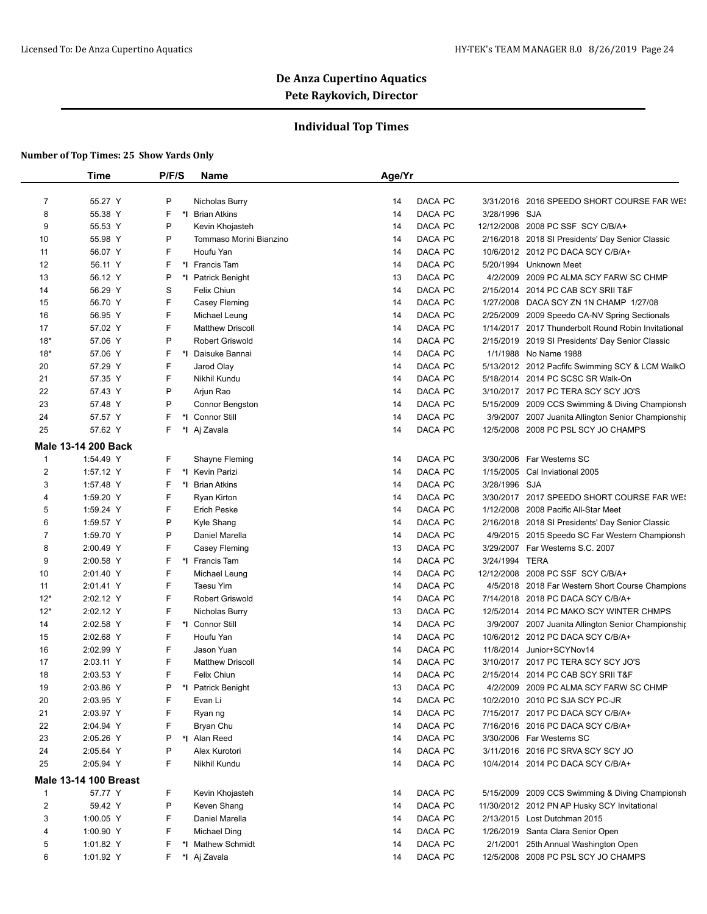## **Individual Top Times**

|                         | <b>Time</b>                  | P/F/S | Name                    | Age/Yr        |                                                     |
|-------------------------|------------------------------|-------|-------------------------|---------------|-----------------------------------------------------|
|                         |                              |       |                         |               |                                                     |
| $\overline{7}$          | 55.27 Y                      | Ρ     | Nicholas Burry          | DACA PC<br>14 | 3/31/2016 2016 SPEEDO SHORT COURSE FAR WE!          |
| 8                       | 55.38 Y                      | F     | *1 Brian Atkins         | DACA PC<br>14 | 3/28/1996 SJA                                       |
| 9                       | 55.53 Y                      | P     | Kevin Khojasteh         | DACA PC<br>14 | 12/12/2008 2008 PC SSF SCY C/B/A+                   |
| 10                      | 55.98 Y                      | Ρ     | Tommaso Morini Bianzino | DACA PC<br>14 | 2/16/2018 2018 SI Presidents' Day Senior Classic    |
| 11                      | 56.07 Y                      | F     | Houfu Yan               | DACA PC<br>14 | 10/6/2012 2012 PC DACA SCY C/B/A+                   |
| 12                      | 56.11 Y                      | F     | *I Francis Tam          | DACA PC<br>14 | 5/20/1994 Unknown Meet                              |
| 13                      | 56.12 Y                      | Ρ     | *I Patrick Benight      | 13<br>DACA PC | 4/2/2009 2009 PC ALMA SCY FARW SC CHMP              |
| 14                      | 56.29 Y                      | S     | Felix Chiun             | DACA PC<br>14 | 2/15/2014 2014 PC CAB SCY SRII T&F                  |
| 15                      | 56.70 Y                      | F     | Casey Fleming           | DACA PC<br>14 | 1/27/2008 DACA SCY ZN 1N CHAMP 1/27/08              |
| 16                      | 56.95 Y                      | F     | Michael Leung           | DACA PC<br>14 | 2/25/2009 2009 Speedo CA-NV Spring Sectionals       |
| 17                      | 57.02 Y                      | F     | <b>Matthew Driscoll</b> | DACA PC<br>14 | 1/14/2017 2017 Thunderbolt Round Robin Invitational |
| $18*$                   | 57.06 Y                      | P     | <b>Robert Griswold</b>  | 14<br>DACA PC | 2/15/2019 2019 SI Presidents' Day Senior Classic    |
| $18*$                   | 57.06 Y                      | F     | *1 Daisuke Bannai       | 14<br>DACA PC | 1/1/1988 No Name 1988                               |
| 20                      | 57.29 Y                      | F     | Jarod Olay              | DACA PC<br>14 | 5/13/2012 2012 Pacfifc Swimming SCY & LCM WalkO     |
| 21                      | 57.35 Y                      | F     | Nikhil Kundu            | DACA PC<br>14 | 5/18/2014 2014 PC SCSC SR Walk-On                   |
| 22                      | 57.43 Y                      | Ρ     | Arjun Rao               | DACA PC<br>14 | 3/10/2017 2017 PC TERA SCY SCY JO'S                 |
| 23                      | 57.48 Y                      | Ρ     | Connor Bengston         | DACA PC<br>14 | 5/15/2009 2009 CCS Swimming & Diving Championsh     |
| 24                      | 57.57 Y                      | F     | *I Connor Still         | 14<br>DACA PC | 3/9/2007 2007 Juanita Allington Senior Championship |
| 25                      | 57.62 Y                      | F.    | *I Aj Zavala            | 14<br>DACA PC | 12/5/2008 2008 PC PSL SCY JO CHAMPS                 |
|                         | Male 13-14 200 Back          |       |                         |               |                                                     |
| $\mathbf{1}$            | 1:54.49 Y                    | F     | Shayne Fleming          | DACA PC<br>14 | 3/30/2006 Far Westerns SC                           |
| $\overline{c}$          | 1:57.12 Y                    | F     | *1 Kevin Parizi         | DACA PC<br>14 | 1/15/2005 Cal Inviational 2005                      |
| 3                       | 1:57.48 Y                    | F     | *I Brian Atkins         | DACA PC<br>14 | 3/28/1996 SJA                                       |
| 4                       | 1:59.20 Y                    | F     | <b>Ryan Kirton</b>      | DACA PC<br>14 | 3/30/2017 2017 SPEEDO SHORT COURSE FAR WE!          |
| 5                       | 1:59.24 Y                    | F     | <b>Erich Peske</b>      | DACA PC<br>14 | 1/12/2008 2008 Pacific All-Star Meet                |
| 6                       | 1:59.57 Y                    | Ρ     | Kyle Shang              | DACA PC<br>14 | 2/16/2018 2018 SI Presidents' Day Senior Classic    |
| 7                       | 1:59.70 Y                    | Ρ     | Daniel Marella          | 14<br>DACA PC | 4/9/2015 2015 Speedo SC Far Western Championsh      |
| 8                       | 2:00.49 Y                    | F     | Casey Fleming           | 13<br>DACA PC | 3/29/2007 Far Westerns S.C. 2007                    |
| 9                       | 2:00.58 Y                    | F     | *I Francis Tam          | 14<br>DACA PC | 3/24/1994 TERA                                      |
| 10                      | 2:01.40 Y                    | F     | Michael Leung           | 14<br>DACA PC | 12/12/2008 2008 PC SSF SCY C/B/A+                   |
| 11                      | 2:01.41 Y                    | F     | Taesu Yim               | DACA PC<br>14 | 4/5/2018 2018 Far Western Short Course Champions    |
| $12*$                   | 2:02.12 Y                    | F     | <b>Robert Griswold</b>  | DACA PC<br>14 | 7/14/2018 2018 PC DACA SCY C/B/A+                   |
| $12*$                   | 2:02.12 Y                    | F     | Nicholas Burry          | 13<br>DACA PC | 12/5/2014 2014 PC MAKO SCY WINTER CHMPS             |
| 14                      | 2:02.58 Y                    | F     | *1 Connor Still         | DACA PC<br>14 | 3/9/2007 2007 Juanita Allington Senior Championship |
| 15                      | 2:02.68 Y                    | F     | Houfu Yan               | DACA PC<br>14 | 10/6/2012 2012 PC DACA SCY C/B/A+                   |
| 16                      | 2:02.99 Y                    | F     | Jason Yuan              | DACA PC<br>14 | 11/8/2014 Junior+SCYNov14                           |
| 17                      | 2:03.11 Y                    | F     | <b>Matthew Driscoll</b> | DACA PC<br>14 | 3/10/2017 2017 PC TERA SCY SCY JO'S                 |
| 18                      | 2:03.53 Y                    | F     | <b>Felix Chiun</b>      | DACA PC<br>14 | 2/15/2014 2014 PC CAB SCY SRII T&F                  |
| 19                      | 2:03.86 Y                    |       | P *I Patrick Benight    | 13<br>DACA PC | 4/2/2009 2009 PC ALMA SCY FARW SC CHMP              |
| 20                      | 2:03.95 Y                    | F     | Evan Li                 | DACA PC<br>14 | 10/2/2010 2010 PC SJA SCY PC-JR                     |
| 21                      | 2:03.97 Y                    | F     | Ryan ng                 | DACA PC<br>14 | 7/15/2017 2017 PC DACA SCY C/B/A+                   |
| 22                      | 2:04.94 Y                    | F     | Bryan Chu               | DACA PC<br>14 | 7/16/2016 2016 PC DACA SCY C/B/A+                   |
| 23                      | 2:05.26 Y                    | Ρ     | *I Alan Reed            | DACA PC<br>14 | 3/30/2006 Far Westerns SC                           |
| 24                      | 2:05.64 Y                    | Ρ     | Alex Kurotori           | DACA PC<br>14 | 3/11/2016 2016 PC SRVA SCY SCY JO                   |
| 25                      | 2:05.94 Y                    | F     | Nikhil Kundu            | DACA PC<br>14 | 10/4/2014 2014 PC DACA SCY C/B/A+                   |
|                         | <b>Male 13-14 100 Breast</b> |       |                         |               |                                                     |
| $\mathbf{1}$            | 57.77 Y                      | F     | Kevin Khojasteh         | DACA PC<br>14 | 5/15/2009 2009 CCS Swimming & Diving Championsh     |
| $\overline{\mathbf{c}}$ | 59.42 Y                      | Ρ     | Keven Shang             | DACA PC<br>14 | 11/30/2012 2012 PN AP Husky SCY Invitational        |
| 3                       | 1:00.05 Y                    | F     | Daniel Marella          | DACA PC<br>14 | 2/13/2015 Lost Dutchman 2015                        |
| 4                       | 1:00.90 Y                    | F     | <b>Michael Ding</b>     | DACA PC<br>14 | 1/26/2019 Santa Clara Senior Open                   |
| 5                       | 1:01.82 Y                    | F     | *I Mathew Schmidt       | DACA PC<br>14 | 2/1/2001 25th Annual Washington Open                |
|                         | 1:01.92 Y                    | F.    | *I Aj Zavala            | DACA PC<br>14 | 12/5/2008 2008 PC PSL SCY JO CHAMPS                 |
| 6                       |                              |       |                         |               |                                                     |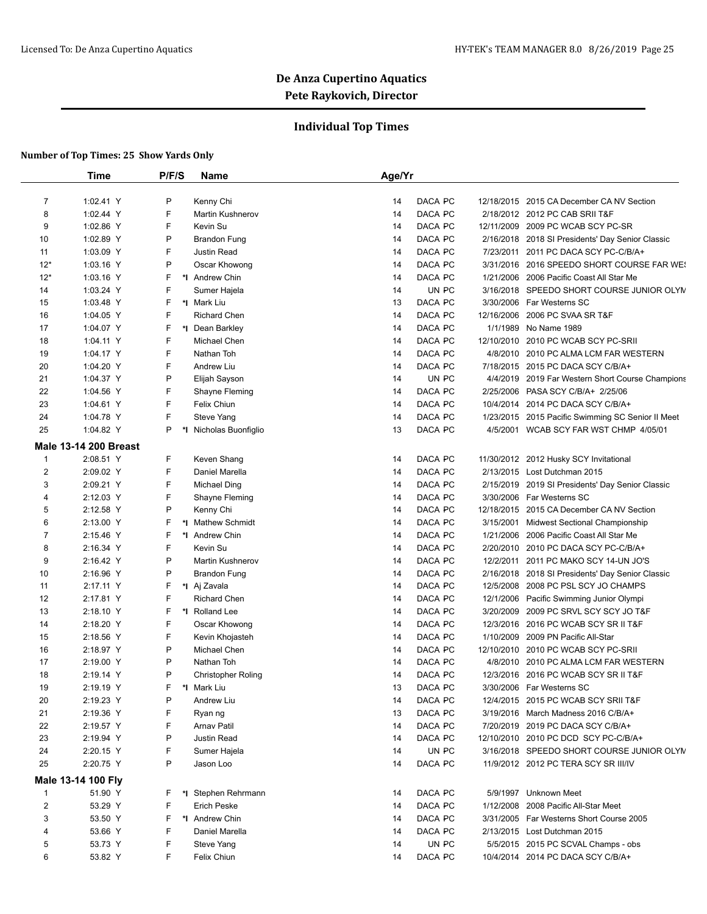## **Individual Top Times**

|    | <b>Time</b>                 | P/F/S | <b>Name</b>               | Age/Yr |         |                                                   |
|----|-----------------------------|-------|---------------------------|--------|---------|---------------------------------------------------|
|    | $\overline{7}$<br>1:02.41 Y | P     | Kenny Chi                 | 14     | DACA PC | 12/18/2015 2015 CA December CA NV Section         |
|    | 8<br>1:02.44 Y              | F     | <b>Martin Kushnerov</b>   | 14     | DACA PC | 2/18/2012 2012 PC CAB SRII T&F                    |
|    | 9<br>1:02.86 Y              | F     | Kevin Su                  | 14     | DACA PC | 12/11/2009 2009 PC WCAB SCY PC-SR                 |
|    | 10<br>1:02.89 Y             | Ρ     | <b>Brandon Fung</b>       | 14     | DACA PC | 2/16/2018 2018 SI Presidents' Day Senior Classic  |
|    | 11<br>1:03.09 Y             | F     | <b>Justin Read</b>        | 14     | DACA PC | 7/23/2011 2011 PC DACA SCY PC-C/B/A+              |
|    | $12*$<br>1:03.16 Y          | P     | Oscar Khowong             | 14     | DACA PC | 3/31/2016 2016 SPEEDO SHORT COURSE FAR WE!        |
|    | $12*$                       | F     |                           | 14     | DACA PC |                                                   |
|    | $1:03.16$ Y                 | F     | *I Andrew Chin            |        |         | 1/21/2006 2006 Pacific Coast All Star Me          |
|    | 14<br>1:03.24 Y             |       | Sumer Hajela              | 14     | UN PC   | 3/16/2018 SPEEDO SHORT COURSE JUNIOR OLYN         |
|    | 15<br>1:03.48 Y             | F     | *I Mark Liu               | 13     | DACA PC | 3/30/2006 Far Westerns SC                         |
|    | 16<br>1:04.05 Y             | F     | <b>Richard Chen</b>       | 14     | DACA PC | 12/16/2006 2006 PC SVAA SR T&F                    |
| 17 | 1:04.07 Y                   | F     | *1 Dean Barkley           | 14     | DACA PC | 1/1/1989 No Name 1989                             |
|    | 18<br>1:04.11 Y             | F     | Michael Chen              | 14     | DACA PC | 12/10/2010 2010 PC WCAB SCY PC-SRII               |
|    | 19<br>1:04.17 Y             | F     | Nathan Toh                | 14     | DACA PC | 4/8/2010 2010 PC ALMA LCM FAR WESTERN             |
|    | 20<br>1:04.20 Y             | F     | Andrew Liu                | 14     | DACA PC | 7/18/2015 2015 PC DACA SCY C/B/A+                 |
| 21 | 1:04.37 Y                   | P     | Elijah Sayson             | 14     | UN PC   | 4/4/2019 2019 Far Western Short Course Champions  |
|    | 22<br>1:04.56 Y             | F     | Shayne Fleming            | 14     | DACA PC | 2/25/2006 PASA SCY C/B/A+ 2/25/06                 |
|    | 23<br>1:04.61 Y             | F     | Felix Chiun               | 14     | DACA PC | 10/4/2014 2014 PC DACA SCY C/B/A+                 |
|    | 24<br>1:04.78 Y             | F     | Steve Yang                | 14     | DACA PC | 1/23/2015 2015 Pacific Swimming SC Senior II Meet |
| 25 | 1:04.82 Y                   | P     | *I Nicholas Buonfiglio    | 13     | DACA PC | 4/5/2001 WCAB SCY FAR WST CHMP 4/05/01            |
|    | Male 13-14 200 Breast       |       |                           |        |         |                                                   |
|    | $\mathbf{1}$<br>2:08.51 Y   | F     | Keven Shang               | 14     | DACA PC | 11/30/2012 2012 Husky SCY Invitational            |
|    | 2<br>2:09.02 Y              | F     | Daniel Marella            | 14     | DACA PC | 2/13/2015 Lost Dutchman 2015                      |
|    | 3<br>2:09.21 Y              | F     | Michael Ding              | 14     | DACA PC | 2/15/2019 2019 SI Presidents' Day Senior Classic  |
|    | 2:12.03 Y<br>4              | F     | Shayne Fleming            | 14     | DACA PC | 3/30/2006 Far Westerns SC                         |
|    | 5<br>2:12.58 Y              | P     | Kenny Chi                 | 14     | DACA PC | 12/18/2015 2015 CA December CA NV Section         |
|    | 6<br>2:13.00 Y              | F     | *I Mathew Schmidt         | 14     | DACA PC | 3/15/2001 Midwest Sectional Championship          |
|    | 7<br>2:15.46 Y              | F     | *1 Andrew Chin            | 14     | DACA PC | 1/21/2006 2006 Pacific Coast All Star Me          |
|    | 8<br>2:16.34 Y              | F     | Kevin Su                  | 14     | DACA PC | 2/20/2010 2010 PC DACA SCY PC-C/B/A+              |
|    | 9<br>2:16.42 Y              | P     | <b>Martin Kushnerov</b>   | 14     | DACA PC | 12/2/2011 2011 PC MAKO SCY 14-UN JO'S             |
|    | 10<br>2:16.96 Y             | P     | <b>Brandon Fung</b>       | 14     | DACA PC | 2/16/2018 2018 SI Presidents' Day Senior Classic  |
|    | 11<br>2:17.11 Y             | F     | *I Aj Zavala              | 14     | DACA PC | 12/5/2008 2008 PC PSL SCY JO CHAMPS               |
|    | 12<br>2:17.81 Y             | F     | <b>Richard Chen</b>       | 14     | DACA PC | 12/1/2006 Pacific Swimming Junior Olympi          |
|    | 13<br>2:18.10 Y             | F     | *I Rolland Lee            | 14     | DACA PC | 3/20/2009 2009 PC SRVL SCY SCY JO T&F             |
|    | 14<br>2:18.20 Y             | F     | Oscar Khowong             | 14     | DACA PC | 12/3/2016 2016 PC WCAB SCY SR II T&F              |
|    | 15<br>2:18.56 Y             | F     | Kevin Khojasteh           | 14     | DACA PC | 1/10/2009 2009 PN Pacific All-Star                |
|    | 16<br>2:18.97 Y             | P     | Michael Chen              | 14     | DACA PC | 12/10/2010 2010 PC WCAB SCY PC-SRII               |
|    | 17<br>2:19.00 Y             | Ρ     | Nathan Toh                | 14     | DACA PC | 4/8/2010 2010 PC ALMA LCM FAR WESTERN             |
|    | 18<br>2:19.14 Y             | P     | <b>Christopher Roling</b> | 14     | DACA PC | 12/3/2016 2016 PC WCAB SCY SR II T&F              |
|    | 19<br>2:19.19 Y             |       | F *I Mark Liu             | 13     | DACA PC | 3/30/2006 Far Westerns SC                         |
|    | 20<br>2:19.23 Y             | P     | Andrew Liu                | 14     | DACA PC | 12/4/2015 2015 PC WCAB SCY SRII T&F               |
|    | 21<br>2:19.36 Y             | F     | Ryan ng                   | 13     | DACA PC | 3/19/2016 March Madness 2016 C/B/A+               |
|    | 22<br>2:19.57 Y             | F     | <b>Arnav Patil</b>        | 14     | DACA PC | 7/20/2019 2019 PC DACA SCY C/B/A+                 |
|    | 23                          | Ρ     | Justin Read               | 14     | DACA PC | 12/10/2010 2010 PC DCD SCY PC-C/B/A+              |
|    | 2:19.94 Y                   |       |                           |        | UN PC   |                                                   |
|    | 24<br>2:20.15 Y             | F     | Sumer Hajela              | 14     |         | 3/16/2018 SPEEDO SHORT COURSE JUNIOR OLYN         |
|    | 25<br>2:20.75 Y             | P     | Jason Loo                 | 14     | DACA PC | 11/9/2012 2012 PC TERA SCY SR III/IV              |
|    | Male 13-14 100 Fly          |       |                           |        |         |                                                   |
|    | $\mathbf{1}$<br>51.90 Y     | F     | *I Stephen Rehrmann       | 14     | DACA PC | 5/9/1997 Unknown Meet                             |
|    | $\overline{2}$<br>53.29 Y   | F     | Erich Peske               | 14     | DACA PC | 1/12/2008 2008 Pacific All-Star Meet              |
|    | 3<br>53.50 Y                | F     | *I Andrew Chin            | 14     | DACA PC | 3/31/2005 Far Westerns Short Course 2005          |
|    | 53.66 Y<br>4                | F     | Daniel Marella            | 14     | DACA PC | 2/13/2015 Lost Dutchman 2015                      |
|    | 5<br>53.73 Y                | F     | Steve Yang                | 14     | UN PC   | 5/5/2015 2015 PC SCVAL Champs - obs               |
|    | 6<br>53.82 Y                | F     | Felix Chiun               | 14     | DACA PC | 10/4/2014 2014 PC DACA SCY C/B/A+                 |
|    |                             |       |                           |        |         |                                                   |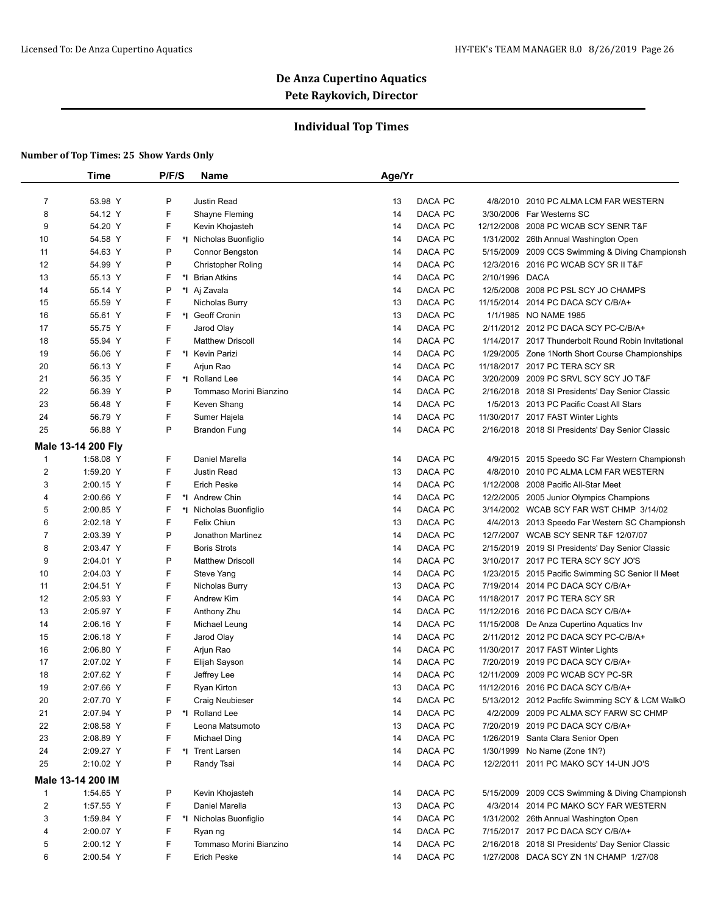## **Individual Top Times**

|                | <b>Time</b>        | P/F/S   | <b>Name</b>             | Age/Yr |         |                |                                                     |
|----------------|--------------------|---------|-------------------------|--------|---------|----------------|-----------------------------------------------------|
|                |                    |         |                         |        |         |                |                                                     |
| $\overline{7}$ | 53.98 Y            | P       | Justin Read             | 13     | DACA PC | 4/8/2010       | 2010 PC ALMA LCM FAR WESTERN                        |
| 8              | 54.12 Y            | F       | Shayne Fleming          | 14     | DACA PC |                | 3/30/2006 Far Westerns SC                           |
| 9              | 54.20 Y            | F       | Kevin Khojasteh         | 14     | DACA PC | 12/12/2008     | 2008 PC WCAB SCY SENR T&F                           |
| 10             | 54.58 Y            | F       | *I Nicholas Buonfiglio  | 14     | DACA PC |                | 1/31/2002 26th Annual Washington Open               |
| 11             | 54.63 Y            | P       | Connor Bengston         | 14     | DACA PC |                | 5/15/2009 2009 CCS Swimming & Diving Championsh     |
| 12             | 54.99 Y            | P       | Christopher Roling      | 14     | DACA PC | 12/3/2016      | 2016 PC WCAB SCY SR II T&F                          |
| 13             | 55.13 Y            | F       | *I Brian Atkins         | 14     | DACA PC | 2/10/1996 DACA |                                                     |
| 14             | 55.14 Y            | P       | *I Aj Zavala            | 14     | DACA PC |                | 12/5/2008 2008 PC PSL SCY JO CHAMPS                 |
| 15             | 55.59 Y            | F       | Nicholas Burry          | 13     | DACA PC |                | 11/15/2014 2014 PC DACA SCY C/B/A+                  |
| 16             | 55.61 Y            | F       | *I Geoff Cronin         | 13     | DACA PC |                | 1/1/1985 NO NAME 1985                               |
| 17             | 55.75 Y            | F       | Jarod Olay              | 14     | DACA PC |                | 2/11/2012 2012 PC DACA SCY PC-C/B/A+                |
| 18             | 55.94 Y            | F       | <b>Matthew Driscoll</b> | 14     | DACA PC |                | 1/14/2017 2017 Thunderbolt Round Robin Invitational |
| 19             | 56.06 Y            | F       | *1 Kevin Parizi         | 14     | DACA PC |                | 1/29/2005 Zone 1 North Short Course Championships   |
| 20             | 56.13 Y            | F       | Arjun Rao               | 14     | DACA PC |                | 11/18/2017 2017 PC TERA SCY SR                      |
| 21             | 56.35 Y            | F       | *I Rolland Lee          | 14     | DACA PC |                | 3/20/2009 2009 PC SRVL SCY SCY JO T&F               |
| 22             | 56.39 Y            | P       | Tommaso Morini Bianzino | 14     | DACA PC |                | 2/16/2018 2018 SI Presidents' Day Senior Classic    |
| 23             | 56.48 Y            | F       | Keven Shang             | 14     | DACA PC |                | 1/5/2013 2013 PC Pacific Coast All Stars            |
| 24             | 56.79 Y            | F       | Sumer Hajela            | 14     | DACA PC |                | 11/30/2017 2017 FAST Winter Lights                  |
| 25             | 56.88 Y            | P       | <b>Brandon Fung</b>     | 14     | DACA PC |                | 2/16/2018 2018 SI Presidents' Day Senior Classic    |
|                | Male 13-14 200 Fly |         |                         |        |         |                |                                                     |
| $\mathbf{1}$   | 1:58.08 Y          | F       | Daniel Marella          | 14     | DACA PC |                | 4/9/2015 2015 Speedo SC Far Western Championsh      |
| 2              | 1:59.20 Y          | F       | <b>Justin Read</b>      | 13     | DACA PC |                | 4/8/2010 2010 PC ALMA LCM FAR WESTERN               |
| 3              | 2:00.15 Y          | F       | <b>Erich Peske</b>      | 14     | DACA PC | 1/12/2008      | 2008 Pacific All-Star Meet                          |
| $\overline{4}$ | 2:00.66 Y          | F       | *I Andrew Chin          | 14     | DACA PC |                | 12/2/2005 2005 Junior Olympics Champions            |
| 5              | 2:00.85 Y          | F       | *I Nicholas Buonfiglio  | 14     | DACA PC |                | 3/14/2002 WCAB SCY FAR WST CHMP 3/14/02             |
| 6              | 2:02.18 Y          | F       | Felix Chiun             | 13     | DACA PC |                | 4/4/2013 2013 Speedo Far Western SC Championsh      |
| 7              | 2:03.39 Y          | P       | Jonathon Martinez       | 14     | DACA PC |                | 12/7/2007 WCAB SCY SENR T&F 12/07/07                |
| 8              | 2:03.47 Y          | F       | <b>Boris Strots</b>     | 14     | DACA PC |                | 2/15/2019 2019 SI Presidents' Day Senior Classic    |
| 9              | 2:04.01 Y          | P       | <b>Matthew Driscoll</b> | 14     | DACA PC |                | 3/10/2017 2017 PC TERA SCY SCY JO'S                 |
| 10             | 2:04.03 Y          | F       | Steve Yang              | 14     | DACA PC |                | 1/23/2015 2015 Pacific Swimming SC Senior II Meet   |
| 11             | 2:04.51 Y          | F       | Nicholas Burry          | 13     | DACA PC |                | 7/19/2014 2014 PC DACA SCY C/B/A+                   |
| 12             | 2:05.93 Y          | F       | Andrew Kim              | 14     | DACA PC |                | 11/18/2017 2017 PC TERA SCY SR                      |
| 13             | 2:05.97 Y          | F       | Anthony Zhu             | 14     | DACA PC |                | 11/12/2016 2016 PC DACA SCY C/B/A+                  |
| 14             | 2:06.16 Y          | F       | Michael Leung           | 14     | DACA PC |                | 11/15/2008 De Anza Cupertino Aquatics Inv           |
| 15             | 2:06.18 Y          | F       | Jarod Olay              | 14     | DACA PC |                | 2/11/2012 2012 PC DACA SCY PC-C/B/A+                |
| 16             | 2:06.80 Y          | F       | Arjun Rao               | 14     | DACA PC |                | 11/30/2017 2017 FAST Winter Lights                  |
| 17             | 2:07.02 Y          | F       | Elijah Sayson           | 14     | DACA PC |                | 7/20/2019 2019 PC DACA SCY C/B/A+                   |
| 18             | 2:07.62 Y          | F       | Jeffrey Lee             | 14     | DACA PC |                | 12/11/2009 2009 PC WCAB SCY PC-SR                   |
| 19             | 2:07.66 Y          | F       | Ryan Kirton             | 13     | DACA PC |                | 11/12/2016 2016 PC DACA SCY C/B/A+                  |
| 20             | 2:07.70 Y          | F       | Craig Neubieser         | 14     | DACA PC |                | 5/13/2012 2012 Pacfifc Swimming SCY & LCM WalkO     |
| 21             | 2:07.94 Y          | Ρ       | *I Rolland Lee          | 14     | DACA PC |                | 4/2/2009 2009 PC ALMA SCY FARW SC CHMP              |
| 22             | 2:08.58 Y          | F       | Leona Matsumoto         | 13     | DACA PC |                | 7/20/2019 2019 PC DACA SCY C/B/A+                   |
| 23             | 2:08.89 Y          | F       | Michael Ding            | 14     | DACA PC |                | 1/26/2019 Santa Clara Senior Open                   |
| 24             | 2:09.27 Y          | F       | *I Trent Larsen         | 14     | DACA PC | 1/30/1999      | No Name (Zone 1N?)                                  |
| 25             | 2:10.02 Y          | P       | Randy Tsai              | 14     | DACA PC |                | 12/2/2011 2011 PC MAKO SCY 14-UN JO'S               |
|                | Male 13-14 200 IM  |         |                         |        |         |                |                                                     |
| 1              | 1:54.65 Y          | Ρ       | Kevin Khojasteh         | 14     | DACA PC |                | 5/15/2009 2009 CCS Swimming & Diving Championsh     |
| $\overline{c}$ | 1:57.55 Y          | F       | Daniel Marella          | 13     | DACA PC |                | 4/3/2014 2014 PC MAKO SCY FAR WESTERN               |
| 3              | 1:59.84 Y          | F<br>*l | Nicholas Buonfiglio     | 14     | DACA PC |                | 1/31/2002 26th Annual Washington Open               |
| 4              | 2:00.07 Y          | F       | Ryan ng                 | 14     | DACA PC |                | 7/15/2017 2017 PC DACA SCY C/B/A+                   |
| 5              | 2:00.12 Y          | F       | Tommaso Morini Bianzino | 14     | DACA PC |                | 2/16/2018 2018 SI Presidents' Day Senior Classic    |
| 6              | 2:00.54 Y          | F       | <b>Erich Peske</b>      | 14     | DACA PC |                | 1/27/2008 DACA SCY ZN 1N CHAMP 1/27/08              |
|                |                    |         |                         |        |         |                |                                                     |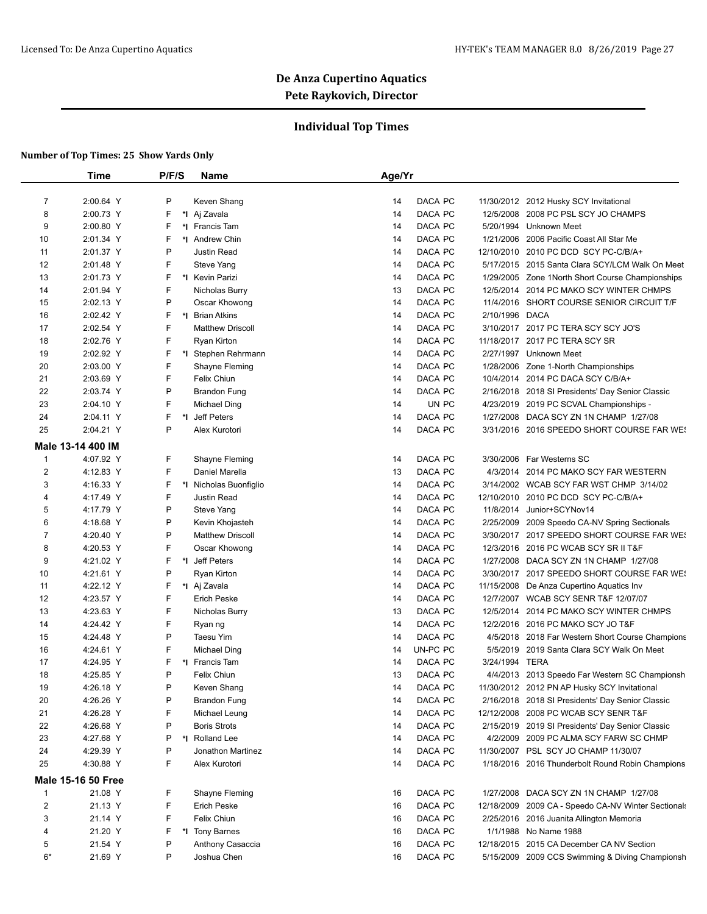## **Individual Top Times**

|                  | <b>Time</b>               | P/F/S | <b>Name</b>                           | Age/Yr         |                                                     |
|------------------|---------------------------|-------|---------------------------------------|----------------|-----------------------------------------------------|
| $\overline{7}$   | 2:00.64 Y                 | P     | Keven Shang                           | DACA PC<br>14  | 11/30/2012 2012 Husky SCY Invitational              |
| 8                | 2:00.73 Y                 | F     | *I Aj Zavala                          | DACA PC<br>14  | 12/5/2008 2008 PC PSL SCY JO CHAMPS                 |
| 9                | 2:00.80 Y                 | F     | *I Francis Tam                        | DACA PC<br>14  | 5/20/1994 Unknown Meet                              |
| 10               | 2:01.34 Y                 | F     | *1 Andrew Chin                        | DACA PC<br>14  | 1/21/2006 2006 Pacific Coast All Star Me            |
| 11               | 2:01.37 Y                 | P     | Justin Read                           | DACA PC<br>14  | 12/10/2010 2010 PC DCD SCY PC-C/B/A+                |
| 12               | 2:01.48 Y                 | F     | Steve Yang                            | DACA PC<br>14  | 5/17/2015 2015 Santa Clara SCY/LCM Walk On Meet     |
| 13               | 2:01.73 Y                 | F.    | *I Kevin Parizi                       | DACA PC<br>14  | 1/29/2005 Zone 1 North Short Course Championships   |
| 14               | 2:01.94 Y                 | F     | Nicholas Burry                        | DACA PC<br>13  | 12/5/2014 2014 PC MAKO SCY WINTER CHMPS             |
| 15               | 2:02.13 Y                 | P     | Oscar Khowong                         | DACA PC<br>14  | 11/4/2016 SHORT COURSE SENIOR CIRCUIT T/F           |
| 16               | 2:02.42 Y                 | F.    | *I Brian Atkins                       | DACA PC<br>14  | 2/10/1996 DACA                                      |
| 17               | 2:02.54 Y                 | F     | <b>Matthew Driscoll</b>               | DACA PC<br>14  | 3/10/2017 2017 PC TERA SCY SCY JO'S                 |
| 18               | 2:02.76 Y                 | F     | Ryan Kirton                           | 14<br>DACA PC  | 11/18/2017 2017 PC TERA SCY SR                      |
| 19               | 2:02.92 Y                 | F.    |                                       | DACA PC<br>14  | 2/27/1997 Unknown Meet                              |
| 20               | 2:03.00 Y                 | F     | *I Stephen Rehrmann<br>Shayne Fleming | DACA PC<br>14  | 1/28/2006 Zone 1-North Championships                |
| 21               | 2:03.69 Y                 | F     | Felix Chiun                           | DACA PC        | 10/4/2014 2014 PC DACA SCY C/B/A+                   |
| 22               |                           | P     |                                       | 14             |                                                     |
|                  | 2:03.74 Y                 | F     | <b>Brandon Fung</b>                   | DACA PC<br>14  | 2/16/2018 2018 SI Presidents' Day Senior Classic    |
| 23               | 2:04.10 Y                 |       | <b>Michael Ding</b>                   | UN PC<br>14    | 4/23/2019 2019 PC SCVAL Championships -             |
| 24               | 2:04.11 Y                 | F.    | *I Jeff Peters                        | 14<br>DACA PC  | 1/27/2008 DACA SCY ZN 1N CHAMP 1/27/08              |
| 25               | 2:04.21 Y                 | P     | Alex Kurotori                         | 14<br>DACA PC  | 3/31/2016 2016 SPEEDO SHORT COURSE FAR WE!          |
|                  | Male 13-14 400 IM         |       |                                       |                |                                                     |
| $\mathbf{1}$     | 4:07.92 Y                 | F.    | Shayne Fleming                        | DACA PC<br>14  | 3/30/2006 Far Westerns SC                           |
| $\overline{2}$   | 4:12.83 Y                 | F     | Daniel Marella                        | DACA PC<br>13  | 4/3/2014 2014 PC MAKO SCY FAR WESTERN               |
| 3                | 4:16.33 Y                 | F.    | *I Nicholas Buonfiglio                | 14<br>DACA PC  | 3/14/2002 WCAB SCY FAR WST CHMP 3/14/02             |
| 4                | 4:17.49 Y                 | F     | Justin Read                           | DACA PC<br>14  | 12/10/2010 2010 PC DCD SCY PC-C/B/A+                |
| 5                | 4:17.79 Y                 | P     | Steve Yang                            | DACA PC<br>14  | 11/8/2014 Junior+SCYNov14                           |
| 6                | 4:18.68 Y                 | P     | Kevin Khojasteh                       | DACA PC<br>14  | 2/25/2009 2009 Speedo CA-NV Spring Sectionals       |
| $\overline{7}$   | 4:20.40 Y                 | P     | <b>Matthew Driscoll</b>               | DACA PC<br>14  | 3/30/2017 2017 SPEEDO SHORT COURSE FAR WE!          |
| 8                | 4:20.53 Y                 | F     | Oscar Khowong                         | DACA PC<br>14  | 12/3/2016 2016 PC WCAB SCY SR II T&F                |
| 9                | 4:21.02 Y                 | F     | *I Jeff Peters                        | DACA PC<br>14  | 1/27/2008 DACA SCY ZN 1N CHAMP 1/27/08              |
| 10               | 4:21.61 Y                 | P     | Ryan Kirton                           | DACA PC<br>14  | 3/30/2017 2017 SPEEDO SHORT COURSE FAR WE!          |
| 11               | 4:22.12 Y                 | F.    | *I Aj Zavala                          | DACA PC<br>14  | 11/15/2008 De Anza Cupertino Aquatics Inv           |
| 12               | 4:23.57 Y                 | F     | <b>Erich Peske</b>                    | 14<br>DACA PC  | 12/7/2007 WCAB SCY SENR T&F 12/07/07                |
| 13               | 4:23.63 Y                 | F     | Nicholas Burry                        | DACA PC<br>13  | 12/5/2014 2014 PC MAKO SCY WINTER CHMPS             |
| 14               | 4:24.42 Y                 | F     | Ryan ng                               | DACA PC<br>14  | 12/2/2016 2016 PC MAKO SCY JO T&F                   |
| 15               | 4:24.48 Y                 | P     | Taesu Yim                             | DACA PC<br>14  | 4/5/2018 2018 Far Western Short Course Champions    |
| 16               | 4:24.61 Y                 | F     | <b>Michael Ding</b>                   | UN-PC PC<br>14 | 5/5/2019 2019 Santa Clara SCY Walk On Meet          |
| 17               | 4:24.95 Y                 | F.    | *I Francis Tam                        | DACA PC<br>14  | 3/24/1994 TERA                                      |
| 18               | 4:25.85 Y                 | P     | Felix Chiun                           | DACA PC<br>13  | 4/4/2013 2013 Speedo Far Western SC Championsh      |
| 19               | 4:26.18 Y                 | P     | Keven Shang                           | 14<br>DACA PC  | 11/30/2012 2012 PN AP Husky SCY Invitational        |
| 20               | 4:26.26 Y                 | P     | <b>Brandon Fung</b>                   | 14<br>DACA PC  | 2/16/2018 2018 SI Presidents' Day Senior Classic    |
| 21               | 4:26.28 Y                 | F     | Michael Leung                         | DACA PC<br>14  | 12/12/2008 2008 PC WCAB SCY SENR T&F                |
| 22               | 4:26.68 Y                 | P     | <b>Boris Strots</b>                   | DACA PC<br>14  | 2/15/2019 2019 SI Presidents' Day Senior Classic    |
| 23               | 4:27.68 Y                 | P     | *1 Rolland Lee                        | DACA PC<br>14  | 4/2/2009 2009 PC ALMA SCY FARW SC CHMP              |
| 24               | 4:29.39 Y                 | P     | Jonathon Martinez                     | DACA PC<br>14  | 11/30/2007 PSL SCY JO CHAMP 11/30/07                |
| 25               | 4:30.88 Y                 | F     | Alex Kurotori                         | DACA PC<br>14  | 1/18/2016 2016 Thunderbolt Round Robin Champions    |
|                  |                           |       |                                       |                |                                                     |
|                  | <b>Male 15-16 50 Free</b> |       |                                       |                |                                                     |
| $\mathbf{1}$     | 21.08 Y                   | F.    | Shayne Fleming                        | DACA PC<br>16  | 1/27/2008 DACA SCY ZN 1N CHAMP 1/27/08              |
| $\boldsymbol{2}$ | 21.13 Y                   | F     | Erich Peske                           | DACA PC<br>16  | 12/18/2009 2009 CA - Speedo CA-NV Winter Sectionals |
| 3                | 21.14 Y                   | F     | Felix Chiun                           | DACA PC<br>16  | 2/25/2016 2016 Juanita Allington Memoria            |
| 4                | 21.20 Y                   | F     | *1 Tony Barnes                        | DACA PC<br>16  | 1/1/1988 No Name 1988                               |
| 5                | 21.54 Y                   | P     | Anthony Casaccia                      | DACA PC<br>16  | 12/18/2015 2015 CA December CA NV Section           |
| $6*$             | 21.69 Y                   | P     | Joshua Chen                           | DACA PC<br>16  | 5/15/2009 2009 CCS Swimming & Diving Championsh     |
|                  |                           |       |                                       |                |                                                     |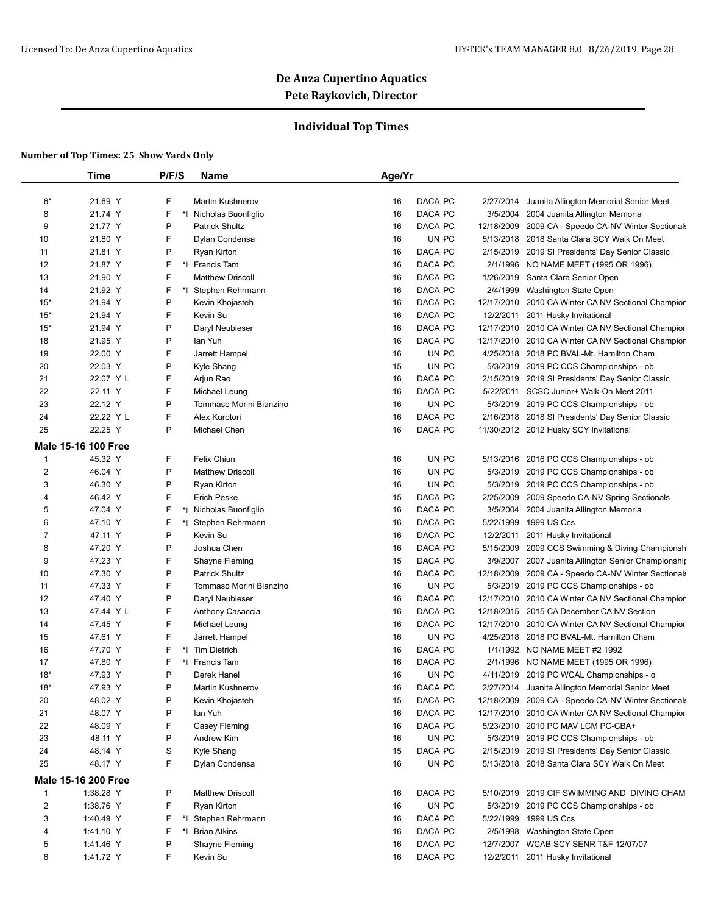## **Individual Top Times**

|                         | Time                                  | P/F/S | Name                    | Age/Yr |         |           |                                                     |
|-------------------------|---------------------------------------|-------|-------------------------|--------|---------|-----------|-----------------------------------------------------|
| $6*$                    | 21.69 Y                               | F     | <b>Martin Kushnerov</b> | 16     | DACA PC | 2/27/2014 | Juanita Allington Memorial Senior Meet              |
| 8                       | 21.74 Y                               | F     | *I Nicholas Buonfiglio  | 16     | DACA PC |           | 3/5/2004 2004 Juanita Allington Memoria             |
| 9                       | 21.77 Y                               | P     | <b>Patrick Shultz</b>   | 16     | DACA PC |           | 12/18/2009 2009 CA - Speedo CA-NV Winter Sectionals |
| 10                      | 21.80 Y                               | F     | Dylan Condensa          | 16     | UN PC   |           | 5/13/2018 2018 Santa Clara SCY Walk On Meet         |
| 11                      | 21.81 Y                               | P     | Ryan Kirton             | 16     | DACA PC |           | 2/15/2019 2019 SI Presidents' Day Senior Classic    |
| 12                      | 21.87 Y                               | F     | *I Francis Tam          | 16     | DACA PC |           | 2/1/1996 NO NAME MEET (1995 OR 1996)                |
| 13                      | 21.90 Y                               | F     | <b>Matthew Driscoll</b> | 16     | DACA PC |           | 1/26/2019 Santa Clara Senior Open                   |
| 14                      | 21.92 Y                               | F     | *I Stephen Rehrmann     | 16     | DACA PC |           | 2/4/1999 Washington State Open                      |
| $15*$                   | 21.94 Y                               | P     | Kevin Khojasteh         | 16     | DACA PC |           | 12/17/2010 2010 CA Winter CA NV Sectional Champior  |
| $15*$                   | 21.94 Y                               | F     | Kevin Su                | 16     | DACA PC |           | 12/2/2011 2011 Husky Invitational                   |
| $15*$                   | 21.94 Y                               | P     | Daryl Neubieser         | 16     | DACA PC |           | 12/17/2010 2010 CA Winter CA NV Sectional Champior  |
| 18                      | 21.95 Y                               | P     | lan Yuh                 | 16     | DACA PC |           | 12/17/2010 2010 CA Winter CA NV Sectional Champior  |
| 19                      | 22.00 Y                               | F     | Jarrett Hampel          | 16     | UN PC   |           | 4/25/2018 2018 PC BVAL-Mt. Hamilton Cham            |
| 20                      | 22.03 Y                               | P     | Kyle Shang              | 15     | UN PC   |           | 5/3/2019 2019 PC CCS Championships - ob             |
| 21                      | 22.07 Y L                             | F     | Arjun Rao               | 16     | DACA PC |           | 2/15/2019 2019 SI Presidents' Day Senior Classic    |
| 22                      | 22.11 Y                               | F     | Michael Leung           | 16     | DACA PC |           | 5/22/2011 SCSC Junior+ Walk-On Meet 2011            |
| 23                      | 22.12 Y                               | P     | Tommaso Morini Bianzino | 16     | UN PC   |           | 5/3/2019 2019 PC CCS Championships - ob             |
| 24                      | 22.22 Y L                             | F     | Alex Kurotori           | 16     | DACA PC |           | 2/16/2018 2018 SI Presidents' Day Senior Classic    |
| 25                      | 22.25 Y                               | P     | Michael Chen            | 16     | DACA PC |           | 11/30/2012 2012 Husky SCY Invitational              |
|                         |                                       |       |                         |        |         |           |                                                     |
|                         | <b>Male 15-16 100 Free</b><br>45.32 Y |       |                         |        | UN PC   |           |                                                     |
| $\mathbf{1}$            |                                       | F     | Felix Chiun             | 16     | UN PC   |           | 5/13/2016 2016 PC CCS Championships - ob            |
| 2                       | 46.04 Y                               | P     | <b>Matthew Driscoll</b> | 16     |         |           | 5/3/2019 2019 PC CCS Championships - ob             |
| 3                       | 46.30 Y                               | P     | Ryan Kirton             | 16     | UN PC   |           | 5/3/2019 2019 PC CCS Championships - ob             |
| 4                       | 46.42 Y                               | F     | <b>Erich Peske</b>      | 15     | DACA PC |           | 2/25/2009 2009 Speedo CA-NV Spring Sectionals       |
| 5                       | 47.04 Y                               | F     | *I Nicholas Buonfiglio  | 16     | DACA PC |           | 3/5/2004 2004 Juanita Allington Memoria             |
| 6                       | 47.10 Y                               | F     | *I Stephen Rehrmann     | 16     | DACA PC |           | 5/22/1999 1999 US Ccs                               |
| $\overline{7}$          | 47.11 Y                               | P     | Kevin Su                | 16     | DACA PC |           | 12/2/2011 2011 Husky Invitational                   |
| 8                       | 47.20 Y                               | P     | Joshua Chen             | 16     | DACA PC |           | 5/15/2009 2009 CCS Swimming & Diving Championsh     |
| 9                       | 47.23 Y                               | F     | Shayne Fleming          | 15     | DACA PC |           | 3/9/2007 2007 Juanita Allington Senior Championship |
| 10                      | 47.30 Y                               | P     | <b>Patrick Shultz</b>   | 16     | DACA PC |           | 12/18/2009 2009 CA - Speedo CA-NV Winter Sectionals |
| 11                      | 47.33 Y                               | F     | Tommaso Morini Bianzino | 16     | UN PC   |           | 5/3/2019 2019 PC CCS Championships - ob             |
| 12                      | 47.40 Y                               | P     | Daryl Neubieser         | 16     | DACA PC |           | 12/17/2010 2010 CA Winter CA NV Sectional Champior  |
| 13                      | 47.44 Y L                             | F     | Anthony Casaccia        | 16     | DACA PC |           | 12/18/2015 2015 CA December CA NV Section           |
| 14                      | 47.45 Y                               | F     | Michael Leung           | 16     | DACA PC |           | 12/17/2010 2010 CA Winter CA NV Sectional Champior  |
| 15                      | 47.61 Y                               | F     | Jarrett Hampel          | 16     | UN PC   |           | 4/25/2018 2018 PC BVAL-Mt. Hamilton Cham            |
| 16                      | 47.70 Y                               | F     | *I Tim Dietrich         | 16     | DACA PC |           | 1/1/1992 NO NAME MEET #2 1992                       |
| 17                      | 47.80 Y                               | F     | *I Francis Tam          | 16     | DACA PC |           | 2/1/1996 NO NAME MEET (1995 OR 1996)                |
| $18*$                   | 47.93 Y                               | P     | Derek Hanel             | 16     | UN PC   |           | 4/11/2019 2019 PC WCAL Championships - o            |
| $18*$                   | 47.93 Y                               | Ρ     | <b>Martin Kushnerov</b> | 16     | DACA PC |           | 2/27/2014 Juanita Allington Memorial Senior Meet    |
| 20                      | 48.02 Y                               | P     | Kevin Khojasteh         | 15     | DACA PC |           | 12/18/2009 2009 CA - Speedo CA-NV Winter Sectionals |
| 21                      | 48.07 Y                               | P     | lan Yuh                 | 16     | DACA PC |           | 12/17/2010 2010 CA Winter CA NV Sectional Champior  |
| 22                      | 48.09 Y                               | F     | Casey Fleming           | 16     | DACA PC |           | 5/23/2010 2010 PC MAV LCM PC-CBA+                   |
| 23                      | 48.11 Y                               | P     | Andrew Kim              | 16     | UN PC   |           | 5/3/2019 2019 PC CCS Championships - ob             |
| 24                      | 48.14 Y                               | S     | Kyle Shang              | 15     | DACA PC |           | 2/15/2019 2019 SI Presidents' Day Senior Classic    |
| 25                      | 48.17 Y                               | F     | Dylan Condensa          | 16     | UN PC   |           | 5/13/2018 2018 Santa Clara SCY Walk On Meet         |
|                         | <b>Male 15-16 200 Free</b>            |       |                         |        |         |           |                                                     |
| $\mathbf{1}$            | 1:38.28 Y                             | P     | <b>Matthew Driscoll</b> | 16     | DACA PC |           | 5/10/2019 2019 CIF SWIMMING AND DIVING CHAM         |
| $\overline{\mathbf{c}}$ | 1:38.76 Y                             | F     | Ryan Kirton             | 16     | UN PC   |           | 5/3/2019 2019 PC CCS Championships - ob             |
| 3                       | 1:40.49 Y                             | F     | *I Stephen Rehrmann     | 16     | DACA PC |           | 5/22/1999 1999 US Ccs                               |
| 4                       | 1:41.10 Y                             | F     | *I Brian Atkins         | 16     | DACA PC |           | 2/5/1998 Washington State Open                      |
| 5                       | 1:41.46 Y                             | P     | Shayne Fleming          | 16     | DACA PC |           | 12/7/2007 WCAB SCY SENR T&F 12/07/07                |
| 6                       | 1:41.72 Y                             | F     | Kevin Su                | 16     | DACA PC |           | 12/2/2011 2011 Husky Invitational                   |
|                         |                                       |       |                         |        |         |           |                                                     |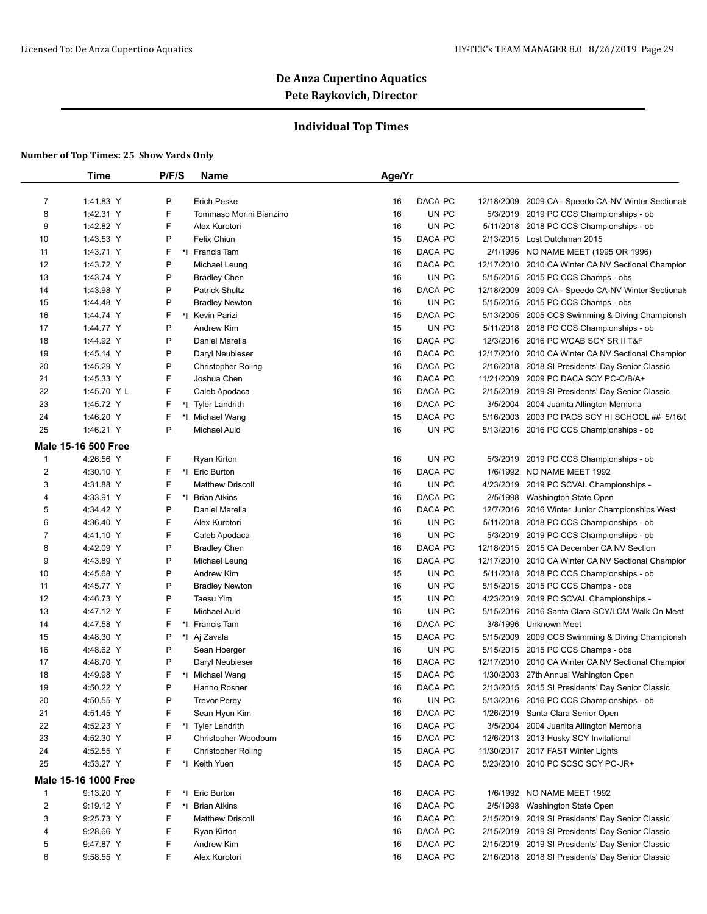## **Individual Top Times**

|              | Time                       | P/F/S    | Name                      | Age/Yr |         |                                                     |
|--------------|----------------------------|----------|---------------------------|--------|---------|-----------------------------------------------------|
|              |                            |          |                           |        |         |                                                     |
| 7            | 1:41.83 Y                  | P        | <b>Erich Peske</b>        | 16     | DACA PC | 12/18/2009 2009 CA - Speedo CA-NV Winter Sectionals |
| 8            | 1:42.31 Y                  | F        | Tommaso Morini Bianzino   | 16     | UN PC   | 5/3/2019 2019 PC CCS Championships - ob             |
| 9            | 1:42.82 Y                  | F        | Alex Kurotori             | 16     | UN PC   | 5/11/2018 2018 PC CCS Championships - ob            |
| 10           | 1:43.53 Y                  | P        | Felix Chiun               | 15     | DACA PC | 2/13/2015 Lost Dutchman 2015                        |
| 11           | 1:43.71 Y                  | F        | *I Francis Tam            | 16     | DACA PC | 2/1/1996 NO NAME MEET (1995 OR 1996)                |
| 12           | 1:43.72 Y                  | P        | Michael Leung             | 16     | DACA PC | 12/17/2010 2010 CA Winter CA NV Sectional Champior  |
| 13           | 1:43.74 Y                  | P        | <b>Bradley Chen</b>       | 16     | UN PC   | 5/15/2015 2015 PC CCS Champs - obs                  |
| 14           | 1:43.98 Y                  | P        | <b>Patrick Shultz</b>     | 16     | DACA PC | 12/18/2009 2009 CA - Speedo CA-NV Winter Sectionals |
| 15           | 1:44.48 Y                  | P        | <b>Bradley Newton</b>     | 16     | UN PC   | 5/15/2015 2015 PC CCS Champs - obs                  |
| 16           | 1:44.74 Y                  | F.       | *I Kevin Parizi           | 15     | DACA PC | 5/13/2005 2005 CCS Swimming & Diving Championsh     |
| 17           | 1:44.77 Y                  | P        | Andrew Kim                | 15     | UN PC   | 5/11/2018 2018 PC CCS Championships - ob            |
| 18           | 1:44.92 Y                  | P        | Daniel Marella            | 16     | DACA PC | 12/3/2016 2016 PC WCAB SCY SR II T&F                |
| 19           | 1:45.14 Y                  | P        | Daryl Neubieser           | 16     | DACA PC | 12/17/2010 2010 CA Winter CA NV Sectional Champior  |
| 20           | 1:45.29 Y                  | P        | <b>Christopher Roling</b> | 16     | DACA PC | 2/16/2018 2018 SI Presidents' Day Senior Classic    |
| 21           | 1:45.33 Y                  | F        | Joshua Chen               | 16     | DACA PC | 11/21/2009 2009 PC DACA SCY PC-C/B/A+               |
| 22           | 1:45.70 Y L                | F        | Caleb Apodaca             | 16     | DACA PC | 2/15/2019 2019 SI Presidents' Day Senior Classic    |
| 23           | 1:45.72 Y                  | F        | *I Tyler Landrith         | 16     | DACA PC | 3/5/2004 2004 Juanita Allington Memoria             |
| 24           | 1:46.20 Y                  | F        | *I Michael Wang           | 15     | DACA PC | 5/16/2003 2003 PC PACS SCY HI SCHOOL ## 5/16/(      |
| 25           | 1:46.21 Y                  | P        | <b>Michael Auld</b>       | 16     | UN PC   | 5/13/2016 2016 PC CCS Championships - ob            |
|              | <b>Male 15-16 500 Free</b> |          |                           |        |         |                                                     |
| $\mathbf{1}$ | 4:26.56 Y                  | F        | Ryan Kirton               | 16     | UN PC   | 5/3/2019 2019 PC CCS Championships - ob             |
| 2            | 4:30.10 Y                  | F.       | *I Eric Burton            | 16     | DACA PC | 1/6/1992 NO NAME MEET 1992                          |
| 3            | 4:31.88 Y                  | F        | <b>Matthew Driscoll</b>   | 16     | UN PC   | 4/23/2019 2019 PC SCVAL Championships -             |
| 4            | 4:33.91 Y                  | F.       | *1 Brian Atkins           | 16     | DACA PC | 2/5/1998 Washington State Open                      |
| 5            | 4:34.42 Y                  | P        | Daniel Marella            | 16     | DACA PC | 12/7/2016 2016 Winter Junior Championships West     |
| 6            | 4:36.40 Y                  | F        | Alex Kurotori             | 16     | UN PC   | 5/11/2018 2018 PC CCS Championships - ob            |
| 7            | 4:41.10 Y                  | F        | Caleb Apodaca             | 16     | UN PC   | 5/3/2019 2019 PC CCS Championships - ob             |
| 8            | 4:42.09 Y                  | P        | <b>Bradley Chen</b>       | 16     | DACA PC | 12/18/2015 2015 CA December CA NV Section           |
| 9            | 4:43.89 Y                  | P        | Michael Leung             | 16     | DACA PC | 12/17/2010 2010 CA Winter CA NV Sectional Champior  |
| 10           | 4:45.68 Y                  | P        | Andrew Kim                | 15     | UN PC   | 5/11/2018 2018 PC CCS Championships - ob            |
| 11           | 4:45.77 Y                  | P        | <b>Bradley Newton</b>     | 16     | UN PC   | 5/15/2015 2015 PC CCS Champs - obs                  |
| 12           | 4:46.73 Y                  | P        | <b>Taesu Yim</b>          | 15     | UN PC   | 4/23/2019 2019 PC SCVAL Championships -             |
| 13           | 4:47.12 Y                  | F        | <b>Michael Auld</b>       | 16     | UN PC   | 5/15/2016 2016 Santa Clara SCY/LCM Walk On Meet     |
| 14           | 4:47.58 Y                  | F        | *I Francis Tam            | 16     | DACA PC | 3/8/1996 Unknown Meet                               |
| 15           | 4:48.30 Y                  | P        | *I Aj Zavala              | 15     | DACA PC | 5/15/2009 2009 CCS Swimming & Diving Championsh     |
| 16           | 4:48.62 Y                  | P        | Sean Hoerger              | 16     | UN PC   | 5/15/2015 2015 PC CCS Champs - obs                  |
| 17           | 4:48.70 Y                  | P        | Daryl Neubieser           | 16     | DACA PC | 12/17/2010 2010 CA Winter CA NV Sectional Champior  |
| 18           | 4:49.98 Y                  | F.       | *I Michael Wang           | 15     | DACA PC | 1/30/2003 27th Annual Wahington Open                |
| 19           | 4:50.22 Y                  | P        | Hanno Rosner              | 16     | DACA PC | 2/13/2015 2015 SI Presidents' Day Senior Classic    |
| 20           | 4:50.55 Y                  | P        | <b>Trevor Perey</b>       | 16     | UN PC   | 5/13/2016 2016 PC CCS Championships - ob            |
|              |                            | F        |                           |        |         |                                                     |
| 21           | 4:51.45 Y                  |          | Sean Hyun Kim             | 16     | DACA PC | 1/26/2019 Santa Clara Senior Open                   |
| 22           | 4:52.23 Y                  | F.       | *I Tyler Landrith         | 16     | DACA PC | 3/5/2004 2004 Juanita Allington Memoria             |
| 23           | 4:52.30 Y                  | P        | Christopher Woodburn      | 15     | DACA PC | 12/6/2013 2013 Husky SCY Invitational               |
| 24           | 4:52.55 Y                  | F        | <b>Christopher Roling</b> | 15     | DACA PC | 11/30/2017 2017 FAST Winter Lights                  |
| 25           | 4:53.27 Y                  | F.<br>*l | Keith Yuen                | 15     | DACA PC | 5/23/2010 2010 PC SCSC SCY PC-JR+                   |
|              | Male 15-16 1000 Free       |          |                           |        |         |                                                     |
| $\mathbf{1}$ | 9:13.20 Y                  | F.<br>*l | Eric Burton               | 16     | DACA PC | 1/6/1992 NO NAME MEET 1992                          |
| 2            | 9:19.12 Y                  | F<br>*l  | <b>Brian Atkins</b>       | 16     | DACA PC | 2/5/1998 Washington State Open                      |
| 3            | 9:25.73 Y                  | F        | <b>Matthew Driscoll</b>   | 16     | DACA PC | 2/15/2019 2019 SI Presidents' Day Senior Classic    |
| 4            | 9:28.66 Y                  | F        | Ryan Kirton               | 16     | DACA PC | 2/15/2019 2019 SI Presidents' Day Senior Classic    |
| 5            | 9:47.87 Y                  | F        | Andrew Kim                | 16     | DACA PC | 2/15/2019 2019 SI Presidents' Day Senior Classic    |
| 6            | 9:58.55 Y                  | F        | Alex Kurotori             | 16     | DACA PC | 2/16/2018 2018 SI Presidents' Day Senior Classic    |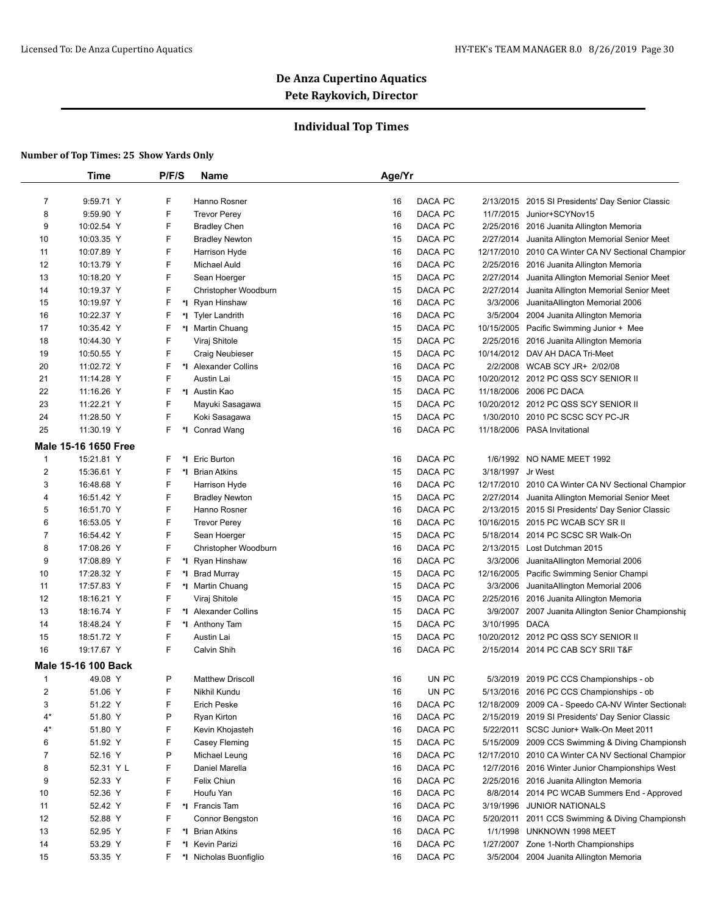## **Individual Top Times**

|                | <b>Time</b>                | P/F/S            | <b>Name</b>             | Age/Yr                      |                                                     |
|----------------|----------------------------|------------------|-------------------------|-----------------------------|-----------------------------------------------------|
|                |                            |                  |                         |                             |                                                     |
| $\overline{7}$ | 9:59.71 Y                  | F                | Hanno Rosner            | DACA PC<br>16<br>2/13/2015  | 2015 SI Presidents' Day Senior Classic              |
| 8              | 9:59.90 Y                  | F                | <b>Trevor Perey</b>     | DACA PC<br>16<br>11/7/2015  | Junior+SCYNov15                                     |
| 9              | 10:02.54 Y                 | F                | <b>Bradley Chen</b>     | DACA PC<br>16               | 2/25/2016 2016 Juanita Allington Memoria            |
| 10             | 10:03.35 Y                 | F                | <b>Bradley Newton</b>   | DACA PC<br>15<br>2/27/2014  | Juanita Allington Memorial Senior Meet              |
| 11             | 10:07.89 Y                 | F                | Harrison Hyde           | 16<br>DACA PC               | 12/17/2010 2010 CA Winter CA NV Sectional Champior  |
| 12             | 10:13.79 Y                 | F                | <b>Michael Auld</b>     | DACA PC<br>16               | 2/25/2016 2016 Juanita Allington Memoria            |
| 13             | 10:18.20 Y                 | F                | Sean Hoerger            | DACA PC<br>15<br>2/27/2014  | Juanita Allington Memorial Senior Meet              |
| 14             | 10:19.37 Y                 | F                | Christopher Woodburn    | DACA PC<br>15               | 2/27/2014 Juanita Allington Memorial Senior Meet    |
| 15             | 10:19.97 Y                 | F                | *I Ryan Hinshaw         | DACA PC<br>16<br>3/3/2006   | JuanitaAllington Memorial 2006                      |
| 16             | 10:22.37 Y                 | F<br>*l          | <b>Tyler Landrith</b>   | DACA PC<br>16<br>3/5/2004   | 2004 Juanita Allington Memoria                      |
| 17             | 10:35.42 Y                 | F                | *I Martin Chuang        | DACA PC<br>15               | 10/15/2005 Pacific Swimming Junior + Mee            |
| 18             | 10:44.30 Y                 | F                | Viraj Shitole           | DACA PC<br>15               | 2/25/2016 2016 Juanita Allington Memoria            |
| 19             | 10:50.55 Y                 | F                | Craig Neubieser         | DACA PC<br>15               | 10/14/2012 DAV AH DACA Tri-Meet                     |
| 20             | 11:02.72 Y                 | F                | *1 Alexander Collins    | DACA PC<br>16               | 2/2/2008 WCAB SCY JR+ 2/02/08                       |
| 21             | 11:14.28 Y                 | F                | Austin Lai              | 15<br>DACA PC               | 10/20/2012 2012 PC QSS SCY SENIOR II                |
| 22             | 11:16.26 Y                 | F                | *1 Austin Kao           | DACA PC<br>11/18/2006<br>15 | 2006 PC DACA                                        |
| 23             | 11:22.21 Y                 | F                | Mayuki Sasagawa         | DACA PC<br>15               | 10/20/2012 2012 PC QSS SCY SENIOR II                |
| 24             | 11:28.50 Y                 | F                | Koki Sasagawa           | 15<br>DACA PC<br>1/30/2010  | 2010 PC SCSC SCY PC-JR                              |
| 25             | 11:30.19 Y                 | F<br>*∣          | Conrad Wang             | 16<br>DACA PC               | 11/18/2006 PASA Invitational                        |
|                | Male 15-16 1650 Free       |                  |                         |                             |                                                     |
| $\mathbf{1}$   | 15:21.81 Y                 | F.<br>*∣         | Eric Burton             | 16<br>DACA PC               | 1/6/1992 NO NAME MEET 1992                          |
| $\overline{2}$ | 15:36.61 Y                 | F<br>*∣          | <b>Brian Atkins</b>     | 15<br>DACA PC<br>3/18/1997  | Jr West                                             |
| 3              | 16:48.68 Y                 | F                | Harrison Hyde           | DACA PC<br>16               | 12/17/2010 2010 CA Winter CA NV Sectional Champior  |
| 4              | 16:51.42 Y                 | F                | <b>Bradley Newton</b>   | DACA PC<br>15<br>2/27/2014  | Juanita Allington Memorial Senior Meet              |
| 5              | 16:51.70 Y                 | F                | Hanno Rosner            | 16<br>DACA PC               | 2/13/2015 2015 SI Presidents' Day Senior Classic    |
| 6              | 16:53.05 Y                 | F                | <b>Trevor Perey</b>     | DACA PC<br>16               | 10/16/2015 2015 PC WCAB SCY SR II                   |
| 7              | 16:54.42 Y                 | F                | Sean Hoerger            | DACA PC<br>15<br>5/18/2014  | 2014 PC SCSC SR Walk-On                             |
| 8              | 17:08.26 Y                 | F                | Christopher Woodburn    | 16<br>DACA PC               | 2/13/2015 Lost Dutchman 2015                        |
| 9              | 17:08.89 Y                 | F                | *I Ryan Hinshaw         | DACA PC<br>16<br>3/3/2006   | JuanitaAllington Memorial 2006                      |
| 10             | 17:28.32 Y                 | F<br>$^\star\!I$ | <b>Brad Murray</b>      | 15<br>DACA PC               | 12/16/2005 Pacific Swimming Senior Champi           |
| 11             | 17:57.83 Y                 | F                | *I Martin Chuang        | 15<br>DACA PC<br>3/3/2006   | JuanitaAllington Memorial 2006                      |
| 12             | 18:16.21 Y                 | F                | Viraj Shitole           | DACA PC<br>15               | 2/25/2016 2016 Juanita Allington Memoria            |
| 13             | 18:16.74 Y                 | F                | *1 Alexander Collins    | 15<br>DACA PC<br>3/9/2007   | 2007 Juanita Allington Senior Championship          |
| 14             | 18:48.24 Y                 | F                | *I Anthony Tam          | 15<br>DACA PC<br>3/10/1995  | DACA                                                |
| 15             | 18:51.72 Y                 | F                | Austin Lai              | 15<br>DACA PC               | 10/20/2012 2012 PC QSS SCY SENIOR II                |
| 16             | 19:17.67 Y                 | F                | Calvin Shih             | DACA PC<br>16               | 2/15/2014 2014 PC CAB SCY SRII T&F                  |
|                |                            |                  |                         |                             |                                                     |
|                | <b>Male 15-16 100 Back</b> |                  |                         |                             |                                                     |
| $\mathbf{1}$   | 49.08 Y                    | P                | <b>Matthew Driscoll</b> | UN PC<br>16                 | 5/3/2019 2019 PC CCS Championships - ob             |
| $\overline{c}$ | 51.06 Y                    | F                | Nikhil Kundu            | UN PC<br>16                 | 5/13/2016 2016 PC CCS Championships - ob            |
| 3              | 51.22 Y                    | F                | Erich Peske             | DACA PC<br>16               | 12/18/2009 2009 CA - Speedo CA-NV Winter Sectionals |
| $4^*$          | 51.80 Y                    | P                | Ryan Kirton             | 16<br>DACA PC               | 2/15/2019 2019 SI Presidents' Day Senior Classic    |
| $4^*$          | 51.80 Y                    | F                | Kevin Khojasteh         | DACA PC<br>16               | 5/22/2011 SCSC Junior+ Walk-On Meet 2011            |
| 6              | 51.92 Y                    | F                | Casey Fleming           | DACA PC<br>15               | 5/15/2009 2009 CCS Swimming & Diving Championsh     |
| $\overline{7}$ | 52.16 Y                    | P                | Michael Leung           | DACA PC<br>16<br>12/17/2010 | 2010 CA Winter CA NV Sectional Champior             |
| 8              | 52.31 Y L                  | F                | Daniel Marella          | DACA PC<br>16               | 12/7/2016 2016 Winter Junior Championships West     |
| 9              | 52.33 Y                    | F                | Felix Chiun             | DACA PC<br>16               | 2/25/2016 2016 Juanita Allington Memoria            |
| 10             | 52.36 Y                    | F                | Houfu Yan               | DACA PC<br>8/8/2014<br>16   | 2014 PC WCAB Summers End - Approved                 |
| 11             | 52.42 Y                    | F                | *I Francis Tam          | DACA PC<br>16               | 3/19/1996 JUNIOR NATIONALS                          |
| 12             | 52.88 Y                    | F                | Connor Bengston         | DACA PC<br>16               | 5/20/2011 2011 CCS Swimming & Diving Championsh     |
| 13             | 52.95 Y                    | F                | *1 Brian Atkins         | DACA PC<br>16               | 1/1/1998 UNKNOWN 1998 MEET                          |
| 14             | 53.29 Y                    | F                | *1 Kevin Parizi         | DACA PC<br>16               | 1/27/2007 Zone 1-North Championships                |
| 15             | 53.35 Y                    | F.               | *I Nicholas Buonfiglio  | DACA PC<br>16               | 3/5/2004 2004 Juanita Allington Memoria             |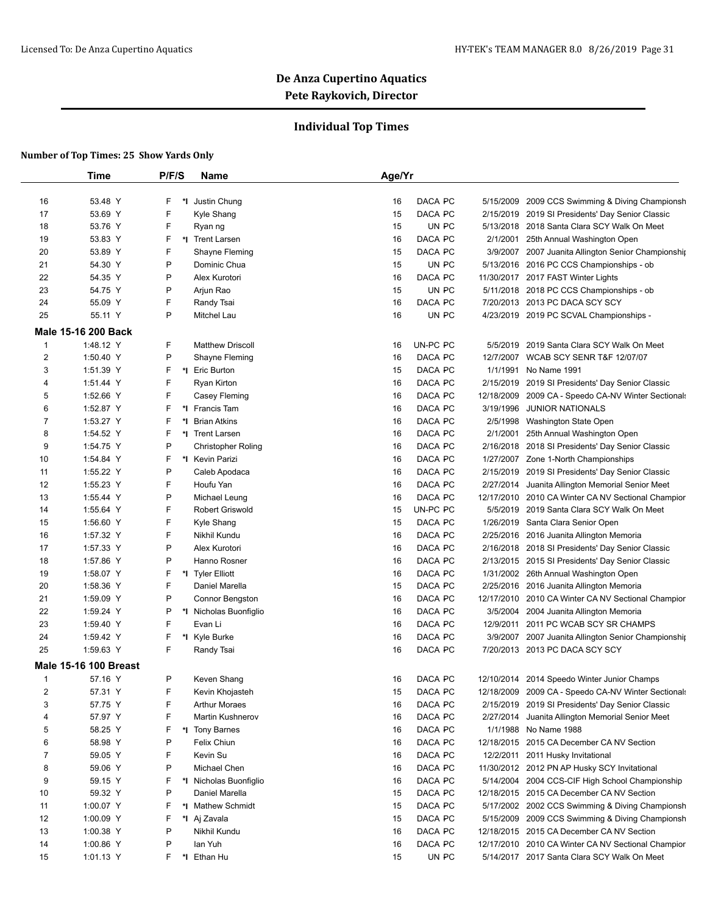## **Individual Top Times**

|              | <b>Time</b>                  | P/F/S  | Name                      | Age/Yr |          |            |                                                                                              |
|--------------|------------------------------|--------|---------------------------|--------|----------|------------|----------------------------------------------------------------------------------------------|
|              |                              |        |                           |        |          |            |                                                                                              |
| 16           | 53.48 Y                      | F<br>* | Justin Chung              | 16     | DACA PC  | 5/15/2009  | 2009 CCS Swimming & Diving Championsh                                                        |
| 17           | 53.69 Y                      | F      | Kyle Shang                | 15     | DACA PC  |            | 2/15/2019 2019 SI Presidents' Day Senior Classic                                             |
| 18           | 53.76 Y                      | F      | Ryan ng                   | 15     | UN PC    |            | 5/13/2018 2018 Santa Clara SCY Walk On Meet                                                  |
| 19           | 53.83 Y                      | F      | *I Trent Larsen           | 16     | DACA PC  | 2/1/2001   | 25th Annual Washington Open                                                                  |
| 20           | 53.89 Y                      | F      | Shayne Fleming            | 15     | DACA PC  |            | 3/9/2007 2007 Juanita Allington Senior Championship                                          |
| 21           | 54.30 Y                      | P      | Dominic Chua              | 15     | UN PC    |            | 5/13/2016 2016 PC CCS Championships - ob                                                     |
| 22           | 54.35 Y                      | P      | Alex Kurotori             | 16     | DACA PC  |            | 11/30/2017 2017 FAST Winter Lights                                                           |
| 23           | 54.75 Y                      | P      | Arjun Rao                 | 15     | UN PC    |            | 5/11/2018 2018 PC CCS Championships - ob                                                     |
| 24           | 55.09 Y                      | F      | Randy Tsai                | 16     | DACA PC  |            | 7/20/2013 2013 PC DACA SCY SCY                                                               |
| 25           | 55.11 Y                      | P      | Mitchel Lau               | 16     | UN PC    |            | 4/23/2019 2019 PC SCVAL Championships -                                                      |
|              | <b>Male 15-16 200 Back</b>   |        |                           |        |          |            |                                                                                              |
| 1            | 1:48.12 Y                    | F      | <b>Matthew Driscoll</b>   | 16     | UN-PC PC |            | 5/5/2019 2019 Santa Clara SCY Walk On Meet                                                   |
| 2            | 1:50.40 Y                    | Ρ      | Shayne Fleming            | 16     | DACA PC  |            | 12/7/2007 WCAB SCY SENR T&F 12/07/07                                                         |
| 3            | 1:51.39 Y                    | F      | *I Eric Burton            | 15     | DACA PC  | 1/1/1991   | No Name 1991                                                                                 |
| 4            | 1:51.44 Y                    | F      | Ryan Kirton               | 16     | DACA PC  |            | 2/15/2019 2019 SI Presidents' Day Senior Classic                                             |
| 5            | 1:52.66 Y                    | F      | Casey Fleming             | 16     | DACA PC  | 12/18/2009 | 2009 CA - Speedo CA-NV Winter Sectionals                                                     |
| 6            | 1:52.87 Y                    | F      | *I Francis Tam            | 16     | DACA PC  | 3/19/1996  | <b>JUNIOR NATIONALS</b>                                                                      |
| 7            | 1:53.27 Y                    | F      | *1 Brian Atkins           | 16     | DACA PC  | 2/5/1998   | Washington State Open                                                                        |
| 8            | 1:54.52 Y                    | F      | *I Trent Larsen           | 16     | DACA PC  | 2/1/2001   | 25th Annual Washington Open                                                                  |
| 9            | 1:54.75 Y                    | P      | <b>Christopher Roling</b> | 16     | DACA PC  |            | 2/16/2018 2018 SI Presidents' Day Senior Classic                                             |
| 10           | 1:54.84 Y                    | F      | *1 Kevin Parizi           | 16     | DACA PC  |            | 1/27/2007 Zone 1-North Championships                                                         |
| 11           | 1:55.22 Y                    | P      | Caleb Apodaca             | 16     | DACA PC  | 2/15/2019  | 2019 SI Presidents' Day Senior Classic                                                       |
| 12           | 1:55.23 Y                    | F      | Houfu Yan                 | 16     | DACA PC  | 2/27/2014  |                                                                                              |
| 13           | 1:55.44 Y                    | P      | Michael Leung             | 16     | DACA PC  |            | Juanita Allington Memorial Senior Meet<br>12/17/2010 2010 CA Winter CA NV Sectional Champior |
| 14           | 1:55.64 Y                    | F      | Robert Griswold           | 15     | UN-PC PC | 5/5/2019   | 2019 Santa Clara SCY Walk On Meet                                                            |
|              | 1:56.60 Y                    | F      |                           | 15     | DACA PC  | 1/26/2019  |                                                                                              |
| 15           | 1:57.32 Y                    | F      | Kyle Shang                |        |          |            | Santa Clara Senior Open                                                                      |
| 16           |                              | P      | Nikhil Kundu              | 16     | DACA PC  |            | 2/25/2016 2016 Juanita Allington Memoria                                                     |
| 17           | 1:57.33 Y                    | P      | Alex Kurotori             | 16     | DACA PC  |            | 2/16/2018 2018 SI Presidents' Day Senior Classic                                             |
| 18           | 1:57.86 Y                    | F      | Hanno Rosner              | 16     | DACA PC  |            | 2/13/2015 2015 SI Presidents' Day Senior Classic                                             |
| 19           | 1:58.07 Y                    | F      | *I Tyler Elliott          | 16     | DACA PC  |            | 1/31/2002 26th Annual Washington Open                                                        |
| 20           | 1:58.36 Y                    |        | Daniel Marella            | 15     | DACA PC  |            | 2/25/2016 2016 Juanita Allington Memoria                                                     |
| 21           | 1:59.09 Y                    | P      | Connor Bengston           | 16     | DACA PC  |            | 12/17/2010 2010 CA Winter CA NV Sectional Champior                                           |
| 22           | 1:59.24 Y                    | Ρ      | *I Nicholas Buonfiglio    | 16     | DACA PC  |            | 3/5/2004 2004 Juanita Allington Memoria                                                      |
| 23           | 1:59.40 Y                    | F      | Evan Li                   | 16     | DACA PC  | 12/9/2011  | 2011 PC WCAB SCY SR CHAMPS                                                                   |
| 24           | 1:59.42 Y                    | F      | *I Kyle Burke             | 16     | DACA PC  |            | 3/9/2007 2007 Juanita Allington Senior Championship                                          |
| 25           | 1:59.63 Y                    | F      | Randy Tsai                | 16     | DACA PC  |            | 7/20/2013 2013 PC DACA SCY SCY                                                               |
|              | <b>Male 15-16 100 Breast</b> |        |                           |        |          |            |                                                                                              |
| $\mathbf{1}$ | 57.16 Y                      | P      | Keven Shang               | 16     | DACA PC  |            | 12/10/2014 2014 Speedo Winter Junior Champs                                                  |
| 2            | 57.31 Y                      | F      | Kevin Khojasteh           | 15     | DACA PC  |            | 12/18/2009 2009 CA - Speedo CA-NV Winter Sectionals                                          |
| 3            | 57.75 Y                      | F      | <b>Arthur Moraes</b>      | 16     | DACA PC  |            | 2/15/2019 2019 SI Presidents' Day Senior Classic                                             |
| 4            | 57.97 Y                      | F      | Martin Kushnerov          | 16     | DACA PC  |            | 2/27/2014 Juanita Allington Memorial Senior Meet                                             |
| 5            | 58.25 Y                      | F      | *I Tony Barnes            | 16     | DACA PC  |            | 1/1/1988 No Name 1988                                                                        |
| 6            | 58.98 Y                      | Ρ      | Felix Chiun               | 16     | DACA PC  |            | 12/18/2015 2015 CA December CA NV Section                                                    |
| 7            | 59.05 Y                      | F      | Kevin Su                  | 16     | DACA PC  |            | 12/2/2011 2011 Husky Invitational                                                            |
| 8            | 59.06 Y                      | Ρ      | Michael Chen              | 16     | DACA PC  |            | 11/30/2012 2012 PN AP Husky SCY Invitational                                                 |
| 9            | 59.15 Y                      | F      | *I Nicholas Buonfiglio    | 16     | DACA PC  |            | 5/14/2004 2004 CCS-CIF High School Championship                                              |
| 10           | 59.32 Y                      | Ρ      | Daniel Marella            | 15     | DACA PC  |            | 12/18/2015 2015 CA December CA NV Section                                                    |
| 11           | 1:00.07 Y                    | F      | *I Mathew Schmidt         | 15     | DACA PC  |            | 5/17/2002 2002 CCS Swimming & Diving Championsh                                              |
| 12           | 1:00.09 Y                    | F      | *I Aj Zavala              | 15     | DACA PC  |            | 5/15/2009 2009 CCS Swimming & Diving Championsh                                              |
| 13           | 1:00.38 Y                    | P      | Nikhil Kundu              | 16     | DACA PC  |            | 12/18/2015 2015 CA December CA NV Section                                                    |
| 14           | 1:00.86 Y                    | Ρ      | lan Yuh                   | 16     | DACA PC  |            | 12/17/2010 2010 CA Winter CA NV Sectional Champior                                           |
| 15           | 1:01.13 Y                    | F      | *I Ethan Hu               | 15     | UN PC    |            | 5/14/2017 2017 Santa Clara SCY Walk On Meet                                                  |
|              |                              |        |                           |        |          |            |                                                                                              |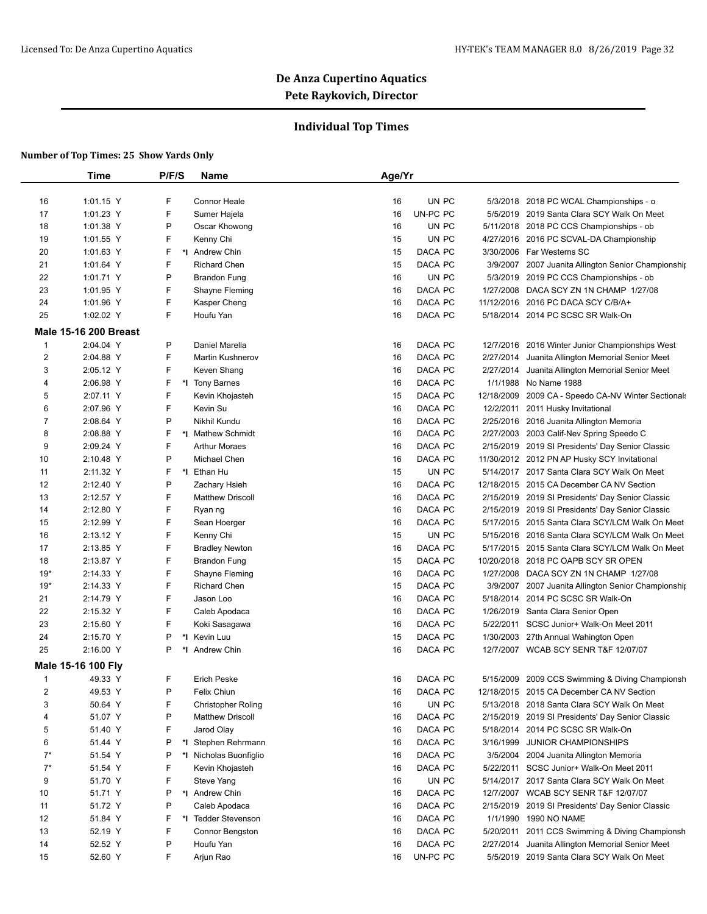## **Individual Top Times**

|                | <b>Time</b>                  | P/F/S   | Name                      | Age/Yr         |            |                                                     |
|----------------|------------------------------|---------|---------------------------|----------------|------------|-----------------------------------------------------|
|                |                              |         |                           |                |            |                                                     |
| 16             | 1:01.15 Y                    | F       | Connor Heale              | 16<br>UN PC    |            | 5/3/2018 2018 PC WCAL Championships - o             |
| 17             | 1:01.23 Y                    | F       | Sumer Hajela              | UN-PC PC<br>16 |            | 5/5/2019 2019 Santa Clara SCY Walk On Meet          |
| 18             | 1:01.38 Y                    | P       | Oscar Khowong             | UN PC<br>16    |            | 5/11/2018 2018 PC CCS Championships - ob            |
| 19             | 1:01.55 Y                    | F       | Kenny Chi                 | 15<br>UN PC    |            | 4/27/2016 2016 PC SCVAL-DA Championship             |
| 20             | 1:01.63 Y                    | F       | *I Andrew Chin            | 15<br>DACA PC  |            | 3/30/2006 Far Westerns SC                           |
| 21             | 1:01.64 Y                    | F       | Richard Chen              | 15<br>DACA PC  |            | 3/9/2007 2007 Juanita Allington Senior Championship |
| 22             | 1:01.71 Y                    | P       | <b>Brandon Fung</b>       | 16<br>UN PC    |            | 5/3/2019 2019 PC CCS Championships - ob             |
| 23             | 1:01.95 Y                    | F       | Shayne Fleming            | DACA PC<br>16  |            | 1/27/2008 DACA SCY ZN 1N CHAMP 1/27/08              |
| 24             | 1:01.96 Y                    | F       | Kasper Cheng              | DACA PC<br>16  |            | 11/12/2016 2016 PC DACA SCY C/B/A+                  |
| 25             | 1:02.02 Y                    | F       | Houfu Yan                 | DACA PC<br>16  |            | 5/18/2014 2014 PC SCSC SR Walk-On                   |
|                | <b>Male 15-16 200 Breast</b> |         |                           |                |            |                                                     |
| 1              | 2:04.04 Y                    | P       | Daniel Marella            | DACA PC<br>16  |            | 12/7/2016 2016 Winter Junior Championships West     |
| $\overline{c}$ | 2:04.88 Y                    | F       | <b>Martin Kushnerov</b>   | DACA PC<br>16  |            | 2/27/2014 Juanita Allington Memorial Senior Meet    |
| 3              | 2:05.12 Y                    | F       | Keven Shang               | DACA PC<br>16  | 2/27/2014  | Juanita Allington Memorial Senior Meet              |
| 4              | 2:06.98 Y                    | F       | *I Tony Barnes            | DACA PC<br>16  | 1/1/1988   | No Name 1988                                        |
| 5              | 2:07.11 Y                    | F       | Kevin Khojasteh           | 15<br>DACA PC  | 12/18/2009 | 2009 CA - Speedo CA-NV Winter Sectionals            |
| 6              | 2:07.96 Y                    | F       | Kevin Su                  | DACA PC<br>16  | 12/2/2011  | 2011 Husky Invitational                             |
| 7              | 2:08.64 Y                    | P       | Nikhil Kundu              | DACA PC<br>16  |            | 2/25/2016 2016 Juanita Allington Memoria            |
| 8              | 2:08.88 Y                    | F       | *I Mathew Schmidt         | DACA PC<br>16  |            | 2/27/2003 2003 Calif-Nev Spring Speedo C            |
| 9              | 2:09.24 Y                    | F       | <b>Arthur Moraes</b>      | DACA PC<br>16  |            | 2/15/2019 2019 SI Presidents' Day Senior Classic    |
| 10             | 2:10.48 Y                    | P       | Michael Chen              | DACA PC<br>16  |            | 11/30/2012 2012 PN AP Husky SCY Invitational        |
| 11             | 2:11.32 Y                    | F       | *I Ethan Hu               | 15<br>UN PC    |            | 5/14/2017 2017 Santa Clara SCY Walk On Meet         |
| 12             | 2:12.40 Y                    | P       | Zachary Hsieh             | DACA PC<br>16  |            | 12/18/2015 2015 CA December CA NV Section           |
| 13             | 2:12.57 Y                    | F       | <b>Matthew Driscoll</b>   | DACA PC<br>16  |            | 2/15/2019 2019 SI Presidents' Day Senior Classic    |
| 14             | 2:12.80 Y                    | F       | Ryan ng                   | DACA PC<br>16  |            | 2/15/2019 2019 SI Presidents' Day Senior Classic    |
| 15             | 2:12.99 Y                    | F       | Sean Hoerger              | DACA PC<br>16  |            | 5/17/2015 2015 Santa Clara SCY/LCM Walk On Meet     |
| 16             | 2:13.12 Y                    | F       | Kenny Chi                 | 15<br>UN PC    |            | 5/15/2016 2016 Santa Clara SCY/LCM Walk On Meet     |
| 17             | 2:13.85 Y                    | F       | <b>Bradley Newton</b>     | 16<br>DACA PC  |            | 5/17/2015 2015 Santa Clara SCY/LCM Walk On Meet     |
| 18             | 2:13.87 Y                    | F       | Brandon Fung              | DACA PC<br>15  | 10/20/2018 | 2018 PC OAPB SCY SR OPEN                            |
| $19*$          | 2:14.33 Y                    | F       | Shayne Fleming            | DACA PC<br>16  |            | 1/27/2008 DACA SCY ZN 1N CHAMP 1/27/08              |
| $19*$          | 2:14.33 Y                    | F       | <b>Richard Chen</b>       | DACA PC<br>15  |            | 3/9/2007 2007 Juanita Allington Senior Championship |
| 21             | 2:14.79 Y                    | F       | Jason Loo                 | DACA PC<br>16  | 5/18/2014  | 2014 PC SCSC SR Walk-On                             |
| 22             | 2:15.32 Y                    | F       | Caleb Apodaca             | DACA PC<br>16  | 1/26/2019  | Santa Clara Senior Open                             |
| 23             | 2:15.60 Y                    | F       | Koki Sasagawa             | 16<br>DACA PC  | 5/22/2011  | SCSC Junior+ Walk-On Meet 2011                      |
| 24             | 2:15.70 Y                    | P<br>*∣ | Kevin Luu                 | DACA PC<br>15  |            | 1/30/2003 27th Annual Wahington Open                |
| 25             | 2:16.00 Y                    | P<br>*I | Andrew Chin               | DACA PC<br>16  |            | 12/7/2007 WCAB SCY SENR T&F 12/07/07                |
|                | Male 15-16 100 Fly           |         |                           |                |            |                                                     |
| $\mathbf{1}$   | 49.33 Y                      | F       | <b>Erich Peske</b>        | DACA PC<br>16  |            | 5/15/2009 2009 CCS Swimming & Diving Championsh     |
| $\overline{c}$ | 49.53 Y                      | P       | Felix Chiun               | DACA PC<br>16  |            | 12/18/2015 2015 CA December CA NV Section           |
| 3              | 50.64 Y                      | F       | <b>Christopher Roling</b> | UN PC<br>16    |            | 5/13/2018 2018 Santa Clara SCY Walk On Meet         |
| 4              | 51.07 Y                      | P       | <b>Matthew Driscoll</b>   | DACA PC<br>16  | 2/15/2019  | 2019 SI Presidents' Day Senior Classic              |
| 5              | 51.40 Y                      | F       | Jarod Olay                | DACA PC<br>16  |            | 5/18/2014 2014 PC SCSC SR Walk-On                   |
| 6              | 51.44 Y                      | P       | *I Stephen Rehrmann       | DACA PC<br>16  | 3/16/1999  | <b>JUNIOR CHAMPIONSHIPS</b>                         |
| $7^*$          | 51.54 Y                      | P       | *I Nicholas Buonfiglio    | DACA PC<br>16  |            | 3/5/2004 2004 Juanita Allington Memoria             |
| $7^*$          | 51.54 Y                      | F       | Kevin Khojasteh           | DACA PC<br>16  | 5/22/2011  | SCSC Junior+ Walk-On Meet 2011                      |
| 9              | 51.70 Y                      | F       | Steve Yang                | UN PC<br>16    |            | 5/14/2017 2017 Santa Clara SCY Walk On Meet         |
| 10             | 51.71 Y                      | P       | *I Andrew Chin            | DACA PC<br>16  |            | 12/7/2007 WCAB SCY SENR T&F 12/07/07                |
| 11             | 51.72 Y                      | P       | Caleb Apodaca             | DACA PC<br>16  | 2/15/2019  | 2019 SI Presidents' Day Senior Classic              |
| 12             | 51.84 Y                      | F       | *I Tedder Stevenson       | DACA PC<br>16  | 1/1/1990   | <b>1990 NO NAME</b>                                 |
| 13             | 52.19 Y                      | F       | Connor Bengston           | DACA PC<br>16  | 5/20/2011  | 2011 CCS Swimming & Diving Championsh               |
| 14             | 52.52 Y                      | P       | Houfu Yan                 | DACA PC<br>16  | 2/27/2014  | Juanita Allington Memorial Senior Meet              |
| 15             | 52.60 Y                      | F       | Arjun Rao                 | UN-PC PC<br>16 |            | 5/5/2019 2019 Santa Clara SCY Walk On Meet          |
|                |                              |         |                           |                |            |                                                     |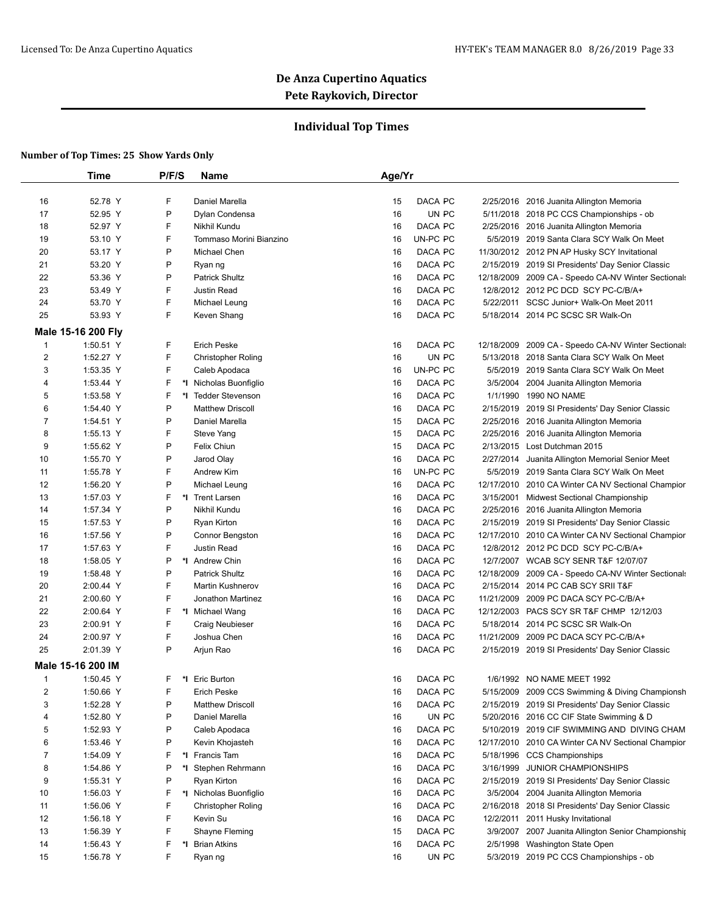## **Individual Top Times**

|                | <b>Time</b>        | P/F/S   | Name                           | Age/Yr |          |            |                                                     |
|----------------|--------------------|---------|--------------------------------|--------|----------|------------|-----------------------------------------------------|
| 16             | 52.78 Y            | F       | Daniel Marella                 | 15     | DACA PC  |            | 2/25/2016 2016 Juanita Allington Memoria            |
| 17             | 52.95 Y            | P       | Dylan Condensa                 | 16     | UN PC    |            | 5/11/2018 2018 PC CCS Championships - ob            |
| 18             | 52.97 Y            | F       | Nikhil Kundu                   | 16     | DACA PC  |            | 2/25/2016 2016 Juanita Allington Memoria            |
| 19             | 53.10 Y            | F       | Tommaso Morini Bianzino        | 16     | UN-PC PC |            | 5/5/2019 2019 Santa Clara SCY Walk On Meet          |
| 20             | 53.17 Y            | P       | Michael Chen                   | 16     | DACA PC  |            | 11/30/2012 2012 PN AP Husky SCY Invitational        |
| 21             | 53.20 Y            | P       | Ryan ng                        | 16     | DACA PC  |            | 2/15/2019 2019 SI Presidents' Day Senior Classic    |
| 22             | 53.36 Y            | P       | <b>Patrick Shultz</b>          | 16     | DACA PC  |            | 12/18/2009 2009 CA - Speedo CA-NV Winter Sectionals |
| 23             | 53.49 Y            | F       | <b>Justin Read</b>             | 16     | DACA PC  |            | 12/8/2012 2012 PC DCD SCY PC-C/B/A+                 |
| 24             | 53.70 Y            | F       | Michael Leung                  | 16     | DACA PC  |            | 5/22/2011 SCSC Junior+ Walk-On Meet 2011            |
| 25             | 53.93 Y            | F       | Keven Shang                    | 16     | DACA PC  |            | 5/18/2014 2014 PC SCSC SR Walk-On                   |
|                |                    |         |                                |        |          |            |                                                     |
|                | Male 15-16 200 Fly |         |                                |        |          |            |                                                     |
| $\mathbf{1}$   | 1:50.51 Y          | F       | <b>Erich Peske</b>             | 16     | DACA PC  |            | 12/18/2009 2009 CA - Speedo CA-NV Winter Sectionals |
| $\overline{2}$ | 1:52.27 Y          | F       | <b>Christopher Roling</b>      | 16     | UN PC    | 5/13/2018  | 2018 Santa Clara SCY Walk On Meet                   |
| 3              | 1:53.35 Y          | F       | Caleb Apodaca                  | 16     | UN-PC PC | 5/5/2019   | 2019 Santa Clara SCY Walk On Meet                   |
| 4              | 1:53.44 Y          | F       | *I Nicholas Buonfiglio         | 16     | DACA PC  | 3/5/2004   | 2004 Juanita Allington Memoria                      |
| 5              | 1:53.58 Y          | F<br>∗ı | <b>Tedder Stevenson</b>        | 16     | DACA PC  | 1/1/1990   | 1990 NO NAME                                        |
| 6              | 1:54.40 Y          | P       | <b>Matthew Driscoll</b>        | 16     | DACA PC  |            | 2/15/2019 2019 SI Presidents' Day Senior Classic    |
| 7              | 1:54.51 Y          | P       | Daniel Marella                 | 15     | DACA PC  |            | 2/25/2016 2016 Juanita Allington Memoria            |
| 8              | 1:55.13 Y          | F       | Steve Yang                     | 15     | DACA PC  |            | 2/25/2016 2016 Juanita Allington Memoria            |
| 9              | 1:55.62 Y          | P       | Felix Chiun                    | 15     | DACA PC  | 2/13/2015  | Lost Dutchman 2015                                  |
| 10             | 1:55.70 Y          | P       | Jarod Olay                     | 16     | DACA PC  | 2/27/2014  | Juanita Allington Memorial Senior Meet              |
| 11             | 1:55.78 Y          | F       | <b>Andrew Kim</b>              | 16     | UN-PC PC | 5/5/2019   | 2019 Santa Clara SCY Walk On Meet                   |
| 12             | 1:56.20 Y          | P       | Michael Leung                  | 16     | DACA PC  | 12/17/2010 | 2010 CA Winter CA NV Sectional Champior             |
| 13             | 1:57.03 Y          | F       | *I Trent Larsen                | 16     | DACA PC  |            | 3/15/2001 Midwest Sectional Championship            |
| 14             | 1:57.34 Y          | P       | Nikhil Kundu                   | 16     | DACA PC  |            | 2/25/2016 2016 Juanita Allington Memoria            |
| 15             | 1:57.53 Y          | P       | Ryan Kirton                    | 16     | DACA PC  |            | 2/15/2019 2019 SI Presidents' Day Senior Classic    |
| 16             | 1:57.56 Y          | P       | Connor Bengston                | 16     | DACA PC  |            | 12/17/2010 2010 CA Winter CA NV Sectional Champior  |
| 17             | 1:57.63 Y          | F       | Justin Read                    | 16     | DACA PC  |            | 12/8/2012 2012 PC DCD SCY PC-C/B/A+                 |
| 18             | 1:58.05 Y          | P       | *I Andrew Chin                 | 16     | DACA PC  | 12/7/2007  | <b>WCAB SCY SENR T&amp;F 12/07/07</b>               |
| 19             | 1:58.48 Y          | P       | <b>Patrick Shultz</b>          | 16     | DACA PC  | 12/18/2009 | 2009 CA - Speedo CA-NV Winter Sectionals            |
| 20             | 2:00.44 Y          | F       | <b>Martin Kushnerov</b>        | 16     | DACA PC  | 2/15/2014  | 2014 PC CAB SCY SRII T&F                            |
| 21             | 2:00.60 Y          | F       | Jonathon Martinez              | 16     | DACA PC  | 11/21/2009 | 2009 PC DACA SCY PC-C/B/A+                          |
| 22             | 2:00.64 Y          | F       | *I Michael Wang                | 16     | DACA PC  | 12/12/2003 | PACS SCY SR T&F CHMP 12/12/03                       |
|                |                    | F       |                                | 16     | DACA PC  | 5/18/2014  |                                                     |
| 23             | 2:00.91 Y          | F       | Craig Neubieser<br>Joshua Chen |        |          |            | 2014 PC SCSC SR Walk-On                             |
| 24             | 2:00.97 Y          | P       |                                | 16     | DACA PC  | 11/21/2009 | 2009 PC DACA SCY PC-C/B/A+                          |
| 25             | 2:01.39 Y          |         | Arjun Rao                      | 16     | DACA PC  |            | 2/15/2019 2019 SI Presidents' Day Senior Classic    |
|                | Male 15-16 200 IM  |         |                                |        |          |            |                                                     |
| $\mathbf{1}$   | 1:50.45 Y          | F       | *I Eric Burton                 | 16     | DACA PC  |            | 1/6/1992 NO NAME MEET 1992                          |
| 2              | 1:50.66 Y          | F       | <b>Erich Peske</b>             | 16     | DACA PC  |            | 5/15/2009 2009 CCS Swimming & Diving Championsh     |
| 3              | 1:52.28 Y          | P       | <b>Matthew Driscoll</b>        | 16     | DACA PC  |            | 2/15/2019 2019 SI Presidents' Day Senior Classic    |
| 4              | 1:52.80 Y          | P       | Daniel Marella                 | 16     | UN PC    |            | 5/20/2016 2016 CC CIF State Swimming & D            |
| 5              | 1:52.93 Y          | P       | Caleb Apodaca                  | 16     | DACA PC  |            | 5/10/2019 2019 CIF SWIMMING AND DIVING CHAM         |
| 6              | 1:53.46 Y          | P       | Kevin Khojasteh                | 16     | DACA PC  |            | 12/17/2010 2010 CA Winter CA NV Sectional Champior  |
| 7              | 1:54.09 Y          | F       | *I Francis Tam                 | 16     | DACA PC  |            | 5/18/1996 CCS Championships                         |
| 8              | 1:54.86 Y          | P       | *I Stephen Rehrmann            | 16     | DACA PC  |            | 3/16/1999 JUNIOR CHAMPIONSHIPS                      |
| 9              | 1:55.31 Y          | Ρ       | Ryan Kirton                    | 16     | DACA PC  |            | 2/15/2019 2019 SI Presidents' Day Senior Classic    |
| 10             | 1:56.03 Y          | F       | *I Nicholas Buonfiglio         | 16     | DACA PC  |            | 3/5/2004 2004 Juanita Allington Memoria             |
| 11             | 1:56.06 Y          | F       | <b>Christopher Roling</b>      | 16     | DACA PC  |            | 2/16/2018 2018 SI Presidents' Day Senior Classic    |
| 12             | 1:56.18 Y          | F       | Kevin Su                       | 16     | DACA PC  |            | 12/2/2011 2011 Husky Invitational                   |
| 13             | 1:56.39 Y          | F       | Shayne Fleming                 | 15     | DACA PC  | 3/9/2007   | 2007 Juanita Allington Senior Championship          |
| 14             | 1:56.43 Y          | F       | *I Brian Atkins                | 16     | DACA PC  |            | 2/5/1998 Washington State Open                      |
| 15             | 1:56.78 Y          | F       | Ryan ng                        | 16     | UN PC    |            | 5/3/2019 2019 PC CCS Championships - ob             |
|                |                    |         |                                |        |          |            |                                                     |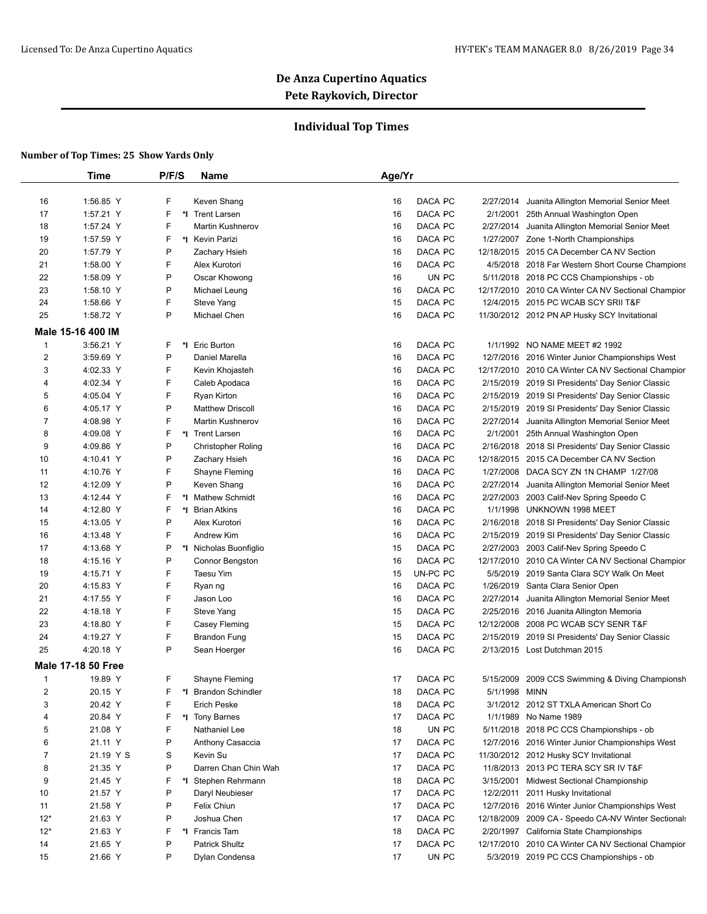## **Individual Top Times**

|                | <b>Time</b>               | P/F/S | Name                    | Age/Yr         |               |                                                     |
|----------------|---------------------------|-------|-------------------------|----------------|---------------|-----------------------------------------------------|
|                |                           |       |                         |                |               |                                                     |
| 16             | 1:56.85 Y                 | F     | Keven Shang             | DACA PC<br>16  | 2/27/2014     | Juanita Allington Memorial Senior Meet              |
| 17             | 1:57.21 Y                 | F     | *1 Trent Larsen         | DACA PC<br>16  | 2/1/2001      | 25th Annual Washington Open                         |
| 18             | 1:57.24 Y                 | F     | <b>Martin Kushnerov</b> | DACA PC<br>16  | 2/27/2014     | Juanita Allington Memorial Senior Meet              |
| 19             | 1:57.59 Y                 | F     | *1 Kevin Parizi         | DACA PC<br>16  |               | 1/27/2007 Zone 1-North Championships                |
| 20             | 1:57.79 Y                 | P     | Zachary Hsieh           | DACA PC<br>16  |               | 12/18/2015 2015 CA December CA NV Section           |
| 21             | 1:58.00 Y                 | F     | Alex Kurotori           | DACA PC<br>16  |               | 4/5/2018 2018 Far Western Short Course Champions    |
| 22             | 1:58.09 Y                 | P     | Oscar Khowong           | UN PC<br>16    |               | 5/11/2018 2018 PC CCS Championships - ob            |
| 23             | 1:58.10 Y                 | P     | Michael Leung           | DACA PC<br>16  |               | 12/17/2010 2010 CA Winter CA NV Sectional Champior  |
| 24             | 1:58.66 Y                 | F     | Steve Yang              | DACA PC<br>15  |               | 12/4/2015 2015 PC WCAB SCY SRII T&F                 |
| 25             | 1:58.72 Y                 | P     | Michael Chen            | DACA PC<br>16  |               | 11/30/2012 2012 PN AP Husky SCY Invitational        |
|                | Male 15-16 400 IM         |       |                         |                |               |                                                     |
| $\mathbf{1}$   | 3:56.21 Y                 | F.    | *1 Eric Burton          | DACA PC<br>16  |               | 1/1/1992 NO NAME MEET #2 1992                       |
| $\overline{2}$ | 3:59.69 Y                 | P     | Daniel Marella          | DACA PC<br>16  |               | 12/7/2016 2016 Winter Junior Championships West     |
| 3              | 4:02.33 Y                 | F     | Kevin Khojasteh         | DACA PC<br>16  |               | 12/17/2010 2010 CA Winter CA NV Sectional Champior  |
| 4              | 4:02.34 Y                 | F     | Caleb Apodaca           | DACA PC<br>16  |               | 2/15/2019 2019 SI Presidents' Day Senior Classic    |
| 5              | 4:05.04 Y                 | F     | Ryan Kirton             | DACA PC<br>16  |               | 2/15/2019 2019 SI Presidents' Day Senior Classic    |
| 6              | 4:05.17 Y                 | P     | <b>Matthew Driscoll</b> | DACA PC<br>16  |               | 2/15/2019 2019 SI Presidents' Day Senior Classic    |
| 7              | 4:08.98 Y                 | F     | <b>Martin Kushnerov</b> | DACA PC<br>16  |               | 2/27/2014 Juanita Allington Memorial Senior Meet    |
| 8              | 4:09.08 Y                 | F     | *1 Trent Larsen         | DACA PC<br>16  |               | 2/1/2001 25th Annual Washington Open                |
| 9              | 4:09.86 Y                 | P     | Christopher Roling      | DACA PC<br>16  |               | 2/16/2018 2018 SI Presidents' Day Senior Classic    |
| 10             | 4:10.41 Y                 | P     | Zachary Hsieh           | DACA PC<br>16  |               | 12/18/2015 2015 CA December CA NV Section           |
| 11             | 4:10.76 Y                 | F     | Shayne Fleming          | DACA PC<br>16  | 1/27/2008     | DACA SCY ZN 1N CHAMP 1/27/08                        |
| 12             | 4:12.09 Y                 | P     | Keven Shang             | DACA PC<br>16  | 2/27/2014     | Juanita Allington Memorial Senior Meet              |
| 13             | 4:12.44 Y                 | F     | *I Mathew Schmidt       | DACA PC<br>16  | 2/27/2003     | 2003 Calif-Nev Spring Speedo C                      |
| 14             | 4:12.80 Y                 | F     | *1 Brian Atkins         | DACA PC<br>16  | 1/1/1998      | UNKNOWN 1998 MEET                                   |
| 15             | 4:13.05 Y                 | P     | Alex Kurotori           | DACA PC<br>16  |               | 2/16/2018 2018 SI Presidents' Day Senior Classic    |
| 16             | 4:13.48 Y                 | F     | Andrew Kim              | DACA PC<br>16  |               | 2/15/2019 2019 SI Presidents' Day Senior Classic    |
| 17             | 4:13.68 Y                 | Ρ     | *I Nicholas Buonfiglio  | DACA PC<br>15  | 2/27/2003     | 2003 Calif-Nev Spring Speedo C                      |
| 18             | 4:15.16 Y                 | P     | Connor Bengston         | DACA PC<br>16  |               | 12/17/2010 2010 CA Winter CA NV Sectional Champior  |
| 19             | 4:15.71 Y                 | F     | Taesu Yim               | UN-PC PC<br>15 |               | 5/5/2019 2019 Santa Clara SCY Walk On Meet          |
| 20             | 4:15.83 Y                 | F     | Ryan ng                 | 16<br>DACA PC  | 1/26/2019     | Santa Clara Senior Open                             |
| 21             | 4:17.55 Y                 | F     | Jason Loo               | DACA PC<br>16  | 2/27/2014     | Juanita Allington Memorial Senior Meet              |
| 22             | 4:18.18 Y                 | F     | Steve Yang              | DACA PC<br>15  |               | 2/25/2016 2016 Juanita Allington Memoria            |
| 23             | 4:18.80 Y                 | F     | Casey Fleming           | 15<br>DACA PC  | 12/12/2008    | 2008 PC WCAB SCY SENR T&F                           |
| 24             | 4:19.27 Y                 | F     | <b>Brandon Fung</b>     | 15<br>DACA PC  |               | 2/15/2019 2019 SI Presidents' Day Senior Classic    |
| 25             | 4:20.18 Y                 | P     | Sean Hoerger            | DACA PC<br>16  |               | 2/13/2015 Lost Dutchman 2015                        |
|                | <b>Male 17-18 50 Free</b> |       |                         |                |               |                                                     |
| 1              | 19.89 Y                   | F.    | Shayne Fleming          | DACA PC<br>17  |               | 5/15/2009 2009 CCS Swimming & Diving Championsh     |
| 2              | 20.15 Y                   | F     | *I Brandon Schindler    | DACA PC<br>18  | 5/1/1998 MINN |                                                     |
| 3              | 20.42 Y                   | F     | Erich Peske             | DACA PC<br>18  |               | 3/1/2012 2012 ST TXLA American Short Co             |
| 4              | 20.84 Y                   | F     | *I Tony Barnes          | DACA PC<br>17  |               | 1/1/1989 No Name 1989                               |
| 5              | 21.08 Y                   | F     | Nathaniel Lee           | UN PC<br>18    |               | 5/11/2018 2018 PC CCS Championships - ob            |
| 6              | 21.11 Y                   | P     | Anthony Casaccia        | 17<br>DACA PC  |               | 12/7/2016 2016 Winter Junior Championships West     |
| 7              | 21.19 Y S                 | S     | Kevin Su                | DACA PC<br>17  |               | 11/30/2012 2012 Husky SCY Invitational              |
| 8              | 21.35 Y                   | P     | Darren Chan Chin Wah    | DACA PC<br>17  |               | 11/8/2013 2013 PC TERA SCY SR IV T&F                |
| 9              | 21.45 Y                   | F     | *I Stephen Rehrmann     | DACA PC<br>18  |               | 3/15/2001 Midwest Sectional Championship            |
| 10             | 21.57 Y                   | P     | Daryl Neubieser         | DACA PC<br>17  |               | 12/2/2011 2011 Husky Invitational                   |
| 11             | 21.58 Y                   | P     | Felix Chiun             | DACA PC<br>17  |               | 12/7/2016 2016 Winter Junior Championships West     |
| $12*$          | 21.63 Y                   | P     | Joshua Chen             | DACA PC<br>17  |               | 12/18/2009 2009 CA - Speedo CA-NV Winter Sectionals |
| $12*$          | 21.63 Y                   | F     | *I Francis Tam          | DACA PC<br>18  |               | 2/20/1997 California State Championships            |
| 14             | 21.65 Y                   | P     | <b>Patrick Shultz</b>   | DACA PC<br>17  |               | 12/17/2010 2010 CA Winter CA NV Sectional Champior  |
| 15             | 21.66 Y                   | P     | Dylan Condensa          | UN PC<br>17    |               | 5/3/2019 2019 PC CCS Championships - ob             |
|                |                           |       |                         |                |               |                                                     |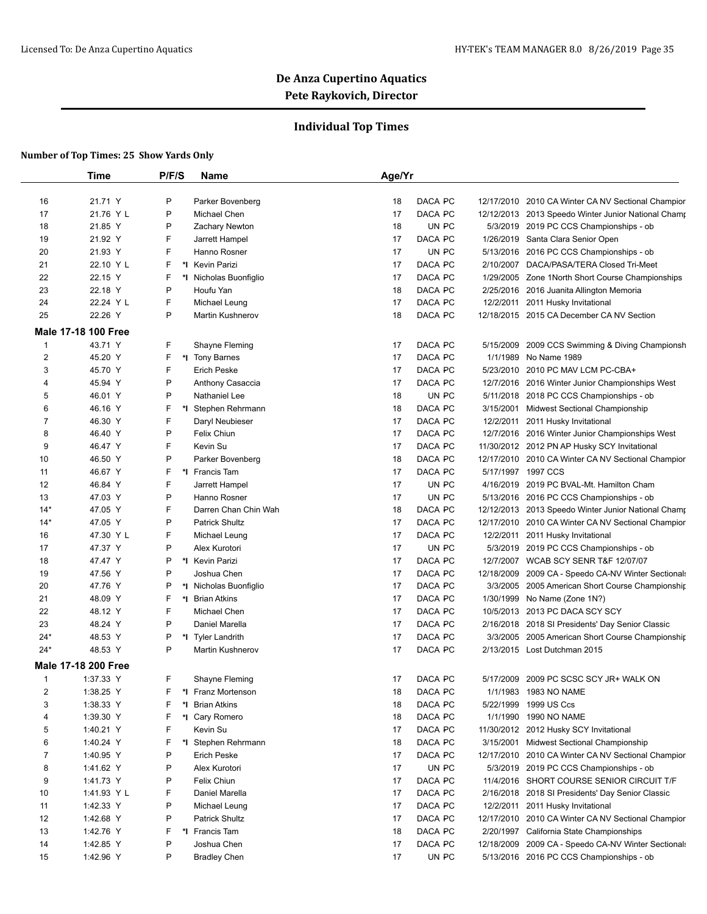## **Individual Top Times**

|              | <b>Time</b>                | P/F/S   | Name                    | Age/Yr |                  |            |                                                     |
|--------------|----------------------------|---------|-------------------------|--------|------------------|------------|-----------------------------------------------------|
|              |                            |         |                         |        |                  |            |                                                     |
| 16           | 21.71 Y                    | P       | Parker Bovenberg        | 18     | DACA PC          | 12/17/2010 | 2010 CA Winter CA NV Sectional Champior             |
| 17           | 21.76 Y L                  | P       | Michael Chen            | 17     | DACA PC          |            | 12/12/2013 2013 Speedo Winter Junior National Champ |
| 18           | 21.85 Y                    | P       | Zachary Newton          | 18     | UN PC            |            | 5/3/2019 2019 PC CCS Championships - ob             |
| 19           | 21.92 Y                    | F       | Jarrett Hampel          | 17     | DACA PC          |            | 1/26/2019 Santa Clara Senior Open                   |
| 20           | 21.93 Y                    | F       | Hanno Rosner            | 17     | UN PC            |            | 5/13/2016 2016 PC CCS Championships - ob            |
| 21           | 22.10 Y L                  | F<br>*l | <b>Kevin Parizi</b>     | 17     | DACA PC          | 2/10/2007  | DACA/PASA/TERA Closed Tri-Meet                      |
| 22           | 22.15 Y                    | F       | *I Nicholas Buonfiglio  | 17     | DACA PC          |            | 1/29/2005 Zone 1 North Short Course Championships   |
| 23           | 22.18 Y                    | P       | Houfu Yan               | 18     | DACA PC          |            | 2/25/2016 2016 Juanita Allington Memoria            |
| 24           | 22.24 Y L                  | F       | Michael Leung           | 17     | DACA PC          | 12/2/2011  | 2011 Husky Invitational                             |
| 25           | 22.26 Y                    | P       | Martin Kushnerov        | 18     | DACA PC          |            | 12/18/2015 2015 CA December CA NV Section           |
|              | <b>Male 17-18 100 Free</b> |         |                         |        |                  |            |                                                     |
| $\mathbf{1}$ | 43.71 Y                    | F       | Shayne Fleming          | 17     | DACA PC          |            | 5/15/2009 2009 CCS Swimming & Diving Championsh     |
| 2            | 45.20 Y                    | F       | *I Tony Barnes          | 17     | DACA PC          | 1/1/1989   | No Name 1989                                        |
| 3            | 45.70 Y                    | F       | <b>Erich Peske</b>      | 17     | DACA PC          |            | 5/23/2010 2010 PC MAV LCM PC-CBA+                   |
| 4            | 45.94 Y                    | P       | Anthony Casaccia        | 17     | DACA PC          |            | 12/7/2016 2016 Winter Junior Championships West     |
| 5            | 46.01 Y                    | P       | Nathaniel Lee           | 18     | UN PC            |            | 5/11/2018 2018 PC CCS Championships - ob            |
| 6            | 46.16 Y                    | F<br>*∣ | Stephen Rehrmann        | 18     | DACA PC          | 3/15/2001  | Midwest Sectional Championship                      |
| 7            | 46.30 Y                    | F       | Daryl Neubieser         | 17     | DACA PC          | 12/2/2011  | 2011 Husky Invitational                             |
| 8            | 46.40 Y                    | P       | Felix Chiun             | 17     | DACA PC          |            | 12/7/2016 2016 Winter Junior Championships West     |
| 9            | 46.47 Y                    | F       | Kevin Su                | 17     | DACA PC          |            | 11/30/2012 2012 PN AP Husky SCY Invitational        |
| 10           | 46.50 Y                    | P       | Parker Bovenberg        | 18     | DACA PC          |            | 12/17/2010 2010 CA Winter CA NV Sectional Champior  |
| 11           | 46.67 Y                    | F       | *1 Francis Tam          | 17     | DACA PC          |            | 5/17/1997 1997 CCS                                  |
| 12           | 46.84 Y                    | F       | Jarrett Hampel          | 17     | UN PC            | 4/16/2019  | 2019 PC BVAL-Mt. Hamilton Cham                      |
| 13           | 47.03 Y                    | P       | Hanno Rosner            | 17     | UN PC            |            | 5/13/2016 2016 PC CCS Championships - ob            |
| $14*$        | 47.05 Y                    | F       | Darren Chan Chin Wah    | 18     | DACA PC          |            | 12/12/2013 2013 Speedo Winter Junior National Champ |
| $14*$        | 47.05 Y                    | P       | <b>Patrick Shultz</b>   | 17     | DACA PC          |            | 12/17/2010 2010 CA Winter CA NV Sectional Champior  |
| 16           | 47.30 Y L                  | F       | Michael Leung           | 17     | DACA PC          |            | 12/2/2011 2011 Husky Invitational                   |
| 17           | 47.37 Y                    | P       | Alex Kurotori           | 17     | UN PC            | 5/3/2019   | 2019 PC CCS Championships - ob                      |
| 18           | 47.47 Y                    | P       | *I Kevin Parizi         | 17     | DACA PC          | 12/7/2007  | <b>WCAB SCY SENR T&amp;F 12/07/07</b>               |
| 19           | 47.56 Y                    | P       | Joshua Chen             | 17     | DACA PC          |            | 12/18/2009 2009 CA - Speedo CA-NV Winter Sectionals |
| 20           | 47.76 Y                    | P       | *I Nicholas Buonfiglio  | 17     | DACA PC          |            | 3/3/2005 2005 American Short Course Championship    |
| 21           | 48.09 Y                    | F       | *I Brian Atkins         | 17     | DACA PC          | 1/30/1999  | No Name (Zone 1N?)                                  |
| 22           | 48.12 Y                    | F       | Michael Chen            | 17     | DACA PC          |            | 10/5/2013 2013 PC DACA SCY SCY                      |
| 23           | 48.24 Y                    | P       | Daniel Marella          | 17     | DACA PC          |            | 2/16/2018 2018 SI Presidents' Day Senior Classic    |
| $24*$        | 48.53 Y                    | P       | *I Tyler Landrith       | 17     | DACA PC          |            | 3/3/2005 2005 American Short Course Championship    |
| $24*$        | 48.53 Y                    | P       | <b>Martin Kushnerov</b> | 17     | DACA PC          |            | 2/13/2015 Lost Dutchman 2015                        |
|              | <b>Male 17-18 200 Free</b> |         |                         |        |                  |            |                                                     |
| $\mathbf{1}$ | 1:37.33 Y                  | F       | Shayne Fleming          | 17     | DACA PC          |            | 5/17/2009 2009 PC SCSC SCY JR+ WALK ON              |
| 2            | 1:38.25 Y                  | F       | *I Franz Mortenson      | 18     | DACA PC          |            | 1/1/1983 1983 NO NAME                               |
| 3            | 1:38.33 Y                  | F       | *I Brian Atkins         | 18     | DACA PC          | 5/22/1999  | 1999 US Ccs                                         |
| 4            | 1:39.30 Y                  | F       | *1 Cary Romero          | 18     | DACA PC          | 1/1/1990   | <b>1990 NO NAME</b>                                 |
| 5            | 1:40.21 Y                  | F       | Kevin Su                | 17     | DACA PC          |            | 11/30/2012 2012 Husky SCY Invitational              |
| 6            | 1:40.24 Y                  | F       | *I Stephen Rehrmann     | 18     | DACA PC          |            | 3/15/2001 Midwest Sectional Championship            |
| 7            | 1:40.95 Y                  | P       | Erich Peske             | 17     |                  |            | 12/17/2010 2010 CA Winter CA NV Sectional Champior  |
| 8            | 1:41.62 Y                  | P       | Alex Kurotori           | 17     | DACA PC<br>UN PC |            | 5/3/2019 2019 PC CCS Championships - ob             |
| 9            | 1:41.73 Y                  | P       | Felix Chiun             | 17     | DACA PC          |            | 11/4/2016 SHORT COURSE SENIOR CIRCUIT T/F           |
|              |                            |         | Daniel Marella          |        |                  |            |                                                     |
| 10           | 1:41.93 Y L                | F<br>P  |                         | 17     | DACA PC          |            | 2/16/2018 2018 SI Presidents' Day Senior Classic    |
| 11           | 1:42.33 Y                  | P       | Michael Leung           | 17     | DACA PC          |            | 12/2/2011 2011 Husky Invitational                   |
| 12           | 1:42.68 Y                  |         | Patrick Shultz          | 17     | DACA PC          |            | 12/17/2010 2010 CA Winter CA NV Sectional Champior  |
| 13           | 1:42.76 Y                  | F       | *I Francis Tam          | 18     | DACA PC          |            | 2/20/1997 California State Championships            |
| 14           | 1:42.85 Y                  | P       | Joshua Chen             | 17     | DACA PC          |            | 12/18/2009 2009 CA - Speedo CA-NV Winter Sectionals |
| 15           | 1:42.96 Y                  | P       | <b>Bradley Chen</b>     | 17     | UN PC            |            | 5/13/2016 2016 PC CCS Championships - ob            |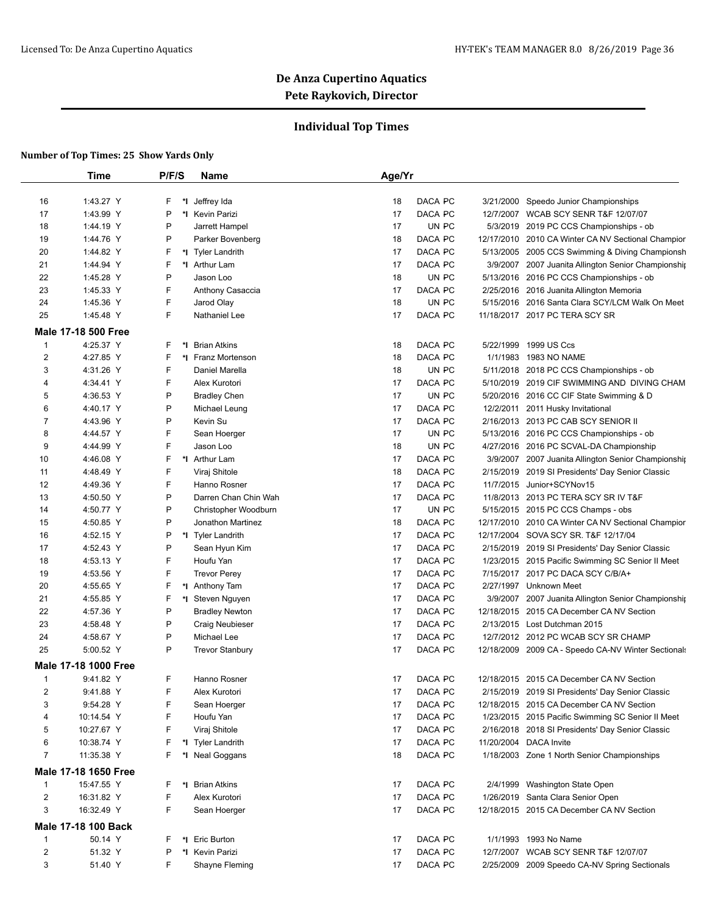## **Individual Top Times**

|                         | <b>Time</b>                        | P/F/S | Name                               | Age/Yr |         |            |                                                                                      |
|-------------------------|------------------------------------|-------|------------------------------------|--------|---------|------------|--------------------------------------------------------------------------------------|
| 16                      | 1:43.27 Y                          | F     | *I Jeffrey Ida                     | 18     | DACA PC | 3/21/2000  | Speedo Junior Championships                                                          |
| 17                      | 1:43.99 Y                          | P     | *1 Kevin Parizi                    | 17     | DACA PC |            | 12/7/2007 WCAB SCY SENR T&F 12/07/07                                                 |
| 18                      | 1:44.19 Y                          | P     | Jarrett Hampel                     | 17     | UN PC   |            | 5/3/2019 2019 PC CCS Championships - ob                                              |
| 19                      | 1:44.76 Y                          | P     | Parker Bovenberg                   | 18     | DACA PC |            | 12/17/2010 2010 CA Winter CA NV Sectional Champior                                   |
| 20                      | 1:44.82 Y                          | F     | *I Tyler Landrith                  | 17     | DACA PC |            | 5/13/2005 2005 CCS Swimming & Diving Championsh                                      |
| 21                      | 1:44.94 Y                          | F     | *I Arthur Lam                      | 17     | DACA PC |            | 3/9/2007 2007 Juanita Allington Senior Championship                                  |
| 22                      | 1:45.28 Y                          | P     | Jason Loo                          | 18     | UN PC   |            |                                                                                      |
| 23                      | 1:45.33 Y                          | F     | Anthony Casaccia                   | 17     | DACA PC |            | 5/13/2016 2016 PC CCS Championships - ob<br>2/25/2016 2016 Juanita Allington Memoria |
|                         | 1:45.36 Y                          | F     |                                    | 18     | UN PC   |            | 5/15/2016 2016 Santa Clara SCY/LCM Walk On Meet                                      |
| 24                      | 1:45.48 Y                          | F     | Jarod Olay<br><b>Nathaniel Lee</b> | 17     | DACA PC |            | 11/18/2017 2017 PC TERA SCY SR                                                       |
| 25                      |                                    |       |                                    |        |         |            |                                                                                      |
|                         | <b>Male 17-18 500 Free</b>         |       |                                    |        |         |            |                                                                                      |
| $\mathbf{1}$            | 4:25.37 Y                          | F     | *1 Brian Atkins                    | 18     | DACA PC |            | 5/22/1999 1999 US Ccs                                                                |
| 2                       | 4:27.85 Y                          | F     | *I Franz Mortenson                 | 18     | DACA PC |            | 1/1/1983 1983 NO NAME                                                                |
| 3                       | 4:31.26 Y                          | F     | Daniel Marella                     | 18     | UN PC   |            | 5/11/2018 2018 PC CCS Championships - ob                                             |
| 4                       | 4:34.41 Y                          | F     | Alex Kurotori                      | 17     | DACA PC |            | 5/10/2019 2019 CIF SWIMMING AND DIVING CHAM                                          |
| 5                       | 4:36.53 Y                          | P     | <b>Bradley Chen</b>                | 17     | UN PC   |            | 5/20/2016 2016 CC CIF State Swimming & D                                             |
| 6                       | 4:40.17 Y                          | P     | Michael Leung                      | 17     | DACA PC |            | 12/2/2011 2011 Husky Invitational                                                    |
| 7                       | 4:43.96 Y                          | P     | Kevin Su                           | 17     | DACA PC |            | 2/16/2013 2013 PC CAB SCY SENIOR II                                                  |
| 8                       | 4:44.57 Y                          | F     | Sean Hoerger                       | 17     | UN PC   |            | 5/13/2016 2016 PC CCS Championships - ob                                             |
| 9                       | 4:44.99 Y                          | F     | Jason Loo                          | 18     | UN PC   |            | 4/27/2016 2016 PC SCVAL-DA Championship                                              |
| 10                      | 4:46.08 Y                          | F     | *I Arthur Lam                      | 17     | DACA PC |            | 3/9/2007 2007 Juanita Allington Senior Championship                                  |
| 11                      | 4:48.49 Y                          | F     | Viraj Shitole                      | 18     | DACA PC |            | 2/15/2019 2019 SI Presidents' Day Senior Classic                                     |
| 12                      | 4:49.36 Y                          | F     | Hanno Rosner                       | 17     | DACA PC |            | 11/7/2015 Junior+SCYNov15                                                            |
| 13                      | 4:50.50 Y                          | P     | Darren Chan Chin Wah               | 17     | DACA PC |            | 11/8/2013 2013 PC TERA SCY SR IV T&F                                                 |
| 14                      | 4:50.77 Y                          | P     | Christopher Woodburn               | 17     | UN PC   |            | 5/15/2015 2015 PC CCS Champs - obs                                                   |
| 15                      | 4:50.85 Y                          | P     | Jonathon Martinez                  | 18     | DACA PC |            | 12/17/2010 2010 CA Winter CA NV Sectional Champior                                   |
| 16                      | 4:52.15 Y                          | P     | *I Tyler Landrith                  | 17     | DACA PC |            | 12/17/2004 SOVA SCY SR. T&F 12/17/04                                                 |
| 17                      | 4:52.43 Y                          | P     | Sean Hyun Kim                      | 17     | DACA PC |            | 2/15/2019 2019 SI Presidents' Day Senior Classic                                     |
| 18                      | 4:53.13 Y                          | F     | Houfu Yan                          | 17     | DACA PC |            | 1/23/2015 2015 Pacific Swimming SC Senior II Meet                                    |
| 19                      | 4:53.56 Y                          | F     | <b>Trevor Perey</b>                | 17     | DACA PC |            | 7/15/2017 2017 PC DACA SCY C/B/A+                                                    |
| 20                      | 4:55.65 Y                          | F     | *I Anthony Tam                     | 17     | DACA PC |            | 2/27/1997 Unknown Meet                                                               |
| 21                      | 4:55.85 Y                          | F     | *I Steven Nguyen                   | 17     | DACA PC |            | 3/9/2007 2007 Juanita Allington Senior Championship                                  |
| 22                      | 4:57.36 Y                          | P     | <b>Bradley Newton</b>              | 17     | DACA PC | 12/18/2015 | 2015 CA December CA NV Section                                                       |
| 23                      | 4:58.48 Y                          | P     | Craig Neubieser                    | 17     | DACA PC |            | 2/13/2015 Lost Dutchman 2015                                                         |
| 24                      | 4:58.67 Y                          | P     | Michael Lee                        | 17     | DACA PC |            | 12/7/2012 2012 PC WCAB SCY SR CHAMP                                                  |
| 25                      | 5:00.52 Y                          | P     | <b>Trevor Stanbury</b>             | 17     | DACA PC |            | 12/18/2009 2009 CA - Speedo CA-NV Winter Sectionals                                  |
|                         | Male 17-18 1000 Free               |       |                                    |        |         |            |                                                                                      |
| $\mathbf{1}$            | 9:41.82 Y                          | F     | Hanno Rosner                       | 17     | DACA PC |            | 12/18/2015 2015 CA December CA NV Section                                            |
| 2                       | 9:41.88 Y                          | F     | Alex Kurotori                      | 17     | DACA PC |            | 2/15/2019 2019 SI Presidents' Day Senior Classic                                     |
| 3                       | 9:54.28 Y                          | F     | Sean Hoerger                       | 17     | DACA PC |            | 12/18/2015 2015 CA December CA NV Section                                            |
| 4                       | 10:14.54 Y                         | F     | Houfu Yan                          | 17     | DACA PC |            | 1/23/2015 2015 Pacific Swimming SC Senior II Meet                                    |
| 5                       | 10:27.67 Y                         | F     | Viraj Shitole                      | 17     | DACA PC |            | 2/16/2018 2018 SI Presidents' Day Senior Classic                                     |
| 6                       | 10:38.74 Y                         | F     | *I Tyler Landrith                  | 17     | DACA PC |            | 11/20/2004 DACA Invite                                                               |
| $\overline{7}$          | 11:35.38 Y                         | F     | *I Neal Goggans                    | 18     | DACA PC |            | 1/18/2003 Zone 1 North Senior Championships                                          |
|                         |                                    |       |                                    |        |         |            |                                                                                      |
| $\mathbf{1}$            | Male 17-18 1650 Free<br>15:47.55 Y | F     | *I Brian Atkins                    | 17     | DACA PC |            | 2/4/1999 Washington State Open                                                       |
| $\overline{c}$          |                                    | F     | Alex Kurotori                      | 17     | DACA PC |            |                                                                                      |
|                         | 16:31.82 Y                         | F     |                                    |        |         |            | 1/26/2019 Santa Clara Senior Open                                                    |
| 3                       | 16:32.49 Y                         |       | Sean Hoerger                       | 17     | DACA PC |            | 12/18/2015 2015 CA December CA NV Section                                            |
|                         | Male 17-18 100 Back                |       |                                    |        |         |            |                                                                                      |
| 1                       | 50.14 Y                            | F     | *I Eric Burton                     | 17     | DACA PC |            | 1/1/1993 1993 No Name                                                                |
| $\overline{\mathbf{c}}$ | 51.32 Y                            | Ρ     | *1 Kevin Parizi                    | 17     | DACA PC |            | 12/7/2007 WCAB SCY SENR T&F 12/07/07                                                 |
|                         |                                    |       |                                    |        |         |            |                                                                                      |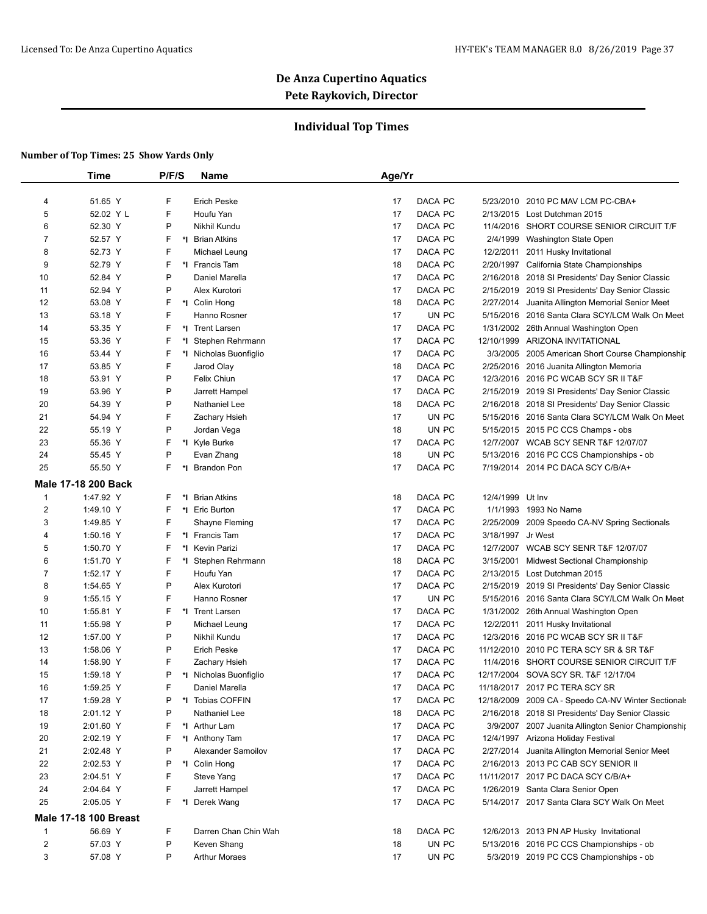## **Individual Top Times**

|                | Time                         | P/F/S    | Name                                | Age/Yr                      |                                                     |
|----------------|------------------------------|----------|-------------------------------------|-----------------------------|-----------------------------------------------------|
|                |                              |          |                                     |                             |                                                     |
| 4              | 51.65 Y                      | F        | <b>Erich Peske</b>                  | DACA PC<br>17               | 5/23/2010 2010 PC MAV LCM PC-CBA+                   |
| 5              | 52.02 Y L                    | F        | Houfu Yan                           | 17<br>DACA PC               | 2/13/2015 Lost Dutchman 2015                        |
| 6              | 52.30 Y                      | P        | Nikhil Kundu                        | DACA PC<br>17<br>11/4/2016  | SHORT COURSE SENIOR CIRCUIT T/F                     |
| 7              | 52.57 Y                      | F        | *I Brian Atkins                     | DACA PC<br>17<br>2/4/1999   | Washington State Open                               |
| 8              | 52.73 Y                      | F        | Michael Leung                       | 17<br>DACA PC<br>12/2/2011  | 2011 Husky Invitational                             |
| 9              | 52.79 Y                      | F        | *I Francis Tam                      | DACA PC<br>18<br>2/20/1997  | California State Championships                      |
| 10             | 52.84 Y                      | P        | Daniel Marella                      | DACA PC<br>17<br>2/16/2018  | 2018 SI Presidents' Day Senior Classic              |
| 11             | 52.94 Y                      | P        | Alex Kurotori                       | DACA PC<br>17               | 2/15/2019 2019 SI Presidents' Day Senior Classic    |
| 12             | 53.08 Y                      | F        | *I Colin Hong                       | 18<br>DACA PC<br>2/27/2014  | Juanita Allington Memorial Senior Meet              |
| 13             | 53.18 Y                      | F        | Hanno Rosner                        | UN PC<br>17<br>5/15/2016    | 2016 Santa Clara SCY/LCM Walk On Meet               |
| 14             | 53.35 Y                      | F        | *I Trent Larsen                     | 17<br>DACA PC               | 1/31/2002 26th Annual Washington Open               |
| 15             | 53.36 Y                      | F<br>*l  | Stephen Rehrmann                    | DACA PC<br>17<br>12/10/1999 | ARIZONA INVITATIONAL                                |
| 16             | 53.44 Y                      | F<br>*I  | Nicholas Buonfiglio                 | DACA PC<br>17               | 3/3/2005<br>2005 American Short Course Championshir |
| 17             | 53.85 Y                      | F        | Jarod Olay                          | DACA PC<br>18               | 2/25/2016 2016 Juanita Allington Memoria            |
| 18             | 53.91 Y                      | P        | Felix Chiun                         | DACA PC<br>17               | 12/3/2016 2016 PC WCAB SCY SR II T&F                |
| 19             | 53.96 Y                      | P        | Jarrett Hampel                      | DACA PC<br>17<br>2/15/2019  | 2019 SI Presidents' Day Senior Classic              |
| 20             | 54.39 Y                      | P        | Nathaniel Lee                       | DACA PC<br>18<br>2/16/2018  | 2018 SI Presidents' Day Senior Classic              |
| 21             | 54.94 Y                      | F        | Zachary Hsieh                       | 17<br>UN PC<br>5/15/2016    | 2016 Santa Clara SCY/LCM Walk On Meet               |
| 22             | 55.19 Y                      | P        | Jordan Vega                         | UN PC<br>18                 | 5/15/2015 2015 PC CCS Champs - obs                  |
| 23             | 55.36 Y                      | F        | *I Kyle Burke                       | DACA PC<br>17               | 12/7/2007 WCAB SCY SENR T&F 12/07/07                |
| 24             | 55.45 Y                      | P        | Evan Zhang                          | UN PC<br>18                 | 5/13/2016 2016 PC CCS Championships - ob            |
| 25             | 55.50 Y                      | F<br>*l  | <b>Brandon Pon</b>                  | DACA PC<br>17               | 7/19/2014 2014 PC DACA SCY C/B/A+                   |
|                | Male 17-18 200 Back          |          |                                     |                             |                                                     |
| $\mathbf{1}$   | 1:47.92 Y                    | F<br>*l  | <b>Brian Atkins</b>                 | DACA PC<br>18               | 12/4/1999 Ut Inv                                    |
| $\overline{2}$ | 1:49.10 Y                    | F        | *I Eric Burton                      | DACA PC<br>17               | 1993 No Name<br>1/1/1993                            |
| 3              | 1:49.85 Y                    | F        | Shayne Fleming                      | DACA PC<br>17<br>2/25/2009  | 2009 Speedo CA-NV Spring Sectionals                 |
| 4              | 1:50.16 Y                    | F        | *1 Francis Tam                      | 17<br>DACA PC<br>3/18/1997  | Jr West                                             |
| 5              | 1:50.70 Y                    | F<br>*l  | <b>Kevin Parizi</b>                 | 17<br>DACA PC               | 12/7/2007 WCAB SCY SENR T&F 12/07/07                |
| 6              | 1:51.70 Y                    | F<br>*l  | Stephen Rehrmann                    | DACA PC<br>18<br>3/15/2001  | <b>Midwest Sectional Championship</b>               |
| 7              | 1:52.17 Y                    | F        | Houfu Yan                           | DACA PC<br>17               | 2/13/2015 Lost Dutchman 2015                        |
| 8              | 1:54.65 Y                    | P        | Alex Kurotori                       | DACA PC<br>17<br>2/15/2019  | 2019 SI Presidents' Day Senior Classic              |
| 9              | 1:55.15 Y                    | F        | Hanno Rosner                        | UN PC<br>17<br>5/15/2016    | 2016 Santa Clara SCY/LCM Walk On Meet               |
| 10             | 1:55.81 Y                    | F        | *1 Trent Larsen                     | 17<br>DACA PC<br>1/31/2002  | 26th Annual Washington Open                         |
| 11             | 1:55.98 Y                    | P        | Michael Leung                       | 17<br>DACA PC<br>12/2/2011  | 2011 Husky Invitational                             |
| 12             | 1:57.00 Y                    | P        | Nikhil Kundu                        | 17<br>DACA PC<br>12/3/2016  | 2016 PC WCAB SCY SR II T&F                          |
| 13             | 1:58.06 Y                    | P        | <b>Erich Peske</b>                  | 17<br>DACA PC               | 11/12/2010 2010 PC TERA SCY SR & SR T&F             |
| 14             | 1:58.90 Y                    | F        | Zachary Hsieh                       | DACA PC<br>17<br>11/4/2016  | SHORT COURSE SENIOR CIRCUIT T/F                     |
| 15             | 1:59.18 Y                    | P        | *I Nicholas Buonfiglio              | DACA PC<br>17               | 12/17/2004 SOVA SCY SR. T&F 12/17/04                |
| 16             | 1:59.25 Y                    | F        | Daniel Marella                      | 17<br>DACA PC               | 11/18/2017 2017 PC TERA SCY SR                      |
| 17             | 1:59.28 Y                    | P        | *I Tobias COFFIN                    | 17<br>DACA PC               | 12/18/2009 2009 CA - Speedo CA-NV Winter Sectionals |
| 18             | 2:01.12 Y                    | P        | Nathaniel Lee                       | DACA PC<br>18               | 2/16/2018 2018 SI Presidents' Day Senior Classic    |
| 19             | 2:01.60 Y                    | F        | *I Arthur Lam                       | DACA PC<br>17               |                                                     |
|                |                              |          |                                     |                             | 3/9/2007 2007 Juanita Allington Senior Championship |
| 20             | 2:02.19 Y                    | F<br>P   | *I Anthony Tam                      | DACA PC<br>17               | 12/4/1997 Arizona Holiday Festival                  |
| 21             | 2:02.48 Y                    |          | Alexander Samoilov<br>*I Colin Hong | DACA PC<br>17               | 2/27/2014 Juanita Allington Memorial Senior Meet    |
| 22             | 2:02.53 Y                    | P        |                                     | DACA PC<br>17               | 2/16/2013 2013 PC CAB SCY SENIOR II                 |
| 23             | 2:04.51 Y                    | F        | Steve Yang                          | DACA PC<br>17               | 11/11/2017 2017 PC DACA SCY C/B/A+                  |
| 24             | 2:04.64 Y                    | F        | Jarrett Hampel                      | DACA PC<br>17               | 1/26/2019 Santa Clara Senior Open                   |
| 25             | 2:05.05 Y                    | F.<br>*I | Derek Wang                          | DACA PC<br>17               | 5/14/2017 2017 Santa Clara SCY Walk On Meet         |
|                | <b>Male 17-18 100 Breast</b> |          |                                     |                             |                                                     |
| $\mathbf{1}$   | 56.69 Y                      | F        | Darren Chan Chin Wah                | DACA PC<br>18               | 12/6/2013 2013 PN AP Husky Invitational             |
| $\overline{c}$ | 57.03 Y                      | P        | Keven Shang                         | UN PC<br>18                 | 5/13/2016 2016 PC CCS Championships - ob            |
| 3              | 57.08 Y                      | P        | <b>Arthur Moraes</b>                | 17<br>UN PC                 | 5/3/2019 2019 PC CCS Championships - ob             |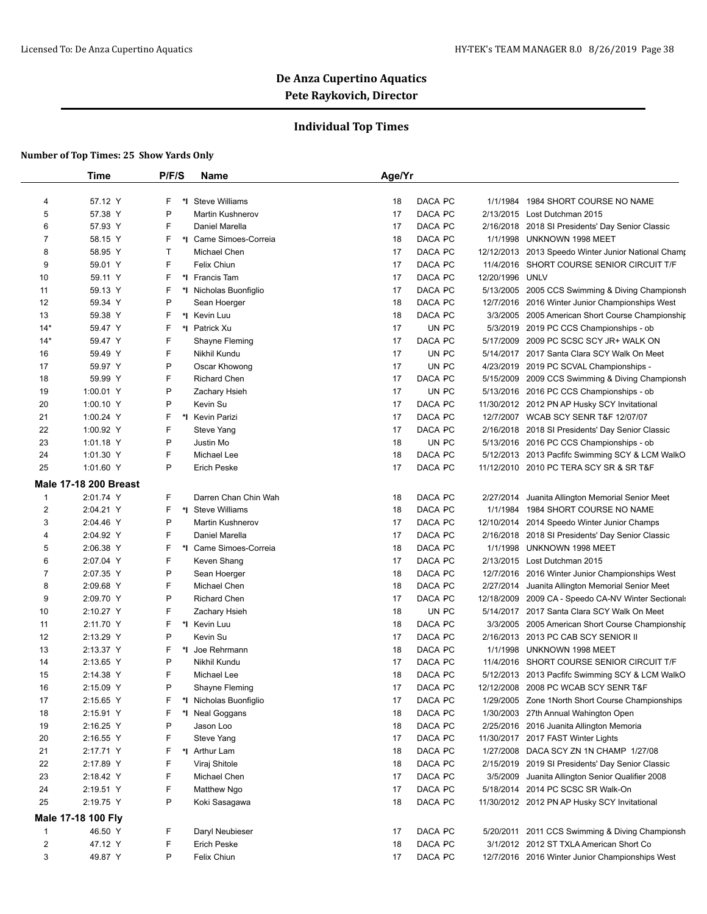## **Individual Top Times**

|                | <b>Time</b>           | P/F/S   | Name                    | Age/Yr   |                  |            |                                                                                       |
|----------------|-----------------------|---------|-------------------------|----------|------------------|------------|---------------------------------------------------------------------------------------|
| 4              | 57.12 Y               | F<br>*l | <b>Steve Williams</b>   | 18       | DACA PC          | 1/1/1984   | 1984 SHORT COURSE NO NAME                                                             |
| 5              | 57.38 Y               | P       | <b>Martin Kushnerov</b> | 17       | DACA PC          |            | 2/13/2015 Lost Dutchman 2015                                                          |
| 6              | 57.93 Y               | F       | Daniel Marella          | 17       | DACA PC          |            | 2/16/2018 2018 SI Presidents' Day Senior Classic                                      |
| 7              | 58.15 Y               | F       | *I Came Simoes-Correia  | 18       | DACA PC          | 1/1/1998   | UNKNOWN 1998 MEET                                                                     |
| 8              | 58.95 Y               | т       | Michael Chen            | 17       | DACA PC          |            | 12/12/2013 2013 Speedo Winter Junior National Champ                                   |
| 9              | 59.01 Y               | F       | Felix Chiun             | 17       | DACA PC          | 11/4/2016  | SHORT COURSE SENIOR CIRCUIT T/F                                                       |
| 10             | 59.11 Y               | F       | *I Francis Tam          | 17       | DACA PC          | 12/20/1996 | <b>UNLV</b>                                                                           |
| 11             | 59.13 Y               | F       | *I Nicholas Buonfiglio  | 17       | DACA PC          |            | 5/13/2005 2005 CCS Swimming & Diving Championsh                                       |
| 12             | 59.34 Y               | P       | Sean Hoerger            | 18       | DACA PC          |            | 12/7/2016 2016 Winter Junior Championships West                                       |
| 13             | 59.38 Y               | F       | *1 Kevin Luu            | 18       | DACA PC          |            | 3/3/2005 2005 American Short Course Championship                                      |
| $14*$          | 59.47 Y               | F       | *1 Patrick Xu           | 17       | UN PC            |            | 5/3/2019 2019 PC CCS Championships - ob                                               |
| $14*$          |                       | F       |                         |          |                  |            |                                                                                       |
|                | 59.47 Y<br>59.49 Y    | F       | Shayne Fleming          | 17<br>17 | DACA PC<br>UN PC |            | 5/17/2009 2009 PC SCSC SCY JR+ WALK ON<br>5/14/2017 2017 Santa Clara SCY Walk On Meet |
| 16             |                       |         | Nikhil Kundu            |          |                  |            |                                                                                       |
| 17             | 59.97 Y               | P       | Oscar Khowong           | 17       | UN PC            |            | 4/23/2019 2019 PC SCVAL Championships -                                               |
| 18             | 59.99 Y               | F       | <b>Richard Chen</b>     | 17       | DACA PC          |            | 5/15/2009 2009 CCS Swimming & Diving Championsh                                       |
| 19             | 1:00.01 Y             | P       | Zachary Hsieh           | 17       | UN PC            |            | 5/13/2016 2016 PC CCS Championships - ob                                              |
| 20             | 1:00.10 Y             | P       | Kevin Su                | 17       | DACA PC          |            | 11/30/2012 2012 PN AP Husky SCY Invitational                                          |
| 21             | 1:00.24 Y             | F       | *I Kevin Parizi         | 17       | DACA PC          |            | 12/7/2007 WCAB SCY SENR T&F 12/07/07                                                  |
| 22             | 1:00.92 Y             | F       | Steve Yang              | 17       | DACA PC          | 2/16/2018  | 2018 SI Presidents' Day Senior Classic                                                |
| 23             | 1:01.18 Y             | P       | Justin Mo               | 18       | UN PC            |            | 5/13/2016 2016 PC CCS Championships - ob                                              |
| 24             | 1:01.30 Y             | F       | Michael Lee             | 18       | DACA PC          |            | 5/12/2013 2013 Pacfifc Swimming SCY & LCM WalkO                                       |
| 25             | 1:01.60 Y             | P       | <b>Erich Peske</b>      | 17       | DACA PC          |            | 11/12/2010 2010 PC TERA SCY SR & SR T&F                                               |
|                | Male 17-18 200 Breast |         |                         |          |                  |            |                                                                                       |
| 1              | 2:01.74 Y             | F       | Darren Chan Chin Wah    | 18       | DACA PC          | 2/27/2014  | Juanita Allington Memorial Senior Meet                                                |
| $\overline{2}$ | 2:04.21 Y             | F       | *I Steve Williams       | 18       | DACA PC          | 1/1/1984   | 1984 SHORT COURSE NO NAME                                                             |
| 3              | 2:04.46 Y             | P       | <b>Martin Kushnerov</b> | 17       | DACA PC          |            | 12/10/2014 2014 Speedo Winter Junior Champs                                           |
| 4              | 2:04.92 Y             | F       | Daniel Marella          | 17       | DACA PC          | 2/16/2018  | 2018 SI Presidents' Day Senior Classic                                                |
| 5              | 2:06.38 Y             | F<br>*∣ | Came Simoes-Correia     | 18       | DACA PC          | 1/1/1998   | UNKNOWN 1998 MEET                                                                     |
| 6              | 2:07.04 Y             | F       | Keven Shang             | 17       | DACA PC          |            | 2/13/2015 Lost Dutchman 2015                                                          |
| 7              | 2:07.35 Y             | P       | Sean Hoerger            | 18       | DACA PC          | 12/7/2016  | 2016 Winter Junior Championships West                                                 |
| 8              | 2:09.68 Y             | F       | Michael Chen            | 18       | DACA PC          | 2/27/2014  | Juanita Allington Memorial Senior Meet                                                |
|                | 2:09.70 Y             | P       | <b>Richard Chen</b>     |          |                  |            |                                                                                       |
| 9              |                       | F       |                         | 17       | DACA PC          | 12/18/2009 | 2009 CA - Speedo CA-NV Winter Sectionals                                              |
| 10             | 2:10.27 Y             |         | Zachary Hsieh           | 18       | UN PC            |            | 5/14/2017 2017 Santa Clara SCY Walk On Meet                                           |
| 11             | 2:11.70 Y             | F<br>*∣ | Kevin Luu               | 18       | DACA PC          |            | 3/3/2005 2005 American Short Course Championship                                      |
| 12             | 2:13.29 Y             | P       | Kevin Su                | 17       | DACA PC          | 2/16/2013  | 2013 PC CAB SCY SENIOR II                                                             |
| 13             | 2:13.37 Y             | F       | *I Joe Rehrmann         | 18       | DACA PC          | 1/1/1998   | UNKNOWN 1998 MEET                                                                     |
| 14             | 2:13.65 Y             | P       | Nikhil Kundu            | 17       | DACA PC          |            | 11/4/2016 SHORT COURSE SENIOR CIRCUIT T/F                                             |
| 15             | 2:14.38 Y             | F       | Michael Lee             | 18       | DACA PC          |            | 5/12/2013 2013 Pacfifc Swimming SCY & LCM WalkO                                       |
| 16             | 2:15.09 Y             |         | Shayne Fleming          | 17       | DACA PC          | 12/12/2008 | 2008 PC WCAB SCY SENR T&F                                                             |
| 17             | 2:15.65 Y             | F       | *I Nicholas Buonfiglio  | 17       | DACA PC          |            | 1/29/2005 Zone 1 North Short Course Championships                                     |
| 18             | 2:15.91 Y             | F<br>*l | Neal Goggans            | 18       | DACA PC          | 1/30/2003  | 27th Annual Wahington Open                                                            |
| 19             | 2:16.25 Y             | P       | Jason Loo               | 18       | DACA PC          |            | 2/25/2016 2016 Juanita Allington Memoria                                              |
| 20             | 2:16.55 Y             | F       | Steve Yang              | 17       | DACA PC          |            | 11/30/2017 2017 FAST Winter Lights                                                    |
| 21             | 2:17.71 Y             | F       | *I Arthur Lam           | 18       | DACA PC          | 1/27/2008  | DACA SCY ZN 1N CHAMP 1/27/08                                                          |
| 22             | 2:17.89 Y             | F       | Viraj Shitole           | 18       | DACA PC          | 2/15/2019  | 2019 SI Presidents' Day Senior Classic                                                |
| 23             | 2:18.42 Y             | F       | Michael Chen            | 17       | DACA PC          | 3/5/2009   | Juanita Allington Senior Qualifier 2008                                               |
| 24             | 2:19.51 Y             | F       | Matthew Ngo             | 17       | DACA PC          | 5/18/2014  | 2014 PC SCSC SR Walk-On                                                               |
| 25             | 2:19.75 Y             | P       | Koki Sasagawa           | 18       | DACA PC          |            | 11/30/2012 2012 PN AP Husky SCY Invitational                                          |
|                | Male 17-18 100 Fly    |         |                         |          |                  |            |                                                                                       |
| $\mathbf{1}$   | 46.50 Y               | F       | Daryl Neubieser         | 17       | DACA PC          |            | 5/20/2011 2011 CCS Swimming & Diving Championsh                                       |
| $\overline{2}$ | 47.12 Y               | F       | <b>Erich Peske</b>      | 18       | DACA PC          |            | 3/1/2012 2012 ST TXLA American Short Co                                               |
|                |                       | Ρ       |                         |          |                  |            |                                                                                       |
| 3              | 49.87 Y               |         | Felix Chiun             | 17       | DACA PC          |            | 12/7/2016 2016 Winter Junior Championships West                                       |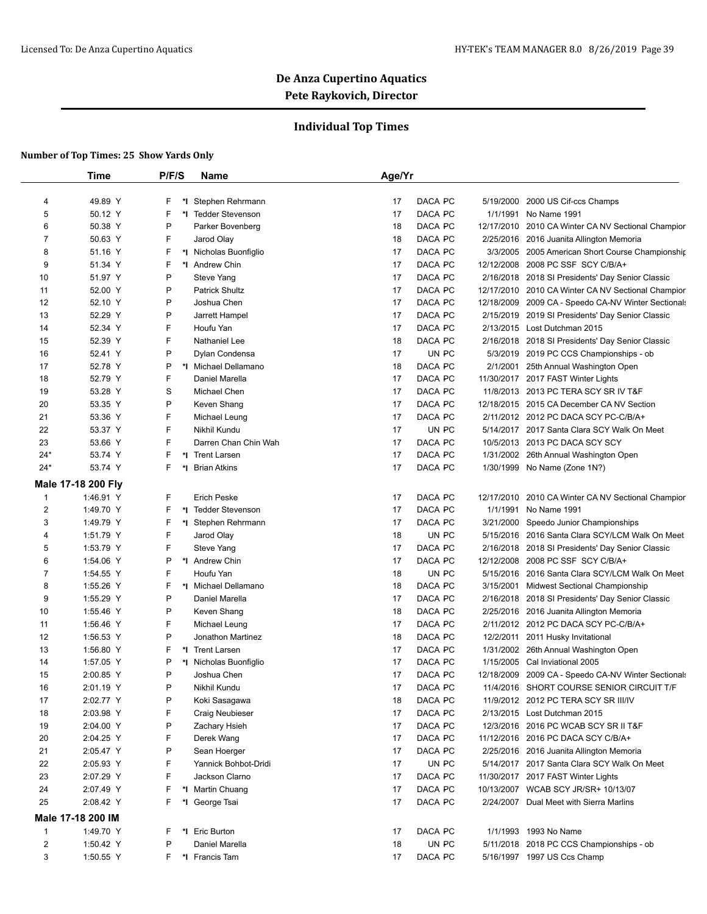## **Individual Top Times**

|                         | <b>Time</b>        | P/F/S    | Name                        | Age/Yr                       |           |                                                                                                        |
|-------------------------|--------------------|----------|-----------------------------|------------------------------|-----------|--------------------------------------------------------------------------------------------------------|
|                         |                    |          |                             |                              |           |                                                                                                        |
| 4                       | 49.89 Y            | F.<br>*∣ | Stephen Rehrmann            | 17<br>DACA PC                | 5/19/2000 | 2000 US Cif-ccs Champs                                                                                 |
| 5                       | 50.12 Y            | F        | *I Tedder Stevenson         | 17<br>DACA PC                |           | 1/1/1991 No Name 1991                                                                                  |
| 6                       | 50.38 Y            | P        | Parker Bovenberg            | DACA PC<br>18                |           | 12/17/2010 2010 CA Winter CA NV Sectional Champior                                                     |
| 7                       | 50.63 Y            | F.       | Jarod Olay                  | DACA PC<br>18                |           | 2/25/2016 2016 Juanita Allington Memoria                                                               |
| 8                       | 51.16 Y            | F        | *I Nicholas Buonfiglio      | 17<br>DACA PC                |           | 3/3/2005 2005 American Short Course Championship                                                       |
| 9                       | 51.34 Y            | F        | *I Andrew Chin              | DACA PC<br>17                |           | 12/12/2008 2008 PC SSF SCY C/B/A+                                                                      |
| 10                      | 51.97 Y            | P<br>P   | Steve Yang                  | 17<br>DACA PC<br>DACA PC     |           | 2/16/2018 2018 SI Presidents' Day Senior Classic<br>12/17/2010 2010 CA Winter CA NV Sectional Champior |
| 11                      | 52.00 Y            | P        | <b>Patrick Shultz</b>       | 17                           |           |                                                                                                        |
| 12<br>13                | 52.10 Y            | P        | Joshua Chen                 | DACA PC<br>17<br>17          |           | 12/18/2009 2009 CA - Speedo CA-NV Winter Sectionals                                                    |
| 14                      | 52.29 Y<br>52.34 Y | F        | Jarrett Hampel<br>Houfu Yan | DACA PC<br>17<br>DACA PC     |           | 2/15/2019 2019 SI Presidents' Day Senior Classic<br>2/13/2015 Lost Dutchman 2015                       |
|                         | 52.39 Y            | F        |                             |                              |           |                                                                                                        |
| 15                      |                    | P        | Nathaniel Lee               | 18<br>DACA PC<br>17<br>UN PC |           | 2/16/2018 2018 SI Presidents' Day Senior Classic                                                       |
| 16                      | 52.41 Y            | P        | Dylan Condensa              | 18                           |           | 5/3/2019 2019 PC CCS Championships - ob                                                                |
| 17                      | 52.78 Y            | F        | *I Michael Dellamano        | DACA PC                      |           | 2/1/2001 25th Annual Washington Open                                                                   |
| 18                      | 52.79 Y            |          | Daniel Marella              | 17<br>DACA PC                |           | 11/30/2017 2017 FAST Winter Lights                                                                     |
| 19                      | 53.28 Y            | S<br>P   | Michael Chen                | 17<br>DACA PC                |           | 11/8/2013 2013 PC TERA SCY SR IV T&F                                                                   |
| 20                      | 53.35 Y            |          | Keven Shang                 | 17<br>DACA PC                |           | 12/18/2015 2015 CA December CA NV Section                                                              |
| 21                      | 53.36 Y            | F<br>F   | Michael Leung               | DACA PC<br>17                |           | 2/11/2012 2012 PC DACA SCY PC-C/B/A+                                                                   |
| 22                      | 53.37 Y            | F        | Nikhil Kundu                | 17<br>UN PC                  |           | 5/14/2017 2017 Santa Clara SCY Walk On Meet                                                            |
| 23                      | 53.66 Y            |          | Darren Chan Chin Wah        | 17<br>DACA PC                |           | 10/5/2013 2013 PC DACA SCY SCY                                                                         |
| $24*$                   | 53.74 Y            | F        | *I Trent Larsen             | 17<br>DACA PC                |           | 1/31/2002 26th Annual Washington Open                                                                  |
| $24*$                   | 53.74 Y            | F        | *I Brian Atkins             | 17<br>DACA PC                |           | 1/30/1999 No Name (Zone 1N?)                                                                           |
|                         | Male 17-18 200 Fly |          |                             |                              |           |                                                                                                        |
| $\mathbf{1}$            | 1:46.91 Y          | F        | <b>Erich Peske</b>          | 17<br>DACA PC                |           | 12/17/2010 2010 CA Winter CA NV Sectional Champior                                                     |
| 2                       | 1:49.70 Y          | F        | *I Tedder Stevenson         | 17<br>DACA PC                |           | 1/1/1991 No Name 1991                                                                                  |
| 3                       | 1:49.79 Y          | F        | *I Stephen Rehrmann         | DACA PC<br>17                |           | 3/21/2000 Speedo Junior Championships                                                                  |
| 4                       | 1:51.79 Y          | F        | Jarod Olay                  | UN PC<br>18                  |           | 5/15/2016 2016 Santa Clara SCY/LCM Walk On Meet                                                        |
| 5                       | 1:53.79 Y          | F        | Steve Yang                  | 17<br>DACA PC                |           | 2/16/2018 2018 SI Presidents' Day Senior Classic                                                       |
| 6                       | 1:54.06 Y          | P        | *I Andrew Chin              | DACA PC<br>17                |           | 12/12/2008 2008 PC SSF SCY C/B/A+                                                                      |
| 7                       | 1:54.55 Y          | F        | Houfu Yan                   | 18<br>UN PC                  |           | 5/15/2016 2016 Santa Clara SCY/LCM Walk On Meet                                                        |
| 8                       | 1:55.26 Y          | F        | *I Michael Dellamano        | DACA PC<br>18                |           | 3/15/2001 Midwest Sectional Championship                                                               |
| 9                       | 1:55.29 Y          | P        | Daniel Marella              | 17<br>DACA PC                |           | 2/16/2018 2018 SI Presidents' Day Senior Classic                                                       |
| 10                      | 1:55.46 Y          | P        | Keven Shang                 | 18<br>DACA PC                |           | 2/25/2016 2016 Juanita Allington Memoria                                                               |
| 11                      | 1:56.46 Y          | F        | Michael Leung               | 17<br>DACA PC                |           | 2/11/2012 2012 PC DACA SCY PC-C/B/A+                                                                   |
| 12                      | 1:56.53 Y          | P        | Jonathon Martinez           | 18<br>DACA PC                |           | 12/2/2011 2011 Husky Invitational                                                                      |
| 13                      | 1:56.80 Y          | F        | *I Trent Larsen             | 17<br>DACA PC                |           | 1/31/2002 26th Annual Washington Open                                                                  |
| 14                      | 1:57.05 Y          | P        | *I Nicholas Buonfiglio      | 17<br>DACA PC                |           | 1/15/2005 Cal Inviational 2005                                                                         |
| 15                      | 2:00.85 Y          | P        | Joshua Chen                 | 17<br>DACA PC                |           | 12/18/2009 2009 CA - Speedo CA-NV Winter Sectionals                                                    |
| 16                      | 2:01.19 Y          | P        | Nikhil Kundu                | 17<br>DACA PC                |           | 11/4/2016 SHORT COURSE SENIOR CIRCUIT T/F                                                              |
| 17                      | 2:02.77 Y          | P        | Koki Sasagawa               | 18<br>DACA PC                |           | 11/9/2012 2012 PC TERA SCY SR III/IV                                                                   |
| 18                      | 2:03.98 Y          | F        | <b>Craig Neubieser</b>      | DACA PC<br>17                |           | 2/13/2015 Lost Dutchman 2015                                                                           |
| 19                      | 2:04.00 Y          | P        | Zachary Hsieh               | 17<br>DACA PC                |           | 12/3/2016 2016 PC WCAB SCY SR II T&F                                                                   |
| 20                      | 2:04.25 Y          | F        | Derek Wang                  | 17<br>DACA PC                |           | 11/12/2016 2016 PC DACA SCY C/B/A+                                                                     |
| 21                      | 2:05.47 Y          | P        | Sean Hoerger                | DACA PC<br>17                |           | 2/25/2016 2016 Juanita Allington Memoria                                                               |
| 22                      | 2:05.93 Y          | F        | Yannick Bohbot-Dridi        | UN PC<br>17                  |           | 5/14/2017 2017 Santa Clara SCY Walk On Meet                                                            |
| 23                      | 2:07.29 Y          | F        | Jackson Clarno              | 17<br>DACA PC                |           | 11/30/2017 2017 FAST Winter Lights                                                                     |
| 24                      | 2:07.49 Y          | F.       | *I Martin Chuang            | DACA PC<br>17                |           | 10/13/2007 WCAB SCY JR/SR+ 10/13/07                                                                    |
| 25                      | 2:08.42 Y          | F        | *I George Tsai              | DACA PC<br>17                |           | 2/24/2007 Dual Meet with Sierra Marlins                                                                |
|                         | Male 17-18 200 IM  |          |                             |                              |           |                                                                                                        |
| $\mathbf{1}$            | 1:49.70 Y          | F.       | *I Eric Burton              | DACA PC<br>17                |           | 1/1/1993 1993 No Name                                                                                  |
| $\overline{\mathbf{c}}$ | 1:50.42 Y          | P        | Daniel Marella              | UN PC<br>18                  |           | 5/11/2018 2018 PC CCS Championships - ob                                                               |
| 3                       | 1:50.55 Y          | F.       | *I Francis Tam              | DACA PC<br>17                |           | 5/16/1997 1997 US Ccs Champ                                                                            |
|                         |                    |          |                             |                              |           |                                                                                                        |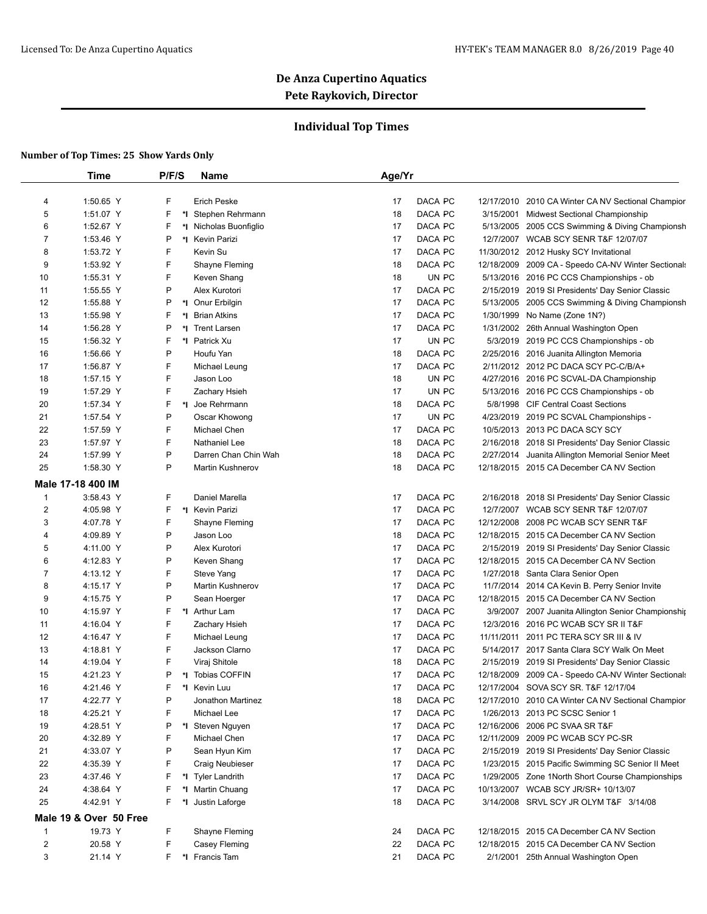## **Individual Top Times**

|                | Time                   | P/F/S    | Name                                    | Age/Yr   |                    |            |                                                                                                     |
|----------------|------------------------|----------|-----------------------------------------|----------|--------------------|------------|-----------------------------------------------------------------------------------------------------|
| 4              | 1:50.65 Y              | F        | <b>Erich Peske</b>                      | 17       | DACA PC            |            | 12/17/2010 2010 CA Winter CA NV Sectional Champior                                                  |
| 5              | 1:51.07 Y              | F        | *I Stephen Rehrmann                     | 18       | DACA PC            |            | 3/15/2001 Midwest Sectional Championship                                                            |
| 6              | 1:52.67 Y              | F        | *I Nicholas Buonfiglio                  | 17       | DACA PC            |            |                                                                                                     |
| 7              | 1:53.46 Y              | Ρ        | *I Kevin Parizi                         | 17       | DACA PC            |            | 5/13/2005 2005 CCS Swimming & Diving Championsh<br>12/7/2007 WCAB SCY SENR T&F 12/07/07             |
| 8              | 1:53.72 Y              | F        | Kevin Su                                | 17       | DACA PC            |            | 11/30/2012 2012 Husky SCY Invitational                                                              |
| 9              |                        | F        |                                         |          |                    | 12/18/2009 |                                                                                                     |
|                | 1:53.92 Y              | F        | Shayne Fleming                          | 18       | DACA PC            |            | 2009 CA - Speedo CA-NV Winter Sectionals                                                            |
| 10<br>11       | 1:55.31 Y<br>1:55.55 Y | P        | Keven Shang<br>Alex Kurotori            | 18<br>17 | UN PC<br>DACA PC   |            | 5/13/2016 2016 PC CCS Championships - ob                                                            |
| 12             |                        | P        |                                         |          |                    |            | 2/15/2019 2019 SI Presidents' Day Senior Classic<br>5/13/2005 2005 CCS Swimming & Diving Championsh |
| 13             | 1:55.88 Y<br>1:55.98 Y | F<br>*∣  | *I Onur Erbilgin<br><b>Brian Atkins</b> | 17<br>17 | DACA PC<br>DACA PC |            | 1/30/1999 No Name (Zone 1N?)                                                                        |
| 14             | 1:56.28 Y              | P<br>*∣  | <b>Trent Larsen</b>                     | 17       | DACA PC            |            | 1/31/2002 26th Annual Washington Open                                                               |
| 15             |                        | F        |                                         | 17       |                    |            |                                                                                                     |
|                | 1:56.32 Y              | P        | *I Patrick Xu<br>Houfu Yan              |          | UN PC              | 5/3/2019   | 2019 PC CCS Championships - ob<br>2/25/2016 2016 Juanita Allington Memoria                          |
| 16             | 1:56.66 Y              | F        |                                         | 18       | DACA PC            |            |                                                                                                     |
| 17             | 1:56.87 Y              |          | Michael Leung                           | 17       | DACA PC            |            | 2/11/2012 2012 PC DACA SCY PC-C/B/A+                                                                |
| 18             | 1:57.15 Y              | F        | Jason Loo                               | 18       | UN PC              |            | 4/27/2016 2016 PC SCVAL-DA Championship                                                             |
| 19             | 1:57.29 Y              | F        | Zachary Hsieh                           | 17       | UN PC              |            | 5/13/2016 2016 PC CCS Championships - ob                                                            |
| 20             | 1:57.34 Y              | F        | *I Joe Rehrmann                         | 18       | DACA PC            |            | 5/8/1998 CIF Central Coast Sections                                                                 |
| 21             | 1:57.54 Y              | P        | Oscar Khowong                           | 17       | UN PC              | 4/23/2019  | 2019 PC SCVAL Championships -                                                                       |
| 22             | 1:57.59 Y              | F        | Michael Chen                            | 17       | DACA PC            |            | 10/5/2013 2013 PC DACA SCY SCY                                                                      |
| 23             | 1:57.97 Y              | F        | Nathaniel Lee                           | 18       | DACA PC            |            | 2/16/2018 2018 SI Presidents' Day Senior Classic                                                    |
| 24             | 1:57.99 Y              | P        | Darren Chan Chin Wah                    | 18       | DACA PC            | 2/27/2014  | Juanita Allington Memorial Senior Meet                                                              |
| 25             | 1:58.30 Y              | P        | <b>Martin Kushnerov</b>                 | 18       | DACA PC            |            | 12/18/2015 2015 CA December CA NV Section                                                           |
|                | Male 17-18 400 IM      |          |                                         |          |                    |            |                                                                                                     |
| $\mathbf{1}$   | 3:58.43 Y              | F        | Daniel Marella                          | 17       | DACA PC            |            | 2/16/2018 2018 SI Presidents' Day Senior Classic                                                    |
| $\overline{c}$ | 4:05.98 Y              | F        | *I Kevin Parizi                         | 17       | DACA PC            |            | 12/7/2007 WCAB SCY SENR T&F 12/07/07                                                                |
| 3              | 4:07.78 Y              | F        | Shayne Fleming                          | 17       | DACA PC            |            | 12/12/2008 2008 PC WCAB SCY SENR T&F                                                                |
| 4              | 4:09.89 Y              | P        | Jason Loo                               | 18       | DACA PC            |            | 12/18/2015 2015 CA December CA NV Section                                                           |
| 5              | 4:11.00 Y              | P        | Alex Kurotori                           | 17       | DACA PC            |            | 2/15/2019 2019 SI Presidents' Day Senior Classic                                                    |
| 6              | 4:12.83 Y              | P        | Keven Shang                             | 17       | DACA PC            |            | 12/18/2015 2015 CA December CA NV Section                                                           |
| 7              | 4:13.12 Y              | F        | Steve Yang                              | 17       | DACA PC            |            | 1/27/2018 Santa Clara Senior Open                                                                   |
| 8              | 4:15.17 Y              | P        | <b>Martin Kushnerov</b>                 | 17       | DACA PC            |            | 11/7/2014 2014 CA Kevin B. Perry Senior Invite                                                      |
| 9              | 4:15.75 Y              | P        | Sean Hoerger                            | 17       | DACA PC            |            | 12/18/2015 2015 CA December CA NV Section                                                           |
| 10             | 4:15.97 Y              | F        | *I Arthur Lam                           | 17       | DACA PC            |            | 3/9/2007 2007 Juanita Allington Senior Championship                                                 |
| 11             | 4:16.04 Y              | F        | Zachary Hsieh                           | 17       | DACA PC            |            | 12/3/2016 2016 PC WCAB SCY SR II T&F                                                                |
| 12             | 4:16.47 Y              | F        | Michael Leung                           | 17       | DACA PC            |            | 11/11/2011 2011 PC TERA SCY SR III & IV                                                             |
| 13             | 4:18.81 Y              | F        | Jackson Clarno                          | 17       | DACA PC            |            | 5/14/2017 2017 Santa Clara SCY Walk On Meet                                                         |
| 14             | 4:19.04 Y              | F        | Viraj Shitole                           | 18       | DACA PC            |            | 2/15/2019 2019 SI Presidents' Day Senior Classic                                                    |
| 15             | 4:21.23 Y              | P        | *I Tobias COFFIN                        | 17       | DACA PC            |            | 12/18/2009 2009 CA - Speedo CA-NV Winter Sectionals                                                 |
| 16             | 4:21.46 Y              | F.       | *I Kevin Luu                            | 17       | DACA PC            |            | 12/17/2004 SOVA SCY SR. T&F 12/17/04                                                                |
| 17             | 4:22.77 Y              | P        | Jonathon Martinez                       | 18       | DACA PC            |            | 12/17/2010 2010 CA Winter CA NV Sectional Champior                                                  |
| 18             | 4:25.21 Y              | F        | Michael Lee                             | 17       | DACA PC            |            | 1/26/2013 2013 PC SCSC Senior 1                                                                     |
| 19             | 4:28.51 Y              | Ρ        | *I Steven Nguyen                        | 17       | DACA PC            |            | 12/16/2006 2006 PC SVAA SR T&F                                                                      |
| 20             | 4:32.89 Y              | F        | Michael Chen                            | 17       | DACA PC            |            | 12/11/2009 2009 PC WCAB SCY PC-SR                                                                   |
| 21             | 4:33.07 Y              | P        | Sean Hyun Kim                           | 17       | DACA PC            |            | 2/15/2019 2019 SI Presidents' Day Senior Classic                                                    |
| 22             | 4:35.39 Y              | F        | Craig Neubieser                         | 17       | DACA PC            |            | 1/23/2015 2015 Pacific Swimming SC Senior II Meet                                                   |
| 23             | 4:37.46 Y              | F        | *I Tyler Landrith                       | 17       | DACA PC            |            | 1/29/2005 Zone 1North Short Course Championships                                                    |
| 24             | 4:38.64 Y              | F        | *I Martin Chuang                        | 17       | DACA PC            |            | 10/13/2007 WCAB SCY JR/SR+ 10/13/07                                                                 |
| 25             | 4:42.91 Y              | F.<br>*∣ | Justin Laforge                          | 18       | DACA PC            |            | 3/14/2008 SRVL SCY JR OLYM T&F 3/14/08                                                              |
|                | Male 19 & Over 50 Free |          |                                         |          |                    |            |                                                                                                     |
|                |                        |          |                                         |          |                    |            |                                                                                                     |
| 1              | 19.73 Y                | F        | Shayne Fleming                          | 24       | DACA PC            |            | 12/18/2015 2015 CA December CA NV Section                                                           |
| $\overline{c}$ | 20.58 Y                | F        | Casey Fleming                           | 22       | DACA PC            |            | 12/18/2015 2015 CA December CA NV Section                                                           |
| 3              | 21.14 Y                | F.       | *I Francis Tam                          | 21       | DACA PC            |            | 2/1/2001 25th Annual Washington Open                                                                |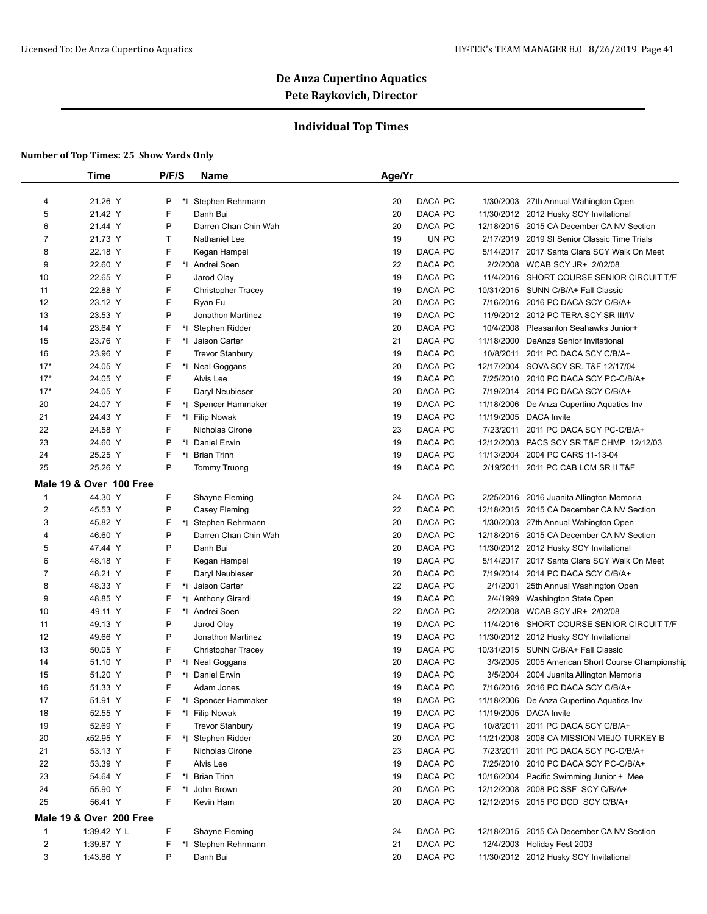## **Individual Top Times**

|                         | Time                    | P/F/S   | Name                      | Age/Yr                                  |                                                  |
|-------------------------|-------------------------|---------|---------------------------|-----------------------------------------|--------------------------------------------------|
|                         |                         |         |                           |                                         |                                                  |
| 4                       | 21.26 Y                 | P<br>*l | Stephen Rehrmann          | DACA PC<br>20                           | 1/30/2003 27th Annual Wahington Open             |
| 5                       | 21.42 Y                 | F       | Danh Bui                  | DACA PC<br>20                           | 11/30/2012 2012 Husky SCY Invitational           |
| 6                       | 21.44 Y                 | P       | Darren Chan Chin Wah      | 20<br>DACA PC                           | 12/18/2015 2015 CA December CA NV Section        |
| 7                       | 21.73 Y                 | т       | Nathaniel Lee             | UN PC<br>19                             | 2/17/2019 2019 SI Senior Classic Time Trials     |
| 8                       | 22.18 Y                 | F       | Kegan Hampel              | DACA PC<br>19                           | 5/14/2017 2017 Santa Clara SCY Walk On Meet      |
| 9                       | 22.60 Y                 | F       | *I Andrei Soen            | 22<br>DACA PC<br>2/2/2008               | WCAB SCY JR+ 2/02/08                             |
| 10                      | 22.65 Y                 | P       | Jarod Olay                | 19<br>DACA PC                           | 11/4/2016 SHORT COURSE SENIOR CIRCUIT T/F        |
| 11                      | 22.88 Y                 | F       | <b>Christopher Tracey</b> | DACA PC<br>19                           | 10/31/2015 SUNN C/B/A+ Fall Classic              |
| 12                      | 23.12 Y                 | F       | Ryan Fu                   | DACA PC<br>20                           | 7/16/2016 2016 PC DACA SCY C/B/A+                |
| 13                      | 23.53 Y                 | P       | Jonathon Martinez         | 19<br>DACA PC                           | 11/9/2012 2012 PC TERA SCY SR III/IV             |
| 14                      | 23.64 Y                 | F       | *I Stephen Ridder         | DACA PC<br>20                           | 10/4/2008 Pleasanton Seahawks Junior+            |
| 15                      | 23.76 Y                 | F<br>*l | Jaison Carter             | 21<br>DACA PC                           | 11/18/2000 DeAnza Senior Invitational            |
| 16                      | 23.96 Y                 | F       | <b>Trevor Stanbury</b>    | 19<br>DACA PC                           | 10/8/2011 2011 PC DACA SCY C/B/A+                |
| $17*$                   | 24.05 Y                 | F       | *I Neal Goggans           | 20<br>DACA PC                           | 12/17/2004 SOVA SCY SR. T&F 12/17/04             |
| $17*$                   | 24.05 Y                 | F       | Alvis Lee                 | 19<br>DACA PC                           | 7/25/2010 2010 PC DACA SCY PC-C/B/A+             |
| $17*$                   | 24.05 Y                 | F       | Daryl Neubieser           | 20<br>DACA PC                           | 7/19/2014 2014 PC DACA SCY C/B/A+                |
| 20                      | 24.07 Y                 | F<br>*I | Spencer Hammaker          | 19<br>DACA PC                           | 11/18/2006 De Anza Cupertino Aquatics Inv        |
| 21                      | 24.43 Y                 | F       | *I Filip Nowak            | 19<br>DACA PC<br>11/19/2005 DACA Invite |                                                  |
| 22                      | 24.58 Y                 | F       | Nicholas Cirone           | DACA PC<br>23<br>7/23/2011              | 2011 PC DACA SCY PC-C/B/A+                       |
| 23                      | 24.60 Y                 | P       | *1 Daniel Erwin           | DACA PC<br>19                           | 12/12/2003 PACS SCY SR T&F CHMP 12/12/03         |
| 24                      | 25.25 Y                 | F       | *I Brian Trinh            | 19<br>DACA PC<br>11/13/2004             | 2004 PC CARS 11-13-04                            |
| 25                      | 25.26 Y                 | P       | <b>Tommy Truong</b>       | 19<br>DACA PC                           | 2/19/2011 2011 PC CAB LCM SR II T&F              |
|                         | Male 19 & Over 100 Free |         |                           |                                         |                                                  |
| 1                       | 44.30 Y                 | F.      | Shayne Fleming            | DACA PC<br>24                           | 2/25/2016 2016 Juanita Allington Memoria         |
| 2                       | 45.53 Y                 | P       | Casey Fleming             | DACA PC<br>22                           | 12/18/2015 2015 CA December CA NV Section        |
| 3                       | 45.82 Y                 | F       | *I Stephen Rehrmann       | 20<br>DACA PC                           | 1/30/2003 27th Annual Wahington Open             |
| 4                       | 46.60 Y                 | P       | Darren Chan Chin Wah      | 20<br>DACA PC                           | 12/18/2015 2015 CA December CA NV Section        |
| 5                       | 47.44 Y                 | P       | Danh Bui                  | DACA PC<br>20                           | 11/30/2012 2012 Husky SCY Invitational           |
| 6                       | 48.18 Y                 | F       | Kegan Hampel              | 19<br>DACA PC                           | 5/14/2017 2017 Santa Clara SCY Walk On Meet      |
| 7                       | 48.21 Y                 | F       | Daryl Neubieser           | 20<br>DACA PC                           | 7/19/2014 2014 PC DACA SCY C/B/A+                |
| 8                       | 48.33 Y                 | F<br>*∣ | Jaison Carter             | 22<br>DACA PC<br>2/1/2001               | 25th Annual Washington Open                      |
| 9                       | 48.85 Y                 | F<br>*l | Anthony Girardi           | 19<br>DACA PC<br>2/4/1999               | Washington State Open                            |
| 10                      | 49.11 Y                 | F<br>*I | Andrei Soen               | 22<br>DACA PC<br>2/2/2008               | WCAB SCY JR+ 2/02/08                             |
| 11                      | 49.13 Y                 | P       | Jarod Olay                | 19<br>DACA PC                           | 11/4/2016 SHORT COURSE SENIOR CIRCUIT T/F        |
| 12                      | 49.66 Y                 | P       | Jonathon Martinez         | DACA PC<br>19                           | 11/30/2012 2012 Husky SCY Invitational           |
| 13                      | 50.05 Y                 | F       | <b>Christopher Tracey</b> | DACA PC<br>19                           | 10/31/2015 SUNN C/B/A+ Fall Classic              |
| 14                      | 51.10 Y                 | P       | *I Neal Goggans           | 20<br>DACA PC                           | 3/3/2005 2005 American Short Course Championship |
| 15                      | 51.20 Y                 | P       | *I Daniel Erwin           | 19<br>DACA PC                           | 3/5/2004 2004 Juanita Allington Memoria          |
| 16                      | 51.33 Y                 |         | Adam Jones                | 19<br>DACA PC                           | 7/16/2016 2016 PC DACA SCY C/B/A+                |
| 17                      | 51.91 Y                 | F       | *I Spencer Hammaker       | 19<br>DACA PC                           | 11/18/2006 De Anza Cupertino Aquatics Inv        |
| 18                      | 52.55 Y                 | F       | *I Filip Nowak            | DACA PC<br>11/19/2005 DACA Invite<br>19 |                                                  |
| 19                      | 52.69 Y                 | F       | Trevor Stanbury           | DACA PC<br>19                           | 10/8/2011 2011 PC DACA SCY C/B/A+                |
| 20                      | x52.95 Y                | F       | *I Stephen Ridder         | 20<br>DACA PC                           | 11/21/2008 2008 CA MISSION VIEJO TURKEY B        |
| 21                      | 53.13 Y                 | F       | Nicholas Cirone           | DACA PC<br>23                           | 7/23/2011 2011 PC DACA SCY PC-C/B/A+             |
| 22                      | 53.39 Y                 | F       | Alvis Lee                 | DACA PC<br>19                           | 7/25/2010 2010 PC DACA SCY PC-C/B/A+             |
| 23                      | 54.64 Y                 | F.      | *I Brian Trinh            | DACA PC<br>19                           | 10/16/2004 Pacific Swimming Junior + Mee         |
| 24                      | 55.90 Y                 | F       | *I John Brown             | 20<br>DACA PC                           | 12/12/2008 2008 PC SSF SCY C/B/A+                |
| 25                      | 56.41 Y                 | F       | Kevin Ham                 | 20<br>DACA PC                           | 12/12/2015 2015 PC DCD SCY C/B/A+                |
|                         |                         |         |                           |                                         |                                                  |
|                         | Male 19 & Over 200 Free |         |                           |                                         |                                                  |
| $\mathbf{1}$            | 1:39.42 Y L             | F       | Shayne Fleming            | DACA PC<br>24                           | 12/18/2015 2015 CA December CA NV Section        |
| $\overline{\mathbf{c}}$ | 1:39.87 Y               | F       | *I Stephen Rehrmann       | DACA PC<br>21                           | 12/4/2003 Holiday Fest 2003                      |
| 3                       | 1:43.86 Y               | Ρ       | Danh Bui                  | DACA PC<br>20                           | 11/30/2012 2012 Husky SCY Invitational           |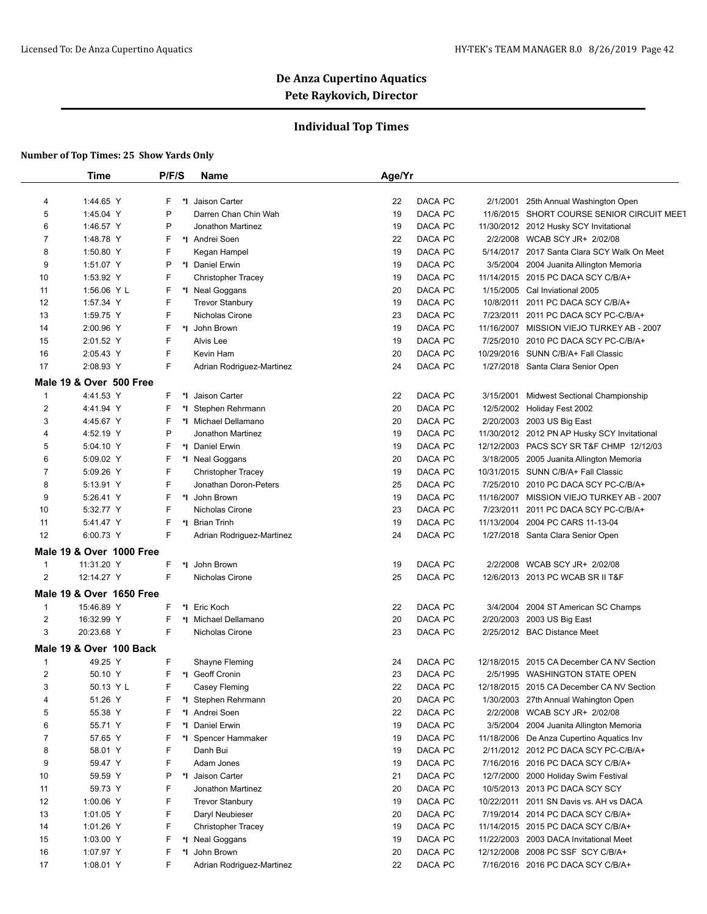## **Individual Top Times**

|              | Time                     | P/F/S   | Name                                      | Age/Yr   |                    |           |                                                                      |
|--------------|--------------------------|---------|-------------------------------------------|----------|--------------------|-----------|----------------------------------------------------------------------|
|              |                          |         |                                           |          |                    |           |                                                                      |
| 4            | 1:44.65 Y                | F<br>*l | Jaison Carter                             | 22       | DACA PC            |           | 2/1/2001 25th Annual Washington Open                                 |
| 5            | 1:45.04 Y                | P       | Darren Chan Chin Wah                      | 19       | DACA PC            |           | 11/6/2015 SHORT COURSE SENIOR CIRCUIT MEET                           |
| 6            | 1:46.57 Y                | P       | Jonathon Martinez                         | 19       | DACA PC            |           | 11/30/2012 2012 Husky SCY Invitational                               |
| 7            | 1:48.78 Y                | F       | *1 Andrei Soen                            | 22       | DACA PC            |           | 2/2/2008 WCAB SCY JR+ 2/02/08                                        |
| 8            | 1:50.80 Y                | F       | Kegan Hampel                              | 19       | DACA PC            |           | 5/14/2017 2017 Santa Clara SCY Walk On Meet                          |
| 9            | 1:51.07 Y                | P       | *I Daniel Erwin                           | 19       | DACA PC            | 3/5/2004  | 2004 Juanita Allington Memoria                                       |
| 10<br>11     | 1:53.92 Y                | F<br>F  | <b>Christopher Tracey</b>                 | 19<br>20 | DACA PC<br>DACA PC |           | 11/14/2015 2015 PC DACA SCY C/B/A+<br>1/15/2005 Cal Inviational 2005 |
| 12           | 1:56.06 Y L<br>1:57.34 Y | F       | *I Neal Goggans<br><b>Trevor Stanbury</b> | 19       | DACA PC            |           | 10/8/2011 2011 PC DACA SCY C/B/A+                                    |
| 13           | 1:59.75 Y                | F       | Nicholas Cirone                           | 23       | DACA PC            |           | 7/23/2011 2011 PC DACA SCY PC-C/B/A+                                 |
| 14           | 2:00.96 Y                | F       | *I John Brown                             | 19       | DACA PC            |           | 11/16/2007 MISSION VIEJO TURKEY AB - 2007                            |
| 15           | 2:01.52 Y                | F       | Alvis Lee                                 | 19       | DACA PC            |           | 7/25/2010 2010 PC DACA SCY PC-C/B/A+                                 |
| 16           | 2:05.43 Y                | F       | Kevin Ham                                 | 20       | DACA PC            |           | 10/29/2016 SUNN C/B/A+ Fall Classic                                  |
| 17           | 2:08.93 Y                | F       | Adrian Rodriguez-Martinez                 | 24       | DACA PC            |           | 1/27/2018 Santa Clara Senior Open                                    |
|              |                          |         |                                           |          |                    |           |                                                                      |
|              | Male 19 & Over 500 Free  |         |                                           |          |                    |           |                                                                      |
| $\mathbf{1}$ | 4:41.53 Y                | F       | *1 Jaison Carter                          | 22       | DACA PC            |           | 3/15/2001 Midwest Sectional Championship                             |
| 2            | 4:41.94 Y                | F       | *I Stephen Rehrmann                       | 20       | DACA PC            |           | 12/5/2002 Holiday Fest 2002                                          |
| 3            | 4:45.67 Y                | F       | *I Michael Dellamano                      | 20       | DACA PC            |           | 2/20/2003 2003 US Big East                                           |
| 4            | 4:52.19 Y                | P       | Jonathon Martinez                         | 19       | DACA PC            |           | 11/30/2012 2012 PN AP Husky SCY Invitational                         |
| 5            | 5:04.10 Y                | F       | *I Daniel Erwin                           | 19       | DACA PC            |           | 12/12/2003 PACS SCY SR T&F CHMP 12/12/03                             |
| 6            | 5:09.02 Y                | F       | *I Neal Goggans                           | 20       | DACA PC            |           | 3/18/2005 2005 Juanita Allington Memoria                             |
| 7            | 5:09.26 Y                | F       | Christopher Tracey                        | 19       | DACA PC            |           | 10/31/2015 SUNN C/B/A+ Fall Classic                                  |
| 8            | 5:13.91 Y                | F       | Jonathan Doron-Peters                     | 25       | DACA PC            |           | 7/25/2010 2010 PC DACA SCY PC-C/B/A+                                 |
| 9            | 5:26.41 Y                | F       | *I John Brown                             | 19       | DACA PC            |           | 11/16/2007 MISSION VIEJO TURKEY AB - 2007                            |
| 10           | 5:32.77 Y                | F       | Nicholas Cirone                           | 23       | DACA PC            | 7/23/2011 | 2011 PC DACA SCY PC-C/B/A+                                           |
| 11           | 5:41.47 Y                | F       | *I Brian Trinh                            | 19       | DACA PC            |           | 11/13/2004 2004 PC CARS 11-13-04                                     |
| 12           | 6:00.73 Y                | F       | Adrian Rodriguez-Martinez                 | 24       | DACA PC            |           | 1/27/2018 Santa Clara Senior Open                                    |
|              | Male 19 & Over 1000 Free |         |                                           |          |                    |           |                                                                      |
| $\mathbf{1}$ | 11:31.20 Y               | F       | *I John Brown                             | 19       | DACA PC            |           | 2/2/2008 WCAB SCY JR+ 2/02/08                                        |
| 2            | 12:14.27 Y               | F       | Nicholas Cirone                           | 25       | DACA PC            |           | 12/6/2013 2013 PC WCAB SR II T&F                                     |
|              | Male 19 & Over 1650 Free |         |                                           |          |                    |           |                                                                      |
| $\mathbf{1}$ | 15:46.89 Y               | F       | *1 Eric Koch                              | 22       | DACA PC            |           | 3/4/2004 2004 ST American SC Champs                                  |
| 2            | 16:32.99 Y               | F       | *I Michael Dellamano                      | 20       | DACA PC            |           | 2/20/2003 2003 US Big East                                           |
| 3            | 20:23.68 Y               | F       | Nicholas Cirone                           | 23       | DACA PC            |           | 2/25/2012 BAC Distance Meet                                          |
|              | Male 19 & Over 100 Back  |         |                                           |          |                    |           |                                                                      |
| $\mathbf{1}$ | 49.25 Y                  | F       | Shayne Fleming                            | 24       | DACA PC            |           | 12/18/2015 2015 CA December CA NV Section                            |
| 2            | 50.10 Y                  | F       | *1 Geoff Cronin                           | 23       | DACA PC            |           | 2/5/1995 WASHINGTON STATE OPEN                                       |
| 3            | 50.13 Y L                | F       | Casey Fleming                             | 22       | DACA PC            |           | 12/18/2015 2015 CA December CA NV Section                            |
| 4            | 51.26 Y                  | F       | *I Stephen Rehrmann                       | 20       | DACA PC            |           | 1/30/2003 27th Annual Wahington Open                                 |
| 5            | 55.38 Y                  | F       | *I Andrei Soen                            | 22       | DACA PC            |           | 2/2/2008 WCAB SCY JR+ 2/02/08                                        |
| 6            | 55.71 Y                  | F       | *I Daniel Erwin                           | 19       | DACA PC            |           | 3/5/2004 2004 Juanita Allington Memoria                              |
| 7            | 57.65 Y                  | F       | *I Spencer Hammaker                       | 19       | DACA PC            |           | 11/18/2006 De Anza Cupertino Aquatics Inv                            |
| 8            | 58.01 Y                  | F       | Danh Bui                                  | 19       | DACA PC            |           | 2/11/2012 2012 PC DACA SCY PC-C/B/A+                                 |
| 9            | 59.47 Y                  | F       | Adam Jones                                | 19       | DACA PC            |           | 7/16/2016 2016 PC DACA SCY C/B/A+                                    |
| 10           | 59.59 Y                  | P       | *I Jaison Carter                          | 21       | DACA PC            |           | 12/7/2000 2000 Holiday Swim Festival                                 |
| 11           | 59.73 Y                  | F       | Jonathon Martinez                         | 20       | DACA PC            |           | 10/5/2013 2013 PC DACA SCY SCY                                       |
| 12           | 1:00.06 Y                | F       | <b>Trevor Stanbury</b>                    | 19       | DACA PC            |           | 10/22/2011 2011 SN Davis vs. AH vs DACA                              |
| 13           | 1:01.05 Y                | F       | Daryl Neubieser                           | 20       | DACA PC            |           | 7/19/2014 2014 PC DACA SCY C/B/A+                                    |
| 14           | 1:01.26 Y                | F       | <b>Christopher Tracey</b>                 | 19       | DACA PC            |           | 11/14/2015 2015 PC DACA SCY C/B/A+                                   |
| 15           | 1:03.00 Y                | F       | *I Neal Goggans                           | 19       | DACA PC            |           | 11/22/2003 2003 DACA Invitational Meet                               |
| 16           | 1:07.97 Y                | F<br>*l | John Brown                                | 20       | DACA PC            |           | 12/12/2008 2008 PC SSF SCY C/B/A+                                    |
| 17           | 1:08.01 Y                | F       | Adrian Rodriguez-Martinez                 | 22       | DACA PC            |           | 7/16/2016 2016 PC DACA SCY C/B/A+                                    |
|              |                          |         |                                           |          |                    |           |                                                                      |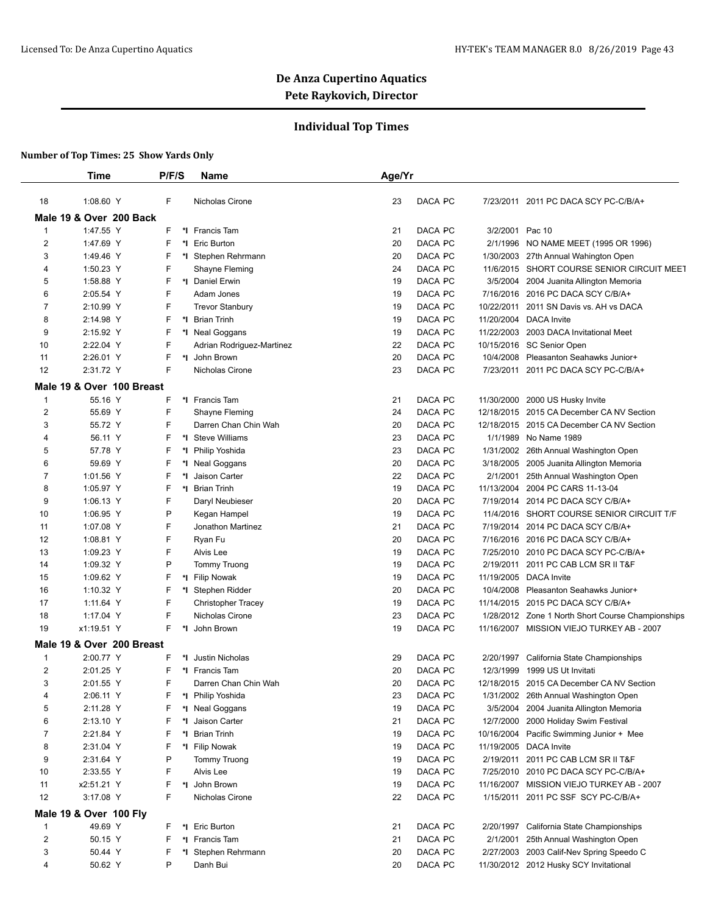## **Individual Top Times**

|                | Time                      | P/F/S   | <b>Name</b>               | Age/Yr |         |                 |                                                   |
|----------------|---------------------------|---------|---------------------------|--------|---------|-----------------|---------------------------------------------------|
| 18             | 1:08.60 Y                 | F       | Nicholas Cirone           | 23     | DACA PC |                 | 7/23/2011 2011 PC DACA SCY PC-C/B/A+              |
|                | Male 19 & Over 200 Back   |         |                           |        |         |                 |                                                   |
| $\mathbf{1}$   | 1:47.55 Y                 | F       | *I Francis Tam            | 21     | DACA PC | 3/2/2001 Pac 10 |                                                   |
| 2              | 1:47.69 Y                 | F       | *1 Eric Burton            | 20     | DACA PC | 2/1/1996        | NO NAME MEET (1995 OR 1996)                       |
| 3              | 1:49.46 Y                 | F       | *I Stephen Rehrmann       | 20     | DACA PC |                 | 1/30/2003 27th Annual Wahington Open              |
| 4              | 1:50.23 Y                 | F       | Shayne Fleming            | 24     | DACA PC |                 | 11/6/2015 SHORT COURSE SENIOR CIRCUIT MEET        |
| 5              | 1:58.88 Y                 | F       | *1 Daniel Erwin           | 19     | DACA PC |                 | 3/5/2004 2004 Juanita Allington Memoria           |
| 6              | 2:05.54 Y                 | F       | Adam Jones                | 19     | DACA PC |                 | 7/16/2016 2016 PC DACA SCY C/B/A+                 |
| 7              | 2:10.99 Y                 | F       | <b>Trevor Stanbury</b>    | 19     | DACA PC | 10/22/2011      | 2011 SN Davis vs. AH vs DACA                      |
| 8              | 2:14.98 Y                 | F       | *1 Brian Trinh            | 19     | DACA PC |                 | 11/20/2004 DACA Invite                            |
| 9              | 2:15.92 Y                 | F       | *I Neal Goggans           | 19     | DACA PC |                 | 11/22/2003 2003 DACA Invitational Meet            |
| 10             | 2:22.04 Y                 | F       | Adrian Rodriguez-Martinez | 22     | DACA PC |                 | 10/15/2016 SC Senior Open                         |
| 11             | 2:26.01 Y                 | F       | *I John Brown             | 20     | DACA PC |                 | 10/4/2008 Pleasanton Seahawks Junior+             |
| 12             | 2:31.72 Y                 | F       | Nicholas Cirone           | 23     | DACA PC |                 | 7/23/2011 2011 PC DACA SCY PC-C/B/A+              |
|                |                           |         |                           |        |         |                 |                                                   |
|                | Male 19 & Over 100 Breast |         |                           |        |         |                 |                                                   |
| $\mathbf{1}$   | 55.16 Y                   | F       | *I Francis Tam            | 21     | DACA PC |                 | 11/30/2000 2000 US Husky Invite                   |
| $\overline{2}$ | 55.69 Y                   | F       | Shayne Fleming            | 24     | DACA PC |                 | 12/18/2015 2015 CA December CA NV Section         |
| 3              | 55.72 Y                   | F       | Darren Chan Chin Wah      | 20     | DACA PC |                 | 12/18/2015 2015 CA December CA NV Section         |
| 4              | 56.11 Y                   | F       | *I Steve Williams         | 23     | DACA PC | 1/1/1989        | No Name 1989                                      |
| 5              | 57.78 Y                   | F       | *I Philip Yoshida         | 23     | DACA PC |                 | 1/31/2002 26th Annual Washington Open             |
| 6              | 59.69 Y                   | F       | *I Neal Goggans           | 20     | DACA PC |                 | 3/18/2005 2005 Juanita Allington Memoria          |
| 7              | 1:01.56 Y                 | F       | Jaison Carter             | 22     | DACA PC |                 | 2/1/2001 25th Annual Washington Open              |
| 8              | 1:05.97 Y                 | F       | *1 Brian Trinh            | 19     | DACA PC |                 | 11/13/2004 2004 PC CARS 11-13-04                  |
| 9              | 1:06.13 Y                 | F       | Daryl Neubieser           | 20     | DACA PC |                 | 7/19/2014 2014 PC DACA SCY C/B/A+                 |
| 10             | 1:06.95 Y                 | P       | Kegan Hampel              | 19     | DACA PC |                 | 11/4/2016 SHORT COURSE SENIOR CIRCUIT T/F         |
| 11             | 1:07.08 Y                 | F       | Jonathon Martinez         | 21     | DACA PC | 7/19/2014       | 2014 PC DACA SCY C/B/A+                           |
| 12             | 1:08.81 Y                 | F       | Ryan Fu                   | 20     | DACA PC |                 | 7/16/2016 2016 PC DACA SCY C/B/A+                 |
| 13             | 1:09.23 Y                 | F       | Alvis Lee                 | 19     | DACA PC |                 | 7/25/2010 2010 PC DACA SCY PC-C/B/A+              |
| 14             | 1:09.32 Y                 | P       | <b>Tommy Truong</b>       | 19     | DACA PC |                 | 2/19/2011 2011 PC CAB LCM SR II T&F               |
| 15             | 1:09.62 Y                 | F       | *I Filip Nowak            | 19     | DACA PC |                 | 11/19/2005 DACA Invite                            |
| 16             | 1:10.32 Y                 | F       | *I Stephen Ridder         | 20     | DACA PC |                 | 10/4/2008 Pleasanton Seahawks Junior+             |
| 17             | 1:11.64 Y                 | F       | <b>Christopher Tracey</b> | 19     | DACA PC |                 | 11/14/2015 2015 PC DACA SCY C/B/A+                |
| 18             | 1:17.04 Y                 | F       | Nicholas Cirone           | 23     | DACA PC |                 | 1/28/2012 Zone 1 North Short Course Championships |
| 19             | x1:19.51 Y                | F       | John Brown                | 19     | DACA PC |                 | 11/16/2007 MISSION VIEJO TURKEY AB - 2007         |
|                | Male 19 & Over 200 Breast |         |                           |        |         |                 |                                                   |
| $\mathbf{1}$   | 2:00.77 Y                 | F       | *I Justin Nicholas        | 29     | DACA PC | 2/20/1997       | California State Championships                    |
| 2              | 2:01.25 Y                 | F       | *1 Francis Tam            | 20     | DACA PC | 12/3/1999       | 1999 US Ut Invitati                               |
| 3              | 2:01.55 Y                 | F       | Darren Chan Chin Wah      | 20     | DACA PC |                 | 12/18/2015 2015 CA December CA NV Section         |
| 4              | 2:06.11 Y                 | F<br>*۱ | Philip Yoshida            | 23     | DACA PC |                 | 1/31/2002 26th Annual Washington Open             |
| 5              | 2:11.28 Y                 | *l      | Neal Goggans              | 19     | DACA PC | 3/5/2004        | 2004 Juanita Allington Memoria                    |
| 6              | 2:13.10 Y                 | F       | *I Jaison Carter          | 21     | DACA PC | 12/7/2000       | 2000 Holiday Swim Festival                        |
| 7              | 2:21.84 Y                 | F       | <b>Brian Trinh</b>        | 19     | DACA PC |                 | 10/16/2004 Pacific Swimming Junior + Mee          |
| 8              | 2:31.04 Y                 | F       | *I Filip Nowak            | 19     | DACA PC |                 | 11/19/2005 DACA Invite                            |
| 9              |                           | P       | <b>Tommy Truong</b>       | 19     | DACA PC | 2/19/2011       |                                                   |
|                | 2:31.64 Y                 |         |                           |        |         |                 | 2011 PC CAB LCM SR II T&F                         |
| 10             | 2:33.55 Y                 | F       | Alvis Lee                 | 19     | DACA PC | 7/25/2010       | 2010 PC DACA SCY PC-C/B/A+                        |
| 11             | x2:51.21 Y                | F       | *I John Brown             | 19     | DACA PC | 11/16/2007      | MISSION VIEJO TURKEY AB - 2007                    |
| 12             | 3:17.08 Y                 | F       | Nicholas Cirone           | 22     | DACA PC |                 | 1/15/2011 2011 PC SSF SCY PC-C/B/A+               |
|                | Male 19 & Over 100 Fly    |         |                           |        |         |                 |                                                   |
| 1              | 49.69 Y                   | F       | *I Eric Burton            | 21     | DACA PC |                 | 2/20/1997 California State Championships          |
| $\overline{2}$ | 50.15 Y                   | F<br>*l | Francis Tam               | 21     | DACA PC | 2/1/2001        | 25th Annual Washington Open                       |
| 3              | 50.44 Y                   | F       | *I Stephen Rehrmann       | 20     | DACA PC |                 | 2/27/2003 2003 Calif-Nev Spring Speedo C          |
| 4              | 50.62 Y                   | P       | Danh Bui                  | 20     | DACA PC |                 | 11/30/2012 2012 Husky SCY Invitational            |
|                |                           |         |                           |        |         |                 |                                                   |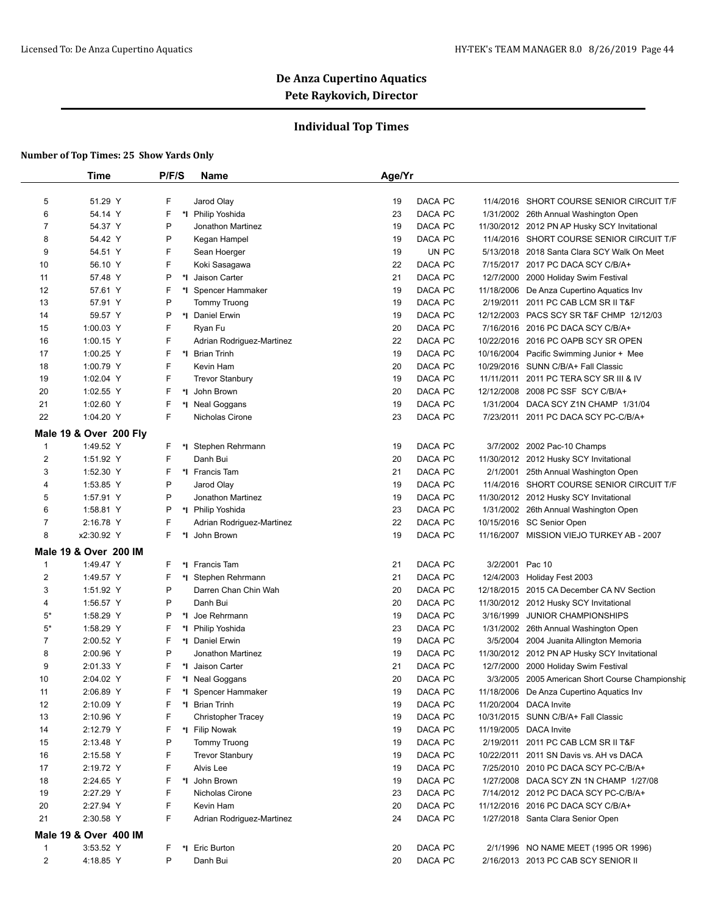## **Individual Top Times**

|                                | <b>Time</b>                        | P/F/S  | Name                             | Age/Yr                         |            |                                                                                |
|--------------------------------|------------------------------------|--------|----------------------------------|--------------------------------|------------|--------------------------------------------------------------------------------|
|                                |                                    |        |                                  |                                |            |                                                                                |
| 5                              | 51.29 Y                            | F      | Jarod Olay                       | DACA PC<br>19                  | 11/4/2016  | SHORT COURSE SENIOR CIRCUIT T/F                                                |
| 6                              | 54.14 Y                            | F      | *I Philip Yoshida                | 23<br>DACA PC                  |            | 1/31/2002 26th Annual Washington Open                                          |
| 7                              | 54.37 Y                            | P      | <b>Jonathon Martinez</b>         | 19<br>DACA PC                  |            | 11/30/2012 2012 PN AP Husky SCY Invitational                                   |
| 8                              | 54.42 Y                            | P      | Kegan Hampel                     | 19<br>DACA PC                  |            | 11/4/2016 SHORT COURSE SENIOR CIRCUIT T/F                                      |
| 9                              | 54.51 Y                            | F      | Sean Hoerger                     | 19                             | UN PC      | 5/13/2018 2018 Santa Clara SCY Walk On Meet                                    |
| 10                             | 56.10 Y                            | F      | Koki Sasagawa                    | 22<br>DACA PC                  | 7/15/2017  | 2017 PC DACA SCY C/B/A+                                                        |
| 11                             | 57.48 Y                            | P      | *1 Jaison Carter                 | 21<br>DACA PC                  | 12/7/2000  | 2000 Holiday Swim Festival                                                     |
| 12                             | 57.61 Y                            | F      | *I Spencer Hammaker              | DACA PC<br>19                  |            | 11/18/2006 De Anza Cupertino Aquatics Inv                                      |
| 13                             | 57.91 Y                            | P      | <b>Tommy Truong</b>              | 19<br>DACA PC                  |            | 2/19/2011 2011 PC CAB LCM SR II T&F                                            |
| 14                             | 59.57 Y                            | P      | *1 Daniel Erwin                  | 19<br>DACA PC                  |            | 12/12/2003 PACS SCY SR T&F CHMP 12/12/03                                       |
| 15                             | 1:00.03 Y                          | F      | Ryan Fu                          | DACA PC<br>20                  |            | 7/16/2016 2016 PC DACA SCY C/B/A+                                              |
| 16                             | 1:00.15 Y                          | F      | Adrian Rodriguez-Martinez        | DACA PC<br>22                  |            | 10/22/2016 2016 PC OAPB SCY SR OPEN                                            |
| 17                             | 1:00.25 Y                          | F      | *1 Brian Trinh                   | 19<br>DACA PC                  | 10/16/2004 | Pacific Swimming Junior + Mee                                                  |
| 18                             | 1:00.79 Y                          | F      | Kevin Ham                        | 20<br>DACA PC                  |            | 10/29/2016 SUNN C/B/A+ Fall Classic                                            |
| 19                             | 1:02.04 Y                          | F      | <b>Trevor Stanbury</b>           | 19<br>DACA PC                  |            | 11/11/2011 2011 PC TERA SCY SR III & IV                                        |
| 20                             | 1:02.55 Y                          | F      | John Brown                       | 20<br>DACA PC                  | 12/12/2008 | 2008 PC SSF SCY C/B/A+                                                         |
| 21                             | 1:02.60 Y                          | F      | *I Neal Goggans                  | 19<br>DACA PC                  |            | 1/31/2004 DACA SCY Z1N CHAMP 1/31/04                                           |
| 22                             | 1:04.20 Y                          | F      | Nicholas Cirone                  | DACA PC<br>23                  |            | 7/23/2011 2011 PC DACA SCY PC-C/B/A+                                           |
|                                | Male 19 & Over 200 Fly             |        |                                  |                                |            |                                                                                |
| $\mathbf{1}$<br>$\overline{2}$ | 1:49.52 Y<br>1:51.92 Y             | F<br>F | *I Stephen Rehrmann<br>Danh Bui  | DACA PC<br>19<br>20<br>DACA PC |            | 3/7/2002 2002 Pac-10 Champs<br>11/30/2012 2012 Husky SCY Invitational          |
|                                |                                    |        |                                  |                                |            |                                                                                |
| 3                              | 1:52.30 Y                          | F<br>P | *1 Francis Tam                   | 21<br>DACA PC                  | 2/1/2001   | 25th Annual Washington Open<br>11/4/2016 SHORT COURSE SENIOR CIRCUIT T/F       |
| 4                              | 1:53.85 Y                          | P      | Jarod Olay                       | 19<br>DACA PC                  |            |                                                                                |
| 5                              | 1:57.91 Y                          |        | Jonathon Martinez                | DACA PC<br>19                  |            | 11/30/2012 2012 Husky SCY Invitational                                         |
| 6                              | 1:58.81 Y                          | P      | *I Philip Yoshida                | 23<br>DACA PC                  |            | 1/31/2002 26th Annual Washington Open                                          |
| $\overline{7}$<br>8            | 2:16.78 Y                          | F<br>F | Adrian Rodriguez-Martinez        | 22<br>DACA PC                  |            | 10/15/2016 SC Senior Open<br>11/16/2007 MISSION VIEJO TURKEY AB - 2007         |
|                                | x2:30.92 Y                         |        | *I John Brown                    | 19<br>DACA PC                  |            |                                                                                |
|                                | Male 19 & Over 200 IM<br>1:49.47 Y | F      | *1 Francis Tam                   | DACA PC                        | 3/2/2001   | Pac 10                                                                         |
| $\mathbf 1$<br>$\overline{2}$  |                                    |        | *I Stephen Rehrmann              | 21<br>21<br>DACA PC            |            |                                                                                |
| 3                              | 1:49.57 Y<br>1:51.92 Y             | F<br>P |                                  | 20<br>DACA PC                  |            | 12/4/2003 Holiday Fest 2003<br>12/18/2015 2015 CA December CA NV Section       |
|                                |                                    | P      | Darren Chan Chin Wah<br>Danh Bui | 20<br>DACA PC                  | 11/30/2012 |                                                                                |
| 4<br>5*                        | 1:56.57 Y<br>1:58.29 Y             | P      | *I Joe Rehrmann                  | 19<br>DACA PC                  | 3/16/1999  | 2012 Husky SCY Invitational<br><b>JUNIOR CHAMPIONSHIPS</b>                     |
| $5*$                           | 1:58.29 Y                          | F      | *I Philip Yoshida                | 23<br>DACA PC                  |            |                                                                                |
| 7                              | 2:00.52 Y                          | F      | *1 Daniel Erwin                  | 19<br>DACA PC                  | 3/5/2004   | 1/31/2002 26th Annual Washington Open<br>2004 Juanita Allington Memoria        |
| 8                              | 2:00.96 Y                          | P      | Jonathon Martinez                | 19<br>DACA PC                  |            | 11/30/2012 2012 PN AP Husky SCY Invitational                                   |
| 9                              | 2:01.33 Y                          | F      | *I Jaison Carter                 | DACA PC<br>21                  | 12/7/2000  |                                                                                |
| 10                             | 2:04.02 Y                          | F      | *I Neal Goggans                  | 20<br>DACA PC                  |            | 2000 Holiday Swim Festival<br>3/3/2005 2005 American Short Course Championship |
| 11                             | 2:06.89 Y                          | F      | *I Spencer Hammaker              | DACA PC<br>19                  |            | 11/18/2006 De Anza Cupertino Aquatics Inv                                      |
| 12                             | 2:10.09 Y                          | F      | *I Brian Trinh                   | DACA PC<br>19                  |            | 11/20/2004 DACA Invite                                                         |
| 13                             | 2:10.96 Y                          | F      | <b>Christopher Tracey</b>        | 19<br>DACA PC                  |            | 10/31/2015 SUNN C/B/A+ Fall Classic                                            |
| 14                             | 2:12.79 Y                          | F      | *I Filip Nowak                   | DACA PC<br>19                  |            | 11/19/2005 DACA Invite                                                         |
| 15                             |                                    | P      | <b>Tommy Truong</b>              | DACA PC<br>19                  |            | 2/19/2011 2011 PC CAB LCM SR II T&F                                            |
| 16                             | 2:13.48 Y<br>2:15.58 Y             | F      | <b>Trevor Stanbury</b>           | 19<br>DACA PC                  |            | 10/22/2011 2011 SN Davis vs. AH vs DACA                                        |
| 17                             | 2:19.72 Y                          | F      | Alvis Lee                        | DACA PC<br>19                  |            | 7/25/2010 2010 PC DACA SCY PC-C/B/A+                                           |
| 18                             | 2:24.65 Y                          | F      | *I John Brown                    | DACA PC<br>19                  |            | 1/27/2008 DACA SCY ZN 1N CHAMP 1/27/08                                         |
| 19                             | 2:27.29 Y                          | F      | Nicholas Cirone                  | 23<br>DACA PC                  |            | 7/14/2012 2012 PC DACA SCY PC-C/B/A+                                           |
| 20                             | 2:27.94 Y                          | F      | Kevin Ham                        | DACA PC<br>20                  |            | 11/12/2016 2016 PC DACA SCY C/B/A+                                             |
| 21                             | 2:30.58 Y                          | F      | Adrian Rodriguez-Martinez        | DACA PC<br>24                  |            | 1/27/2018 Santa Clara Senior Open                                              |
|                                |                                    |        |                                  |                                |            |                                                                                |
|                                | Male 19 & Over 400 IM              |        |                                  |                                |            |                                                                                |
| $\mathbf{1}$                   | 3:53.52 Y                          | F      | *I Eric Burton                   | DACA PC<br>20                  |            | 2/1/1996 NO NAME MEET (1995 OR 1996)                                           |
| $\overline{2}$                 | 4:18.85 Y                          | P      | Danh Bui                         | DACA PC<br>20                  |            | 2/16/2013 2013 PC CAB SCY SENIOR II                                            |